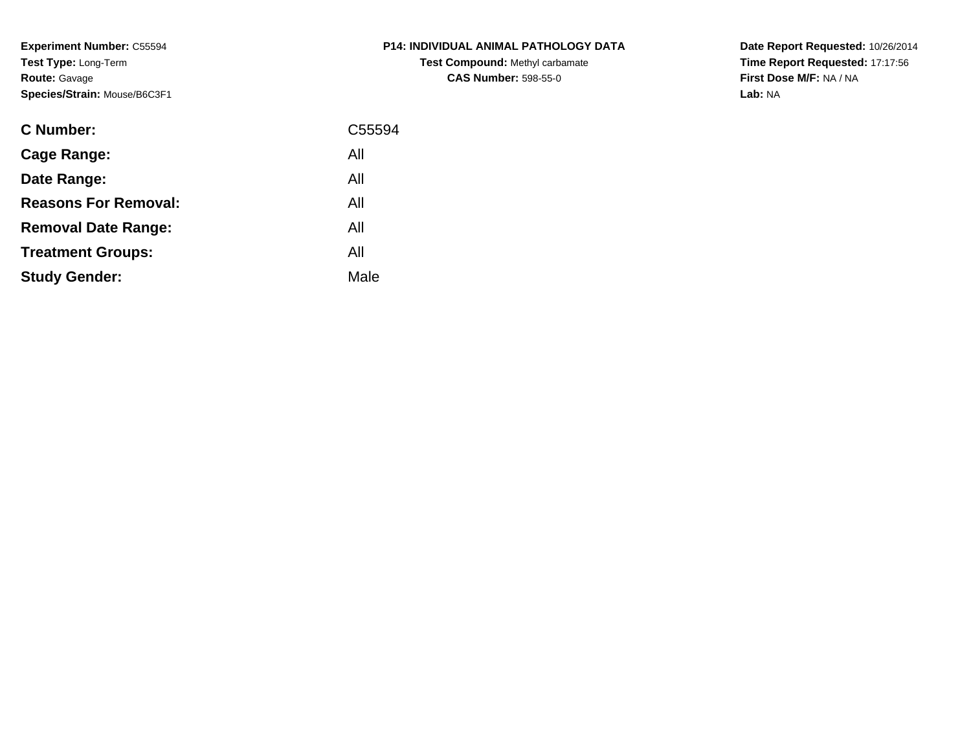**Experiment Number:** C55594**Test Type:** Long-Term**Route:** Gavage**Species/Strain:** Mouse/B6C3F1

| <b>C Number:</b>            | C55594 |
|-----------------------------|--------|
| <b>Cage Range:</b>          | All    |
| Date Range:                 | All    |
| <b>Reasons For Removal:</b> | All    |
| <b>Removal Date Range:</b>  | All    |
| <b>Treatment Groups:</b>    | All    |
| <b>Study Gender:</b>        | Male   |
|                             |        |

**P14: INDIVIDUAL ANIMAL PATHOLOGY DATATest Compound:** Methyl carbamate**CAS Number:** 598-55-0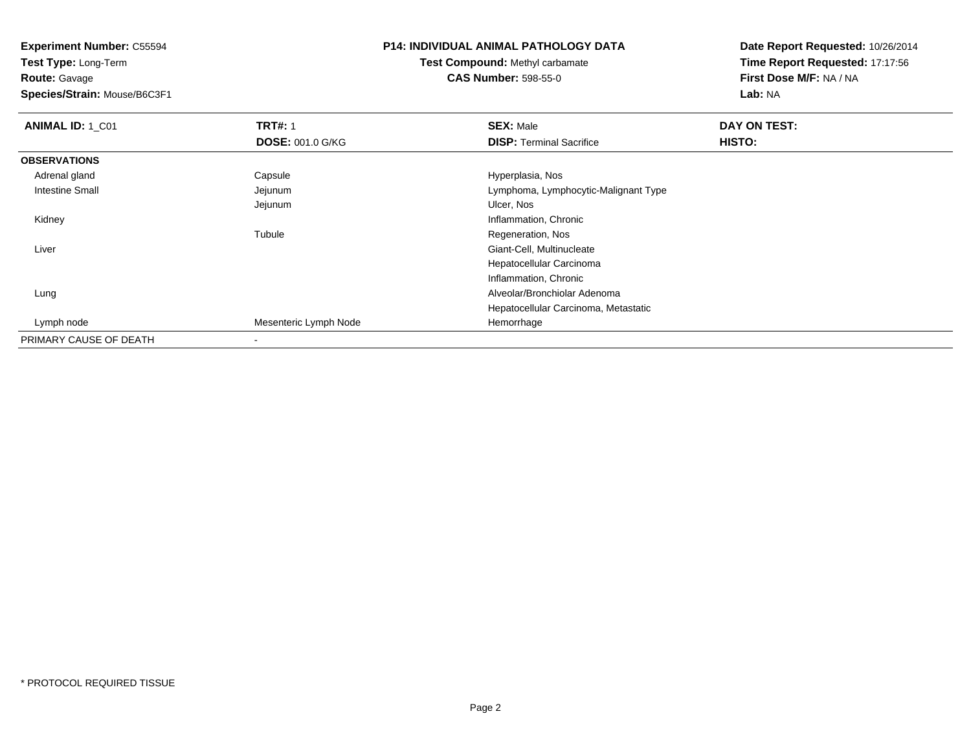**Test Type:** Long-Term**Route:** Gavage

**Species/Strain:** Mouse/B6C3F1

## **P14: INDIVIDUAL ANIMAL PATHOLOGY DATA**

## **Test Compound:** Methyl carbamate**CAS Number:** 598-55-0

| <b>ANIMAL ID: 1_C01</b> | <b>TRT#: 1</b>          | <b>SEX: Male</b>                     | DAY ON TEST: |  |
|-------------------------|-------------------------|--------------------------------------|--------------|--|
|                         | <b>DOSE: 001.0 G/KG</b> | <b>DISP: Terminal Sacrifice</b>      | HISTO:       |  |
| <b>OBSERVATIONS</b>     |                         |                                      |              |  |
| Adrenal gland           | Capsule                 | Hyperplasia, Nos                     |              |  |
| Intestine Small         | Jejunum                 | Lymphoma, Lymphocytic-Malignant Type |              |  |
|                         | Jejunum                 | Ulcer, Nos                           |              |  |
| Kidney                  |                         | Inflammation, Chronic                |              |  |
|                         | Tubule                  | Regeneration, Nos                    |              |  |
| Liver                   |                         | Giant-Cell, Multinucleate            |              |  |
|                         |                         | Hepatocellular Carcinoma             |              |  |
|                         |                         | Inflammation, Chronic                |              |  |
| Lung                    |                         | Alveolar/Bronchiolar Adenoma         |              |  |
|                         |                         | Hepatocellular Carcinoma, Metastatic |              |  |
| Lymph node              | Mesenteric Lymph Node   | Hemorrhage                           |              |  |
| PRIMARY CAUSE OF DEATH  |                         |                                      |              |  |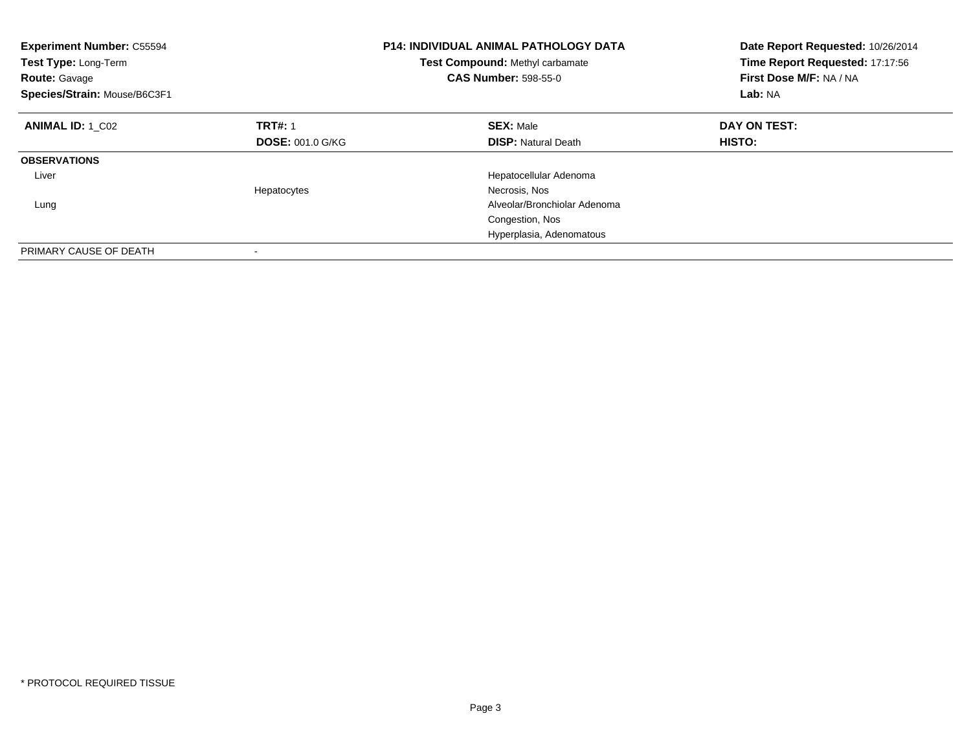| <b>Experiment Number: C55594</b><br>Test Type: Long-Term<br><b>Route: Gavage</b><br>Species/Strain: Mouse/B6C3F1 |                         | <b>P14: INDIVIDUAL ANIMAL PATHOLOGY DATA</b><br>Test Compound: Methyl carbamate<br><b>CAS Number: 598-55-0</b> | Date Report Requested: 10/26/2014<br>Time Report Requested: 17:17:56<br>First Dose M/F: NA / NA<br>Lab: NA |
|------------------------------------------------------------------------------------------------------------------|-------------------------|----------------------------------------------------------------------------------------------------------------|------------------------------------------------------------------------------------------------------------|
| <b>ANIMAL ID: 1 C02</b>                                                                                          | <b>TRT#: 1</b>          | <b>SEX: Male</b>                                                                                               | DAY ON TEST:                                                                                               |
|                                                                                                                  | <b>DOSE: 001.0 G/KG</b> | <b>DISP:</b> Natural Death                                                                                     | HISTO:                                                                                                     |
| <b>OBSERVATIONS</b>                                                                                              |                         |                                                                                                                |                                                                                                            |
| Liver                                                                                                            |                         | Hepatocellular Adenoma                                                                                         |                                                                                                            |
|                                                                                                                  | Hepatocytes             | Necrosis, Nos                                                                                                  |                                                                                                            |
| Lung                                                                                                             |                         | Alveolar/Bronchiolar Adenoma                                                                                   |                                                                                                            |
|                                                                                                                  |                         | Congestion, Nos                                                                                                |                                                                                                            |
|                                                                                                                  |                         | Hyperplasia, Adenomatous                                                                                       |                                                                                                            |
| PRIMARY CAUSE OF DEATH                                                                                           |                         |                                                                                                                |                                                                                                            |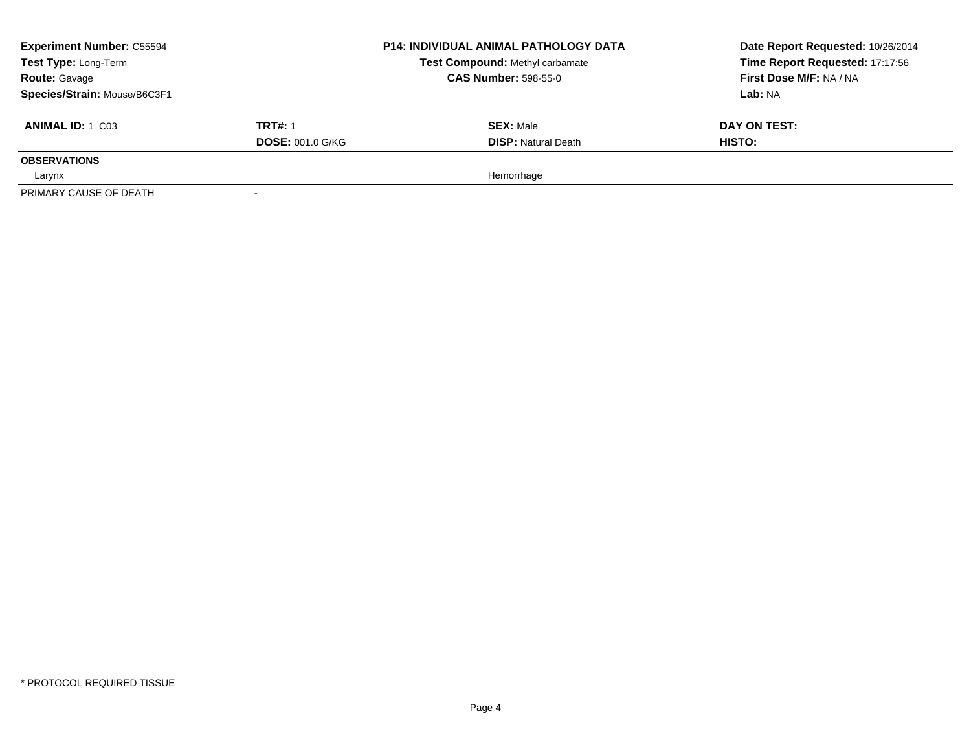| <b>Experiment Number: C55594</b><br>Test Type: Long-Term<br><b>Route: Gavage</b> |                         | <b>P14: INDIVIDUAL ANIMAL PATHOLOGY DATA</b><br>Test Compound: Methyl carbamate<br><b>CAS Number: 598-55-0</b> | Date Report Requested: 10/26/2014<br>Time Report Requested: 17:17:56<br>First Dose M/F: NA / NA |
|----------------------------------------------------------------------------------|-------------------------|----------------------------------------------------------------------------------------------------------------|-------------------------------------------------------------------------------------------------|
| Species/Strain: Mouse/B6C3F1                                                     |                         |                                                                                                                | Lab: NA                                                                                         |
| <b>ANIMAL ID:</b> 1 C03                                                          | <b>TRT#: 1</b>          | <b>SEX: Male</b>                                                                                               | DAY ON TEST:                                                                                    |
|                                                                                  | <b>DOSE: 001.0 G/KG</b> | <b>DISP: Natural Death</b>                                                                                     | <b>HISTO:</b>                                                                                   |
| <b>OBSERVATIONS</b>                                                              |                         |                                                                                                                |                                                                                                 |
| Larynx                                                                           |                         | Hemorrhage                                                                                                     |                                                                                                 |
| PRIMARY CAUSE OF DEATH                                                           |                         |                                                                                                                |                                                                                                 |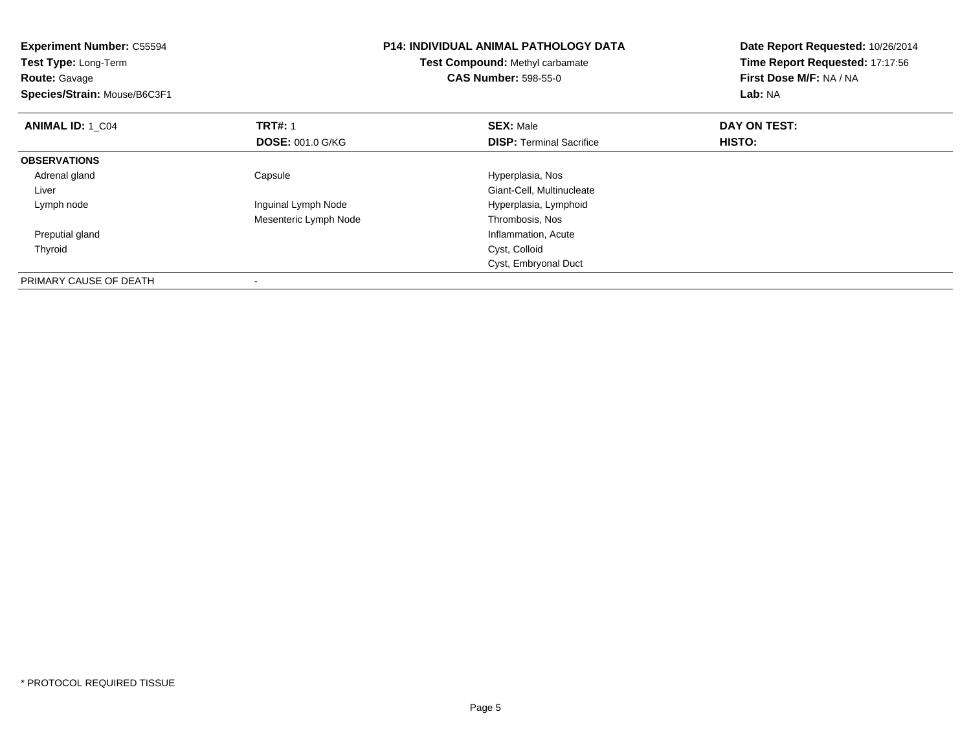| <b>Experiment Number: C55594</b><br>Test Type: Long-Term<br><b>Route: Gavage</b><br>Species/Strain: Mouse/B6C3F1 |                         | <b>P14: INDIVIDUAL ANIMAL PATHOLOGY DATA</b><br>Test Compound: Methyl carbamate<br><b>CAS Number: 598-55-0</b> | Date Report Requested: 10/26/2014<br>Time Report Requested: 17:17:56<br>First Dose M/F: NA / NA<br>Lab: NA |
|------------------------------------------------------------------------------------------------------------------|-------------------------|----------------------------------------------------------------------------------------------------------------|------------------------------------------------------------------------------------------------------------|
| <b>ANIMAL ID: 1 C04</b>                                                                                          | <b>TRT#: 1</b>          | <b>SEX: Male</b>                                                                                               | DAY ON TEST:                                                                                               |
|                                                                                                                  | <b>DOSE: 001.0 G/KG</b> | <b>DISP:</b> Terminal Sacrifice                                                                                | HISTO:                                                                                                     |
| <b>OBSERVATIONS</b>                                                                                              |                         |                                                                                                                |                                                                                                            |
| Adrenal gland                                                                                                    | Capsule                 | Hyperplasia, Nos                                                                                               |                                                                                                            |
| Liver                                                                                                            |                         | Giant-Cell, Multinucleate                                                                                      |                                                                                                            |
| Lymph node                                                                                                       | Inguinal Lymph Node     | Hyperplasia, Lymphoid                                                                                          |                                                                                                            |
|                                                                                                                  | Mesenteric Lymph Node   | Thrombosis, Nos                                                                                                |                                                                                                            |
| Preputial gland                                                                                                  |                         | Inflammation, Acute                                                                                            |                                                                                                            |
| Thyroid                                                                                                          |                         | Cyst, Colloid                                                                                                  |                                                                                                            |
|                                                                                                                  |                         | Cyst, Embryonal Duct                                                                                           |                                                                                                            |
| PRIMARY CAUSE OF DEATH                                                                                           |                         |                                                                                                                |                                                                                                            |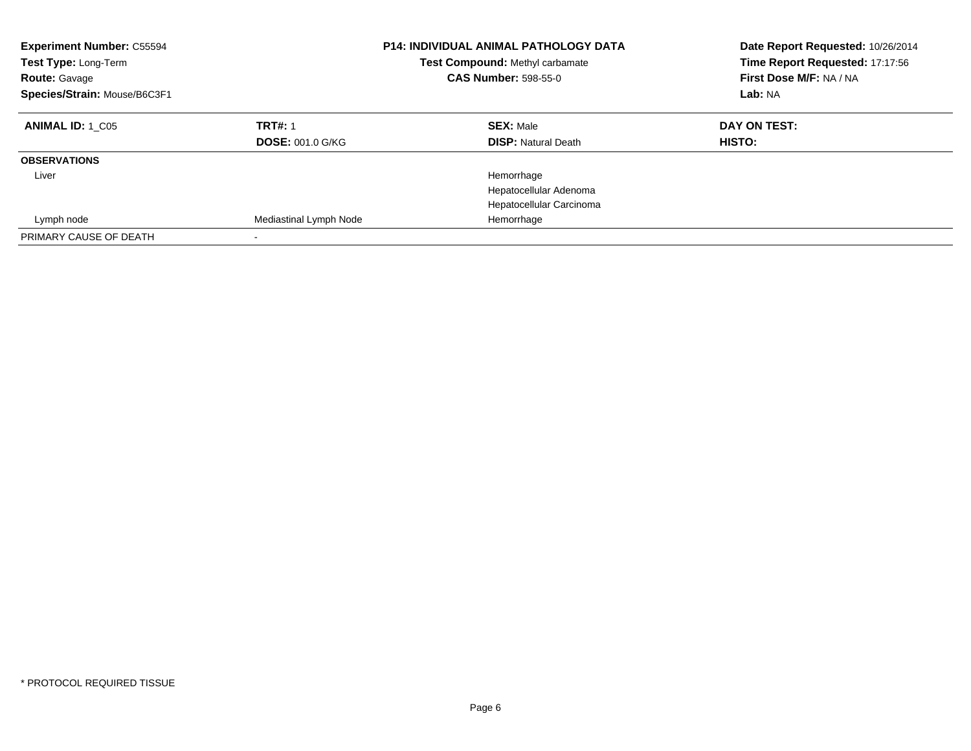| <b>Experiment Number: C55594</b><br>Test Type: Long-Term<br><b>Route: Gavage</b><br>Species/Strain: Mouse/B6C3F1 | <b>P14: INDIVIDUAL ANIMAL PATHOLOGY DATA</b><br><b>Test Compound: Methyl carbamate</b><br><b>CAS Number: 598-55-0</b> |                            | Date Report Requested: 10/26/2014<br>Time Report Requested: 17:17:56<br>First Dose M/F: NA / NA<br>Lab: NA |
|------------------------------------------------------------------------------------------------------------------|-----------------------------------------------------------------------------------------------------------------------|----------------------------|------------------------------------------------------------------------------------------------------------|
| <b>ANIMAL ID:</b> 1 C05                                                                                          | <b>TRT#: 1</b>                                                                                                        | <b>SEX: Male</b>           | DAY ON TEST:<br>HISTO:                                                                                     |
|                                                                                                                  | <b>DOSE: 001.0 G/KG</b>                                                                                               | <b>DISP:</b> Natural Death |                                                                                                            |
| <b>OBSERVATIONS</b>                                                                                              |                                                                                                                       |                            |                                                                                                            |
| Liver                                                                                                            |                                                                                                                       | Hemorrhage                 |                                                                                                            |
|                                                                                                                  |                                                                                                                       | Hepatocellular Adenoma     |                                                                                                            |
|                                                                                                                  |                                                                                                                       | Hepatocellular Carcinoma   |                                                                                                            |
| Lymph node                                                                                                       | Mediastinal Lymph Node                                                                                                | Hemorrhage                 |                                                                                                            |
| PRIMARY CAUSE OF DEATH                                                                                           |                                                                                                                       |                            |                                                                                                            |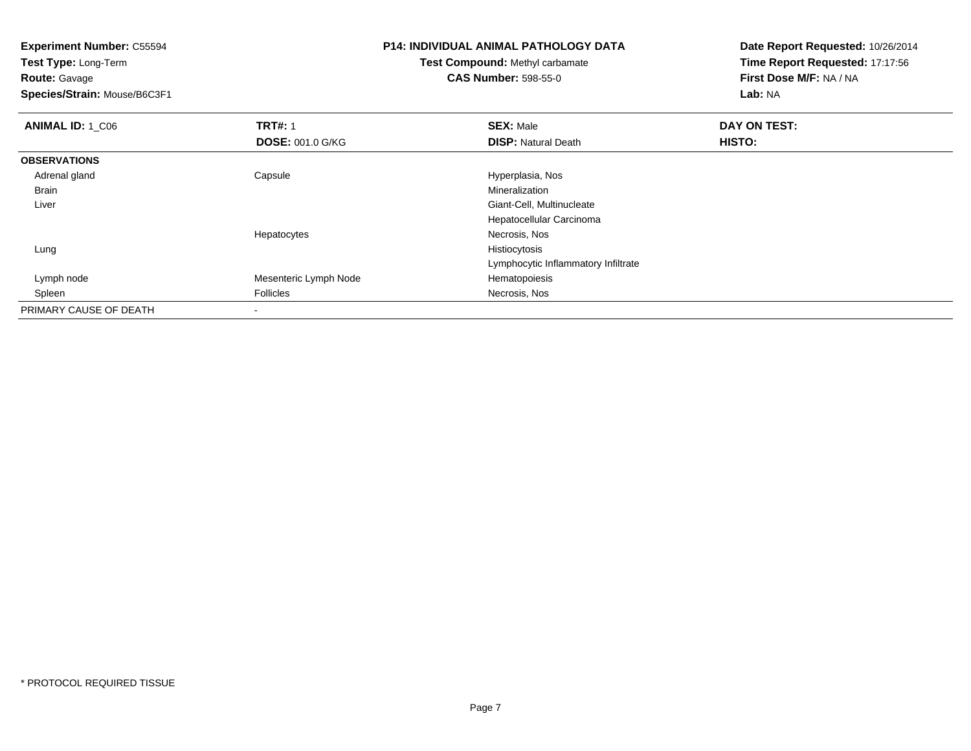**Test Type:** Long-Term**Route:** Gavage

**Species/Strain:** Mouse/B6C3F1

# **P14: INDIVIDUAL ANIMAL PATHOLOGY DATA**

**Test Compound:** Methyl carbamate**CAS Number:** 598-55-0

| <b>ANIMAL ID: 1 C06</b> | <b>TRT#: 1</b>          | <b>SEX: Male</b>                    | DAY ON TEST: |  |
|-------------------------|-------------------------|-------------------------------------|--------------|--|
|                         | <b>DOSE: 001.0 G/KG</b> | <b>DISP: Natural Death</b>          | HISTO:       |  |
| <b>OBSERVATIONS</b>     |                         |                                     |              |  |
| Adrenal gland           | Capsule                 | Hyperplasia, Nos                    |              |  |
| Brain                   |                         | Mineralization                      |              |  |
| Liver                   |                         | Giant-Cell, Multinucleate           |              |  |
|                         |                         | Hepatocellular Carcinoma            |              |  |
|                         | Hepatocytes             | Necrosis, Nos                       |              |  |
| Lung                    |                         | Histiocytosis                       |              |  |
|                         |                         | Lymphocytic Inflammatory Infiltrate |              |  |
| Lymph node              | Mesenteric Lymph Node   | Hematopoiesis                       |              |  |
| Spleen                  | Follicles               | Necrosis, Nos                       |              |  |
| PRIMARY CAUSE OF DEATH  |                         |                                     |              |  |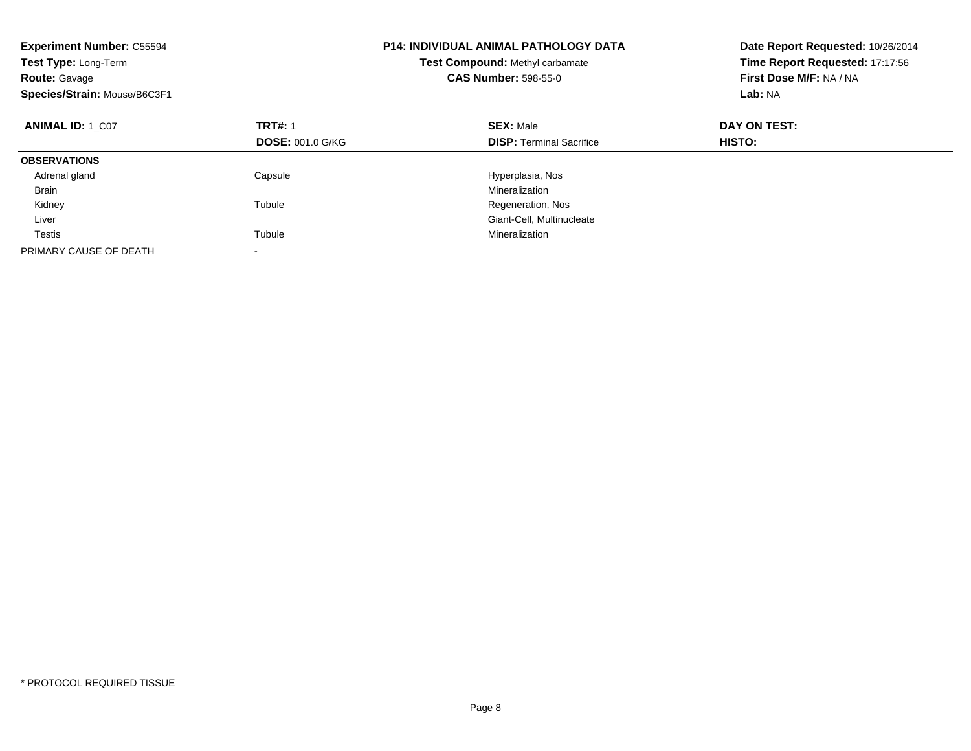| <b>Experiment Number: C55594</b><br>Test Type: Long-Term<br><b>Route: Gavage</b><br>Species/Strain: Mouse/B6C3F1 |                         | <b>P14: INDIVIDUAL ANIMAL PATHOLOGY DATA</b><br>Test Compound: Methyl carbamate<br><b>CAS Number: 598-55-0</b> | Date Report Requested: 10/26/2014<br>Time Report Requested: 17:17:56<br>First Dose M/F: NA / NA<br>Lab: NA |
|------------------------------------------------------------------------------------------------------------------|-------------------------|----------------------------------------------------------------------------------------------------------------|------------------------------------------------------------------------------------------------------------|
| <b>ANIMAL ID: 1 C07</b>                                                                                          | <b>TRT#: 1</b>          | <b>SEX: Male</b>                                                                                               | DAY ON TEST:                                                                                               |
|                                                                                                                  | <b>DOSE: 001.0 G/KG</b> | <b>DISP:</b> Terminal Sacrifice                                                                                | HISTO:                                                                                                     |
| <b>OBSERVATIONS</b>                                                                                              |                         |                                                                                                                |                                                                                                            |
| Adrenal gland                                                                                                    | Capsule                 | Hyperplasia, Nos                                                                                               |                                                                                                            |
| Brain                                                                                                            |                         | Mineralization                                                                                                 |                                                                                                            |
| Kidney                                                                                                           | Tubule                  | Regeneration, Nos                                                                                              |                                                                                                            |
| Liver                                                                                                            |                         | Giant-Cell, Multinucleate                                                                                      |                                                                                                            |
| Testis                                                                                                           | Tubule                  | Mineralization                                                                                                 |                                                                                                            |
| PRIMARY CAUSE OF DEATH                                                                                           |                         |                                                                                                                |                                                                                                            |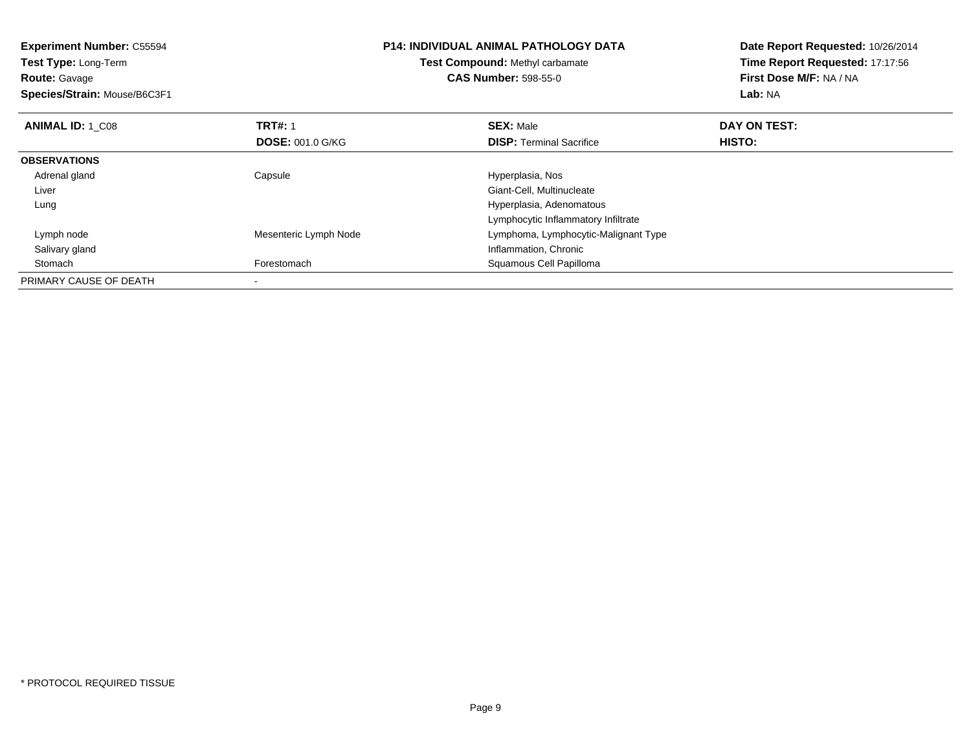| <b>Experiment Number: C55594</b><br>Test Type: Long-Term |                         | <b>P14: INDIVIDUAL ANIMAL PATHOLOGY DATA</b> | Date Report Requested: 10/26/2014<br>Time Report Requested: 17:17:56 |  |
|----------------------------------------------------------|-------------------------|----------------------------------------------|----------------------------------------------------------------------|--|
|                                                          |                         | Test Compound: Methyl carbamate              |                                                                      |  |
| <b>Route: Gavage</b>                                     |                         | <b>CAS Number: 598-55-0</b>                  | First Dose M/F: NA / NA                                              |  |
| Species/Strain: Mouse/B6C3F1                             |                         |                                              | <b>Lab: NA</b>                                                       |  |
| <b>ANIMAL ID: 1 C08</b>                                  | <b>TRT#: 1</b>          | <b>SEX: Male</b>                             | DAY ON TEST:                                                         |  |
|                                                          | <b>DOSE: 001.0 G/KG</b> | <b>DISP:</b> Terminal Sacrifice              | HISTO:                                                               |  |
| <b>OBSERVATIONS</b>                                      |                         |                                              |                                                                      |  |
| Adrenal gland                                            | Capsule                 | Hyperplasia, Nos                             |                                                                      |  |
| Liver                                                    |                         | Giant-Cell, Multinucleate                    |                                                                      |  |
| Lung                                                     |                         | Hyperplasia, Adenomatous                     |                                                                      |  |
|                                                          |                         | Lymphocytic Inflammatory Infiltrate          |                                                                      |  |
| Lymph node                                               | Mesenteric Lymph Node   | Lymphoma, Lymphocytic-Malignant Type         |                                                                      |  |
| Salivary gland                                           |                         | Inflammation, Chronic                        |                                                                      |  |
| Stomach                                                  | Forestomach             | Squamous Cell Papilloma                      |                                                                      |  |
| PRIMARY CAUSE OF DEATH                                   |                         |                                              |                                                                      |  |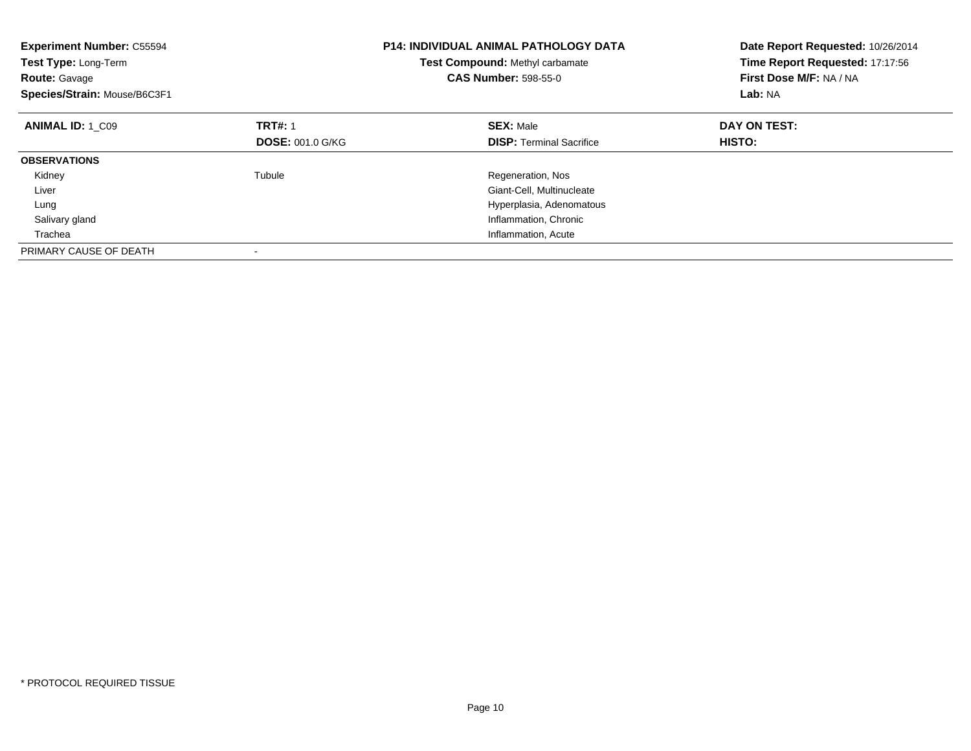| <b>Experiment Number: C55594</b><br>Test Type: Long-Term<br><b>Route: Gavage</b><br>Species/Strain: Mouse/B6C3F1 | <b>P14: INDIVIDUAL ANIMAL PATHOLOGY DATA</b><br>Test Compound: Methyl carbamate<br><b>CAS Number: 598-55-0</b> |                                 | Date Report Requested: 10/26/2014<br>Time Report Requested: 17:17:56<br>First Dose M/F: NA / NA<br>Lab: NA |
|------------------------------------------------------------------------------------------------------------------|----------------------------------------------------------------------------------------------------------------|---------------------------------|------------------------------------------------------------------------------------------------------------|
| <b>ANIMAL ID: 1 C09</b>                                                                                          | <b>TRT#: 1</b>                                                                                                 | <b>SEX: Male</b>                | DAY ON TEST:                                                                                               |
|                                                                                                                  | <b>DOSE: 001.0 G/KG</b>                                                                                        | <b>DISP:</b> Terminal Sacrifice | <b>HISTO:</b>                                                                                              |
| <b>OBSERVATIONS</b>                                                                                              |                                                                                                                |                                 |                                                                                                            |
| Kidney                                                                                                           | Tubule                                                                                                         | Regeneration, Nos               |                                                                                                            |
| Liver                                                                                                            |                                                                                                                | Giant-Cell, Multinucleate       |                                                                                                            |
| Lung                                                                                                             |                                                                                                                | Hyperplasia, Adenomatous        |                                                                                                            |
| Salivary gland                                                                                                   |                                                                                                                | Inflammation, Chronic           |                                                                                                            |
| Trachea                                                                                                          |                                                                                                                | Inflammation, Acute             |                                                                                                            |
| PRIMARY CAUSE OF DEATH                                                                                           |                                                                                                                |                                 |                                                                                                            |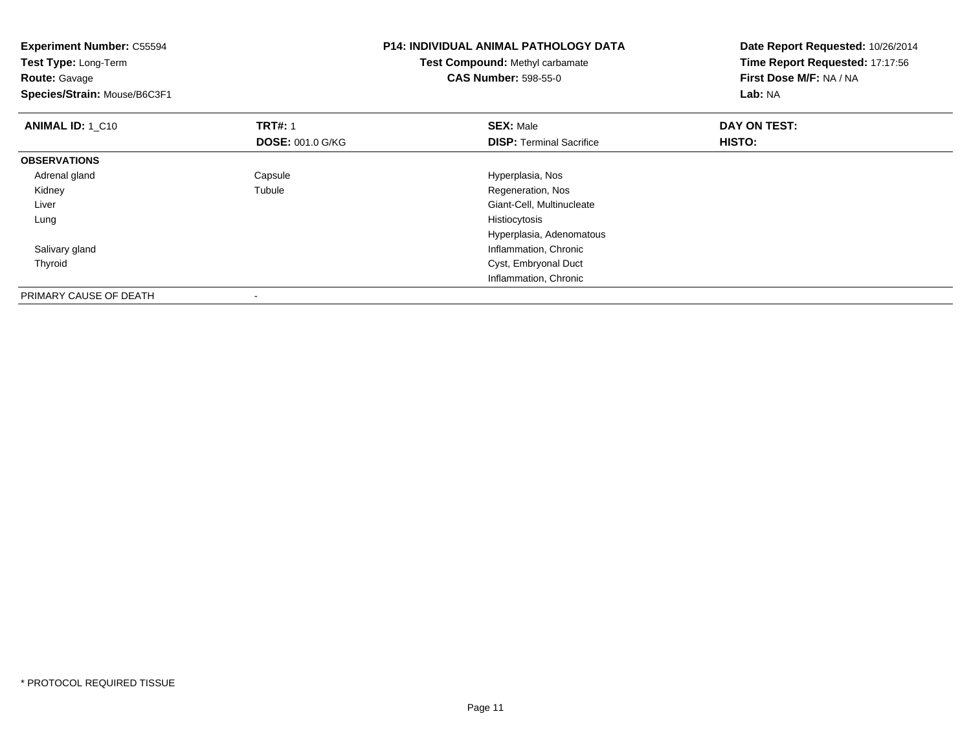| <b>Experiment Number: C55594</b><br>Test Type: Long-Term<br><b>Route: Gavage</b><br>Species/Strain: Mouse/B6C3F1 |                         | <b>P14: INDIVIDUAL ANIMAL PATHOLOGY DATA</b><br><b>Test Compound: Methyl carbamate</b><br><b>CAS Number: 598-55-0</b> | Date Report Requested: 10/26/2014<br>Time Report Requested: 17:17:56<br>First Dose M/F: NA / NA<br>Lab: NA |
|------------------------------------------------------------------------------------------------------------------|-------------------------|-----------------------------------------------------------------------------------------------------------------------|------------------------------------------------------------------------------------------------------------|
| <b>ANIMAL ID: 1 C10</b>                                                                                          | <b>TRT#: 1</b>          | <b>SEX: Male</b>                                                                                                      | DAY ON TEST:                                                                                               |
|                                                                                                                  | <b>DOSE: 001.0 G/KG</b> | <b>DISP:</b> Terminal Sacrifice                                                                                       | HISTO:                                                                                                     |
| <b>OBSERVATIONS</b>                                                                                              |                         |                                                                                                                       |                                                                                                            |
| Adrenal gland                                                                                                    | Capsule                 | Hyperplasia, Nos                                                                                                      |                                                                                                            |
| Kidney                                                                                                           | Tubule                  | Regeneration, Nos                                                                                                     |                                                                                                            |
| Liver                                                                                                            |                         | Giant-Cell, Multinucleate                                                                                             |                                                                                                            |
| Lung                                                                                                             |                         | Histiocytosis                                                                                                         |                                                                                                            |
|                                                                                                                  |                         | Hyperplasia, Adenomatous                                                                                              |                                                                                                            |
| Salivary gland                                                                                                   |                         | Inflammation, Chronic                                                                                                 |                                                                                                            |
| Thyroid                                                                                                          |                         | Cyst, Embryonal Duct                                                                                                  |                                                                                                            |
|                                                                                                                  |                         | Inflammation, Chronic                                                                                                 |                                                                                                            |
| PRIMARY CAUSE OF DEATH                                                                                           |                         |                                                                                                                       |                                                                                                            |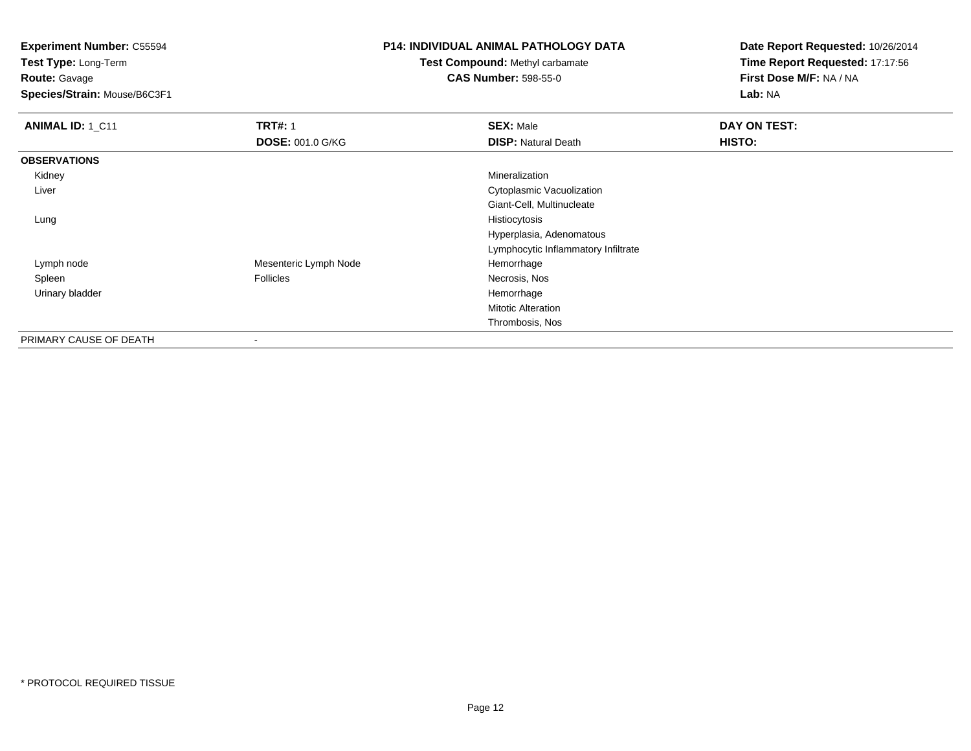**Test Type:** Long-Term**Route:** Gavage

**Species/Strain:** Mouse/B6C3F1

#### **P14: INDIVIDUAL ANIMAL PATHOLOGY DATA**

## **Test Compound:** Methyl carbamate**CAS Number:** 598-55-0

| ANIMAL ID: 1_C11       | <b>TRT#: 1</b><br><b>DOSE: 001.0 G/KG</b> | <b>SEX: Male</b><br><b>DISP: Natural Death</b> | DAY ON TEST:<br>HISTO: |
|------------------------|-------------------------------------------|------------------------------------------------|------------------------|
| <b>OBSERVATIONS</b>    |                                           |                                                |                        |
| Kidney                 |                                           | Mineralization                                 |                        |
| Liver                  |                                           | Cytoplasmic Vacuolization                      |                        |
|                        |                                           | Giant-Cell, Multinucleate                      |                        |
| Lung                   |                                           | Histiocytosis                                  |                        |
|                        |                                           | Hyperplasia, Adenomatous                       |                        |
|                        |                                           | Lymphocytic Inflammatory Infiltrate            |                        |
| Lymph node             | Mesenteric Lymph Node                     | Hemorrhage                                     |                        |
| Spleen                 | <b>Follicles</b>                          | Necrosis, Nos                                  |                        |
| Urinary bladder        |                                           | Hemorrhage                                     |                        |
|                        |                                           | <b>Mitotic Alteration</b>                      |                        |
|                        |                                           | Thrombosis, Nos                                |                        |
| PRIMARY CAUSE OF DEATH | ۰                                         |                                                |                        |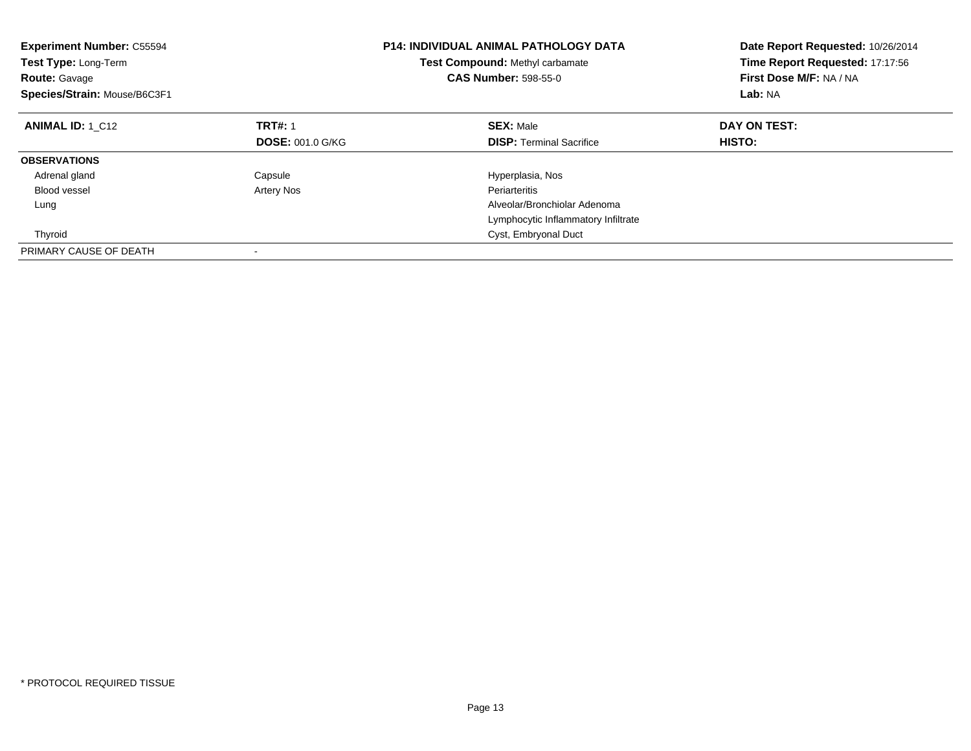| <b>Experiment Number: C55594</b><br><b>Test Type: Long-Term</b><br><b>Route: Gavage</b><br>Species/Strain: Mouse/B6C3F1 |                         | <b>P14: INDIVIDUAL ANIMAL PATHOLOGY DATA</b><br>Test Compound: Methyl carbamate<br><b>CAS Number: 598-55-0</b> | Date Report Requested: 10/26/2014<br>Time Report Requested: 17:17:56<br>First Dose M/F: NA / NA<br>Lab: NA |
|-------------------------------------------------------------------------------------------------------------------------|-------------------------|----------------------------------------------------------------------------------------------------------------|------------------------------------------------------------------------------------------------------------|
| <b>ANIMAL ID: 1 C12</b>                                                                                                 | <b>TRT#: 1</b>          | <b>SEX: Male</b>                                                                                               | DAY ON TEST:                                                                                               |
|                                                                                                                         | <b>DOSE: 001.0 G/KG</b> | <b>DISP:</b> Terminal Sacrifice                                                                                | HISTO:                                                                                                     |
| <b>OBSERVATIONS</b>                                                                                                     |                         |                                                                                                                |                                                                                                            |
| Adrenal gland                                                                                                           | Capsule                 | Hyperplasia, Nos                                                                                               |                                                                                                            |
| <b>Blood vessel</b>                                                                                                     | Artery Nos              | Periarteritis                                                                                                  |                                                                                                            |
| Lung                                                                                                                    |                         | Alveolar/Bronchiolar Adenoma                                                                                   |                                                                                                            |
|                                                                                                                         |                         | Lymphocytic Inflammatory Infiltrate                                                                            |                                                                                                            |
| Thyroid                                                                                                                 |                         | Cyst, Embryonal Duct                                                                                           |                                                                                                            |
| PRIMARY CAUSE OF DEATH                                                                                                  |                         |                                                                                                                |                                                                                                            |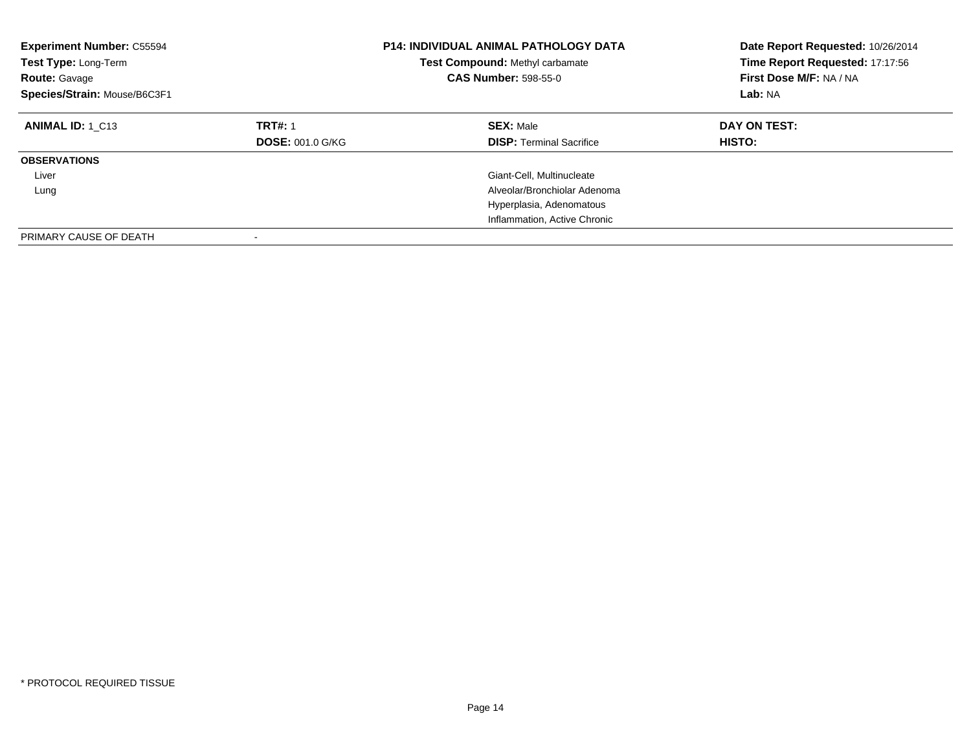| <b>Experiment Number: C55594</b><br>Test Type: Long-Term<br><b>Route: Gavage</b><br>Species/Strain: Mouse/B6C3F1 |                                           | <b>P14: INDIVIDUAL ANIMAL PATHOLOGY DATA</b><br>Test Compound: Methyl carbamate<br><b>CAS Number: 598-55-0</b> | Date Report Requested: 10/26/2014<br>Time Report Requested: 17:17:56<br>First Dose M/F: NA / NA<br>Lab: NA |
|------------------------------------------------------------------------------------------------------------------|-------------------------------------------|----------------------------------------------------------------------------------------------------------------|------------------------------------------------------------------------------------------------------------|
| <b>ANIMAL ID: 1 C13</b>                                                                                          | <b>TRT#: 1</b><br><b>DOSE: 001.0 G/KG</b> | <b>SEX: Male</b><br><b>DISP:</b> Terminal Sacrifice                                                            | DAY ON TEST:<br><b>HISTO:</b>                                                                              |
| <b>OBSERVATIONS</b>                                                                                              |                                           |                                                                                                                |                                                                                                            |
| Liver                                                                                                            |                                           | Giant-Cell, Multinucleate                                                                                      |                                                                                                            |
| Lung                                                                                                             |                                           | Alveolar/Bronchiolar Adenoma                                                                                   |                                                                                                            |
|                                                                                                                  |                                           | Hyperplasia, Adenomatous                                                                                       |                                                                                                            |
|                                                                                                                  |                                           | Inflammation, Active Chronic                                                                                   |                                                                                                            |
| PRIMARY CAUSE OF DEATH                                                                                           |                                           |                                                                                                                |                                                                                                            |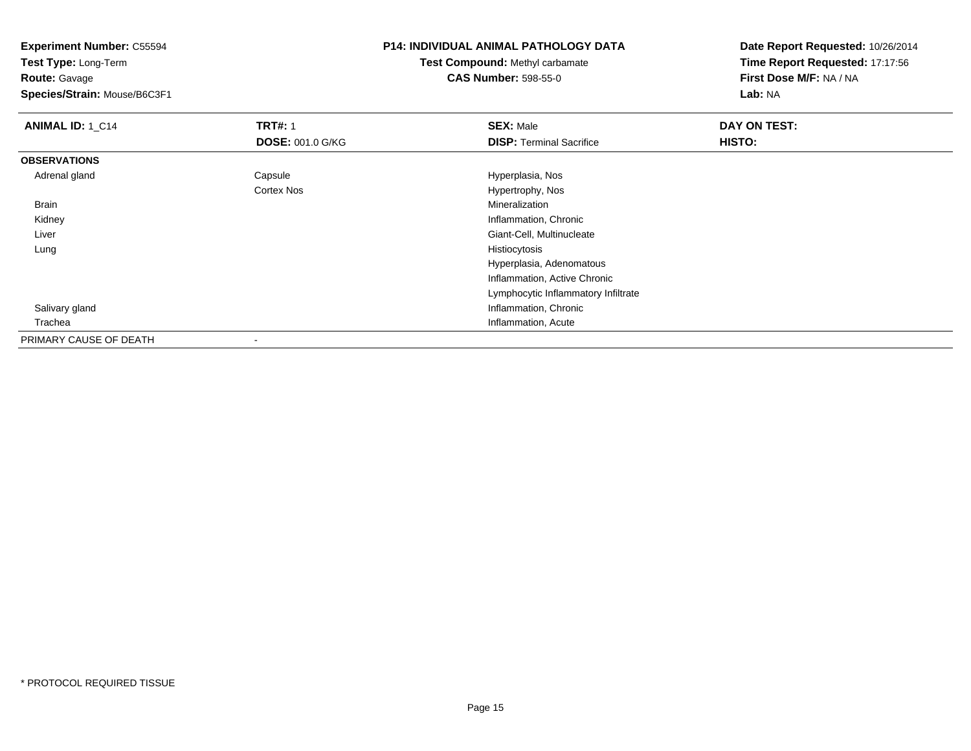**Test Type:** Long-Term**Route:** Gavage

**Species/Strain:** Mouse/B6C3F1

#### **P14: INDIVIDUAL ANIMAL PATHOLOGY DATA**

**Test Compound:** Methyl carbamate**CAS Number:** 598-55-0

| <b>ANIMAL ID: 1_C14</b> | <b>TRT#: 1</b>          | <b>SEX: Male</b>                    | DAY ON TEST: |  |
|-------------------------|-------------------------|-------------------------------------|--------------|--|
|                         | <b>DOSE: 001.0 G/KG</b> | <b>DISP: Terminal Sacrifice</b>     | HISTO:       |  |
| <b>OBSERVATIONS</b>     |                         |                                     |              |  |
| Adrenal gland           | Capsule                 | Hyperplasia, Nos                    |              |  |
|                         | <b>Cortex Nos</b>       | Hypertrophy, Nos                    |              |  |
| Brain                   |                         | Mineralization                      |              |  |
| Kidney                  |                         | Inflammation, Chronic               |              |  |
| Liver                   |                         | Giant-Cell, Multinucleate           |              |  |
| Lung                    |                         | Histiocytosis                       |              |  |
|                         |                         | Hyperplasia, Adenomatous            |              |  |
|                         |                         | Inflammation, Active Chronic        |              |  |
|                         |                         | Lymphocytic Inflammatory Infiltrate |              |  |
| Salivary gland          |                         | Inflammation, Chronic               |              |  |
| Trachea                 |                         | Inflammation, Acute                 |              |  |
| PRIMARY CAUSE OF DEATH  |                         |                                     |              |  |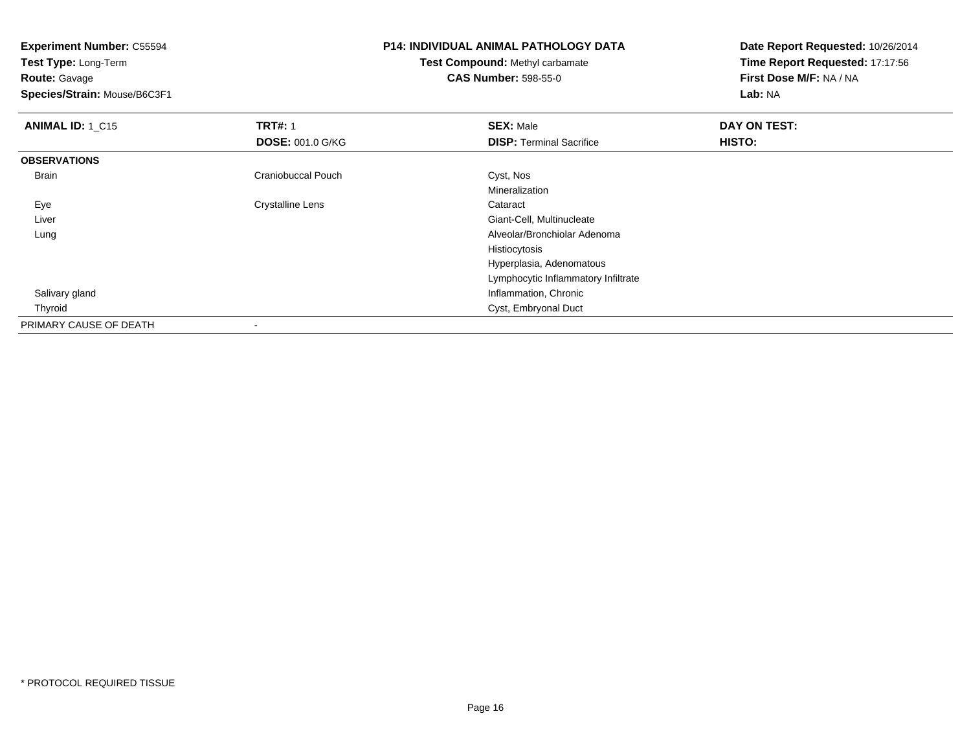**Experiment Number:** C55594**Test Type:** Long-Term**Route:** Gavage **Species/Strain:** Mouse/B6C3F1**P14: INDIVIDUAL ANIMAL PATHOLOGY DATATest Compound:** Methyl carbamate**CAS Number:** 598-55-0**Date Report Requested:** 10/26/2014**Time Report Requested:** 17:17:56**First Dose M/F:** NA / NA**Lab:** NA**ANIMAL ID: 1 C15 TRT#:** 1 **SEX:** Male **DAY ON TEST: DOSE:** 001.0 G/KG**DISP:** Terminal Sacrifice **HISTO: OBSERVATIONS** BrainCraniobuccal Pouch Cyst, Nos Mineralization EyeCrystalline Lens **Cataract**  Liver Giant-Cell, Multinucleate Alveolar/Bronchiolar Adenoma LungHistiocytosis Hyperplasia, Adenomatous Lymphocytic Inflammatory Infiltrate Salivary gland Inflammation, Chronic Thyroid Cyst, Embryonal Duct PRIMARY CAUSE OF DEATH-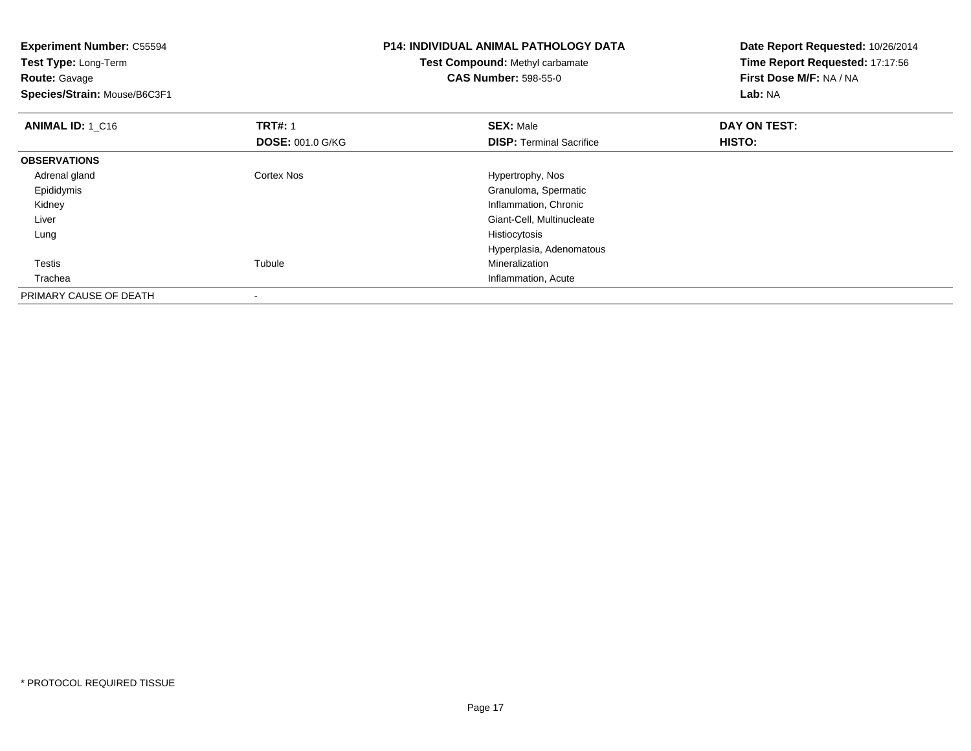| <b>Experiment Number: C55594</b> |                         | <b>P14: INDIVIDUAL ANIMAL PATHOLOGY DATA</b> | Date Report Requested: 10/26/2014<br>Time Report Requested: 17:17:56 |
|----------------------------------|-------------------------|----------------------------------------------|----------------------------------------------------------------------|
| Test Type: Long-Term             |                         | Test Compound: Methyl carbamate              |                                                                      |
| <b>Route: Gavage</b>             |                         | <b>CAS Number: 598-55-0</b>                  | First Dose M/F: NA / NA                                              |
| Species/Strain: Mouse/B6C3F1     |                         |                                              | Lab: NA                                                              |
| ANIMAL ID: 1_C16                 | <b>TRT#: 1</b>          | <b>SEX: Male</b>                             | DAY ON TEST:                                                         |
|                                  | <b>DOSE: 001.0 G/KG</b> | <b>DISP:</b> Terminal Sacrifice              | HISTO:                                                               |
| <b>OBSERVATIONS</b>              |                         |                                              |                                                                      |
| Adrenal gland                    | Cortex Nos              | Hypertrophy, Nos                             |                                                                      |
| Epididymis                       |                         | Granuloma, Spermatic                         |                                                                      |
| Kidney                           |                         | Inflammation, Chronic                        |                                                                      |
| Liver                            |                         | Giant-Cell, Multinucleate                    |                                                                      |
| Lung                             |                         | Histiocytosis                                |                                                                      |
|                                  |                         | Hyperplasia, Adenomatous                     |                                                                      |
| Testis                           | Tubule                  | Mineralization                               |                                                                      |
| Trachea                          |                         | Inflammation, Acute                          |                                                                      |
| PRIMARY CAUSE OF DEATH           |                         |                                              |                                                                      |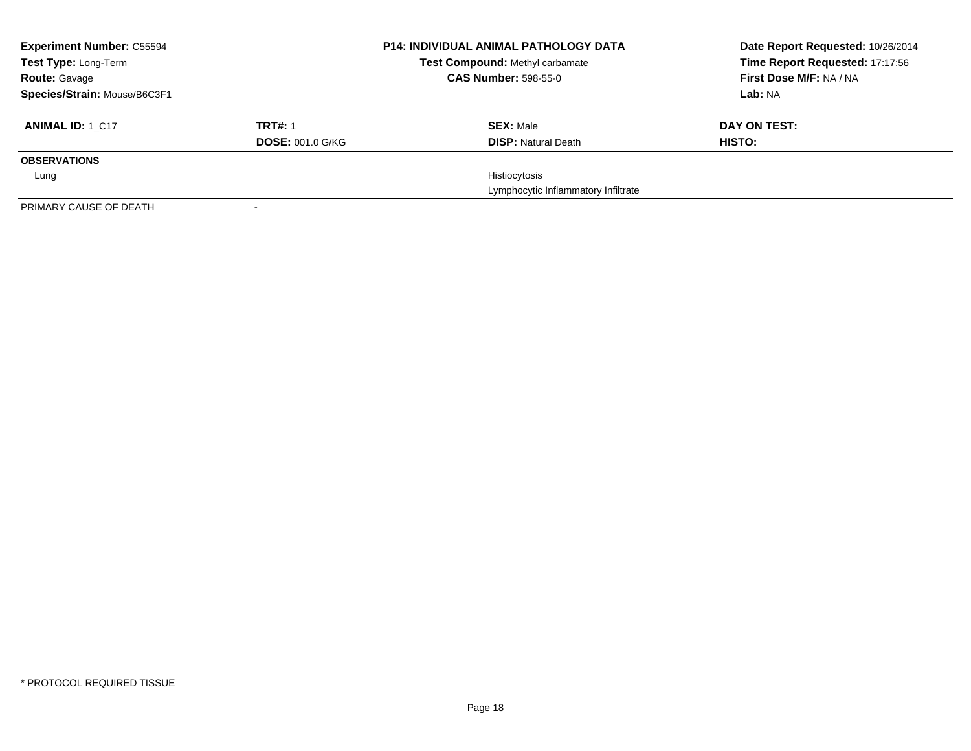| <b>Experiment Number: C55594</b><br>Test Type: Long-Term<br><b>Route: Gavage</b> |                         | <b>P14: INDIVIDUAL ANIMAL PATHOLOGY DATA</b><br>Test Compound: Methyl carbamate<br><b>CAS Number: 598-55-0</b> | Date Report Requested: 10/26/2014<br>Time Report Requested: 17:17:56<br>First Dose M/F: NA / NA |
|----------------------------------------------------------------------------------|-------------------------|----------------------------------------------------------------------------------------------------------------|-------------------------------------------------------------------------------------------------|
| Species/Strain: Mouse/B6C3F1                                                     |                         |                                                                                                                | Lab: NA                                                                                         |
| <b>ANIMAL ID: 1 C17</b>                                                          | <b>TRT#: 1</b>          | <b>SEX: Male</b>                                                                                               | DAY ON TEST:                                                                                    |
|                                                                                  | <b>DOSE: 001.0 G/KG</b> | <b>DISP:</b> Natural Death                                                                                     | HISTO:                                                                                          |
| <b>OBSERVATIONS</b>                                                              |                         |                                                                                                                |                                                                                                 |
| Lung                                                                             |                         | Histiocytosis                                                                                                  |                                                                                                 |
|                                                                                  |                         | Lymphocytic Inflammatory Infiltrate                                                                            |                                                                                                 |
| PRIMARY CAUSE OF DEATH                                                           |                         |                                                                                                                |                                                                                                 |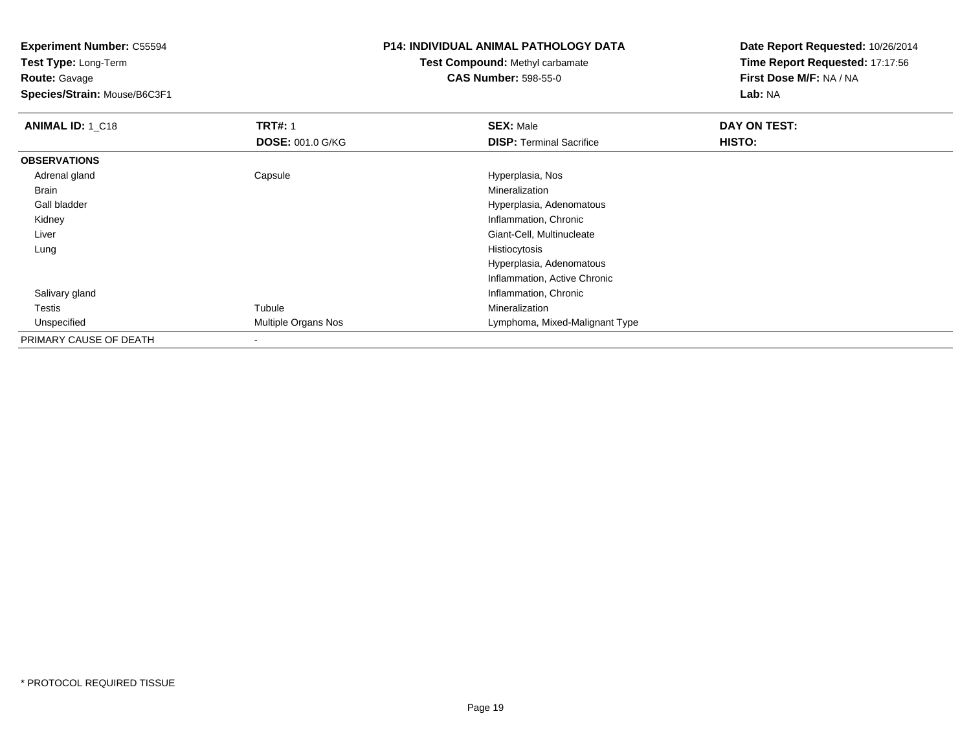**Test Type:** Long-Term**Route:** Gavage

**Species/Strain:** Mouse/B6C3F1

#### **P14: INDIVIDUAL ANIMAL PATHOLOGY DATA**

**Test Compound:** Methyl carbamate**CAS Number:** 598-55-0

| ANIMAL ID: 1_C18       | <b>TRT#: 1</b>             | <b>SEX: Male</b>                | DAY ON TEST: |  |
|------------------------|----------------------------|---------------------------------|--------------|--|
|                        | <b>DOSE: 001.0 G/KG</b>    | <b>DISP: Terminal Sacrifice</b> | HISTO:       |  |
| <b>OBSERVATIONS</b>    |                            |                                 |              |  |
| Adrenal gland          | Capsule                    | Hyperplasia, Nos                |              |  |
| Brain                  |                            | Mineralization                  |              |  |
| Gall bladder           |                            | Hyperplasia, Adenomatous        |              |  |
| Kidney                 |                            | Inflammation, Chronic           |              |  |
| Liver                  |                            | Giant-Cell, Multinucleate       |              |  |
| Lung                   |                            | Histiocytosis                   |              |  |
|                        |                            | Hyperplasia, Adenomatous        |              |  |
|                        |                            | Inflammation, Active Chronic    |              |  |
| Salivary gland         |                            | Inflammation, Chronic           |              |  |
| Testis                 | Tubule                     | Mineralization                  |              |  |
| Unspecified            | <b>Multiple Organs Nos</b> | Lymphoma, Mixed-Malignant Type  |              |  |
| PRIMARY CAUSE OF DEATH |                            |                                 |              |  |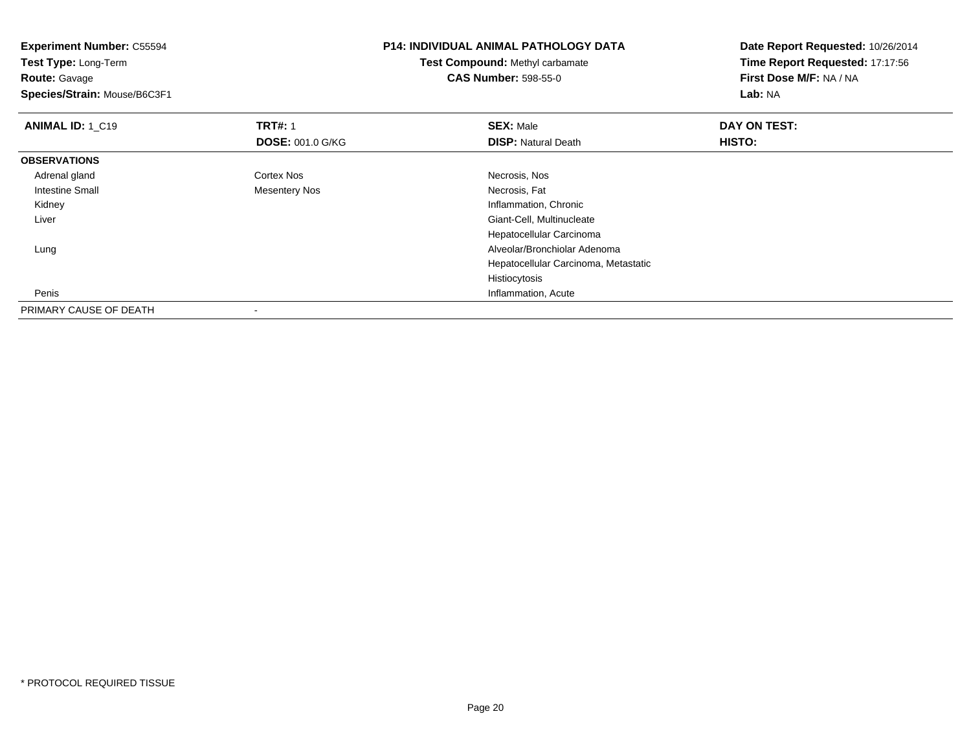| <b>Experiment Number: C55594</b> |                         | <b>P14: INDIVIDUAL ANIMAL PATHOLOGY DATA</b> | Date Report Requested: 10/26/2014 |
|----------------------------------|-------------------------|----------------------------------------------|-----------------------------------|
| Test Type: Long-Term             |                         | <b>Test Compound: Methyl carbamate</b>       | Time Report Requested: 17:17:56   |
| <b>Route: Gavage</b>             |                         | <b>CAS Number: 598-55-0</b>                  | First Dose M/F: NA / NA           |
| Species/Strain: Mouse/B6C3F1     |                         |                                              | Lab: NA                           |
| <b>ANIMAL ID: 1_C19</b>          | <b>TRT#: 1</b>          | <b>SEX: Male</b>                             | DAY ON TEST:                      |
|                                  | <b>DOSE: 001.0 G/KG</b> | <b>DISP: Natural Death</b>                   | HISTO:                            |
| <b>OBSERVATIONS</b>              |                         |                                              |                                   |
| Adrenal gland                    | Cortex Nos              | Necrosis, Nos                                |                                   |
| Intestine Small                  | Mesentery Nos           | Necrosis, Fat                                |                                   |
| Kidney                           |                         | Inflammation, Chronic                        |                                   |
| Liver                            |                         | Giant-Cell, Multinucleate                    |                                   |
|                                  |                         | Hepatocellular Carcinoma                     |                                   |
| Lung                             |                         | Alveolar/Bronchiolar Adenoma                 |                                   |
|                                  |                         | Hepatocellular Carcinoma, Metastatic         |                                   |
|                                  |                         | Histiocytosis                                |                                   |
| Penis                            |                         | Inflammation, Acute                          |                                   |
| PRIMARY CAUSE OF DEATH           |                         |                                              |                                   |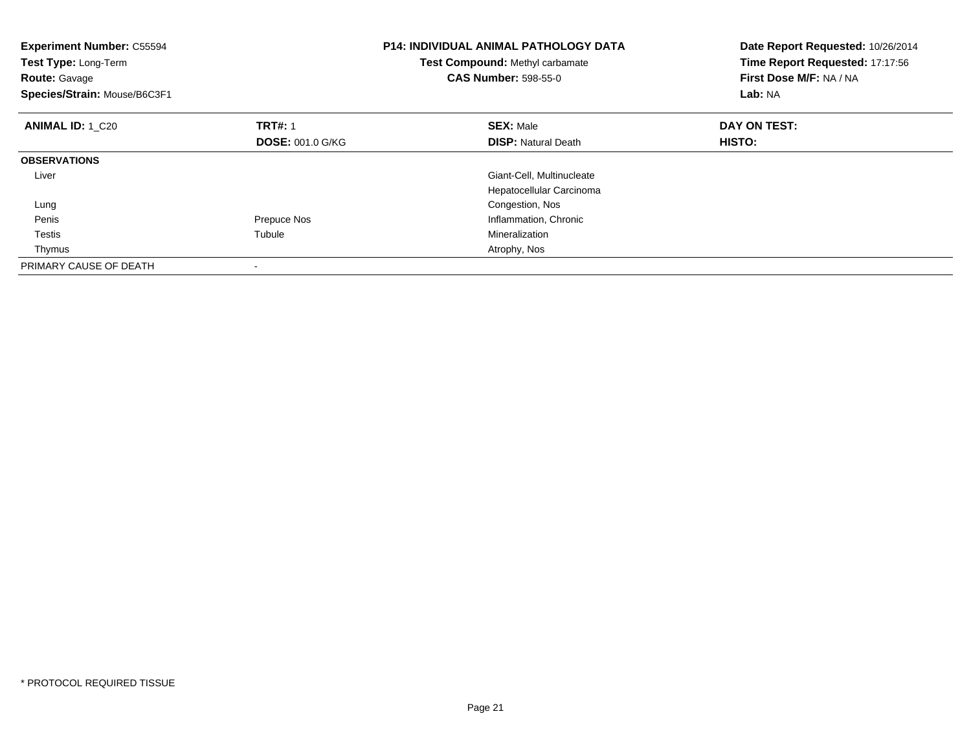| <b>Experiment Number: C55594</b><br>Test Type: Long-Term<br><b>Route: Gavage</b><br>Species/Strain: Mouse/B6C3F1 |                         | <b>P14: INDIVIDUAL ANIMAL PATHOLOGY DATA</b><br><b>Test Compound: Methyl carbamate</b><br><b>CAS Number: 598-55-0</b> | Date Report Requested: 10/26/2014<br>Time Report Requested: 17:17:56<br>First Dose M/F: NA / NA<br>Lab: NA |
|------------------------------------------------------------------------------------------------------------------|-------------------------|-----------------------------------------------------------------------------------------------------------------------|------------------------------------------------------------------------------------------------------------|
| <b>ANIMAL ID: 1 C20</b>                                                                                          | <b>TRT#: 1</b>          | <b>SEX: Male</b>                                                                                                      | DAY ON TEST:                                                                                               |
|                                                                                                                  | <b>DOSE: 001.0 G/KG</b> | <b>DISP:</b> Natural Death                                                                                            | <b>HISTO:</b>                                                                                              |
| <b>OBSERVATIONS</b>                                                                                              |                         |                                                                                                                       |                                                                                                            |
| Liver                                                                                                            |                         | Giant-Cell, Multinucleate                                                                                             |                                                                                                            |
|                                                                                                                  |                         | Hepatocellular Carcinoma                                                                                              |                                                                                                            |
| Lung                                                                                                             |                         | Congestion, Nos                                                                                                       |                                                                                                            |
| Penis                                                                                                            | Prepuce Nos             | Inflammation, Chronic                                                                                                 |                                                                                                            |
| Testis                                                                                                           | Tubule                  | Mineralization                                                                                                        |                                                                                                            |
| Thymus                                                                                                           |                         | Atrophy, Nos                                                                                                          |                                                                                                            |
| PRIMARY CAUSE OF DEATH                                                                                           |                         |                                                                                                                       |                                                                                                            |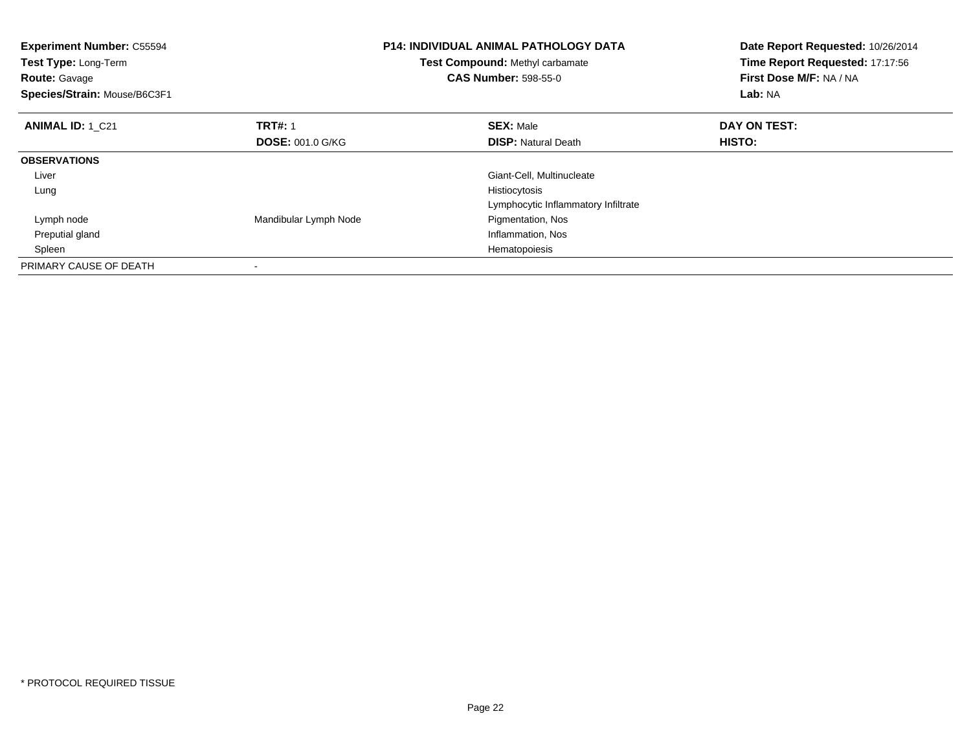| <b>Experiment Number: C55594</b><br>Test Type: Long-Term<br><b>Route: Gavage</b><br>Species/Strain: Mouse/B6C3F1 |                         | <b>P14: INDIVIDUAL ANIMAL PATHOLOGY DATA</b><br>Test Compound: Methyl carbamate<br><b>CAS Number: 598-55-0</b> | Date Report Requested: 10/26/2014<br>Time Report Requested: 17:17:56<br>First Dose M/F: NA / NA<br>Lab: NA |
|------------------------------------------------------------------------------------------------------------------|-------------------------|----------------------------------------------------------------------------------------------------------------|------------------------------------------------------------------------------------------------------------|
| <b>ANIMAL ID: 1 C21</b>                                                                                          | <b>TRT#: 1</b>          | <b>SEX: Male</b>                                                                                               | DAY ON TEST:                                                                                               |
|                                                                                                                  | <b>DOSE: 001.0 G/KG</b> | <b>DISP:</b> Natural Death                                                                                     | <b>HISTO:</b>                                                                                              |
| <b>OBSERVATIONS</b>                                                                                              |                         |                                                                                                                |                                                                                                            |
| Liver                                                                                                            |                         | Giant-Cell, Multinucleate                                                                                      |                                                                                                            |
| Lung                                                                                                             |                         | Histiocytosis                                                                                                  |                                                                                                            |
|                                                                                                                  |                         | Lymphocytic Inflammatory Infiltrate                                                                            |                                                                                                            |
| Lymph node                                                                                                       | Mandibular Lymph Node   | Pigmentation, Nos                                                                                              |                                                                                                            |
| Preputial gland                                                                                                  |                         | Inflammation, Nos                                                                                              |                                                                                                            |
| Spleen                                                                                                           |                         | Hematopoiesis                                                                                                  |                                                                                                            |
| PRIMARY CAUSE OF DEATH                                                                                           |                         |                                                                                                                |                                                                                                            |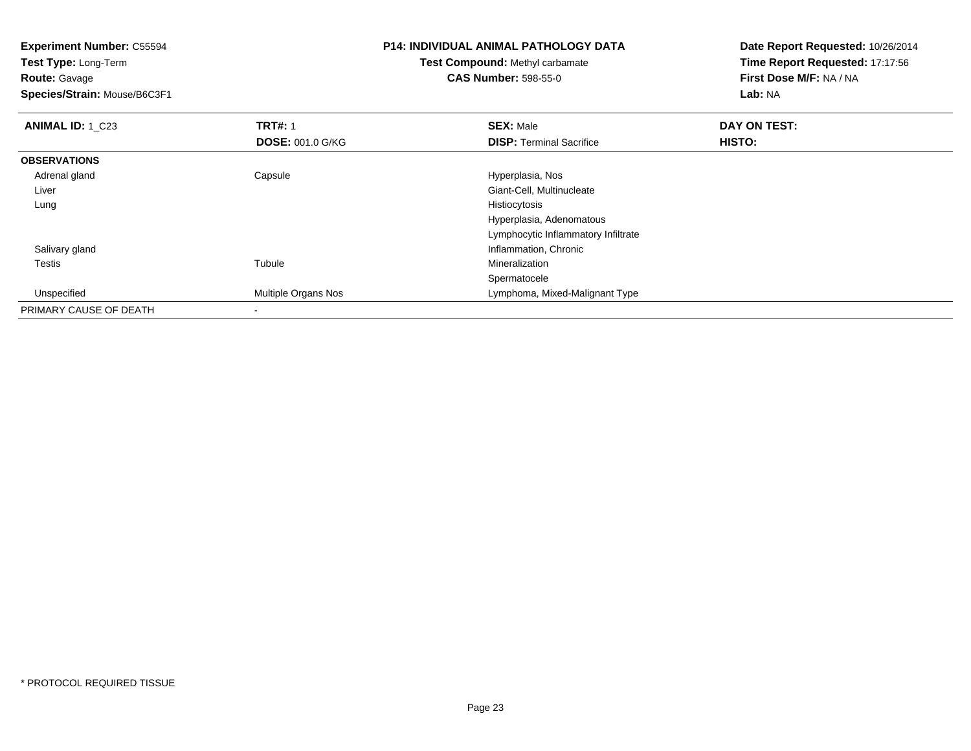**Experiment Number:** C55594**Test Type:** Long-Term**Route:** Gavage **Species/Strain:** Mouse/B6C3F1**P14: INDIVIDUAL ANIMAL PATHOLOGY DATATest Compound:** Methyl carbamate**CAS Number:** 598-55-0**Date Report Requested:** 10/26/2014**Time Report Requested:** 17:17:56**First Dose M/F:** NA / NA**Lab:** NA**ANIMAL ID:** 1 C23 **TRT#:** 1 **SEX:** Male **DAY ON TEST: DOSE:** 001.0 G/KG**DISP:** Terminal Sacrifice **HISTO: OBSERVATIONS** Adrenal glandCapsule **Capsule Hyperplasia**, Nos Liver Giant-Cell, Multinucleate Lungg and the state of the state of the state of the state of the state of the state of the state of the state of the state of the state of the state of the state of the state of the state of the state of the state of the stat Hyperplasia, Adenomatous Lymphocytic Inflammatory Infiltrate Salivary glandInflammation, Chronic<br>
Inflammation, Chronic<br>
Mineralization Testiss and the contract of the contract of the contract of the contract of the contract of the contract of the contract of the contract of the contract of the contract of the contract of the contract of the contract of the cont Mineralization Spermatoceled **Multiple Organs Nos Lymphoma, Mixed-Malignant Type**  UnspecifiedPRIMARY CAUSE OF DEATH-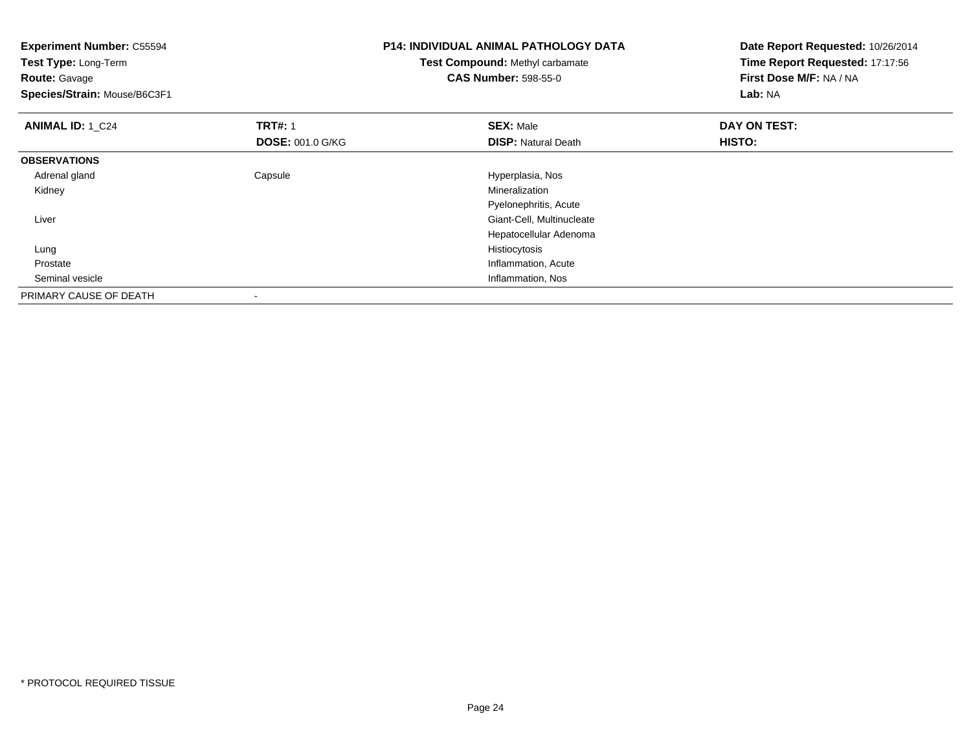| <b>Experiment Number: C55594</b> |                         | <b>P14: INDIVIDUAL ANIMAL PATHOLOGY DATA</b> | Date Report Requested: 10/26/2014 |
|----------------------------------|-------------------------|----------------------------------------------|-----------------------------------|
| Test Type: Long-Term             |                         | Test Compound: Methyl carbamate              | Time Report Requested: 17:17:56   |
| <b>Route: Gavage</b>             |                         | <b>CAS Number: 598-55-0</b>                  | First Dose M/F: NA / NA           |
| Species/Strain: Mouse/B6C3F1     |                         |                                              | Lab: NA                           |
| <b>ANIMAL ID: 1_C24</b>          | <b>TRT#: 1</b>          | <b>SEX: Male</b>                             | DAY ON TEST:                      |
|                                  | <b>DOSE: 001.0 G/KG</b> | <b>DISP: Natural Death</b>                   | HISTO:                            |
| <b>OBSERVATIONS</b>              |                         |                                              |                                   |
| Adrenal gland                    | Capsule                 | Hyperplasia, Nos                             |                                   |
| Kidney                           |                         | Mineralization                               |                                   |
|                                  |                         | Pyelonephritis, Acute                        |                                   |
| Liver                            |                         | Giant-Cell, Multinucleate                    |                                   |
|                                  |                         | Hepatocellular Adenoma                       |                                   |
| Lung                             |                         | Histiocytosis                                |                                   |
| Prostate                         |                         | Inflammation, Acute                          |                                   |
| Seminal vesicle                  |                         | Inflammation, Nos                            |                                   |
| PRIMARY CAUSE OF DEATH           |                         |                                              |                                   |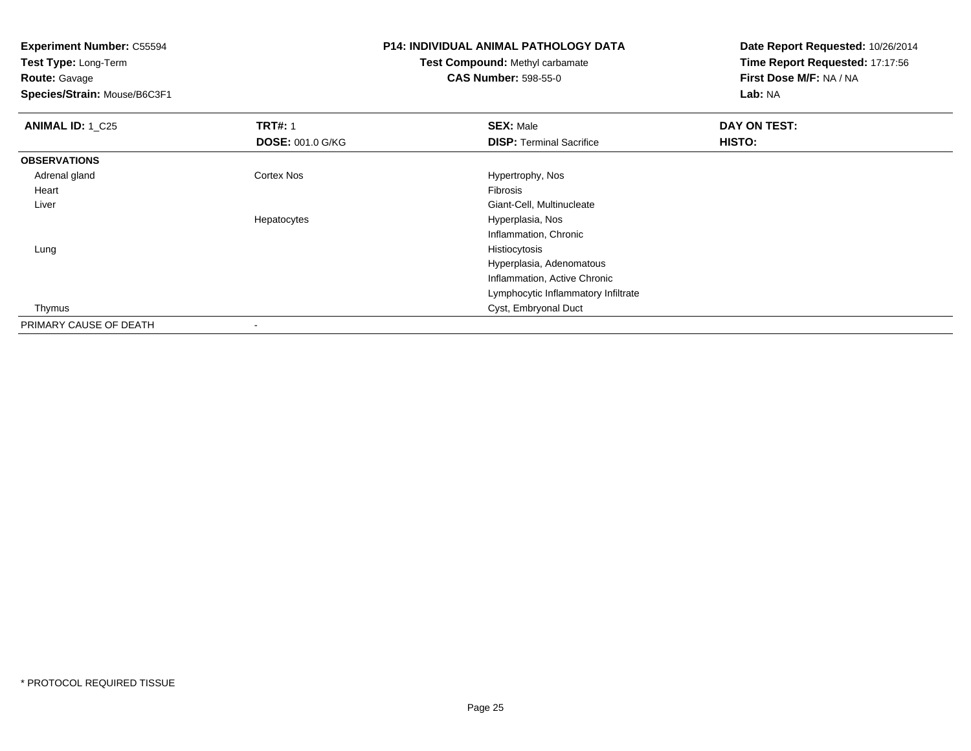**Experiment Number:** C55594**Test Type:** Long-Term**Route:** Gavage **Species/Strain:** Mouse/B6C3F1**P14: INDIVIDUAL ANIMAL PATHOLOGY DATATest Compound:** Methyl carbamate**CAS Number:** 598-55-0**Date Report Requested:** 10/26/2014**Time Report Requested:** 17:17:56**First Dose M/F:** NA / NA**Lab:** NA**ANIMAL ID:** 1 C25 **TRT#:** 1 **SEX:** Male **DAY ON TEST: DOSE:** 001.0 G/KG**DISP:** Terminal Sacrifice **HISTO: OBSERVATIONS** Adrenal gland Cortex Nos Hypertrophy, Nos Heartt de la constitución de la constitución de la constitución de la constitución de la constitución de la constitución **Construction Construction Construction Construction Construction Construction Construction Construction Construction Construction Construction Construction Construction Construction Construction Construction Construction**  LiverHepatocytes Hyperplasia, Nos Inflammation, Chronic

> Hyperplasia, Adenomatous Inflammation, Active ChronicLymphocytic Inflammatory Infiltrate

Cyst, Embryonal Duct

g and the state of the state of the state of the state of the state of the state of the state of the state of the state of the state of the state of the state of the state of the state of the state of the state of the stat

-

Lung

Thymus

PRIMARY CAUSE OF DEATH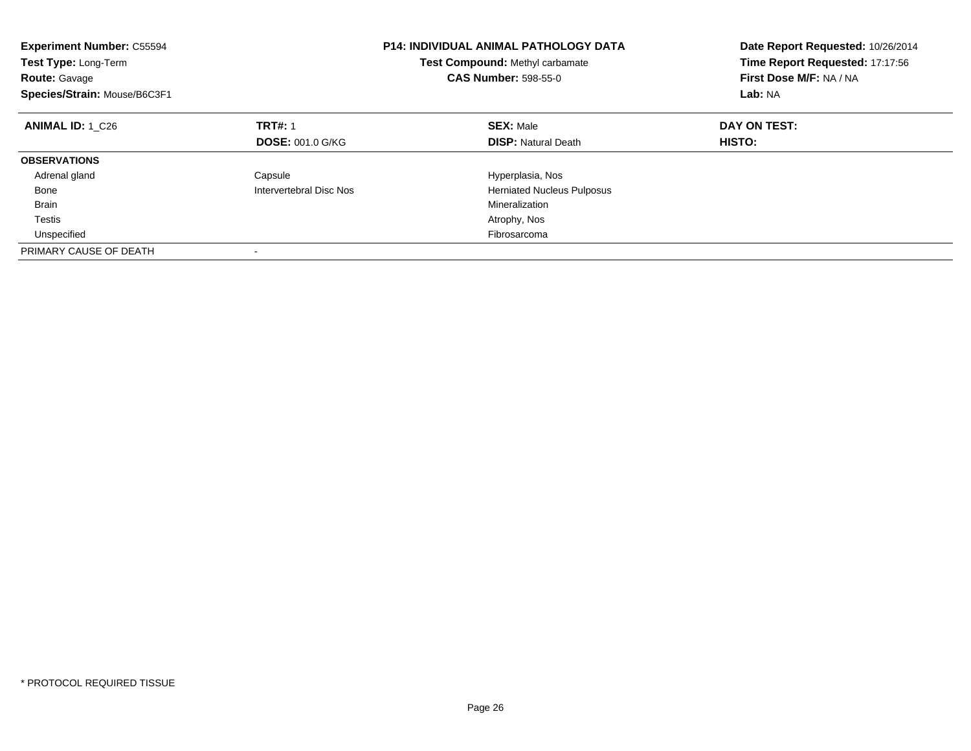| <b>Experiment Number: C55594</b><br>Test Type: Long-Term<br><b>Route: Gavage</b><br>Species/Strain: Mouse/B6C3F1 |                         | <b>P14: INDIVIDUAL ANIMAL PATHOLOGY DATA</b><br>Test Compound: Methyl carbamate<br><b>CAS Number: 598-55-0</b> | Date Report Requested: 10/26/2014<br>Time Report Requested: 17:17:56<br>First Dose M/F: NA / NA<br>Lab: NA |
|------------------------------------------------------------------------------------------------------------------|-------------------------|----------------------------------------------------------------------------------------------------------------|------------------------------------------------------------------------------------------------------------|
| <b>ANIMAL ID: 1 C26</b>                                                                                          | <b>TRT#: 1</b>          | <b>SEX: Male</b>                                                                                               | DAY ON TEST:                                                                                               |
|                                                                                                                  | <b>DOSE: 001.0 G/KG</b> | <b>DISP:</b> Natural Death                                                                                     | HISTO:                                                                                                     |
| <b>OBSERVATIONS</b>                                                                                              |                         |                                                                                                                |                                                                                                            |
| Adrenal gland                                                                                                    | Capsule                 | Hyperplasia, Nos                                                                                               |                                                                                                            |
| Bone                                                                                                             | Intervertebral Disc Nos | <b>Herniated Nucleus Pulposus</b>                                                                              |                                                                                                            |
| <b>Brain</b>                                                                                                     |                         | Mineralization                                                                                                 |                                                                                                            |
| Testis                                                                                                           |                         | Atrophy, Nos                                                                                                   |                                                                                                            |
| Unspecified                                                                                                      |                         | Fibrosarcoma                                                                                                   |                                                                                                            |
| PRIMARY CAUSE OF DEATH                                                                                           |                         |                                                                                                                |                                                                                                            |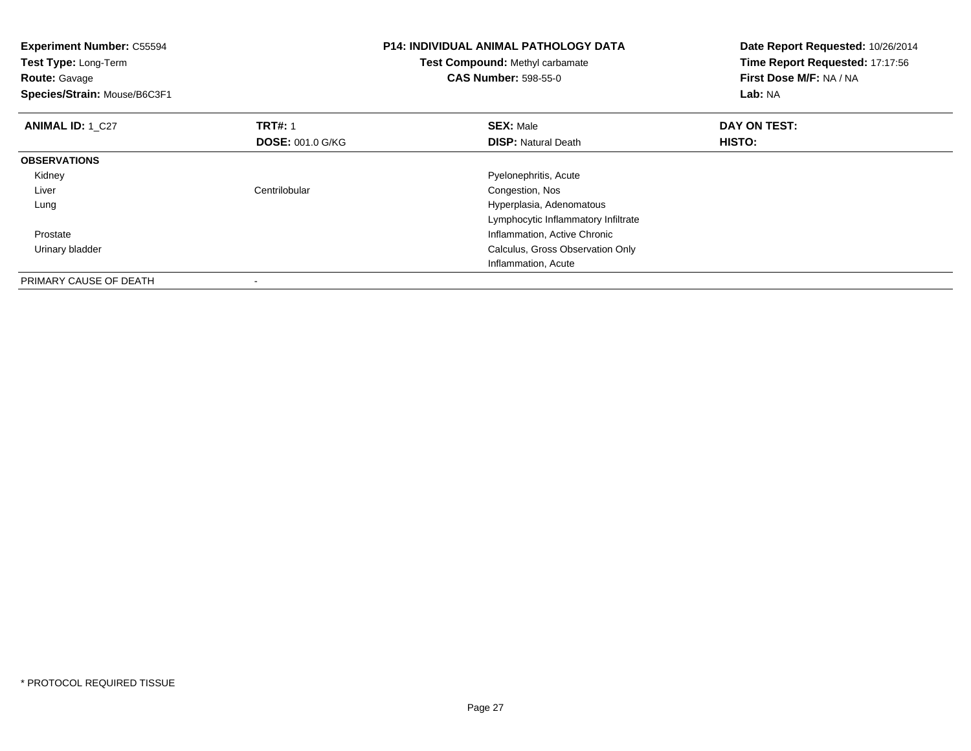| <b>Experiment Number: C55594</b><br>Test Type: Long-Term<br><b>Route: Gavage</b><br>Species/Strain: Mouse/B6C3F1 |                         | <b>P14: INDIVIDUAL ANIMAL PATHOLOGY DATA</b><br>Test Compound: Methyl carbamate<br><b>CAS Number: 598-55-0</b> | Date Report Requested: 10/26/2014<br>Time Report Requested: 17:17:56<br>First Dose M/F: NA / NA<br><b>Lab: NA</b> |
|------------------------------------------------------------------------------------------------------------------|-------------------------|----------------------------------------------------------------------------------------------------------------|-------------------------------------------------------------------------------------------------------------------|
| <b>ANIMAL ID: 1 C27</b>                                                                                          | <b>TRT#: 1</b>          | <b>SEX: Male</b>                                                                                               | DAY ON TEST:                                                                                                      |
|                                                                                                                  | <b>DOSE: 001.0 G/KG</b> | <b>DISP:</b> Natural Death                                                                                     | HISTO:                                                                                                            |
| <b>OBSERVATIONS</b>                                                                                              |                         |                                                                                                                |                                                                                                                   |
| Kidney                                                                                                           |                         | Pyelonephritis, Acute                                                                                          |                                                                                                                   |
| Liver                                                                                                            | Centrilobular           | Congestion, Nos                                                                                                |                                                                                                                   |
| Lung                                                                                                             |                         | Hyperplasia, Adenomatous                                                                                       |                                                                                                                   |
|                                                                                                                  |                         | Lymphocytic Inflammatory Infiltrate                                                                            |                                                                                                                   |
| Prostate                                                                                                         |                         | Inflammation, Active Chronic                                                                                   |                                                                                                                   |
| Urinary bladder                                                                                                  |                         | Calculus, Gross Observation Only                                                                               |                                                                                                                   |
|                                                                                                                  |                         | Inflammation, Acute                                                                                            |                                                                                                                   |
| PRIMARY CAUSE OF DEATH                                                                                           |                         |                                                                                                                |                                                                                                                   |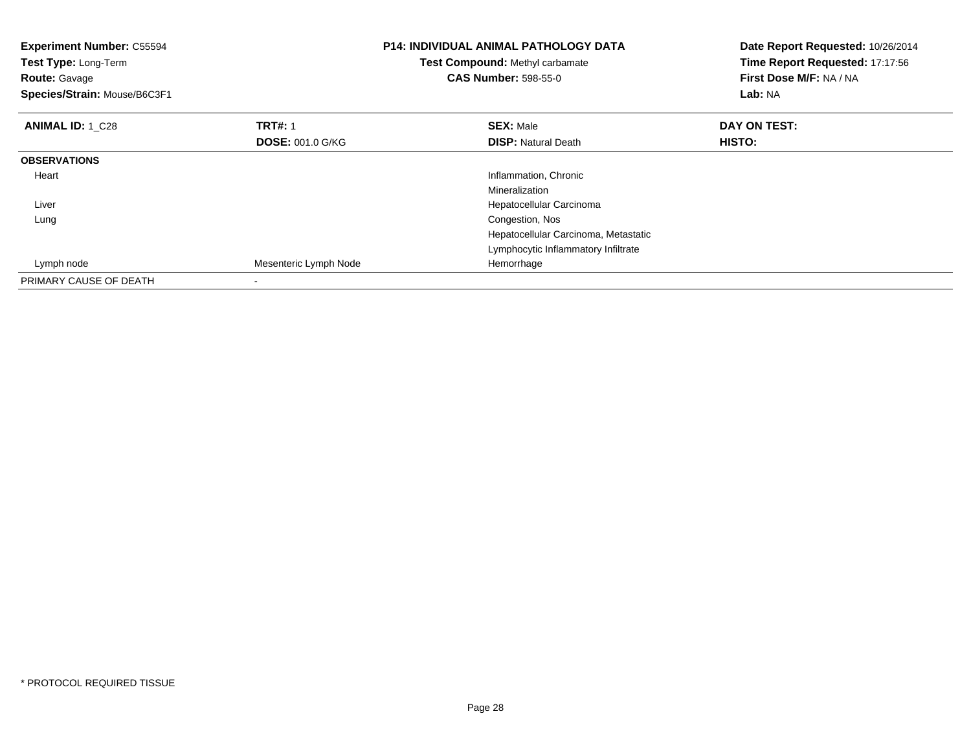| <b>Experiment Number: C55594</b><br><b>Test Type: Long-Term</b><br><b>Route: Gavage</b><br>Species/Strain: Mouse/B6C3F1 |                         | <b>P14: INDIVIDUAL ANIMAL PATHOLOGY DATA</b><br>Test Compound: Methyl carbamate<br><b>CAS Number: 598-55-0</b> | Date Report Requested: 10/26/2014<br>Time Report Requested: 17:17:56<br>First Dose M/F: NA / NA<br>Lab: NA |
|-------------------------------------------------------------------------------------------------------------------------|-------------------------|----------------------------------------------------------------------------------------------------------------|------------------------------------------------------------------------------------------------------------|
| <b>ANIMAL ID: 1 C28</b>                                                                                                 | <b>TRT#: 1</b>          | <b>SEX: Male</b>                                                                                               | DAY ON TEST:                                                                                               |
|                                                                                                                         | <b>DOSE: 001.0 G/KG</b> | <b>DISP:</b> Natural Death                                                                                     | <b>HISTO:</b>                                                                                              |
| <b>OBSERVATIONS</b>                                                                                                     |                         |                                                                                                                |                                                                                                            |
| Heart                                                                                                                   |                         | Inflammation, Chronic                                                                                          |                                                                                                            |
|                                                                                                                         |                         | Mineralization                                                                                                 |                                                                                                            |
| Liver                                                                                                                   |                         | Hepatocellular Carcinoma                                                                                       |                                                                                                            |
| Lung                                                                                                                    |                         | Congestion, Nos                                                                                                |                                                                                                            |
|                                                                                                                         |                         | Hepatocellular Carcinoma, Metastatic                                                                           |                                                                                                            |
|                                                                                                                         |                         | Lymphocytic Inflammatory Infiltrate                                                                            |                                                                                                            |
| Lymph node                                                                                                              | Mesenteric Lymph Node   | Hemorrhage                                                                                                     |                                                                                                            |
| PRIMARY CAUSE OF DEATH                                                                                                  |                         |                                                                                                                |                                                                                                            |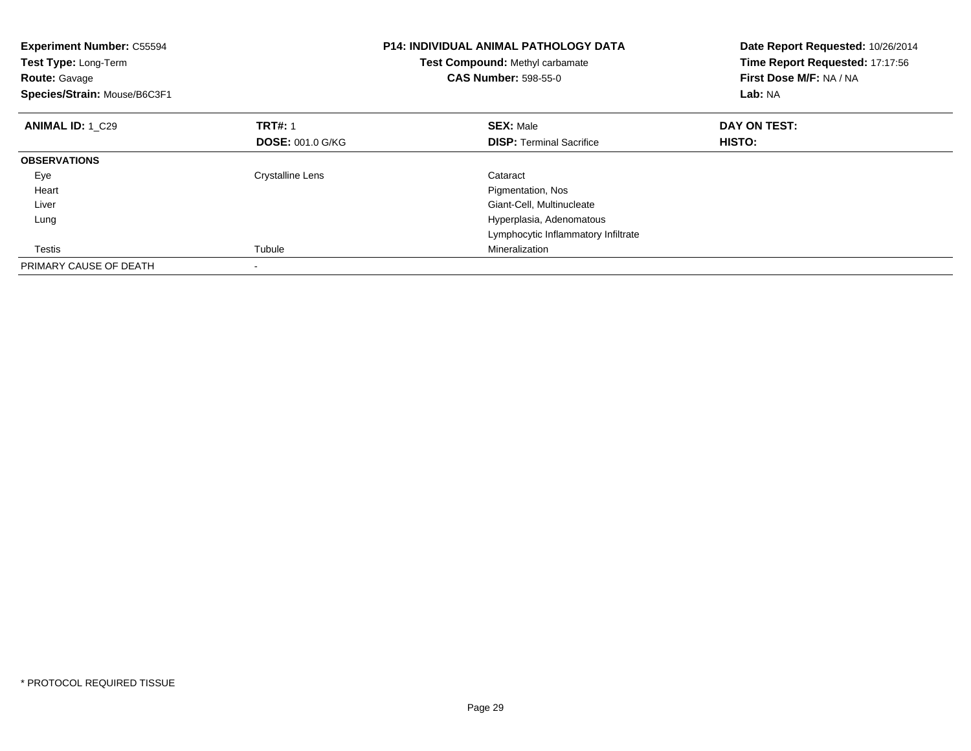| <b>Experiment Number: C55594</b><br>Test Type: Long-Term<br><b>Route: Gavage</b><br>Species/Strain: Mouse/B6C3F1 |                         | <b>P14: INDIVIDUAL ANIMAL PATHOLOGY DATA</b><br>Test Compound: Methyl carbamate<br><b>CAS Number: 598-55-0</b> | Date Report Requested: 10/26/2014<br>Time Report Requested: 17:17:56<br>First Dose M/F: NA / NA<br>Lab: NA |
|------------------------------------------------------------------------------------------------------------------|-------------------------|----------------------------------------------------------------------------------------------------------------|------------------------------------------------------------------------------------------------------------|
| <b>ANIMAL ID: 1 C29</b>                                                                                          | <b>TRT#: 1</b>          | <b>SEX: Male</b>                                                                                               | DAY ON TEST:                                                                                               |
|                                                                                                                  | <b>DOSE: 001.0 G/KG</b> | <b>DISP:</b> Terminal Sacrifice                                                                                | <b>HISTO:</b>                                                                                              |
| <b>OBSERVATIONS</b>                                                                                              |                         |                                                                                                                |                                                                                                            |
| Eye                                                                                                              | <b>Crystalline Lens</b> | Cataract                                                                                                       |                                                                                                            |
| Heart                                                                                                            |                         | Pigmentation, Nos                                                                                              |                                                                                                            |
| Liver                                                                                                            |                         | Giant-Cell, Multinucleate                                                                                      |                                                                                                            |
| Lung                                                                                                             |                         | Hyperplasia, Adenomatous                                                                                       |                                                                                                            |
|                                                                                                                  |                         | Lymphocytic Inflammatory Infiltrate                                                                            |                                                                                                            |
| Testis                                                                                                           | Tubule                  | Mineralization                                                                                                 |                                                                                                            |
| PRIMARY CAUSE OF DEATH                                                                                           |                         |                                                                                                                |                                                                                                            |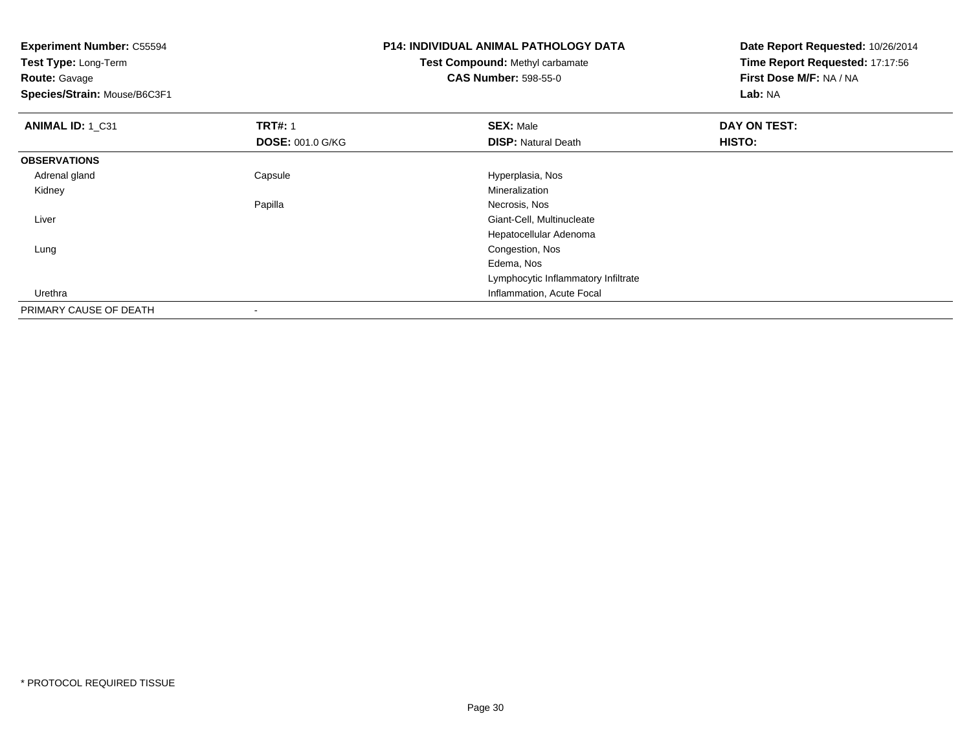| <b>Experiment Number: C55594</b> | <b>P14: INDIVIDUAL ANIMAL PATHOLOGY DATA</b> |                                        | Date Report Requested: 10/26/2014 |
|----------------------------------|----------------------------------------------|----------------------------------------|-----------------------------------|
| Test Type: Long-Term             |                                              | <b>Test Compound: Methyl carbamate</b> | Time Report Requested: 17:17:56   |
| <b>Route: Gavage</b>             |                                              | <b>CAS Number: 598-55-0</b>            | First Dose M/F: NA / NA           |
| Species/Strain: Mouse/B6C3F1     |                                              |                                        | Lab: NA                           |
| ANIMAL ID: 1 C31                 | <b>TRT#: 1</b>                               | <b>SEX: Male</b>                       | DAY ON TEST:                      |
|                                  | <b>DOSE: 001.0 G/KG</b>                      | <b>DISP: Natural Death</b>             | <b>HISTO:</b>                     |
| <b>OBSERVATIONS</b>              |                                              |                                        |                                   |
| Adrenal gland                    | Capsule                                      | Hyperplasia, Nos                       |                                   |
| Kidney                           |                                              | Mineralization                         |                                   |
|                                  | Papilla                                      | Necrosis, Nos                          |                                   |
| Liver                            |                                              | Giant-Cell, Multinucleate              |                                   |
|                                  |                                              | Hepatocellular Adenoma                 |                                   |
| Lung                             |                                              | Congestion, Nos                        |                                   |
|                                  |                                              | Edema, Nos                             |                                   |
|                                  |                                              | Lymphocytic Inflammatory Infiltrate    |                                   |
| Urethra                          |                                              | Inflammation, Acute Focal              |                                   |
| PRIMARY CAUSE OF DEATH           | ٠                                            |                                        |                                   |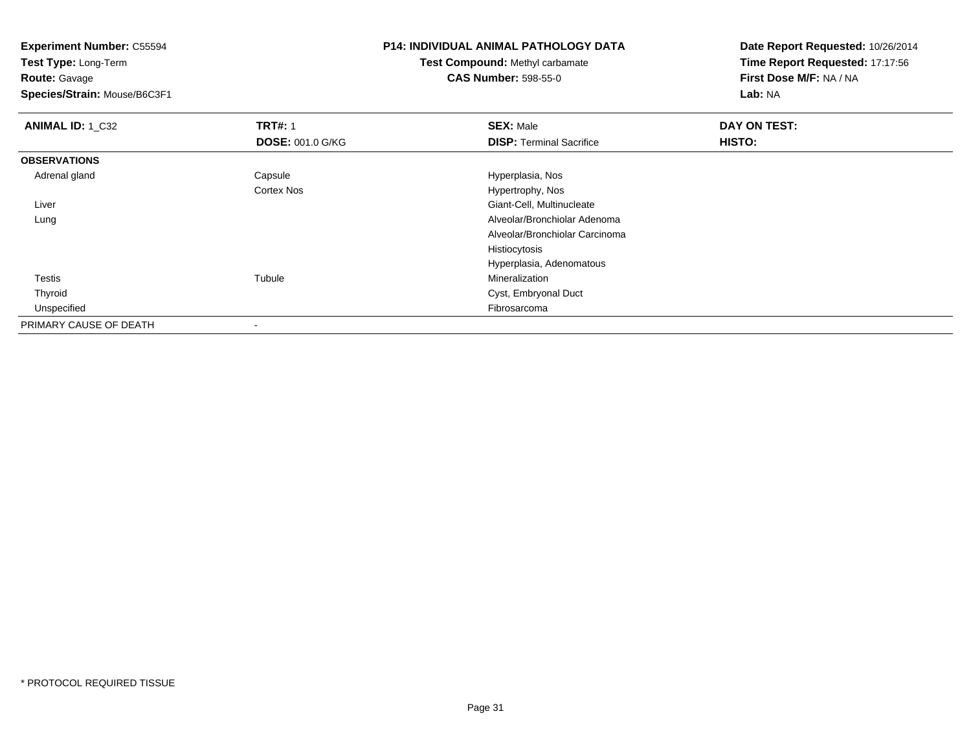**Test Type:** Long-Term

**Route:** Gavage

**Species/Strain:** Mouse/B6C3F1

## **P14: INDIVIDUAL ANIMAL PATHOLOGY DATA**

**Test Compound:** Methyl carbamate**CAS Number:** 598-55-0

| <b>ANIMAL ID: 1 C32</b> | <b>TRT#: 1</b>          | <b>SEX: Male</b>                | DAY ON TEST: |  |
|-------------------------|-------------------------|---------------------------------|--------------|--|
|                         | <b>DOSE: 001.0 G/KG</b> | <b>DISP: Terminal Sacrifice</b> | HISTO:       |  |
| <b>OBSERVATIONS</b>     |                         |                                 |              |  |
| Adrenal gland           | Capsule                 | Hyperplasia, Nos                |              |  |
|                         | <b>Cortex Nos</b>       | Hypertrophy, Nos                |              |  |
| Liver                   |                         | Giant-Cell, Multinucleate       |              |  |
| Lung                    |                         | Alveolar/Bronchiolar Adenoma    |              |  |
|                         |                         | Alveolar/Bronchiolar Carcinoma  |              |  |
|                         |                         | Histiocytosis                   |              |  |
|                         |                         | Hyperplasia, Adenomatous        |              |  |
| Testis                  | Tubule                  | Mineralization                  |              |  |
| Thyroid                 |                         | Cyst, Embryonal Duct            |              |  |
| Unspecified             |                         | Fibrosarcoma                    |              |  |
| PRIMARY CAUSE OF DEATH  | $\,$                    |                                 |              |  |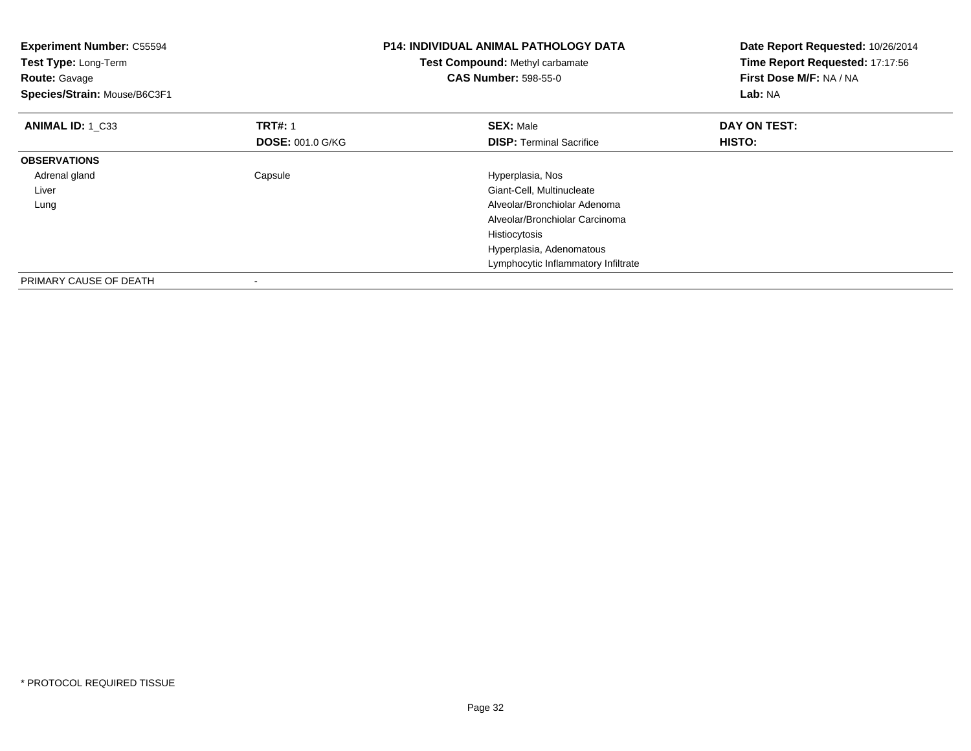| <b>Experiment Number: C55594</b><br>Test Type: Long-Term<br><b>Route: Gavage</b><br>Species/Strain: Mouse/B6C3F1 |                                           | <b>P14: INDIVIDUAL ANIMAL PATHOLOGY DATA</b><br>Test Compound: Methyl carbamate<br><b>CAS Number: 598-55-0</b> | Date Report Requested: 10/26/2014<br>Time Report Requested: 17:17:56<br>First Dose M/F: NA / NA<br>Lab: NA |
|------------------------------------------------------------------------------------------------------------------|-------------------------------------------|----------------------------------------------------------------------------------------------------------------|------------------------------------------------------------------------------------------------------------|
| ANIMAL ID: 1 C33                                                                                                 | <b>TRT#: 1</b><br><b>DOSE: 001.0 G/KG</b> | <b>SEX: Male</b><br><b>DISP:</b> Terminal Sacrifice                                                            | DAY ON TEST:<br>HISTO:                                                                                     |
| <b>OBSERVATIONS</b>                                                                                              |                                           |                                                                                                                |                                                                                                            |
| Adrenal gland                                                                                                    | Capsule                                   | Hyperplasia, Nos                                                                                               |                                                                                                            |
| Liver                                                                                                            |                                           | Giant-Cell, Multinucleate                                                                                      |                                                                                                            |
| Lung                                                                                                             |                                           | Alveolar/Bronchiolar Adenoma                                                                                   |                                                                                                            |
|                                                                                                                  |                                           | Alveolar/Bronchiolar Carcinoma                                                                                 |                                                                                                            |
|                                                                                                                  |                                           | Histiocytosis                                                                                                  |                                                                                                            |
|                                                                                                                  |                                           | Hyperplasia, Adenomatous                                                                                       |                                                                                                            |
|                                                                                                                  |                                           | Lymphocytic Inflammatory Infiltrate                                                                            |                                                                                                            |
| PRIMARY CAUSE OF DEATH                                                                                           | $\overline{\phantom{a}}$                  |                                                                                                                |                                                                                                            |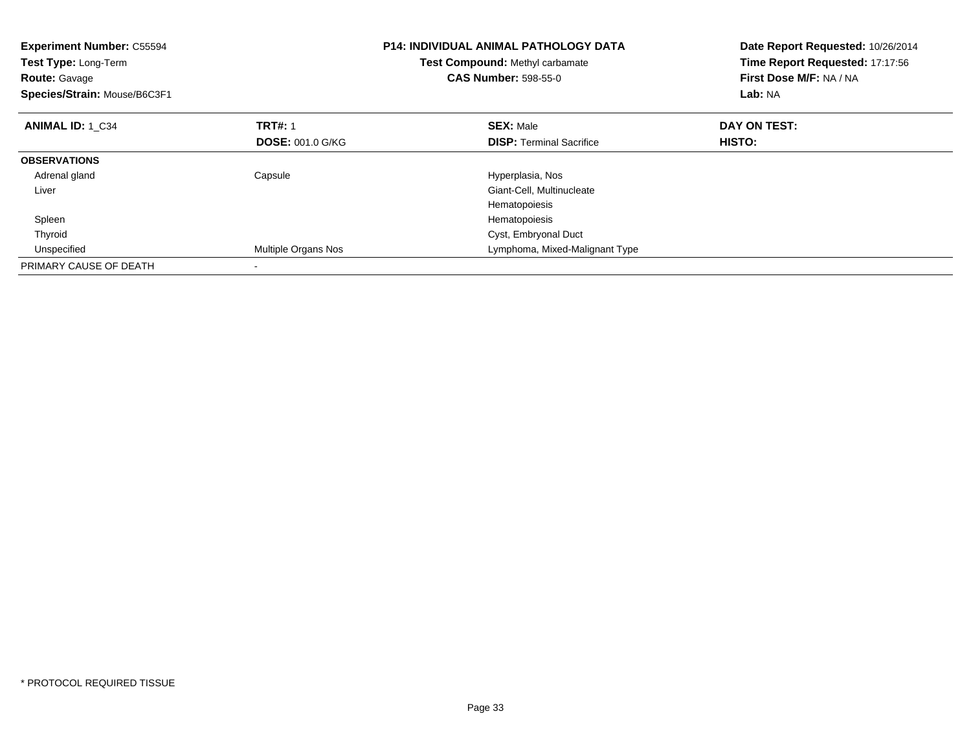| <b>Experiment Number: C55594</b><br>Test Type: Long-Term<br><b>Route: Gavage</b><br>Species/Strain: Mouse/B6C3F1 |                         | <b>P14: INDIVIDUAL ANIMAL PATHOLOGY DATA</b><br><b>Test Compound: Methyl carbamate</b><br><b>CAS Number: 598-55-0</b> | Date Report Requested: 10/26/2014<br>Time Report Requested: 17:17:56<br>First Dose M/F: NA / NA<br>Lab: NA |
|------------------------------------------------------------------------------------------------------------------|-------------------------|-----------------------------------------------------------------------------------------------------------------------|------------------------------------------------------------------------------------------------------------|
| <b>ANIMAL ID: 1 C34</b>                                                                                          | <b>TRT#: 1</b>          | <b>SEX: Male</b>                                                                                                      | DAY ON TEST:                                                                                               |
|                                                                                                                  | <b>DOSE: 001.0 G/KG</b> | <b>DISP:</b> Terminal Sacrifice                                                                                       | <b>HISTO:</b>                                                                                              |
| <b>OBSERVATIONS</b>                                                                                              |                         |                                                                                                                       |                                                                                                            |
| Adrenal gland                                                                                                    | Capsule                 | Hyperplasia, Nos                                                                                                      |                                                                                                            |
| Liver                                                                                                            |                         | Giant-Cell, Multinucleate                                                                                             |                                                                                                            |
|                                                                                                                  |                         | Hematopoiesis                                                                                                         |                                                                                                            |
| Spleen                                                                                                           |                         | Hematopoiesis                                                                                                         |                                                                                                            |
| Thyroid                                                                                                          |                         | Cyst, Embryonal Duct                                                                                                  |                                                                                                            |
| Unspecified                                                                                                      | Multiple Organs Nos     | Lymphoma, Mixed-Malignant Type                                                                                        |                                                                                                            |
| PRIMARY CAUSE OF DEATH                                                                                           |                         |                                                                                                                       |                                                                                                            |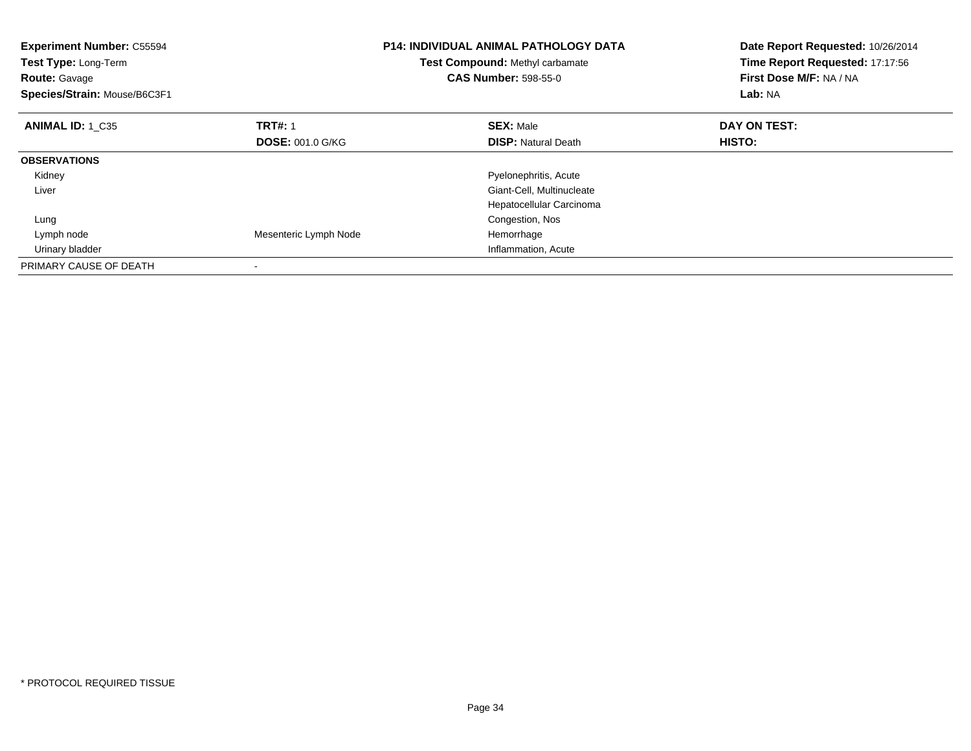| <b>Experiment Number: C55594</b><br>Test Type: Long-Term<br><b>Route: Gavage</b><br>Species/Strain: Mouse/B6C3F1 |                         | <b>P14: INDIVIDUAL ANIMAL PATHOLOGY DATA</b><br>Test Compound: Methyl carbamate<br><b>CAS Number: 598-55-0</b> | Date Report Requested: 10/26/2014<br>Time Report Requested: 17:17:56<br>First Dose M/F: NA / NA<br>Lab: NA |
|------------------------------------------------------------------------------------------------------------------|-------------------------|----------------------------------------------------------------------------------------------------------------|------------------------------------------------------------------------------------------------------------|
| <b>ANIMAL ID: 1 C35</b>                                                                                          | <b>TRT#: 1</b>          | <b>SEX: Male</b>                                                                                               | DAY ON TEST:                                                                                               |
|                                                                                                                  | <b>DOSE: 001.0 G/KG</b> | <b>DISP:</b> Natural Death                                                                                     | <b>HISTO:</b>                                                                                              |
| <b>OBSERVATIONS</b>                                                                                              |                         |                                                                                                                |                                                                                                            |
| Kidney                                                                                                           |                         | Pyelonephritis, Acute                                                                                          |                                                                                                            |
| Liver                                                                                                            |                         | Giant-Cell, Multinucleate                                                                                      |                                                                                                            |
|                                                                                                                  |                         | Hepatocellular Carcinoma                                                                                       |                                                                                                            |
| Lung                                                                                                             |                         | Congestion, Nos                                                                                                |                                                                                                            |
| Lymph node                                                                                                       | Mesenteric Lymph Node   | Hemorrhage                                                                                                     |                                                                                                            |
| Urinary bladder                                                                                                  |                         | Inflammation, Acute                                                                                            |                                                                                                            |
| PRIMARY CAUSE OF DEATH                                                                                           |                         |                                                                                                                |                                                                                                            |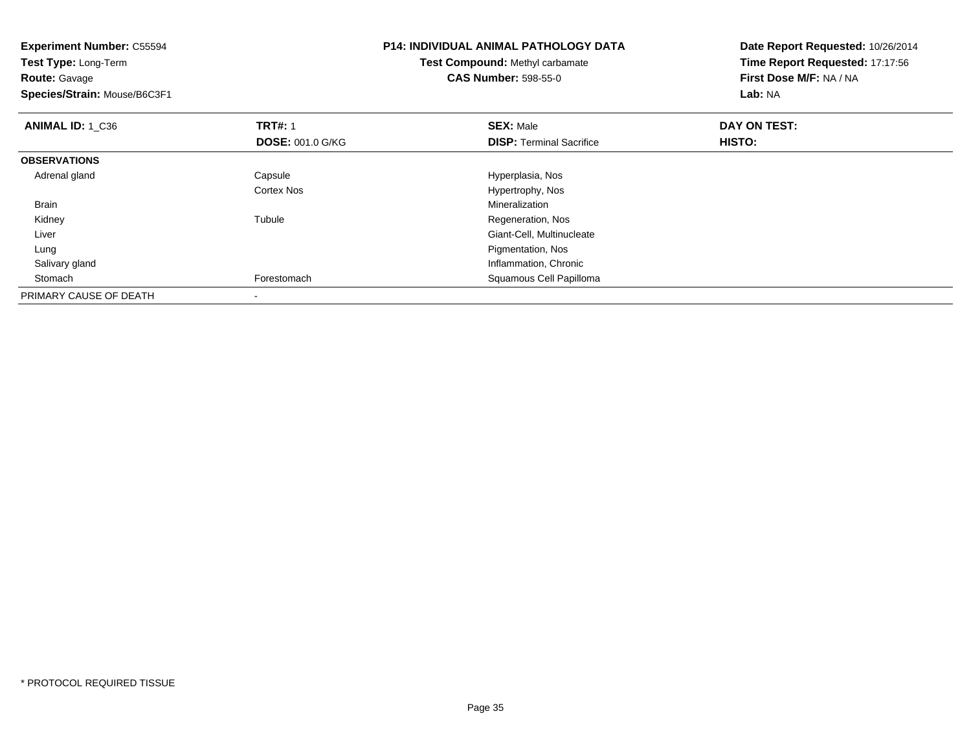| <b>Experiment Number: C55594</b><br>Test Type: Long-Term<br><b>Route: Gavage</b><br>Species/Strain: Mouse/B6C3F1 |                         | <b>P14: INDIVIDUAL ANIMAL PATHOLOGY DATA</b><br>Test Compound: Methyl carbamate<br><b>CAS Number: 598-55-0</b> | Date Report Requested: 10/26/2014<br>Time Report Requested: 17:17:56<br>First Dose M/F: NA / NA<br><b>Lab: NA</b> |
|------------------------------------------------------------------------------------------------------------------|-------------------------|----------------------------------------------------------------------------------------------------------------|-------------------------------------------------------------------------------------------------------------------|
| ANIMAL ID: 1 C36                                                                                                 | <b>TRT#: 1</b>          | <b>SEX: Male</b>                                                                                               | DAY ON TEST:                                                                                                      |
|                                                                                                                  | <b>DOSE: 001.0 G/KG</b> | <b>DISP:</b> Terminal Sacrifice                                                                                | HISTO:                                                                                                            |
| <b>OBSERVATIONS</b>                                                                                              |                         |                                                                                                                |                                                                                                                   |
| Adrenal gland                                                                                                    | Capsule                 | Hyperplasia, Nos                                                                                               |                                                                                                                   |
|                                                                                                                  | <b>Cortex Nos</b>       | Hypertrophy, Nos                                                                                               |                                                                                                                   |
| Brain                                                                                                            |                         | Mineralization                                                                                                 |                                                                                                                   |
| Kidney                                                                                                           | Tubule                  | Regeneration, Nos                                                                                              |                                                                                                                   |
| Liver                                                                                                            |                         | Giant-Cell, Multinucleate                                                                                      |                                                                                                                   |
| Lung                                                                                                             |                         | Pigmentation, Nos                                                                                              |                                                                                                                   |
| Salivary gland                                                                                                   |                         | Inflammation, Chronic                                                                                          |                                                                                                                   |
| Stomach                                                                                                          | Forestomach             | Squamous Cell Papilloma                                                                                        |                                                                                                                   |
| PRIMARY CAUSE OF DEATH                                                                                           |                         |                                                                                                                |                                                                                                                   |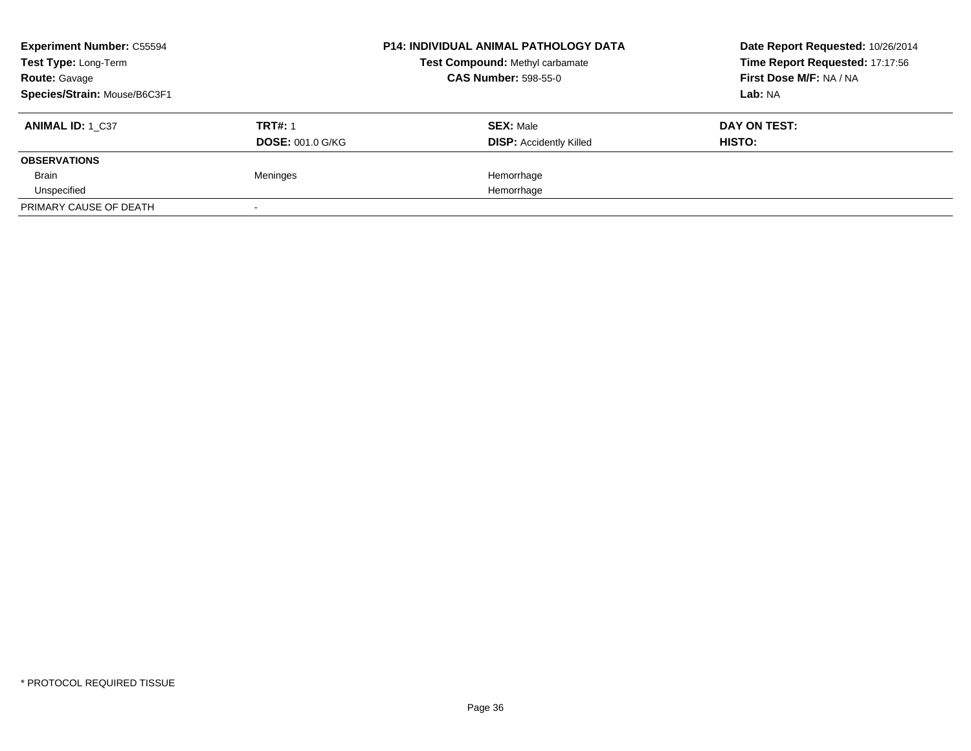| <b>Experiment Number: C55594</b> |                         | <b>P14: INDIVIDUAL ANIMAL PATHOLOGY DATA</b> | Date Report Requested: 10/26/2014 |
|----------------------------------|-------------------------|----------------------------------------------|-----------------------------------|
| Test Type: Long-Term             |                         | Test Compound: Methyl carbamate              | Time Report Requested: 17:17:56   |
| <b>Route: Gavage</b>             |                         | <b>CAS Number: 598-55-0</b>                  | First Dose M/F: NA / NA           |
| Species/Strain: Mouse/B6C3F1     |                         |                                              | Lab: NA                           |
| <b>ANIMAL ID: 1 C37</b>          | <b>TRT#: 1</b>          | <b>SEX: Male</b>                             | DAY ON TEST:                      |
|                                  | <b>DOSE: 001.0 G/KG</b> | <b>DISP:</b> Accidently Killed               | HISTO:                            |
| <b>OBSERVATIONS</b>              |                         |                                              |                                   |
| Brain                            | Meninges                | Hemorrhage                                   |                                   |
| Unspecified                      |                         | Hemorrhage                                   |                                   |
| PRIMARY CAUSE OF DEATH           |                         |                                              |                                   |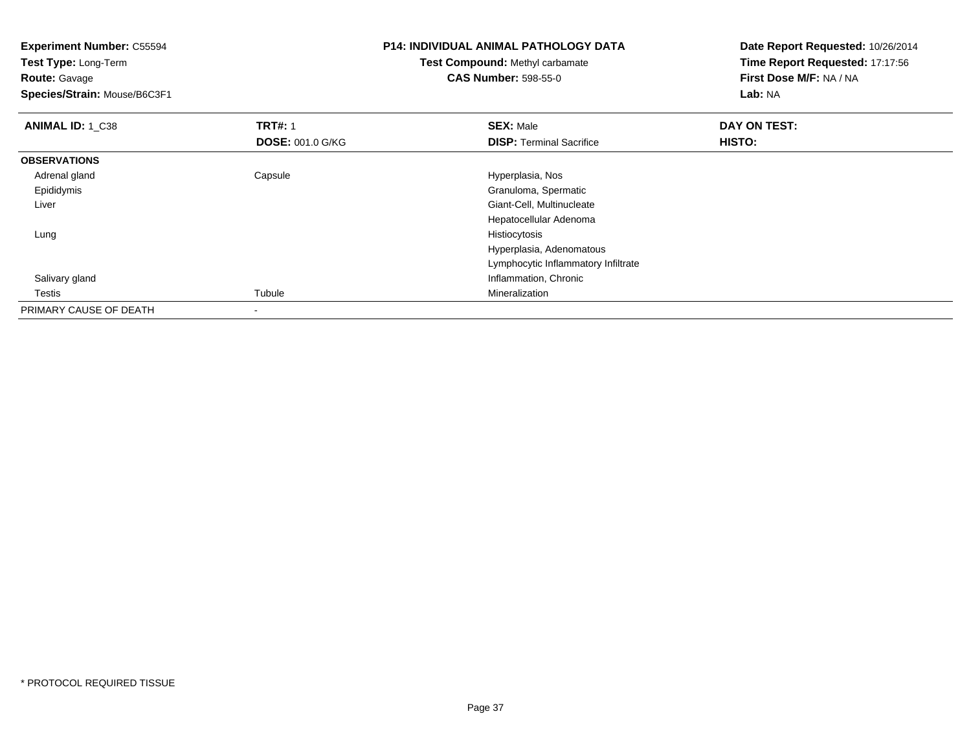**Experiment Number:** C55594**Test Type:** Long-Term**Route:** Gavage **Species/Strain:** Mouse/B6C3F1**P14: INDIVIDUAL ANIMAL PATHOLOGY DATATest Compound:** Methyl carbamate**CAS Number:** 598-55-0**Date Report Requested:** 10/26/2014**Time Report Requested:** 17:17:56**First Dose M/F:** NA / NA**Lab:** NA**ANIMAL ID: 1 C38 REX:** Male **DAY ON TEST: TRT#:** 1 **SEX:** Male **SEX:** Male **DOSE:** 001.0 G/KG**DISP:** Terminal Sacrifice **HISTO: OBSERVATIONS** Adrenal glandCapsule **Capsule Hyperplasia**, Nos Epididymis Granuloma, Spermatic Liver Giant-Cell, Multinucleate Hepatocellular Adenoma Lungg and the state of the state of the state of the state of the state of the state of the state of the state of the state of the state of the state of the state of the state of the state of the state of the state of the stat Hyperplasia, Adenomatous Lymphocytic Inflammatory Infiltrate Salivary gland Inflammation, Chronic Testiss Tubule Tubule **Mineralization** PRIMARY CAUSE OF DEATH-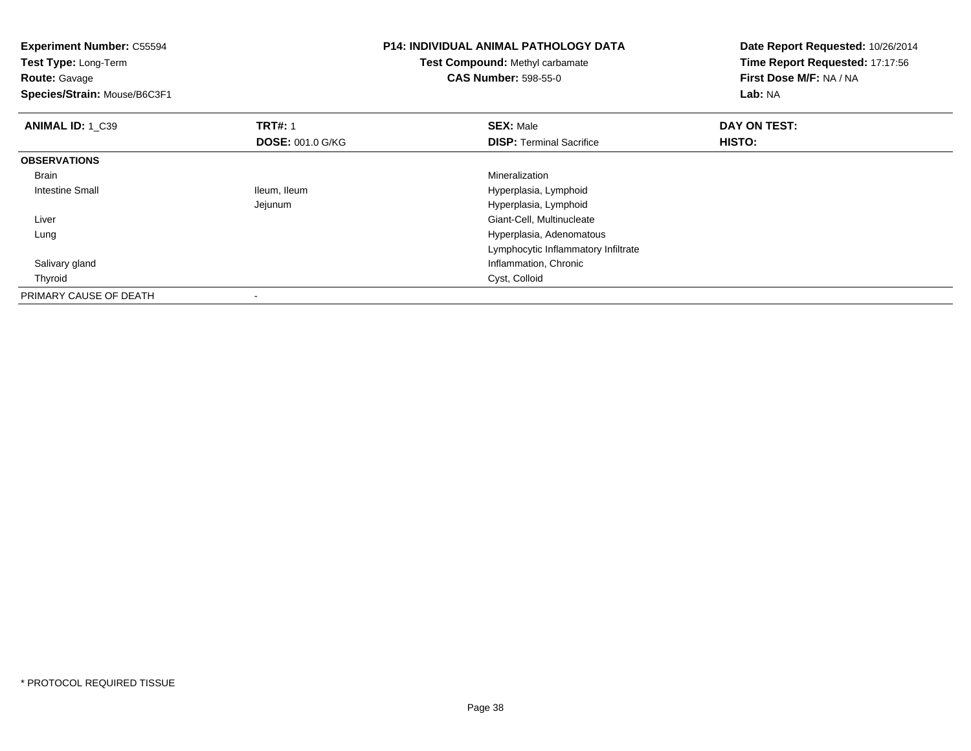| <b>Experiment Number: C55594</b><br>Test Type: Long-Term<br><b>Route: Gavage</b><br>Species/Strain: Mouse/B6C3F1 |                         | <b>P14: INDIVIDUAL ANIMAL PATHOLOGY DATA</b><br>Test Compound: Methyl carbamate<br><b>CAS Number: 598-55-0</b> | Date Report Requested: 10/26/2014<br>Time Report Requested: 17:17:56<br>First Dose M/F: NA / NA<br>Lab: NA |
|------------------------------------------------------------------------------------------------------------------|-------------------------|----------------------------------------------------------------------------------------------------------------|------------------------------------------------------------------------------------------------------------|
| <b>ANIMAL ID: 1 C39</b>                                                                                          | <b>TRT#: 1</b>          | <b>SEX: Male</b>                                                                                               | DAY ON TEST:                                                                                               |
|                                                                                                                  | <b>DOSE: 001.0 G/KG</b> | <b>DISP: Terminal Sacrifice</b>                                                                                | HISTO:                                                                                                     |
| <b>OBSERVATIONS</b>                                                                                              |                         |                                                                                                                |                                                                                                            |
| Brain                                                                                                            |                         | Mineralization                                                                                                 |                                                                                                            |
| Intestine Small                                                                                                  | Ileum, Ileum            | Hyperplasia, Lymphoid                                                                                          |                                                                                                            |
|                                                                                                                  | Jejunum                 | Hyperplasia, Lymphoid                                                                                          |                                                                                                            |
| Liver                                                                                                            |                         | Giant-Cell, Multinucleate                                                                                      |                                                                                                            |
| Lung                                                                                                             |                         | Hyperplasia, Adenomatous                                                                                       |                                                                                                            |
|                                                                                                                  |                         | Lymphocytic Inflammatory Infiltrate                                                                            |                                                                                                            |
| Salivary gland                                                                                                   |                         | Inflammation, Chronic                                                                                          |                                                                                                            |
| Thyroid                                                                                                          |                         | Cyst, Colloid                                                                                                  |                                                                                                            |
| PRIMARY CAUSE OF DEATH                                                                                           |                         |                                                                                                                |                                                                                                            |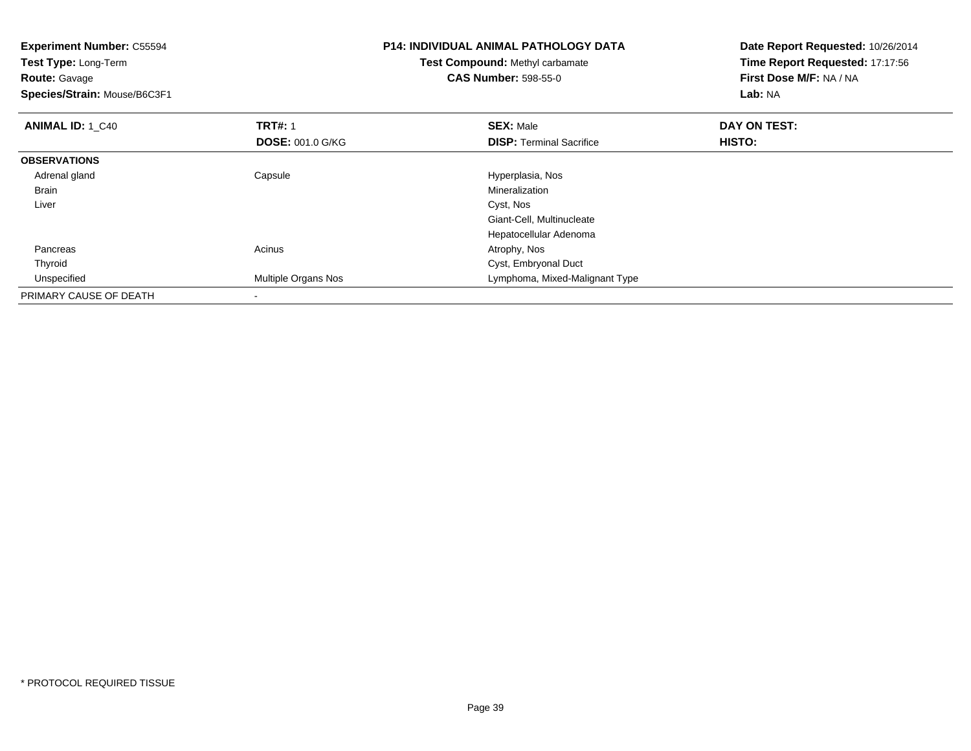| <b>Experiment Number: C55594</b><br>Test Type: Long-Term<br><b>Route: Gavage</b><br>Species/Strain: Mouse/B6C3F1 |                         | <b>P14: INDIVIDUAL ANIMAL PATHOLOGY DATA</b><br><b>Test Compound: Methyl carbamate</b><br><b>CAS Number: 598-55-0</b> | Date Report Requested: 10/26/2014<br>Time Report Requested: 17:17:56<br>First Dose M/F: NA / NA<br>Lab: NA |
|------------------------------------------------------------------------------------------------------------------|-------------------------|-----------------------------------------------------------------------------------------------------------------------|------------------------------------------------------------------------------------------------------------|
| <b>ANIMAL ID: 1 C40</b>                                                                                          | <b>TRT#: 1</b>          | <b>SEX: Male</b>                                                                                                      | DAY ON TEST:                                                                                               |
|                                                                                                                  | <b>DOSE: 001.0 G/KG</b> | <b>DISP:</b> Terminal Sacrifice                                                                                       | HISTO:                                                                                                     |
| <b>OBSERVATIONS</b>                                                                                              |                         |                                                                                                                       |                                                                                                            |
| Adrenal gland                                                                                                    | Capsule                 | Hyperplasia, Nos                                                                                                      |                                                                                                            |
| Brain                                                                                                            |                         | Mineralization                                                                                                        |                                                                                                            |
| Liver                                                                                                            |                         | Cyst, Nos                                                                                                             |                                                                                                            |
|                                                                                                                  |                         | Giant-Cell, Multinucleate                                                                                             |                                                                                                            |
|                                                                                                                  |                         | Hepatocellular Adenoma                                                                                                |                                                                                                            |
| Pancreas                                                                                                         | Acinus                  | Atrophy, Nos                                                                                                          |                                                                                                            |
| Thyroid                                                                                                          |                         | Cyst, Embryonal Duct                                                                                                  |                                                                                                            |
| Unspecified                                                                                                      | Multiple Organs Nos     | Lymphoma, Mixed-Malignant Type                                                                                        |                                                                                                            |
| PRIMARY CAUSE OF DEATH                                                                                           |                         |                                                                                                                       |                                                                                                            |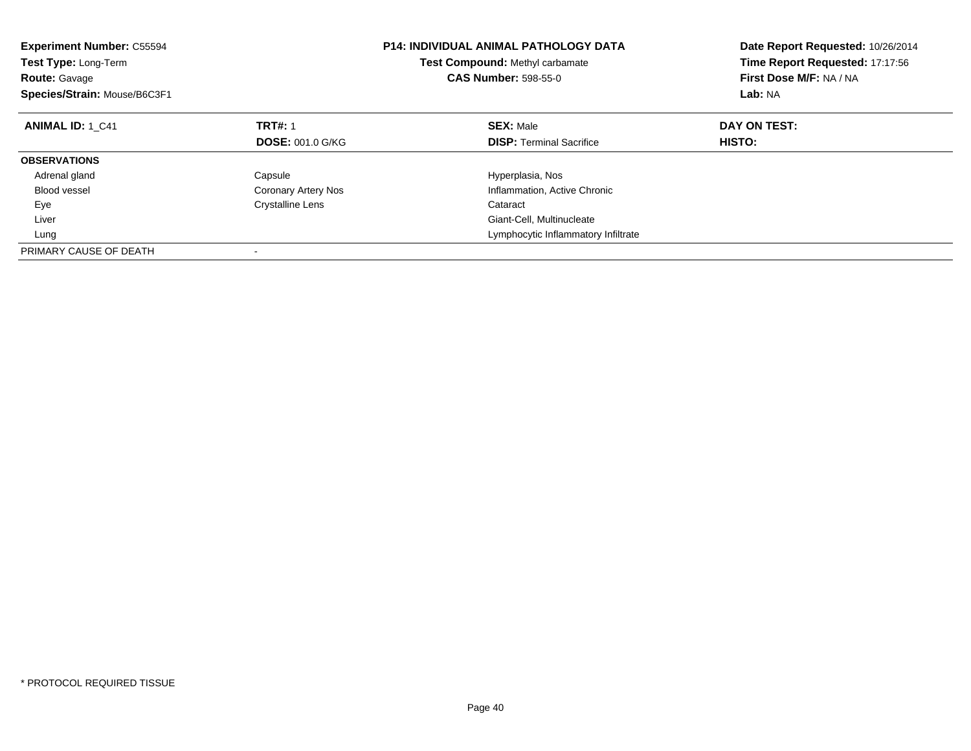| <b>Experiment Number: C55594</b><br><b>Test Type: Long-Term</b><br><b>Route: Gavage</b><br>Species/Strain: Mouse/B6C3F1 | <b>P14: INDIVIDUAL ANIMAL PATHOLOGY DATA</b><br><b>Test Compound: Methyl carbamate</b><br><b>CAS Number: 598-55-0</b> |                                     | Date Report Requested: 10/26/2014<br>Time Report Requested: 17:17:56<br>First Dose M/F: NA / NA<br>Lab: NA |
|-------------------------------------------------------------------------------------------------------------------------|-----------------------------------------------------------------------------------------------------------------------|-------------------------------------|------------------------------------------------------------------------------------------------------------|
| <b>ANIMAL ID: 1_C41</b>                                                                                                 | <b>TRT#: 1</b>                                                                                                        | <b>SEX: Male</b>                    | DAY ON TEST:                                                                                               |
|                                                                                                                         | <b>DOSE: 001.0 G/KG</b>                                                                                               | <b>DISP:</b> Terminal Sacrifice     | HISTO:                                                                                                     |
| <b>OBSERVATIONS</b>                                                                                                     |                                                                                                                       |                                     |                                                                                                            |
| Adrenal gland                                                                                                           | Capsule                                                                                                               | Hyperplasia, Nos                    |                                                                                                            |
| Blood vessel                                                                                                            | <b>Coronary Artery Nos</b>                                                                                            | Inflammation, Active Chronic        |                                                                                                            |
| Eye                                                                                                                     | <b>Crystalline Lens</b>                                                                                               | Cataract                            |                                                                                                            |
| Liver                                                                                                                   |                                                                                                                       | Giant-Cell, Multinucleate           |                                                                                                            |
| Lung                                                                                                                    |                                                                                                                       | Lymphocytic Inflammatory Infiltrate |                                                                                                            |
| PRIMARY CAUSE OF DEATH                                                                                                  |                                                                                                                       |                                     |                                                                                                            |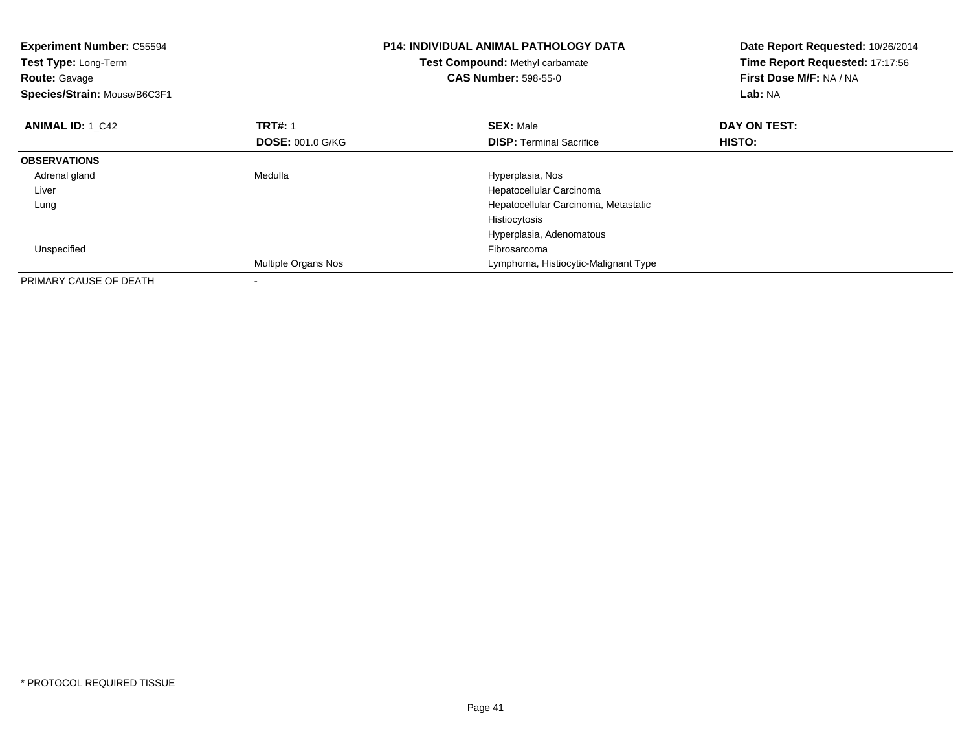| <b>Experiment Number: C55594</b><br>Test Type: Long-Term<br><b>Route: Gavage</b><br>Species/Strain: Mouse/B6C3F1 |                            | <b>P14: INDIVIDUAL ANIMAL PATHOLOGY DATA</b><br>Test Compound: Methyl carbamate<br><b>CAS Number: 598-55-0</b> | Date Report Requested: 10/26/2014<br>Time Report Requested: 17:17:56<br>First Dose M/F: NA / NA<br>Lab: NA |
|------------------------------------------------------------------------------------------------------------------|----------------------------|----------------------------------------------------------------------------------------------------------------|------------------------------------------------------------------------------------------------------------|
| <b>ANIMAL ID: 1 C42</b>                                                                                          | <b>TRT#: 1</b>             | <b>SEX: Male</b>                                                                                               | DAY ON TEST:                                                                                               |
|                                                                                                                  | <b>DOSE: 001.0 G/KG</b>    | <b>DISP:</b> Terminal Sacrifice                                                                                | HISTO:                                                                                                     |
| <b>OBSERVATIONS</b>                                                                                              |                            |                                                                                                                |                                                                                                            |
| Adrenal gland                                                                                                    | Medulla                    | Hyperplasia, Nos                                                                                               |                                                                                                            |
| Liver                                                                                                            |                            | Hepatocellular Carcinoma                                                                                       |                                                                                                            |
| Lung                                                                                                             |                            | Hepatocellular Carcinoma, Metastatic                                                                           |                                                                                                            |
|                                                                                                                  |                            | Histiocytosis                                                                                                  |                                                                                                            |
|                                                                                                                  |                            | Hyperplasia, Adenomatous                                                                                       |                                                                                                            |
| Unspecified                                                                                                      |                            | Fibrosarcoma                                                                                                   |                                                                                                            |
|                                                                                                                  | <b>Multiple Organs Nos</b> | Lymphoma, Histiocytic-Malignant Type                                                                           |                                                                                                            |
| PRIMARY CAUSE OF DEATH                                                                                           |                            |                                                                                                                |                                                                                                            |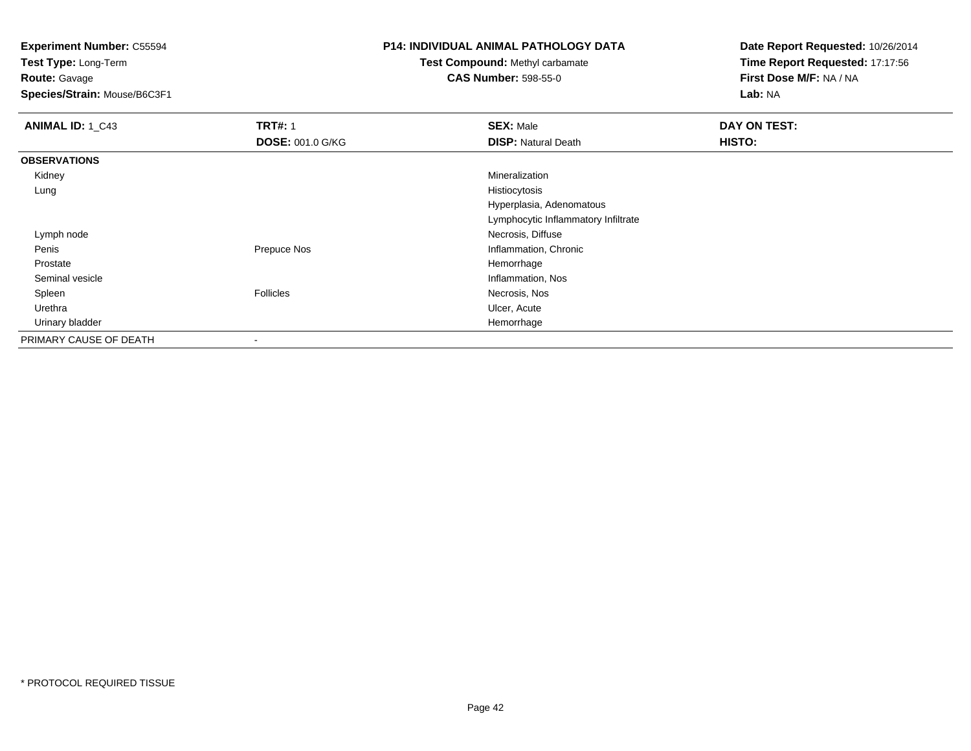**Test Type:** Long-Term**Route:** Gavage

**Species/Strain:** Mouse/B6C3F1

### **P14: INDIVIDUAL ANIMAL PATHOLOGY DATA**

**Test Compound:** Methyl carbamate**CAS Number:** 598-55-0

| <b>ANIMAL ID: 1_C43</b> | <b>TRT#: 1</b>          | <b>SEX: Male</b>                    | DAY ON TEST: |
|-------------------------|-------------------------|-------------------------------------|--------------|
|                         | <b>DOSE: 001.0 G/KG</b> | <b>DISP: Natural Death</b>          | HISTO:       |
| <b>OBSERVATIONS</b>     |                         |                                     |              |
| Kidney                  |                         | Mineralization                      |              |
| Lung                    |                         | Histiocytosis                       |              |
|                         |                         | Hyperplasia, Adenomatous            |              |
|                         |                         | Lymphocytic Inflammatory Infiltrate |              |
| Lymph node              |                         | Necrosis, Diffuse                   |              |
| Penis                   | Prepuce Nos             | Inflammation, Chronic               |              |
| Prostate                |                         | Hemorrhage                          |              |
| Seminal vesicle         |                         | Inflammation, Nos                   |              |
| Spleen                  | Follicles               | Necrosis, Nos                       |              |
| Urethra                 |                         | Ulcer, Acute                        |              |
| Urinary bladder         |                         | Hemorrhage                          |              |
| PRIMARY CAUSE OF DEATH  | $\blacksquare$          |                                     |              |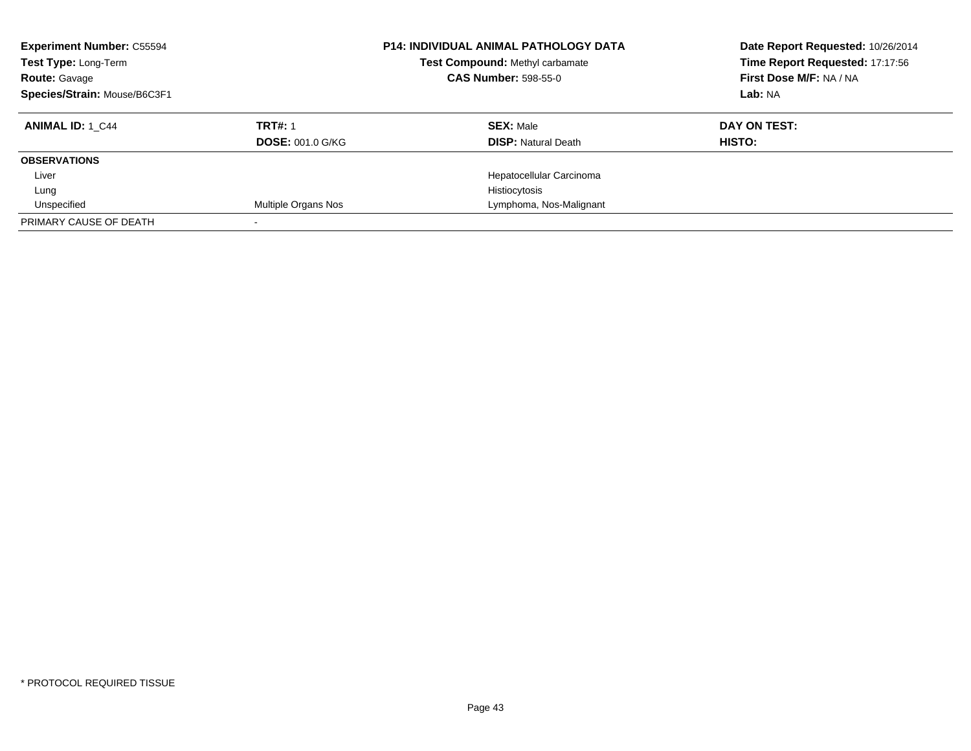| <b>Experiment Number: C55594</b><br>Test Type: Long-Term<br><b>Route: Gavage</b><br>Species/Strain: Mouse/B6C3F1 |                         | <b>P14: INDIVIDUAL ANIMAL PATHOLOGY DATA</b><br>Test Compound: Methyl carbamate<br><b>CAS Number: 598-55-0</b> | Date Report Requested: 10/26/2014<br>Time Report Requested: 17:17:56<br>First Dose M/F: NA / NA<br>Lab: NA |
|------------------------------------------------------------------------------------------------------------------|-------------------------|----------------------------------------------------------------------------------------------------------------|------------------------------------------------------------------------------------------------------------|
| <b>ANIMAL ID: 1 C44</b>                                                                                          | <b>TRT#: 1</b>          | <b>SEX: Male</b>                                                                                               | DAY ON TEST:                                                                                               |
|                                                                                                                  | <b>DOSE: 001.0 G/KG</b> | <b>DISP:</b> Natural Death                                                                                     | HISTO:                                                                                                     |
| <b>OBSERVATIONS</b>                                                                                              |                         |                                                                                                                |                                                                                                            |
| Liver                                                                                                            |                         | Hepatocellular Carcinoma                                                                                       |                                                                                                            |
| Lung                                                                                                             |                         | Histiocytosis                                                                                                  |                                                                                                            |
| Unspecified                                                                                                      | Multiple Organs Nos     | Lymphoma, Nos-Malignant                                                                                        |                                                                                                            |
| PRIMARY CAUSE OF DEATH                                                                                           |                         |                                                                                                                |                                                                                                            |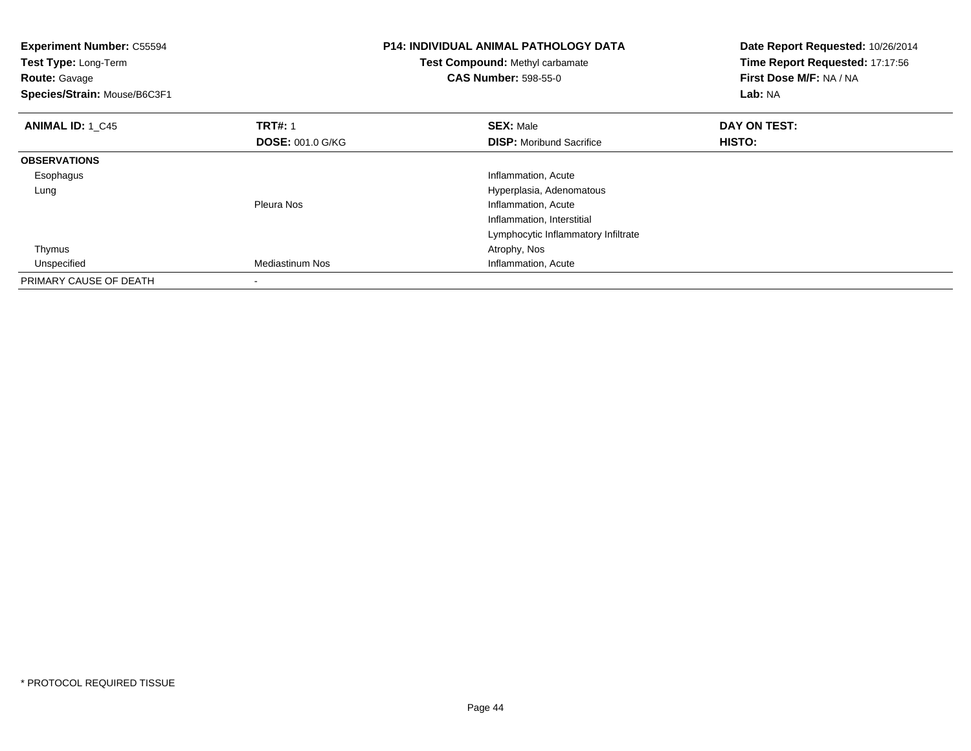| <b>Experiment Number: C55594</b><br>Test Type: Long-Term<br><b>Route: Gavage</b><br>Species/Strain: Mouse/B6C3F1 |                         | <b>P14: INDIVIDUAL ANIMAL PATHOLOGY DATA</b><br>Test Compound: Methyl carbamate<br><b>CAS Number: 598-55-0</b> | Date Report Requested: 10/26/2014<br>Time Report Requested: 17:17:56<br>First Dose M/F: NA / NA<br>Lab: NA |
|------------------------------------------------------------------------------------------------------------------|-------------------------|----------------------------------------------------------------------------------------------------------------|------------------------------------------------------------------------------------------------------------|
| <b>ANIMAL ID: 1 C45</b>                                                                                          | <b>TRT#: 1</b>          | <b>SEX: Male</b>                                                                                               | DAY ON TEST:                                                                                               |
|                                                                                                                  | <b>DOSE: 001.0 G/KG</b> | <b>DISP:</b> Moribund Sacrifice                                                                                | HISTO:                                                                                                     |
| <b>OBSERVATIONS</b>                                                                                              |                         |                                                                                                                |                                                                                                            |
| Esophagus                                                                                                        |                         | Inflammation, Acute                                                                                            |                                                                                                            |
| Lung                                                                                                             |                         | Hyperplasia, Adenomatous                                                                                       |                                                                                                            |
|                                                                                                                  | Pleura Nos              | Inflammation, Acute                                                                                            |                                                                                                            |
|                                                                                                                  |                         | Inflammation, Interstitial                                                                                     |                                                                                                            |
|                                                                                                                  |                         | Lymphocytic Inflammatory Infiltrate                                                                            |                                                                                                            |
| Thymus                                                                                                           |                         | Atrophy, Nos                                                                                                   |                                                                                                            |
| Unspecified                                                                                                      | Mediastinum Nos         | Inflammation, Acute                                                                                            |                                                                                                            |
| PRIMARY CAUSE OF DEATH                                                                                           |                         |                                                                                                                |                                                                                                            |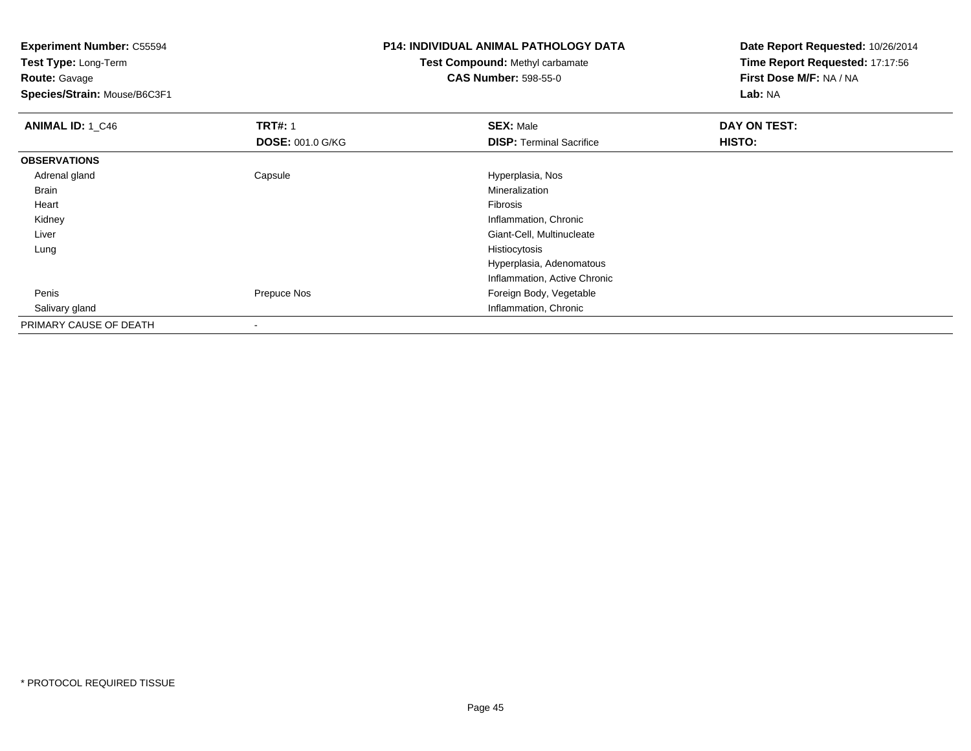**Test Type:** Long-Term**Route:** Gavage

**Species/Strain:** Mouse/B6C3F1

# **P14: INDIVIDUAL ANIMAL PATHOLOGY DATA**

**Test Compound:** Methyl carbamate**CAS Number:** 598-55-0

| <b>ANIMAL ID: 1_C46</b> | <b>TRT#: 1</b>          | <b>SEX: Male</b>                | DAY ON TEST: |  |
|-------------------------|-------------------------|---------------------------------|--------------|--|
|                         | <b>DOSE: 001.0 G/KG</b> | <b>DISP: Terminal Sacrifice</b> | HISTO:       |  |
| <b>OBSERVATIONS</b>     |                         |                                 |              |  |
| Adrenal gland           | Capsule                 | Hyperplasia, Nos                |              |  |
| Brain                   |                         | Mineralization                  |              |  |
| Heart                   |                         | Fibrosis                        |              |  |
| Kidney                  |                         | Inflammation, Chronic           |              |  |
| Liver                   |                         | Giant-Cell, Multinucleate       |              |  |
| Lung                    |                         | Histiocytosis                   |              |  |
|                         |                         | Hyperplasia, Adenomatous        |              |  |
|                         |                         | Inflammation, Active Chronic    |              |  |
| Penis                   | Prepuce Nos             | Foreign Body, Vegetable         |              |  |
| Salivary gland          |                         | Inflammation, Chronic           |              |  |
| PRIMARY CAUSE OF DEATH  | ٠                       |                                 |              |  |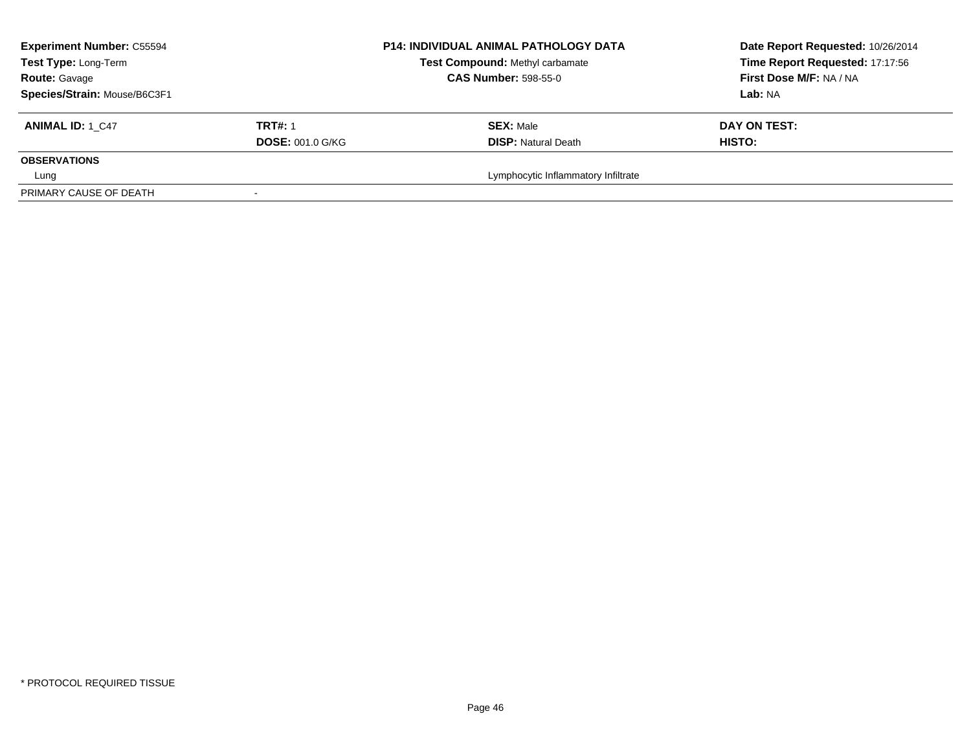| <b>Experiment Number: C55594</b><br>Test Type: Long-Term | <b>P14: INDIVIDUAL ANIMAL PATHOLOGY DATA</b><br>Test Compound: Methyl carbamate<br><b>CAS Number: 598-55-0</b> |                                     | Date Report Requested: 10/26/2014<br>Time Report Requested: 17:17:56<br>First Dose M/F: NA / NA |
|----------------------------------------------------------|----------------------------------------------------------------------------------------------------------------|-------------------------------------|-------------------------------------------------------------------------------------------------|
| <b>Route: Gavage</b><br>Species/Strain: Mouse/B6C3F1     |                                                                                                                |                                     | Lab: NA                                                                                         |
| <b>TRT#: 1</b><br><b>ANIMAL ID: 1 C47</b>                |                                                                                                                | <b>SEX: Male</b>                    | DAY ON TEST:                                                                                    |
|                                                          | <b>DOSE: 001.0 G/KG</b>                                                                                        | <b>DISP: Natural Death</b>          | <b>HISTO:</b>                                                                                   |
| <b>OBSERVATIONS</b>                                      |                                                                                                                |                                     |                                                                                                 |
| Lung                                                     |                                                                                                                | Lymphocytic Inflammatory Infiltrate |                                                                                                 |
| PRIMARY CAUSE OF DEATH                                   |                                                                                                                |                                     |                                                                                                 |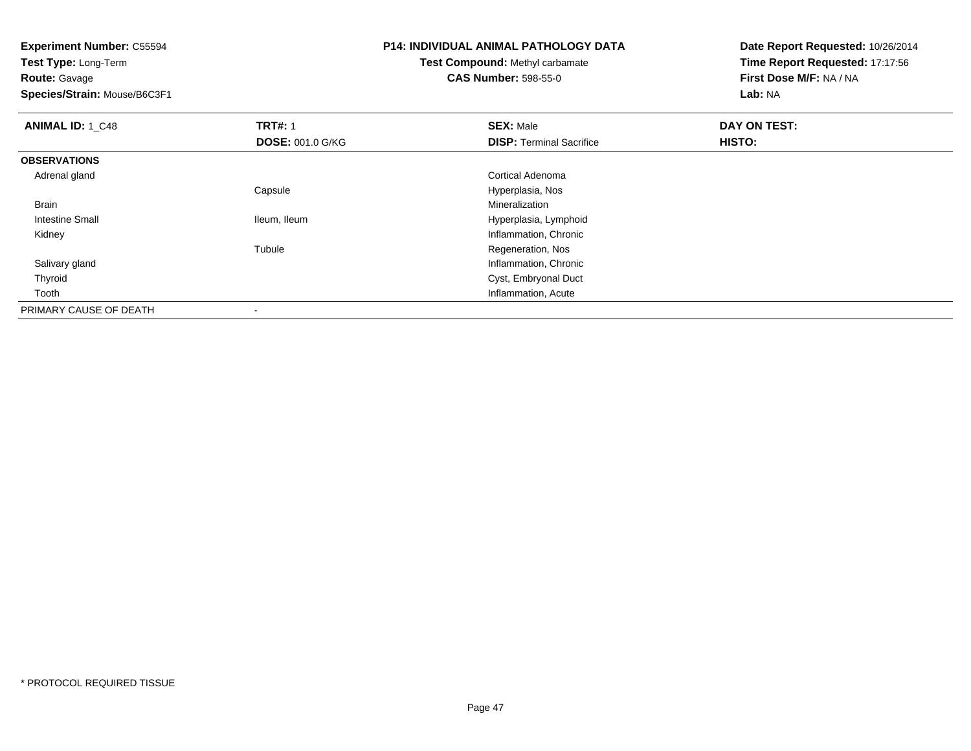**Experiment Number:** C55594**Test Type:** Long-Term**Route:** Gavage **Species/Strain:** Mouse/B6C3F1**P14: INDIVIDUAL ANIMAL PATHOLOGY DATATest Compound:** Methyl carbamate**CAS Number:** 598-55-0**Date Report Requested:** 10/26/2014**Time Report Requested:** 17:17:56**First Dose M/F:** NA / NA**Lab:** NA**ANIMAL ID:** 1 C48 **REX:** Male **DAY ON TEST: TRT#:** 1 **SEX:** Male **SEX:** Male **DOSE:** 001.0 G/KG**DISP:** Terminal Sacrifice **HISTO: OBSERVATIONS** Adrenal gland Cortical Adenoma Capsule Hyperplasia, Nos Brainn and the control of the control of the control of the control of the control of the control of the control of the control of the control of the control of the control of the control of the control of the control of the co Intestine Small Ileum, Ileum Hyperplasia, Lymphoid Kidney Inflammation, Chronic Tubule Regeneration, Nos Salivary gland Inflammation, Chronic Thyroid Cyst, Embryonal Duct Tooth Inflammation, Acute PRIMARY CAUSE OF DEATH-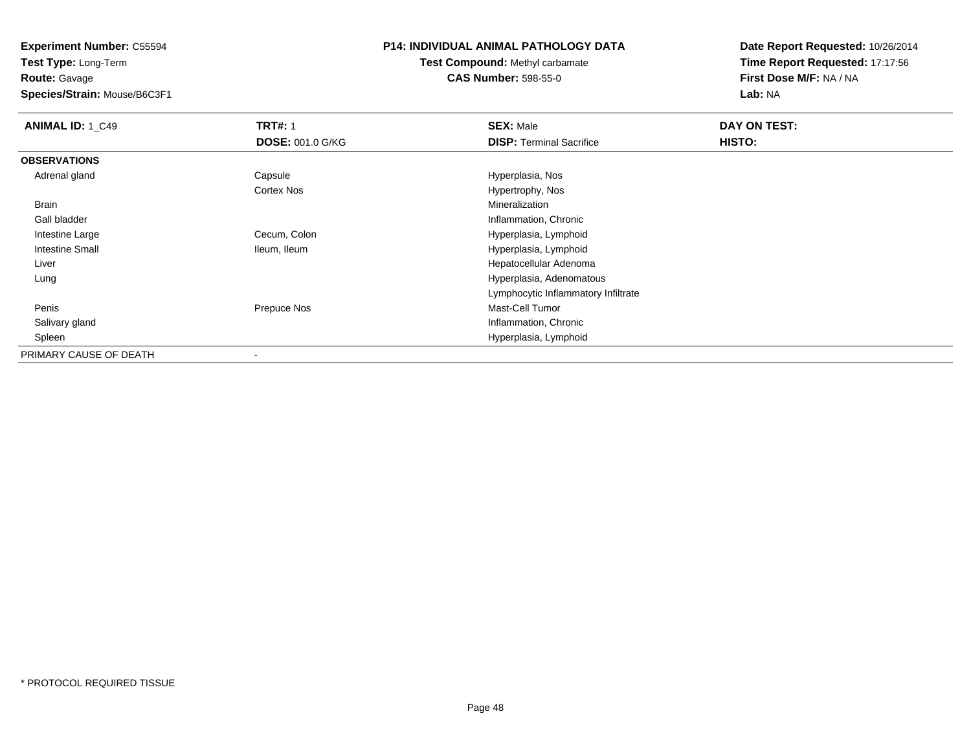**Test Type:** Long-Term**Route:** Gavage

**Species/Strain:** Mouse/B6C3F1

### **P14: INDIVIDUAL ANIMAL PATHOLOGY DATA**

**Test Compound:** Methyl carbamate**CAS Number:** 598-55-0

| <b>ANIMAL ID: 1_C49</b> | <b>TRT#: 1</b>    | <b>SEX: Male</b>                    | DAY ON TEST: |  |
|-------------------------|-------------------|-------------------------------------|--------------|--|
|                         | DOSE: 001.0 G/KG  | <b>DISP:</b> Terminal Sacrifice     | HISTO:       |  |
| <b>OBSERVATIONS</b>     |                   |                                     |              |  |
| Adrenal gland           | Capsule           | Hyperplasia, Nos                    |              |  |
|                         | <b>Cortex Nos</b> | Hypertrophy, Nos                    |              |  |
| Brain                   |                   | Mineralization                      |              |  |
| Gall bladder            |                   | Inflammation, Chronic               |              |  |
| Intestine Large         | Cecum, Colon      | Hyperplasia, Lymphoid               |              |  |
| <b>Intestine Small</b>  | Ileum, Ileum      | Hyperplasia, Lymphoid               |              |  |
| Liver                   |                   | Hepatocellular Adenoma              |              |  |
| Lung                    |                   | Hyperplasia, Adenomatous            |              |  |
|                         |                   | Lymphocytic Inflammatory Infiltrate |              |  |
| Penis                   | Prepuce Nos       | Mast-Cell Tumor                     |              |  |
| Salivary gland          |                   | Inflammation, Chronic               |              |  |
| Spleen                  |                   | Hyperplasia, Lymphoid               |              |  |
| PRIMARY CAUSE OF DEATH  |                   |                                     |              |  |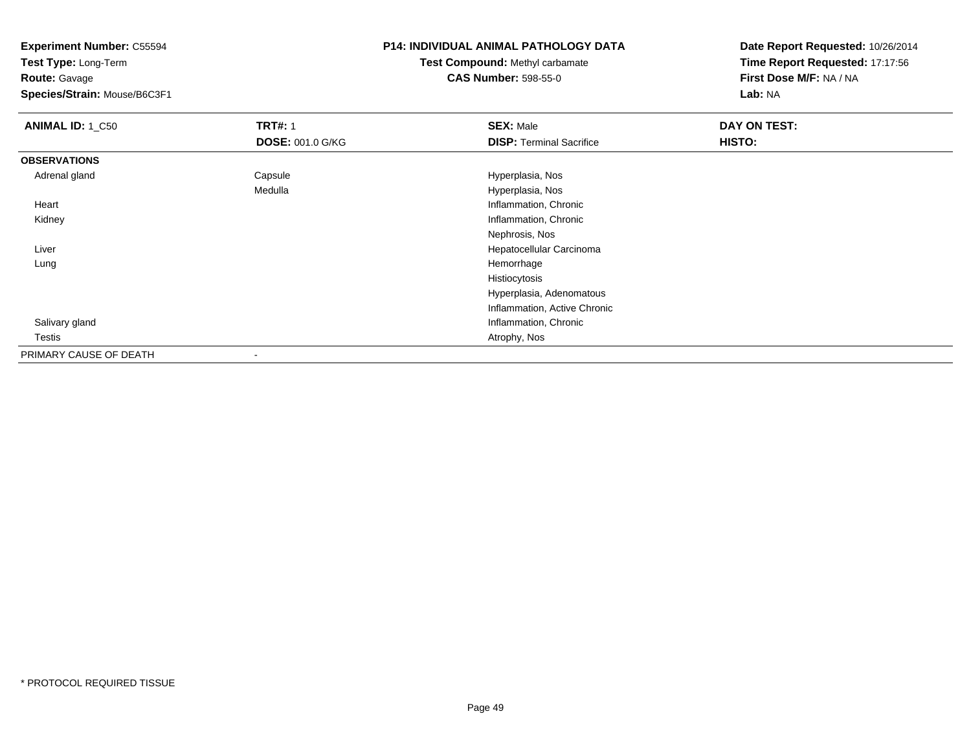**Test Type:** Long-Term**Route:** Gavage

**Species/Strain:** Mouse/B6C3F1

#### **P14: INDIVIDUAL ANIMAL PATHOLOGY DATA**

# **Test Compound:** Methyl carbamate**CAS Number:** 598-55-0

| <b>ANIMAL ID: 1_C50</b> | <b>TRT#: 1</b>          | <b>SEX: Male</b>                | DAY ON TEST: |  |
|-------------------------|-------------------------|---------------------------------|--------------|--|
|                         | <b>DOSE: 001.0 G/KG</b> | <b>DISP: Terminal Sacrifice</b> | HISTO:       |  |
| <b>OBSERVATIONS</b>     |                         |                                 |              |  |
| Adrenal gland           | Capsule                 | Hyperplasia, Nos                |              |  |
|                         | Medulla                 | Hyperplasia, Nos                |              |  |
| Heart                   |                         | Inflammation, Chronic           |              |  |
| Kidney                  |                         | Inflammation, Chronic           |              |  |
|                         |                         | Nephrosis, Nos                  |              |  |
| Liver                   |                         | Hepatocellular Carcinoma        |              |  |
| Lung                    |                         | Hemorrhage                      |              |  |
|                         |                         | Histiocytosis                   |              |  |
|                         |                         | Hyperplasia, Adenomatous        |              |  |
|                         |                         | Inflammation, Active Chronic    |              |  |
| Salivary gland          |                         | Inflammation, Chronic           |              |  |
| Testis                  |                         | Atrophy, Nos                    |              |  |
| PRIMARY CAUSE OF DEATH  |                         |                                 |              |  |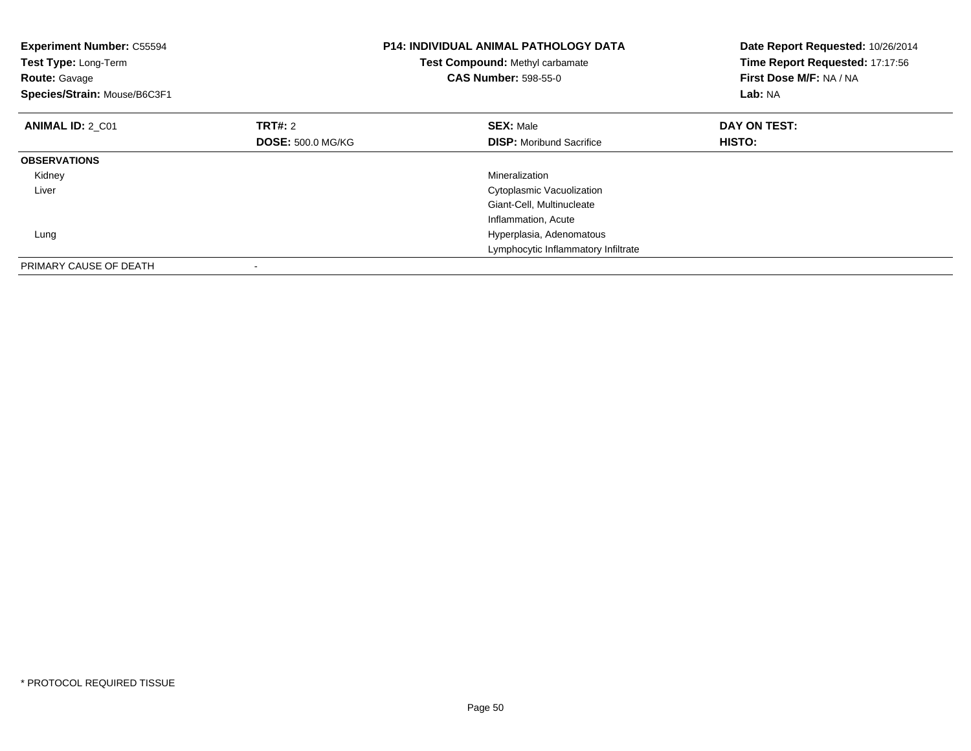| <b>Experiment Number: C55594</b><br>Test Type: Long-Term<br><b>Route: Gavage</b><br>Species/Strain: Mouse/B6C3F1 |                          | <b>P14: INDIVIDUAL ANIMAL PATHOLOGY DATA</b><br>Test Compound: Methyl carbamate<br><b>CAS Number: 598-55-0</b> | Date Report Requested: 10/26/2014<br>Time Report Requested: 17:17:56<br>First Dose M/F: NA / NA<br>Lab: NA |
|------------------------------------------------------------------------------------------------------------------|--------------------------|----------------------------------------------------------------------------------------------------------------|------------------------------------------------------------------------------------------------------------|
| <b>ANIMAL ID: 2 C01</b>                                                                                          | TRT#: 2                  | <b>SEX: Male</b>                                                                                               | DAY ON TEST:                                                                                               |
|                                                                                                                  | <b>DOSE: 500.0 MG/KG</b> | <b>DISP:</b> Moribund Sacrifice                                                                                | HISTO:                                                                                                     |
| <b>OBSERVATIONS</b>                                                                                              |                          |                                                                                                                |                                                                                                            |
| Kidney                                                                                                           |                          | Mineralization                                                                                                 |                                                                                                            |
| Liver                                                                                                            |                          | Cytoplasmic Vacuolization                                                                                      |                                                                                                            |
|                                                                                                                  |                          | Giant-Cell, Multinucleate                                                                                      |                                                                                                            |
|                                                                                                                  |                          | Inflammation, Acute                                                                                            |                                                                                                            |
| Lung                                                                                                             |                          | Hyperplasia, Adenomatous                                                                                       |                                                                                                            |
|                                                                                                                  |                          | Lymphocytic Inflammatory Infiltrate                                                                            |                                                                                                            |
| PRIMARY CAUSE OF DEATH                                                                                           |                          |                                                                                                                |                                                                                                            |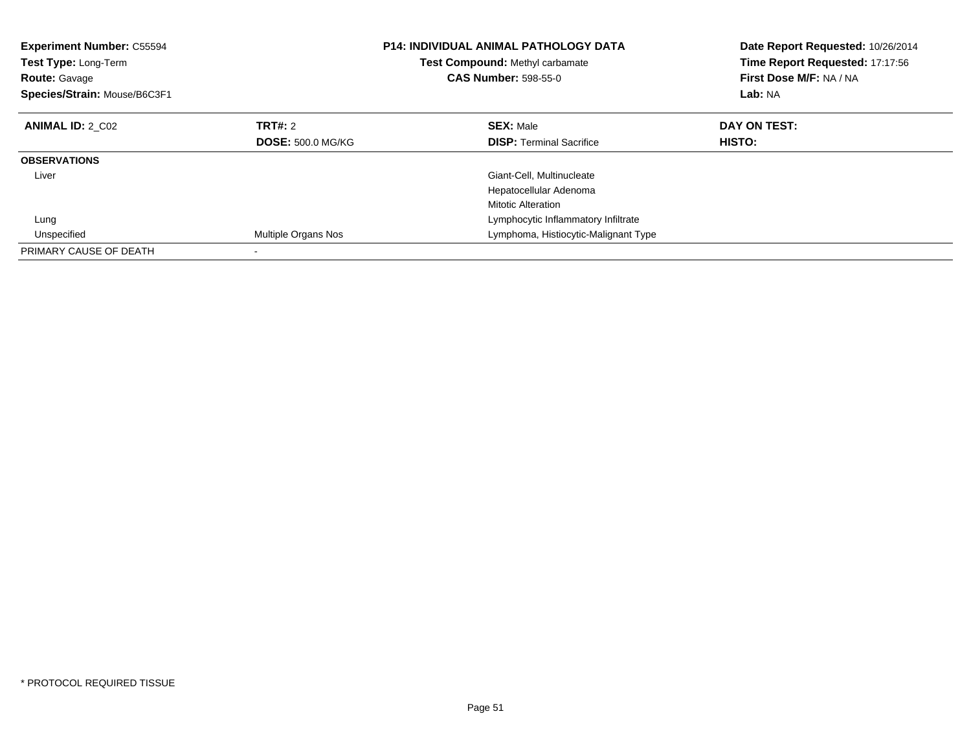| <b>Experiment Number: C55594</b><br>Test Type: Long-Term<br><b>Route: Gavage</b><br>Species/Strain: Mouse/B6C3F1 |                          | <b>P14: INDIVIDUAL ANIMAL PATHOLOGY DATA</b><br>Test Compound: Methyl carbamate<br><b>CAS Number: 598-55-0</b> | Date Report Requested: 10/26/2014<br>Time Report Requested: 17:17:56<br>First Dose M/F: NA / NA<br>Lab: NA |
|------------------------------------------------------------------------------------------------------------------|--------------------------|----------------------------------------------------------------------------------------------------------------|------------------------------------------------------------------------------------------------------------|
| <b>ANIMAL ID: 2 C02</b>                                                                                          | TRT#: 2                  | <b>SEX: Male</b>                                                                                               | DAY ON TEST:                                                                                               |
|                                                                                                                  | <b>DOSE: 500.0 MG/KG</b> | <b>DISP:</b> Terminal Sacrifice                                                                                | <b>HISTO:</b>                                                                                              |
| <b>OBSERVATIONS</b>                                                                                              |                          |                                                                                                                |                                                                                                            |
| Liver                                                                                                            |                          | Giant-Cell, Multinucleate                                                                                      |                                                                                                            |
|                                                                                                                  |                          | Hepatocellular Adenoma                                                                                         |                                                                                                            |
|                                                                                                                  |                          | <b>Mitotic Alteration</b>                                                                                      |                                                                                                            |
| Lung                                                                                                             |                          | Lymphocytic Inflammatory Infiltrate                                                                            |                                                                                                            |
| Unspecified                                                                                                      | Multiple Organs Nos      | Lymphoma, Histiocytic-Malignant Type                                                                           |                                                                                                            |
| PRIMARY CAUSE OF DEATH                                                                                           |                          |                                                                                                                |                                                                                                            |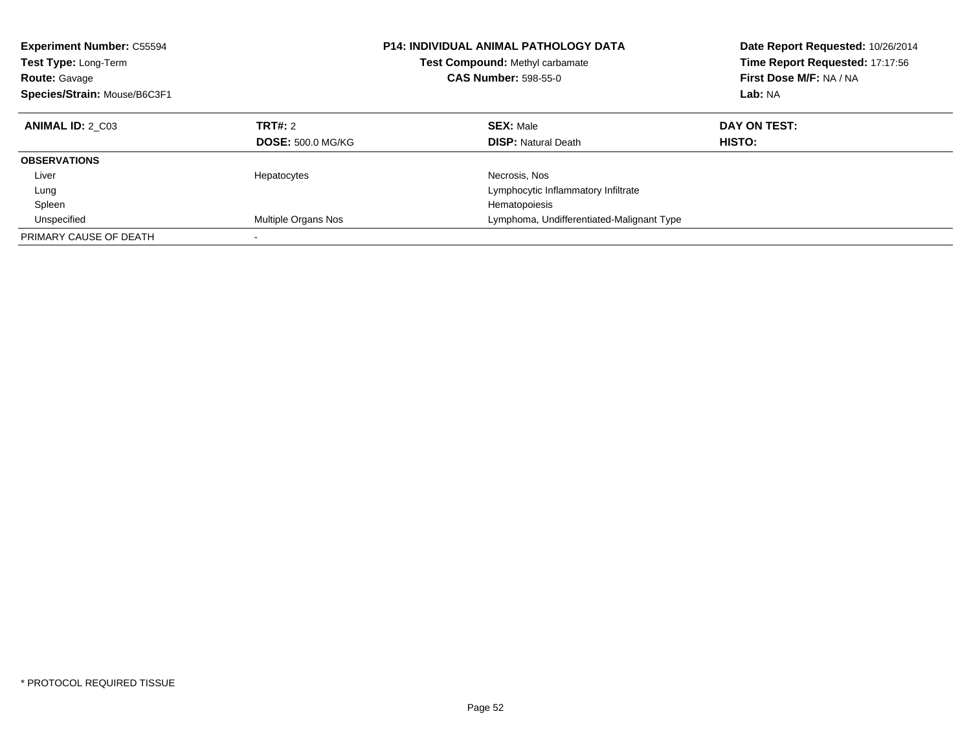| <b>Experiment Number: C55594</b><br>Test Type: Long-Term<br><b>Route: Gavage</b><br>Species/Strain: Mouse/B6C3F1 |                                            | <b>P14: INDIVIDUAL ANIMAL PATHOLOGY DATA</b><br>Test Compound: Methyl carbamate<br><b>CAS Number: 598-55-0</b> | Date Report Requested: 10/26/2014<br>Time Report Requested: 17:17:56<br>First Dose M/F: NA / NA<br>Lab: NA |
|------------------------------------------------------------------------------------------------------------------|--------------------------------------------|----------------------------------------------------------------------------------------------------------------|------------------------------------------------------------------------------------------------------------|
| <b>ANIMAL ID: 2 C03</b>                                                                                          | <b>TRT#: 2</b><br><b>DOSE: 500.0 MG/KG</b> | <b>SEX: Male</b><br><b>DISP: Natural Death</b>                                                                 | DAY ON TEST:<br><b>HISTO:</b>                                                                              |
| <b>OBSERVATIONS</b>                                                                                              |                                            |                                                                                                                |                                                                                                            |
| Liver                                                                                                            | Hepatocytes                                | Necrosis, Nos                                                                                                  |                                                                                                            |
| Lung                                                                                                             |                                            | Lymphocytic Inflammatory Infiltrate                                                                            |                                                                                                            |
| Spleen                                                                                                           |                                            | Hematopoiesis                                                                                                  |                                                                                                            |
| Unspecified                                                                                                      | Multiple Organs Nos                        | Lymphoma, Undifferentiated-Malignant Type                                                                      |                                                                                                            |
| PRIMARY CAUSE OF DEATH                                                                                           |                                            |                                                                                                                |                                                                                                            |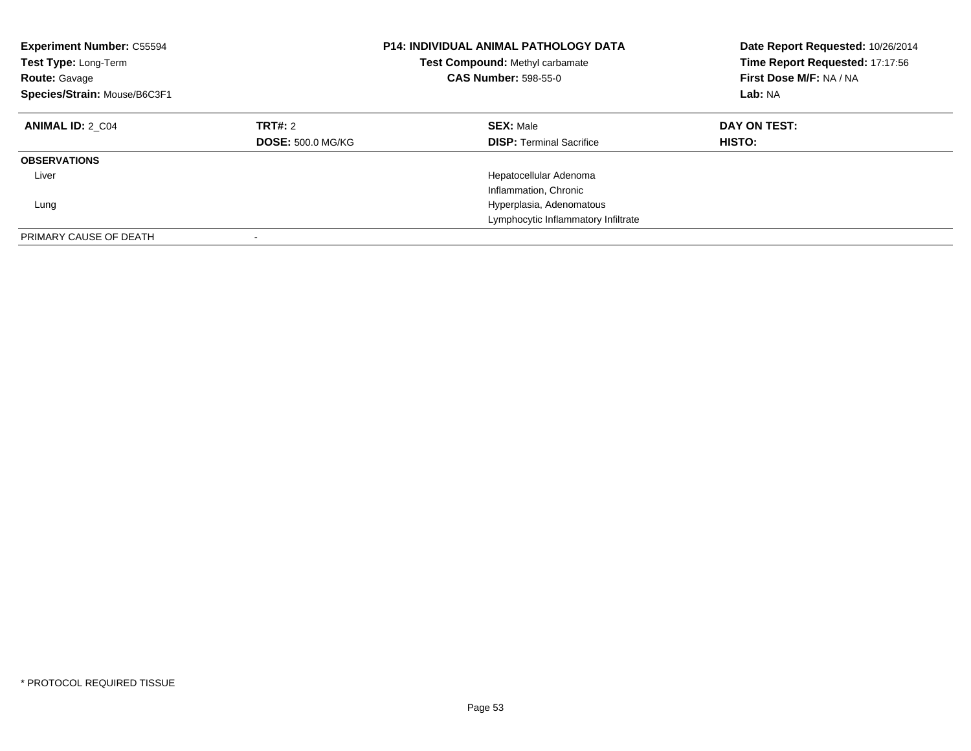| <b>Experiment Number: C55594</b><br>Test Type: Long-Term<br><b>Route: Gavage</b><br>Species/Strain: Mouse/B6C3F1 |                                     | <b>P14: INDIVIDUAL ANIMAL PATHOLOGY DATA</b><br>Test Compound: Methyl carbamate<br><b>CAS Number: 598-55-0</b> | Date Report Requested: 10/26/2014<br>Time Report Requested: 17:17:56<br>First Dose M/F: NA / NA<br>Lab: NA |
|------------------------------------------------------------------------------------------------------------------|-------------------------------------|----------------------------------------------------------------------------------------------------------------|------------------------------------------------------------------------------------------------------------|
| <b>ANIMAL ID: 2 C04</b>                                                                                          | TRT#: 2<br><b>DOSE: 500.0 MG/KG</b> | <b>SEX: Male</b><br><b>DISP: Terminal Sacrifice</b>                                                            | DAY ON TEST:<br><b>HISTO:</b>                                                                              |
| <b>OBSERVATIONS</b>                                                                                              |                                     |                                                                                                                |                                                                                                            |
| Liver                                                                                                            |                                     | Hepatocellular Adenoma                                                                                         |                                                                                                            |
|                                                                                                                  |                                     | Inflammation, Chronic                                                                                          |                                                                                                            |
| Lung                                                                                                             |                                     | Hyperplasia, Adenomatous                                                                                       |                                                                                                            |
|                                                                                                                  |                                     | Lymphocytic Inflammatory Infiltrate                                                                            |                                                                                                            |
| PRIMARY CAUSE OF DEATH                                                                                           |                                     |                                                                                                                |                                                                                                            |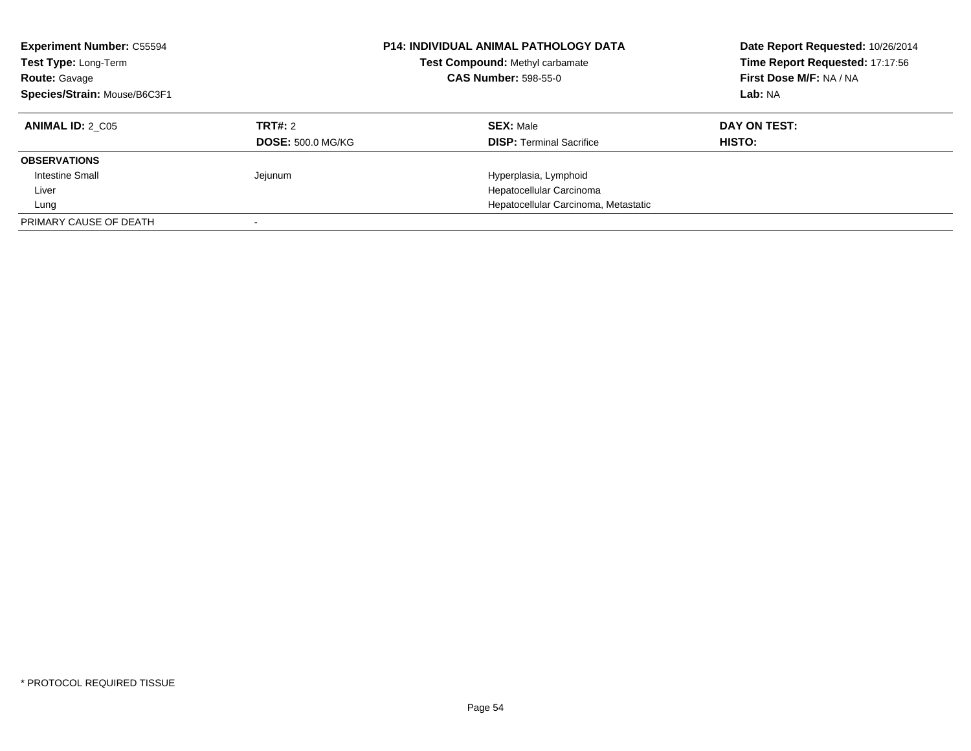| <b>Experiment Number: C55594</b><br>Test Type: Long-Term<br><b>Route: Gavage</b><br>Species/Strain: Mouse/B6C3F1 |                          | <b>P14: INDIVIDUAL ANIMAL PATHOLOGY DATA</b><br>Test Compound: Methyl carbamate<br><b>CAS Number: 598-55-0</b> | Date Report Requested: 10/26/2014<br>Time Report Requested: 17:17:56<br>First Dose M/F: NA / NA<br>Lab: NA |
|------------------------------------------------------------------------------------------------------------------|--------------------------|----------------------------------------------------------------------------------------------------------------|------------------------------------------------------------------------------------------------------------|
| <b>ANIMAL ID: 2 C05</b>                                                                                          | TRT#: 2                  | <b>SEX: Male</b>                                                                                               | DAY ON TEST:                                                                                               |
|                                                                                                                  | <b>DOSE: 500.0 MG/KG</b> | <b>DISP:</b> Terminal Sacrifice                                                                                | HISTO:                                                                                                     |
| <b>OBSERVATIONS</b>                                                                                              |                          |                                                                                                                |                                                                                                            |
| <b>Intestine Small</b>                                                                                           | Jejunum                  | Hyperplasia, Lymphoid                                                                                          |                                                                                                            |
| Liver                                                                                                            |                          | Hepatocellular Carcinoma                                                                                       |                                                                                                            |
| Lung                                                                                                             |                          | Hepatocellular Carcinoma, Metastatic                                                                           |                                                                                                            |
| PRIMARY CAUSE OF DEATH                                                                                           |                          |                                                                                                                |                                                                                                            |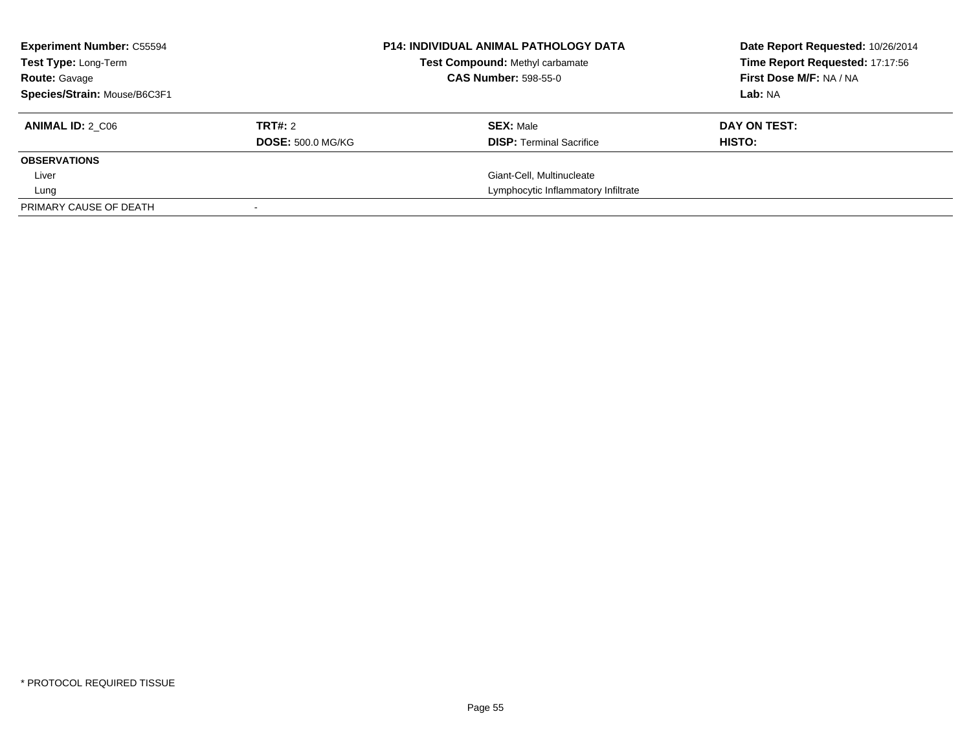| <b>Experiment Number: C55594</b><br>Test Type: Long-Term<br><b>Route: Gavage</b><br>Species/Strain: Mouse/B6C3F1 |                                     | <b>P14: INDIVIDUAL ANIMAL PATHOLOGY DATA</b><br><b>Test Compound: Methyl carbamate</b><br><b>CAS Number: 598-55-0</b> | Date Report Requested: 10/26/2014<br>Time Report Requested: 17:17:56<br>First Dose M/F: NA / NA<br>Lab: NA |
|------------------------------------------------------------------------------------------------------------------|-------------------------------------|-----------------------------------------------------------------------------------------------------------------------|------------------------------------------------------------------------------------------------------------|
| <b>ANIMAL ID: 2 C06</b>                                                                                          | TRT#: 2<br><b>DOSE: 500.0 MG/KG</b> | <b>SEX: Male</b><br><b>DISP:</b> Terminal Sacrifice                                                                   | DAY ON TEST:<br>HISTO:                                                                                     |
| <b>OBSERVATIONS</b>                                                                                              |                                     |                                                                                                                       |                                                                                                            |
| Liver                                                                                                            |                                     | Giant-Cell, Multinucleate                                                                                             |                                                                                                            |
| Lung                                                                                                             |                                     | Lymphocytic Inflammatory Infiltrate                                                                                   |                                                                                                            |
| PRIMARY CAUSE OF DEATH                                                                                           |                                     |                                                                                                                       |                                                                                                            |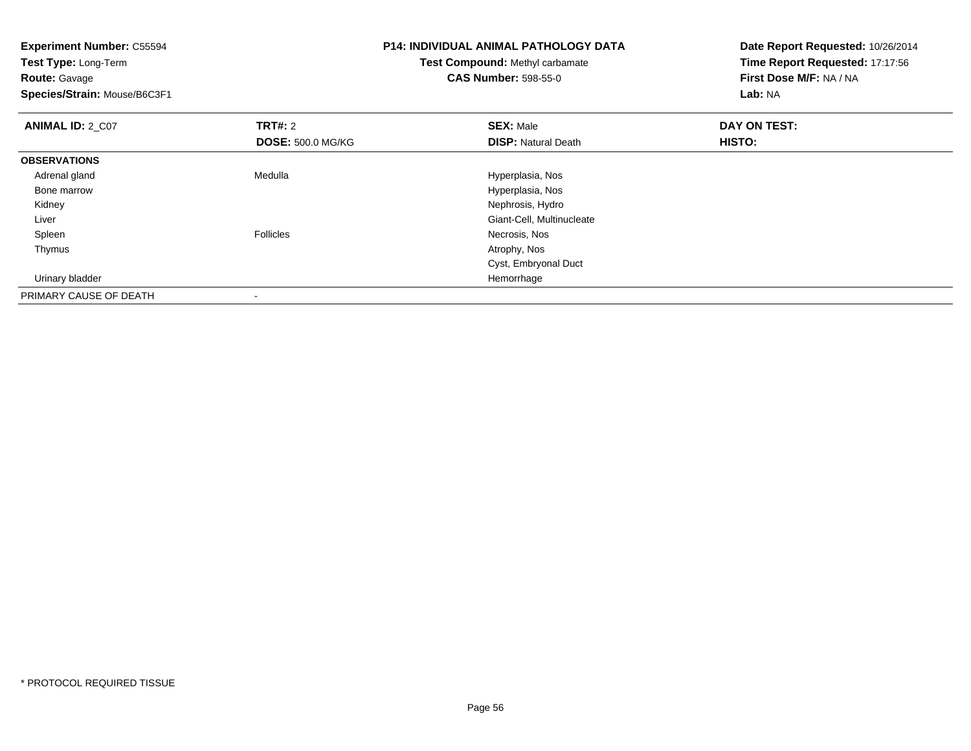**Experiment Number:** C55594**Test Type:** Long-Term**Route:** Gavage **Species/Strain:** Mouse/B6C3F1**P14: INDIVIDUAL ANIMAL PATHOLOGY DATATest Compound:** Methyl carbamate**CAS Number:** 598-55-0**Date Report Requested:** 10/26/2014**Time Report Requested:** 17:17:56**First Dose M/F:** NA / NA**Lab:** NA**ANIMAL ID: 2 C07 TRT#:** <sup>2</sup> **SEX:** Male **DAY ON TEST: DOSE:** 500.0 MG/KG**DISP:** Natural Death **HISTO: OBSERVATIONS** Adrenal glandMedulla Medulla entre a material de la material de Hyperplasia, Nos Bone marrow Hyperplasia, Nos Kidney Nephrosis, Hydro**Construction Construction Construction Construction Construction Construction Construction Construction Construction Construction Construction Construction Construction Construction Construction Construction Construction**  Liver Spleenn and the contract of the Follicles of the Contract of the Necrosis, Nos and the Follicles of the Following of the Media and the Media and the Media and the Media and the Media and the Media and the Media and the Media and Thymuss and the contract of the contract of the contract of the contract of the contract of the contract of the contract of the contract of the contract of the contract of the contract of the contract of the contract of the cont Cyst, Embryonal Duct Urinary bladder HemorrhagePRIMARY CAUSE OF DEATH-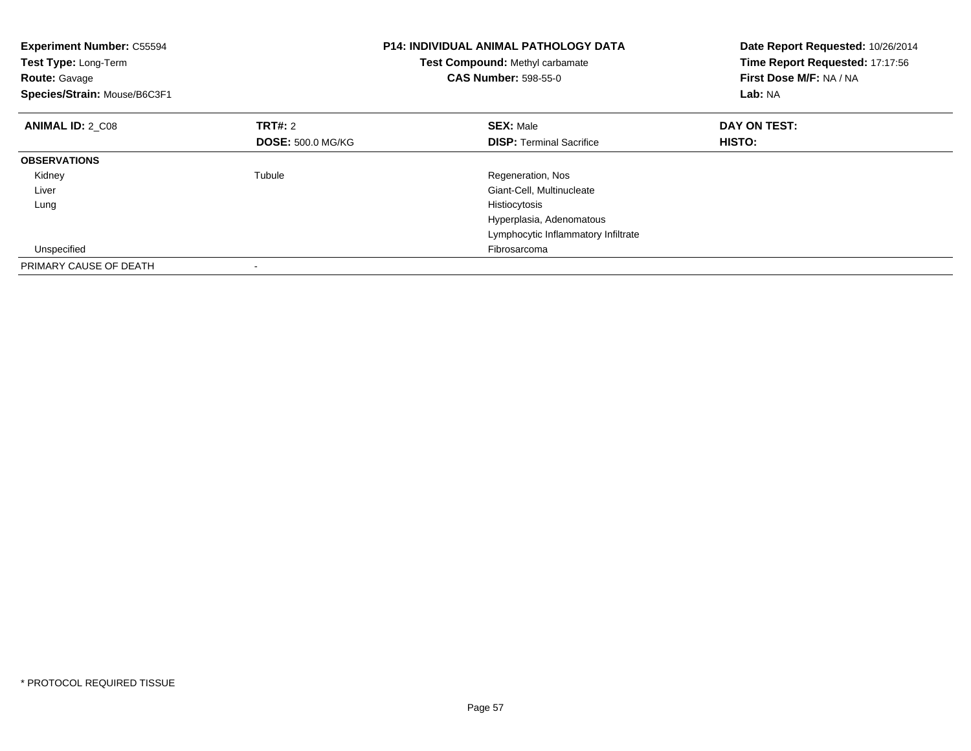| <b>Experiment Number: C55594</b><br>Test Type: Long-Term<br><b>Route: Gavage</b><br>Species/Strain: Mouse/B6C3F1 |                          | <b>P14: INDIVIDUAL ANIMAL PATHOLOGY DATA</b><br>Test Compound: Methyl carbamate<br><b>CAS Number: 598-55-0</b> | Date Report Requested: 10/26/2014<br>Time Report Requested: 17:17:56<br>First Dose M/F: NA / NA<br>Lab: NA |
|------------------------------------------------------------------------------------------------------------------|--------------------------|----------------------------------------------------------------------------------------------------------------|------------------------------------------------------------------------------------------------------------|
| <b>ANIMAL ID: 2 C08</b>                                                                                          | <b>TRT#: 2</b>           | <b>SEX: Male</b>                                                                                               | DAY ON TEST:                                                                                               |
|                                                                                                                  | <b>DOSE: 500.0 MG/KG</b> | <b>DISP:</b> Terminal Sacrifice                                                                                | HISTO:                                                                                                     |
| <b>OBSERVATIONS</b>                                                                                              |                          |                                                                                                                |                                                                                                            |
| Kidney                                                                                                           | Tubule                   | Regeneration, Nos                                                                                              |                                                                                                            |
| Liver                                                                                                            |                          | Giant-Cell, Multinucleate                                                                                      |                                                                                                            |
| Lung                                                                                                             |                          | Histiocytosis                                                                                                  |                                                                                                            |
|                                                                                                                  |                          | Hyperplasia, Adenomatous                                                                                       |                                                                                                            |
|                                                                                                                  |                          | Lymphocytic Inflammatory Infiltrate                                                                            |                                                                                                            |
| Unspecified                                                                                                      |                          | Fibrosarcoma                                                                                                   |                                                                                                            |
| PRIMARY CAUSE OF DEATH                                                                                           |                          |                                                                                                                |                                                                                                            |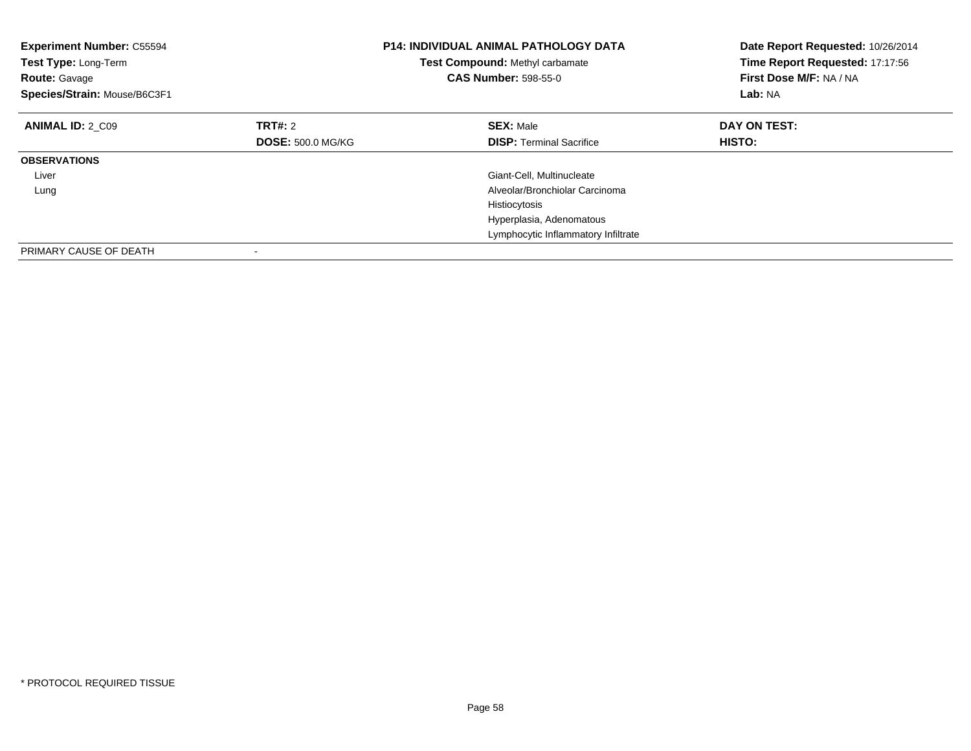| <b>Experiment Number: C55594</b><br>Test Type: Long-Term<br><b>Route: Gavage</b><br>Species/Strain: Mouse/B6C3F1 |                          | <b>P14: INDIVIDUAL ANIMAL PATHOLOGY DATA</b><br>Test Compound: Methyl carbamate<br><b>CAS Number: 598-55-0</b> | Date Report Requested: 10/26/2014<br>Time Report Requested: 17:17:56<br>First Dose M/F: NA / NA<br>Lab: NA |
|------------------------------------------------------------------------------------------------------------------|--------------------------|----------------------------------------------------------------------------------------------------------------|------------------------------------------------------------------------------------------------------------|
| <b>ANIMAL ID: 2 C09</b>                                                                                          | TRT#: 2                  | <b>SEX: Male</b>                                                                                               | DAY ON TEST:                                                                                               |
|                                                                                                                  | <b>DOSE: 500.0 MG/KG</b> | <b>DISP:</b> Terminal Sacrifice                                                                                | HISTO:                                                                                                     |
| <b>OBSERVATIONS</b>                                                                                              |                          |                                                                                                                |                                                                                                            |
| Liver                                                                                                            |                          | Giant-Cell, Multinucleate                                                                                      |                                                                                                            |
| Lung                                                                                                             |                          | Alveolar/Bronchiolar Carcinoma                                                                                 |                                                                                                            |
|                                                                                                                  |                          | Histiocytosis                                                                                                  |                                                                                                            |
|                                                                                                                  |                          | Hyperplasia, Adenomatous                                                                                       |                                                                                                            |
|                                                                                                                  |                          | Lymphocytic Inflammatory Infiltrate                                                                            |                                                                                                            |
| PRIMARY CAUSE OF DEATH                                                                                           |                          |                                                                                                                |                                                                                                            |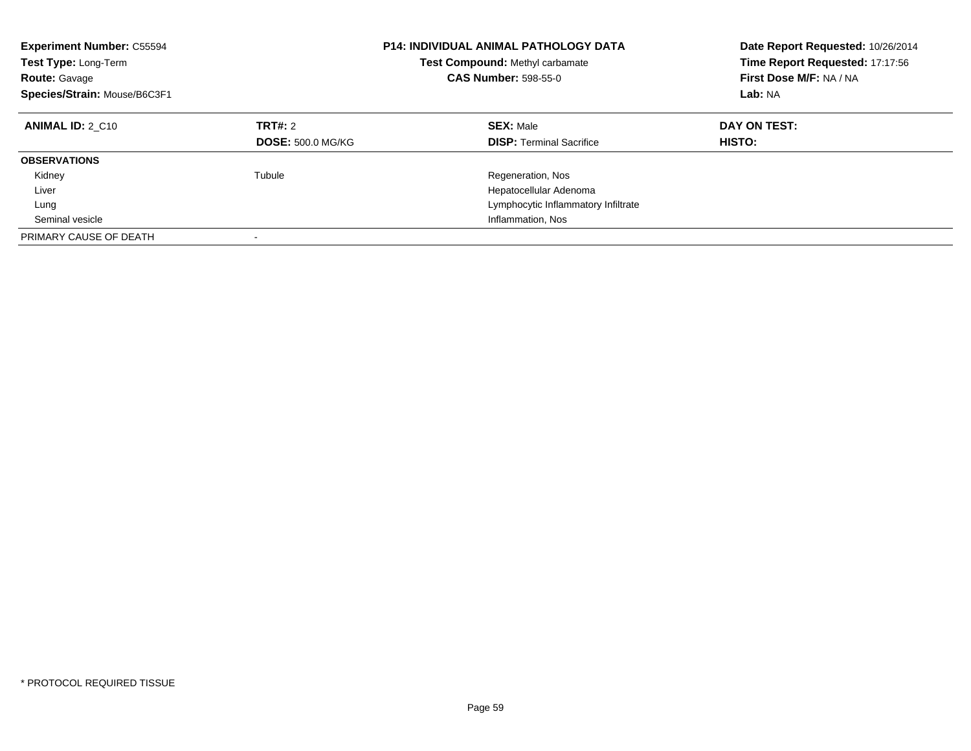| <b>Experiment Number: C55594</b><br>Test Type: Long-Term<br><b>Route: Gavage</b><br>Species/Strain: Mouse/B6C3F1 |                                     | <b>P14: INDIVIDUAL ANIMAL PATHOLOGY DATA</b><br>Test Compound: Methyl carbamate<br><b>CAS Number: 598-55-0</b> | Date Report Requested: 10/26/2014<br>Time Report Requested: 17:17:56<br>First Dose M/F: NA / NA<br>Lab: NA |
|------------------------------------------------------------------------------------------------------------------|-------------------------------------|----------------------------------------------------------------------------------------------------------------|------------------------------------------------------------------------------------------------------------|
| <b>ANIMAL ID: 2 C10</b>                                                                                          | TRT#: 2<br><b>DOSE: 500.0 MG/KG</b> | <b>SEX: Male</b><br><b>DISP: Terminal Sacrifice</b>                                                            | DAY ON TEST:<br><b>HISTO:</b>                                                                              |
| <b>OBSERVATIONS</b>                                                                                              |                                     |                                                                                                                |                                                                                                            |
| Kidney                                                                                                           | Tubule                              | Regeneration, Nos                                                                                              |                                                                                                            |
| Liver                                                                                                            |                                     | Hepatocellular Adenoma                                                                                         |                                                                                                            |
| Lung                                                                                                             |                                     | Lymphocytic Inflammatory Infiltrate                                                                            |                                                                                                            |
| Seminal vesicle                                                                                                  |                                     | Inflammation, Nos                                                                                              |                                                                                                            |
| PRIMARY CAUSE OF DEATH                                                                                           |                                     |                                                                                                                |                                                                                                            |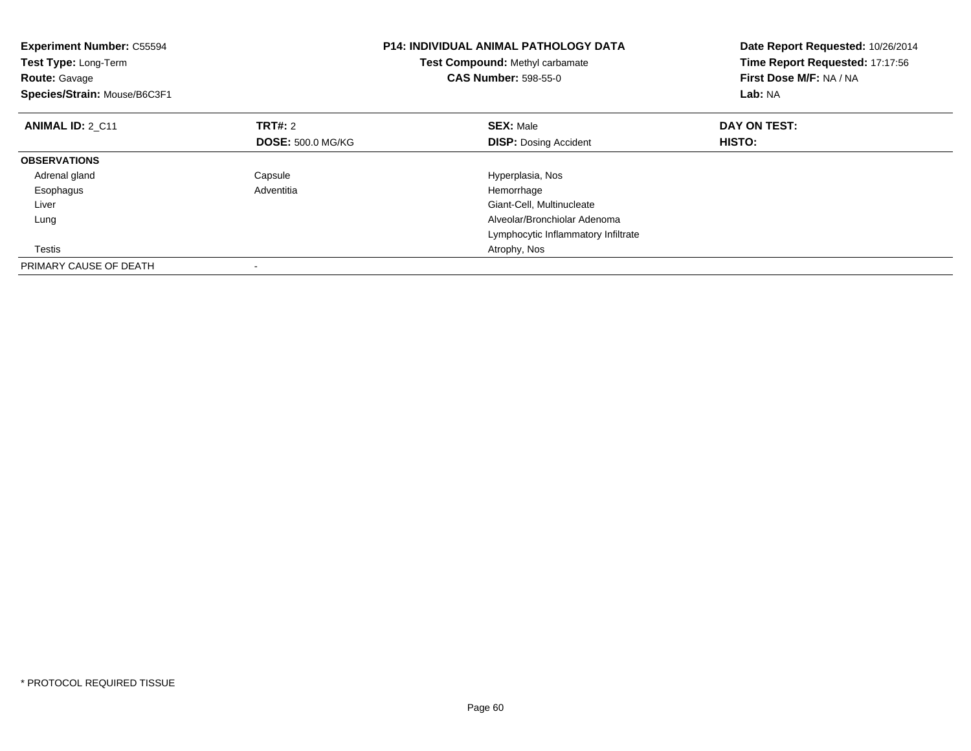| <b>Experiment Number: C55594</b><br>Test Type: Long-Term<br><b>Route: Gavage</b><br>Species/Strain: Mouse/B6C3F1 |                          | <b>P14: INDIVIDUAL ANIMAL PATHOLOGY DATA</b><br>Test Compound: Methyl carbamate<br><b>CAS Number: 598-55-0</b> | Date Report Requested: 10/26/2014<br>Time Report Requested: 17:17:56<br>First Dose M/F: NA / NA<br>Lab: NA |
|------------------------------------------------------------------------------------------------------------------|--------------------------|----------------------------------------------------------------------------------------------------------------|------------------------------------------------------------------------------------------------------------|
| <b>ANIMAL ID: 2 C11</b>                                                                                          | <b>TRT#: 2</b>           | <b>SEX: Male</b>                                                                                               | DAY ON TEST:                                                                                               |
|                                                                                                                  | <b>DOSE: 500.0 MG/KG</b> | <b>DISP: Dosing Accident</b>                                                                                   | HISTO:                                                                                                     |
| <b>OBSERVATIONS</b>                                                                                              |                          |                                                                                                                |                                                                                                            |
| Adrenal gland                                                                                                    | Capsule                  | Hyperplasia, Nos                                                                                               |                                                                                                            |
| Esophagus                                                                                                        | Adventitia               | Hemorrhage                                                                                                     |                                                                                                            |
| Liver                                                                                                            |                          | Giant-Cell, Multinucleate                                                                                      |                                                                                                            |
| Lung                                                                                                             |                          | Alveolar/Bronchiolar Adenoma                                                                                   |                                                                                                            |
|                                                                                                                  |                          | Lymphocytic Inflammatory Infiltrate                                                                            |                                                                                                            |
| Testis                                                                                                           |                          | Atrophy, Nos                                                                                                   |                                                                                                            |
| PRIMARY CAUSE OF DEATH                                                                                           |                          |                                                                                                                |                                                                                                            |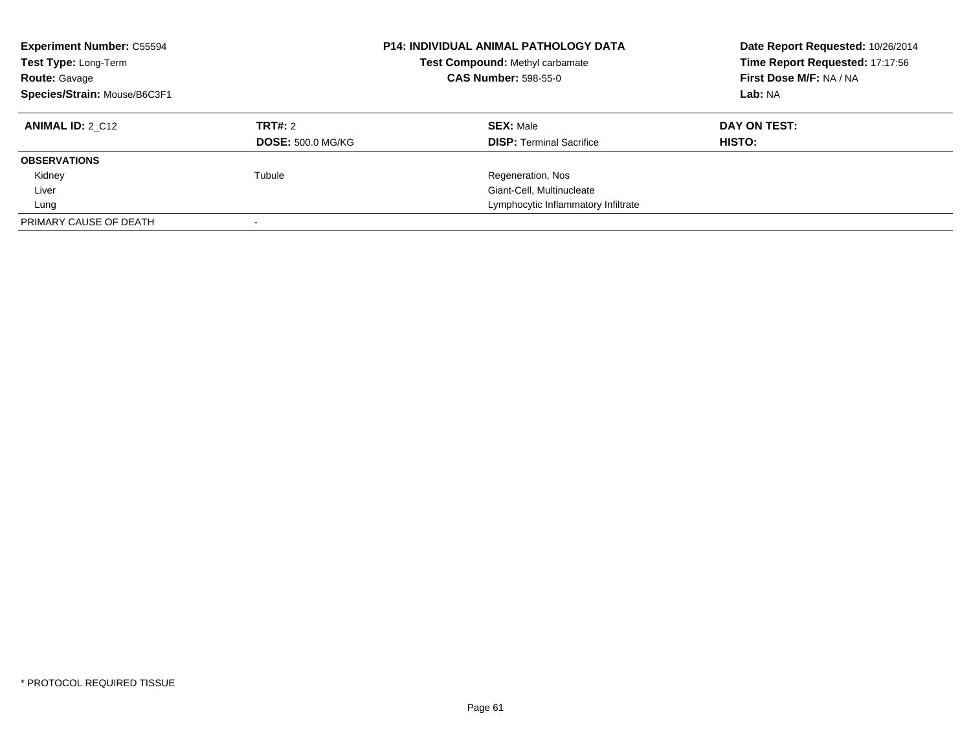| <b>Experiment Number: C55594</b><br>Test Type: Long-Term<br><b>Route: Gavage</b><br>Species/Strain: Mouse/B6C3F1 |                          | <b>P14: INDIVIDUAL ANIMAL PATHOLOGY DATA</b><br>Test Compound: Methyl carbamate<br><b>CAS Number: 598-55-0</b> | Date Report Requested: 10/26/2014<br>Time Report Requested: 17:17:56<br>First Dose M/F: NA / NA<br>Lab: NA |
|------------------------------------------------------------------------------------------------------------------|--------------------------|----------------------------------------------------------------------------------------------------------------|------------------------------------------------------------------------------------------------------------|
| <b>ANIMAL ID: 2 C12</b>                                                                                          | TRT#: 2                  | <b>SEX: Male</b>                                                                                               | DAY ON TEST:                                                                                               |
|                                                                                                                  | <b>DOSE: 500.0 MG/KG</b> | <b>DISP:</b> Terminal Sacrifice                                                                                | HISTO:                                                                                                     |
| <b>OBSERVATIONS</b>                                                                                              |                          |                                                                                                                |                                                                                                            |
| Kidney                                                                                                           | Tubule                   | Regeneration, Nos                                                                                              |                                                                                                            |
| Liver                                                                                                            |                          | Giant-Cell, Multinucleate                                                                                      |                                                                                                            |
| Lung                                                                                                             |                          | Lymphocytic Inflammatory Infiltrate                                                                            |                                                                                                            |
| PRIMARY CAUSE OF DEATH                                                                                           |                          |                                                                                                                |                                                                                                            |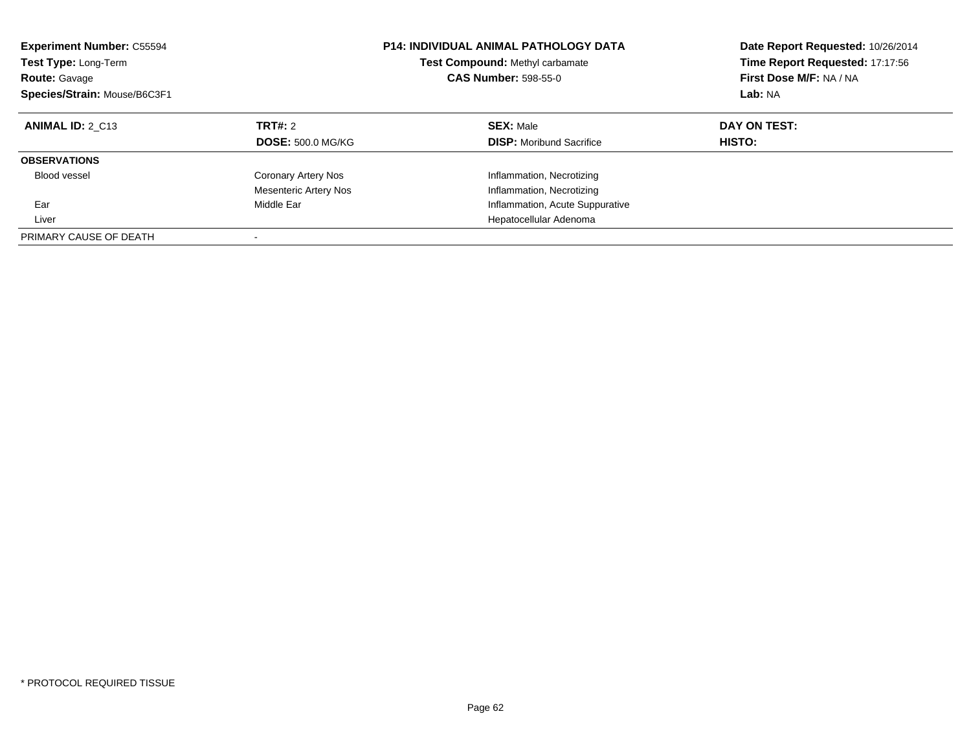| <b>Experiment Number: C55594</b><br>Test Type: Long-Term<br><b>Route: Gavage</b><br>Species/Strain: Mouse/B6C3F1 |                                                     | <b>P14: INDIVIDUAL ANIMAL PATHOLOGY DATA</b><br>Test Compound: Methyl carbamate<br><b>CAS Number: 598-55-0</b> | Date Report Requested: 10/26/2014<br>Time Report Requested: 17:17:56<br>First Dose M/F: NA / NA<br>Lab: NA |
|------------------------------------------------------------------------------------------------------------------|-----------------------------------------------------|----------------------------------------------------------------------------------------------------------------|------------------------------------------------------------------------------------------------------------|
| <b>ANIMAL ID: 2 C13</b>                                                                                          | <b>TRT#: 2</b><br><b>DOSE: 500.0 MG/KG</b>          | <b>SEX: Male</b><br><b>DISP:</b> Moribund Sacrifice                                                            | DAY ON TEST:<br>HISTO:                                                                                     |
| <b>OBSERVATIONS</b>                                                                                              |                                                     |                                                                                                                |                                                                                                            |
| Blood vessel                                                                                                     | Coronary Artery Nos<br><b>Mesenteric Artery Nos</b> | Inflammation, Necrotizing<br>Inflammation, Necrotizing                                                         |                                                                                                            |
| Ear                                                                                                              | Middle Ear                                          | Inflammation, Acute Suppurative                                                                                |                                                                                                            |
| Liver                                                                                                            |                                                     | Hepatocellular Adenoma                                                                                         |                                                                                                            |
| PRIMARY CAUSE OF DEATH                                                                                           |                                                     |                                                                                                                |                                                                                                            |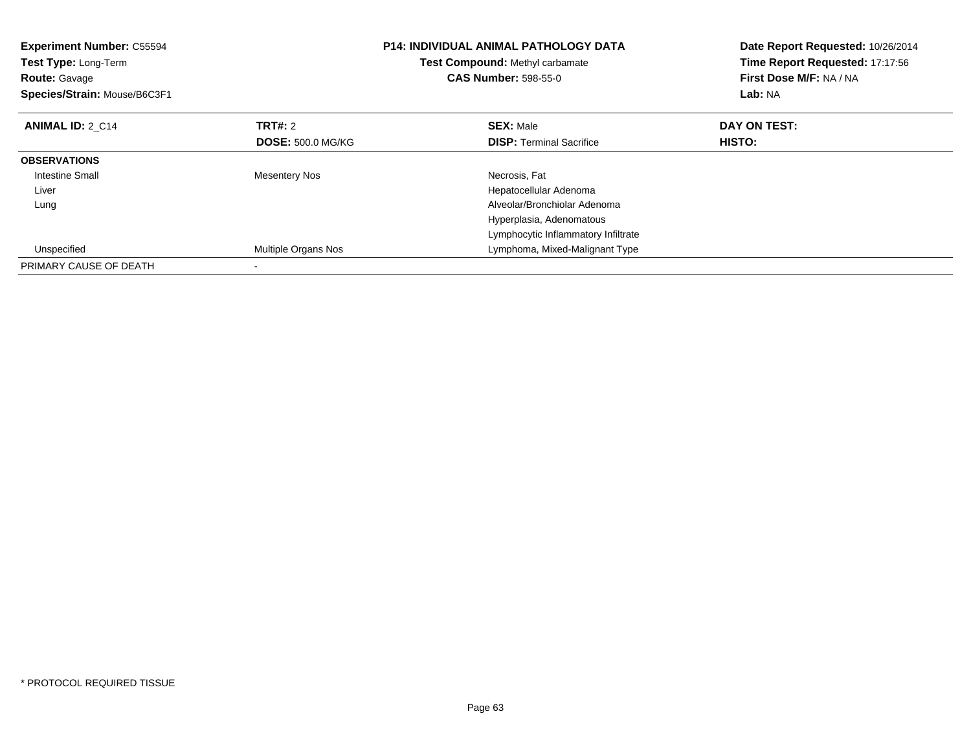| <b>Experiment Number: C55594</b><br>Test Type: Long-Term<br><b>Route: Gavage</b><br>Species/Strain: Mouse/B6C3F1 |                          | P14: INDIVIDUAL ANIMAL PATHOLOGY DATA<br>Test Compound: Methyl carbamate<br><b>CAS Number: 598-55-0</b> | Date Report Requested: 10/26/2014<br>Time Report Requested: 17:17:56<br>First Dose M/F: NA / NA<br>Lab: NA |
|------------------------------------------------------------------------------------------------------------------|--------------------------|---------------------------------------------------------------------------------------------------------|------------------------------------------------------------------------------------------------------------|
| <b>ANIMAL ID: 2 C14</b>                                                                                          | TRT#: 2                  | <b>SEX: Male</b>                                                                                        | DAY ON TEST:                                                                                               |
|                                                                                                                  | <b>DOSE: 500.0 MG/KG</b> | <b>DISP:</b> Terminal Sacrifice                                                                         | HISTO:                                                                                                     |
| <b>OBSERVATIONS</b>                                                                                              |                          |                                                                                                         |                                                                                                            |
| <b>Intestine Small</b>                                                                                           | <b>Mesentery Nos</b>     | Necrosis, Fat                                                                                           |                                                                                                            |
| Liver                                                                                                            |                          | Hepatocellular Adenoma                                                                                  |                                                                                                            |
| Lung                                                                                                             |                          | Alveolar/Bronchiolar Adenoma                                                                            |                                                                                                            |
|                                                                                                                  |                          | Hyperplasia, Adenomatous                                                                                |                                                                                                            |
|                                                                                                                  |                          | Lymphocytic Inflammatory Infiltrate                                                                     |                                                                                                            |
| Unspecified                                                                                                      | Multiple Organs Nos      | Lymphoma, Mixed-Malignant Type                                                                          |                                                                                                            |
| PRIMARY CAUSE OF DEATH                                                                                           |                          |                                                                                                         |                                                                                                            |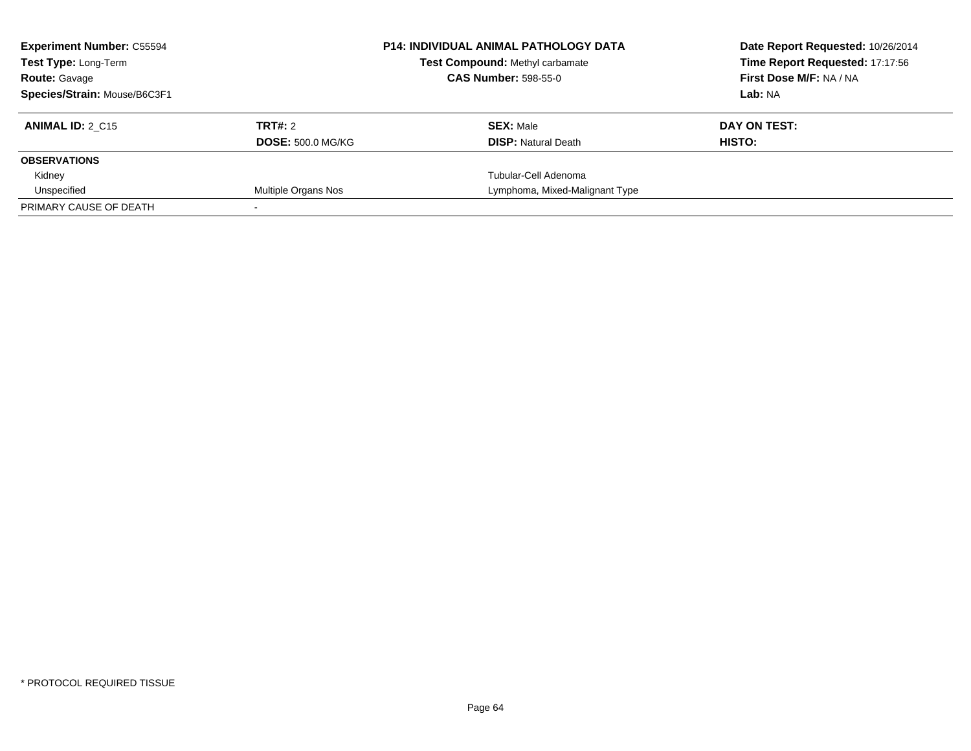| <b>Experiment Number: C55594</b><br><b>Test Type: Long-Term</b> |                          | <b>P14: INDIVIDUAL ANIMAL PATHOLOGY DATA</b><br>Test Compound: Methyl carbamate<br><b>CAS Number: 598-55-0</b> | Date Report Requested: 10/26/2014<br>Time Report Requested: 17:17:56<br>First Dose M/F: NA / NA |
|-----------------------------------------------------------------|--------------------------|----------------------------------------------------------------------------------------------------------------|-------------------------------------------------------------------------------------------------|
| <b>Route: Gavage</b>                                            |                          |                                                                                                                |                                                                                                 |
| Species/Strain: Mouse/B6C3F1                                    |                          |                                                                                                                | Lab: NA                                                                                         |
| <b>ANIMAL ID: 2 C15</b>                                         | TRT#: 2                  | <b>SEX: Male</b>                                                                                               | DAY ON TEST:                                                                                    |
|                                                                 | <b>DOSE: 500.0 MG/KG</b> | <b>DISP:</b> Natural Death                                                                                     | HISTO:                                                                                          |
| <b>OBSERVATIONS</b>                                             |                          |                                                                                                                |                                                                                                 |
| Kidney                                                          |                          | Tubular-Cell Adenoma                                                                                           |                                                                                                 |
| Unspecified                                                     | Multiple Organs Nos      | Lymphoma, Mixed-Malignant Type                                                                                 |                                                                                                 |
| PRIMARY CAUSE OF DEATH                                          |                          |                                                                                                                |                                                                                                 |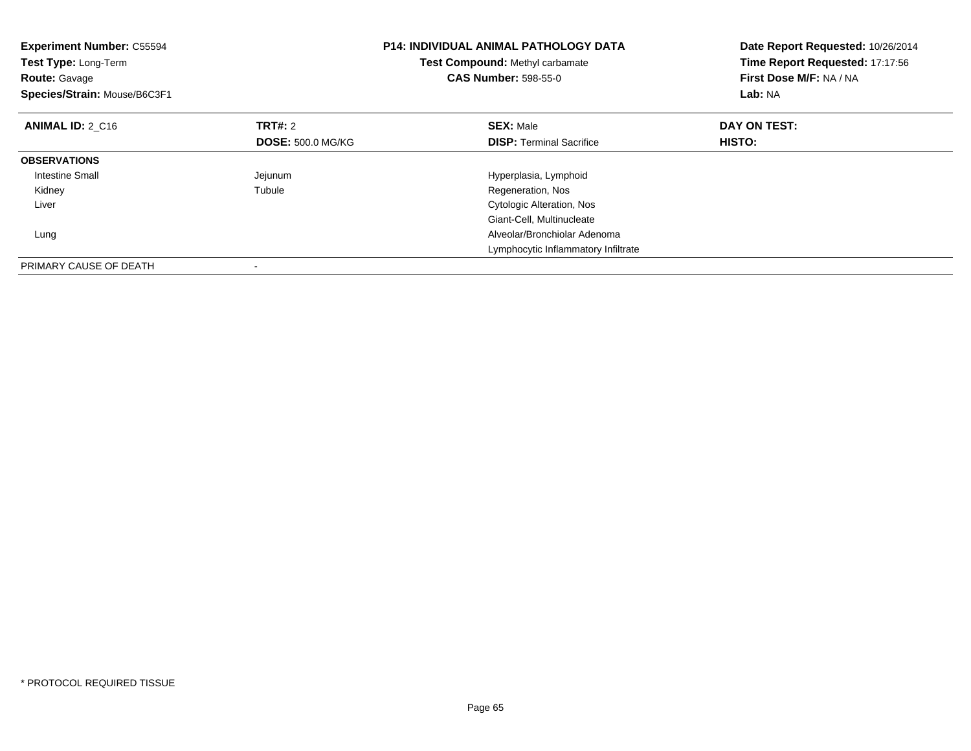| <b>Experiment Number: C55594</b><br>Test Type: Long-Term<br><b>Route: Gavage</b><br>Species/Strain: Mouse/B6C3F1 |                          | <b>P14: INDIVIDUAL ANIMAL PATHOLOGY DATA</b><br><b>Test Compound: Methyl carbamate</b><br><b>CAS Number: 598-55-0</b> | Date Report Requested: 10/26/2014<br>Time Report Requested: 17:17:56<br>First Dose M/F: NA / NA<br>Lab: NA |
|------------------------------------------------------------------------------------------------------------------|--------------------------|-----------------------------------------------------------------------------------------------------------------------|------------------------------------------------------------------------------------------------------------|
| <b>ANIMAL ID: 2 C16</b>                                                                                          | TRT#: 2                  | <b>SEX: Male</b>                                                                                                      | DAY ON TEST:                                                                                               |
|                                                                                                                  | <b>DOSE: 500.0 MG/KG</b> | <b>DISP:</b> Terminal Sacrifice                                                                                       | <b>HISTO:</b>                                                                                              |
| <b>OBSERVATIONS</b>                                                                                              |                          |                                                                                                                       |                                                                                                            |
| Intestine Small                                                                                                  | Jejunum                  | Hyperplasia, Lymphoid                                                                                                 |                                                                                                            |
| Kidney                                                                                                           | Tubule                   | Regeneration, Nos                                                                                                     |                                                                                                            |
| Liver                                                                                                            |                          | <b>Cytologic Alteration, Nos</b>                                                                                      |                                                                                                            |
|                                                                                                                  |                          | Giant-Cell, Multinucleate                                                                                             |                                                                                                            |
| Lung                                                                                                             |                          | Alveolar/Bronchiolar Adenoma                                                                                          |                                                                                                            |
|                                                                                                                  |                          | Lymphocytic Inflammatory Infiltrate                                                                                   |                                                                                                            |
| PRIMARY CAUSE OF DEATH                                                                                           |                          |                                                                                                                       |                                                                                                            |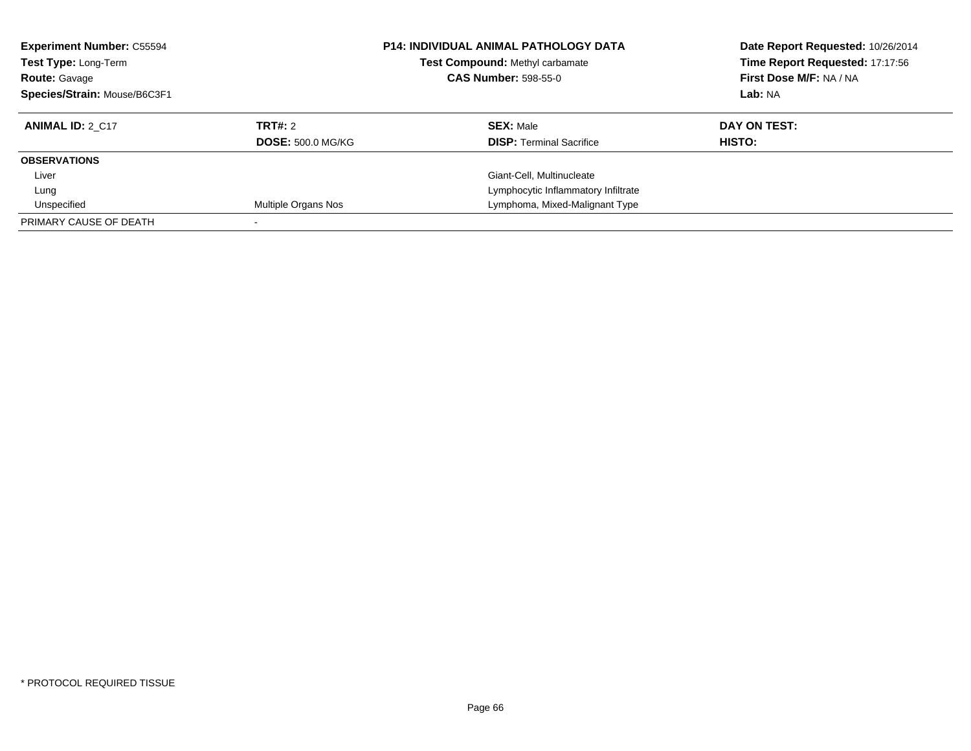| <b>Experiment Number: C55594</b><br>Test Type: Long-Term<br><b>Route: Gavage</b><br>Species/Strain: Mouse/B6C3F1 |                          | <b>P14: INDIVIDUAL ANIMAL PATHOLOGY DATA</b><br><b>Test Compound: Methyl carbamate</b><br><b>CAS Number: 598-55-0</b> | Date Report Requested: 10/26/2014<br>Time Report Requested: 17:17:56<br>First Dose M/F: NA / NA<br>Lab: NA |
|------------------------------------------------------------------------------------------------------------------|--------------------------|-----------------------------------------------------------------------------------------------------------------------|------------------------------------------------------------------------------------------------------------|
| <b>ANIMAL ID: 2 C17</b>                                                                                          | TRT#: 2                  | <b>SEX: Male</b>                                                                                                      | DAY ON TEST:                                                                                               |
|                                                                                                                  | <b>DOSE: 500.0 MG/KG</b> | <b>DISP:</b> Terminal Sacrifice                                                                                       | HISTO:                                                                                                     |
| <b>OBSERVATIONS</b>                                                                                              |                          |                                                                                                                       |                                                                                                            |
| Liver                                                                                                            |                          | Giant-Cell, Multinucleate                                                                                             |                                                                                                            |
| Lung                                                                                                             |                          | Lymphocytic Inflammatory Infiltrate                                                                                   |                                                                                                            |
| Unspecified                                                                                                      | Multiple Organs Nos      | Lymphoma, Mixed-Malignant Type                                                                                        |                                                                                                            |
| PRIMARY CAUSE OF DEATH                                                                                           |                          |                                                                                                                       |                                                                                                            |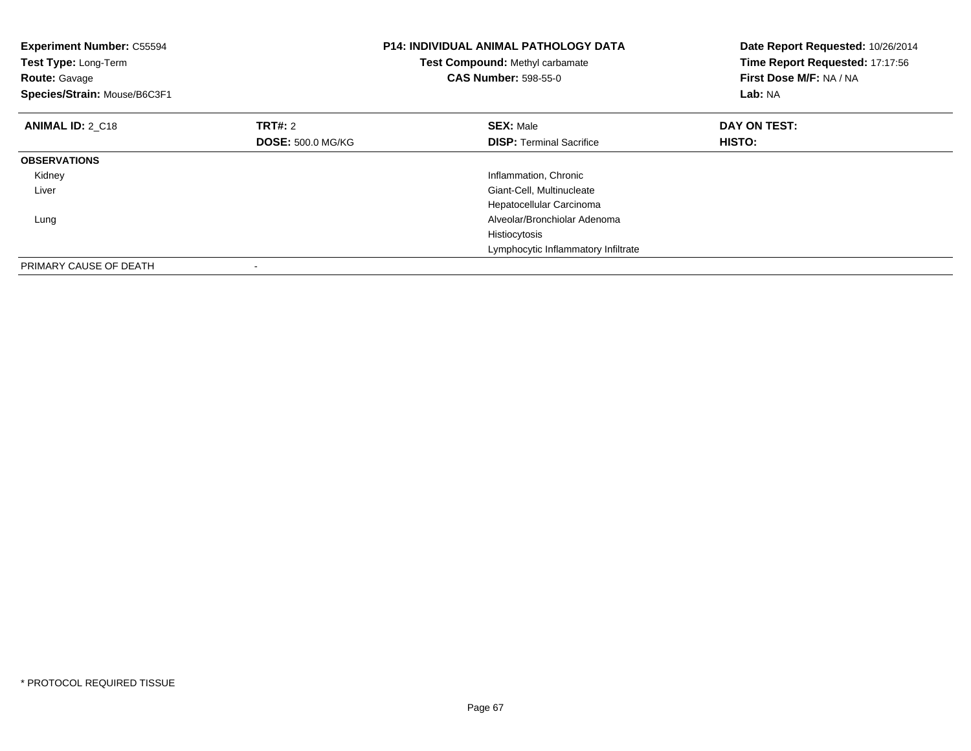| <b>Experiment Number: C55594</b><br>Test Type: Long-Term<br><b>Route: Gavage</b><br>Species/Strain: Mouse/B6C3F1 |                          | <b>P14: INDIVIDUAL ANIMAL PATHOLOGY DATA</b><br>Test Compound: Methyl carbamate<br><b>CAS Number: 598-55-0</b> | Date Report Requested: 10/26/2014<br>Time Report Requested: 17:17:56<br>First Dose M/F: NA / NA<br>Lab: NA |
|------------------------------------------------------------------------------------------------------------------|--------------------------|----------------------------------------------------------------------------------------------------------------|------------------------------------------------------------------------------------------------------------|
| <b>ANIMAL ID: 2 C18</b>                                                                                          | TRT#: 2                  | <b>SEX: Male</b>                                                                                               | DAY ON TEST:                                                                                               |
|                                                                                                                  | <b>DOSE: 500.0 MG/KG</b> | <b>DISP:</b> Terminal Sacrifice                                                                                | HISTO:                                                                                                     |
| <b>OBSERVATIONS</b>                                                                                              |                          |                                                                                                                |                                                                                                            |
| Kidney                                                                                                           |                          | Inflammation, Chronic                                                                                          |                                                                                                            |
| Liver                                                                                                            |                          | Giant-Cell, Multinucleate                                                                                      |                                                                                                            |
|                                                                                                                  |                          | Hepatocellular Carcinoma                                                                                       |                                                                                                            |
| Lung                                                                                                             |                          | Alveolar/Bronchiolar Adenoma                                                                                   |                                                                                                            |
|                                                                                                                  |                          | Histiocytosis                                                                                                  |                                                                                                            |
|                                                                                                                  |                          | Lymphocytic Inflammatory Infiltrate                                                                            |                                                                                                            |
| PRIMARY CAUSE OF DEATH                                                                                           |                          |                                                                                                                |                                                                                                            |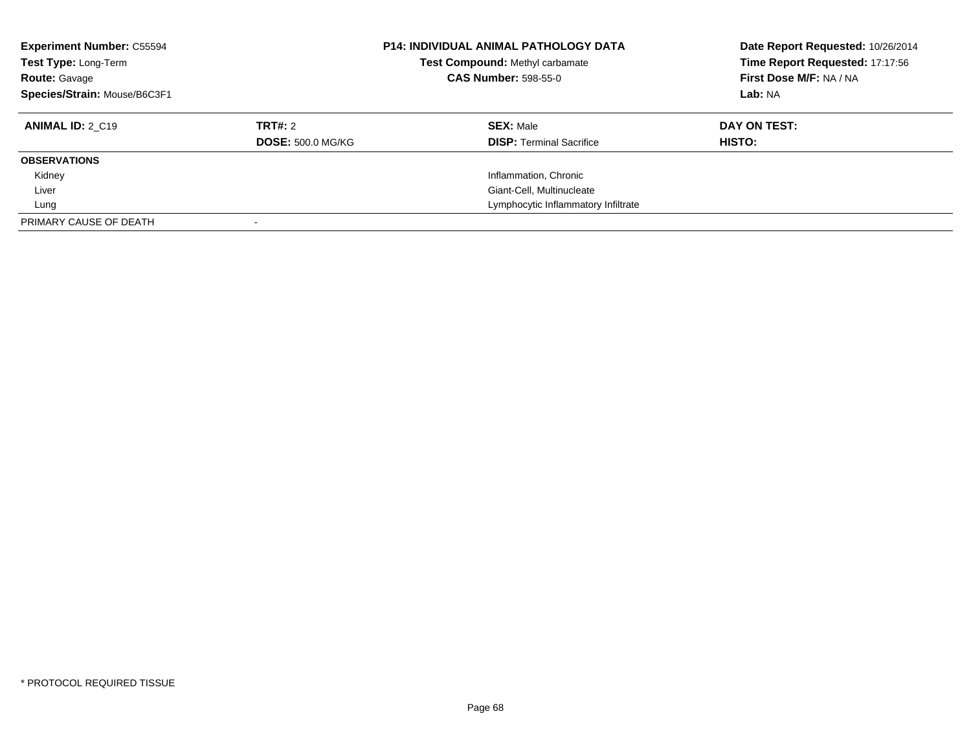| <b>Experiment Number: C55594</b><br>Test Type: Long-Term<br><b>Route: Gavage</b><br>Species/Strain: Mouse/B6C3F1 |                                     | <b>P14: INDIVIDUAL ANIMAL PATHOLOGY DATA</b><br><b>Test Compound: Methyl carbamate</b><br><b>CAS Number: 598-55-0</b> | Date Report Requested: 10/26/2014<br>Time Report Requested: 17:17:56<br>First Dose M/F: NA / NA<br>Lab: NA |
|------------------------------------------------------------------------------------------------------------------|-------------------------------------|-----------------------------------------------------------------------------------------------------------------------|------------------------------------------------------------------------------------------------------------|
| <b>ANIMAL ID: 2 C19</b>                                                                                          | TRT#: 2<br><b>DOSE: 500.0 MG/KG</b> | <b>SEX: Male</b><br><b>DISP:</b> Terminal Sacrifice                                                                   | DAY ON TEST:<br><b>HISTO:</b>                                                                              |
| <b>OBSERVATIONS</b>                                                                                              |                                     |                                                                                                                       |                                                                                                            |
| Kidney                                                                                                           |                                     | Inflammation, Chronic                                                                                                 |                                                                                                            |
| Liver                                                                                                            |                                     | Giant-Cell, Multinucleate                                                                                             |                                                                                                            |
| Lung                                                                                                             |                                     | Lymphocytic Inflammatory Infiltrate                                                                                   |                                                                                                            |
| PRIMARY CAUSE OF DEATH                                                                                           |                                     |                                                                                                                       |                                                                                                            |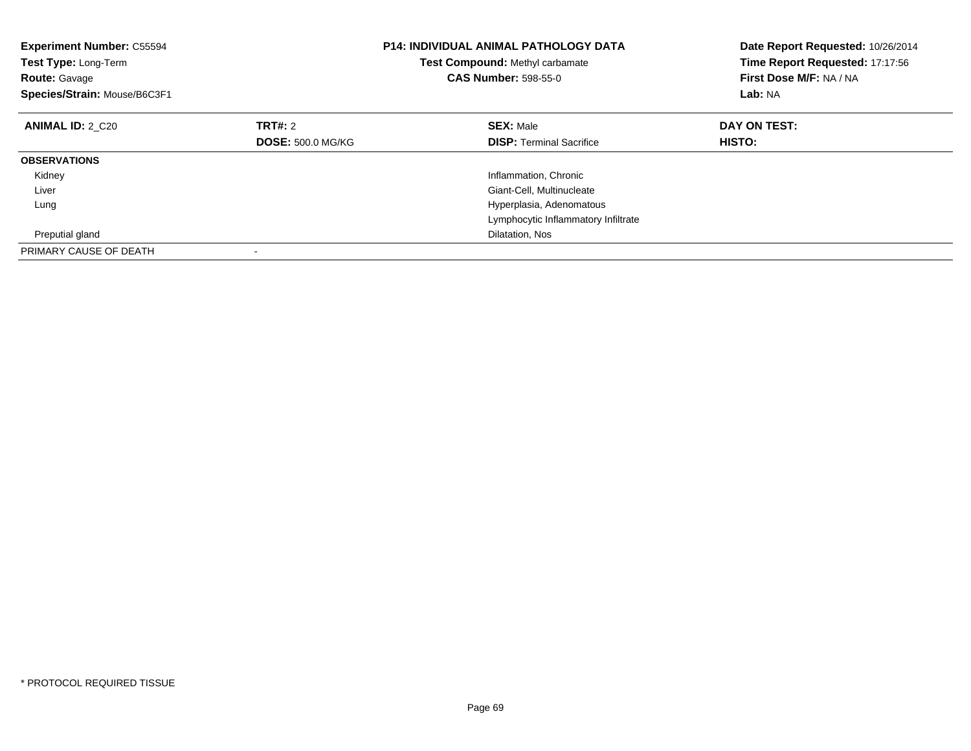| <b>Experiment Number: C55594</b><br>Test Type: Long-Term<br><b>Route: Gavage</b><br>Species/Strain: Mouse/B6C3F1 |                          | <b>P14: INDIVIDUAL ANIMAL PATHOLOGY DATA</b><br><b>Test Compound: Methyl carbamate</b><br><b>CAS Number: 598-55-0</b> | Date Report Requested: 10/26/2014<br>Time Report Requested: 17:17:56<br>First Dose M/F: NA / NA<br>Lab: NA |
|------------------------------------------------------------------------------------------------------------------|--------------------------|-----------------------------------------------------------------------------------------------------------------------|------------------------------------------------------------------------------------------------------------|
| <b>ANIMAL ID: 2 C20</b>                                                                                          | TRT#: 2                  | <b>SEX: Male</b>                                                                                                      | DAY ON TEST:                                                                                               |
|                                                                                                                  | <b>DOSE: 500.0 MG/KG</b> | <b>DISP:</b> Terminal Sacrifice                                                                                       | HISTO:                                                                                                     |
| <b>OBSERVATIONS</b>                                                                                              |                          |                                                                                                                       |                                                                                                            |
| Kidney                                                                                                           |                          | Inflammation, Chronic                                                                                                 |                                                                                                            |
| Liver                                                                                                            |                          | Giant-Cell, Multinucleate                                                                                             |                                                                                                            |
| Lung                                                                                                             |                          | Hyperplasia, Adenomatous                                                                                              |                                                                                                            |
|                                                                                                                  |                          | Lymphocytic Inflammatory Infiltrate                                                                                   |                                                                                                            |
| Preputial gland                                                                                                  |                          | Dilatation, Nos                                                                                                       |                                                                                                            |
| PRIMARY CAUSE OF DEATH                                                                                           |                          |                                                                                                                       |                                                                                                            |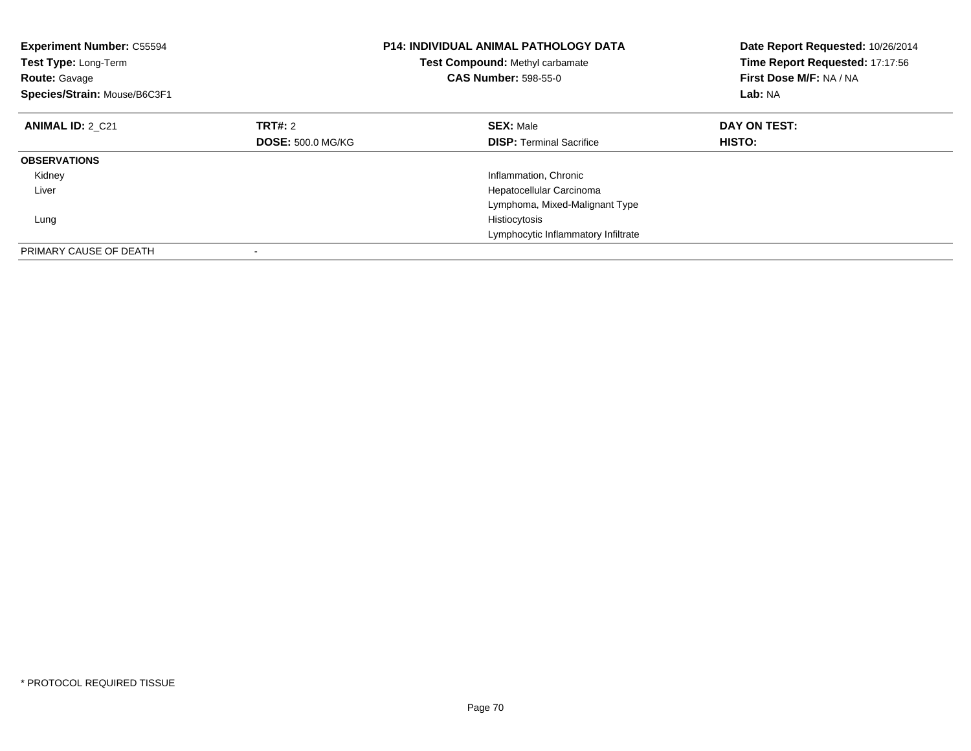| <b>Experiment Number: C55594</b><br>Test Type: Long-Term<br><b>Route: Gavage</b><br>Species/Strain: Mouse/B6C3F1 |                          | <b>P14: INDIVIDUAL ANIMAL PATHOLOGY DATA</b><br>Test Compound: Methyl carbamate<br><b>CAS Number: 598-55-0</b> | Date Report Requested: 10/26/2014<br>Time Report Requested: 17:17:56<br>First Dose M/F: NA / NA<br>Lab: NA |
|------------------------------------------------------------------------------------------------------------------|--------------------------|----------------------------------------------------------------------------------------------------------------|------------------------------------------------------------------------------------------------------------|
| <b>ANIMAL ID: 2 C21</b>                                                                                          | TRT#: 2                  | <b>SEX: Male</b>                                                                                               | DAY ON TEST:                                                                                               |
|                                                                                                                  | <b>DOSE: 500.0 MG/KG</b> | <b>DISP:</b> Terminal Sacrifice                                                                                | <b>HISTO:</b>                                                                                              |
| <b>OBSERVATIONS</b>                                                                                              |                          |                                                                                                                |                                                                                                            |
| Kidney                                                                                                           |                          | Inflammation, Chronic                                                                                          |                                                                                                            |
| Liver                                                                                                            |                          | Hepatocellular Carcinoma                                                                                       |                                                                                                            |
|                                                                                                                  |                          | Lymphoma, Mixed-Malignant Type                                                                                 |                                                                                                            |
| Lung                                                                                                             |                          | Histiocytosis                                                                                                  |                                                                                                            |
|                                                                                                                  |                          | Lymphocytic Inflammatory Infiltrate                                                                            |                                                                                                            |
| PRIMARY CAUSE OF DEATH                                                                                           |                          |                                                                                                                |                                                                                                            |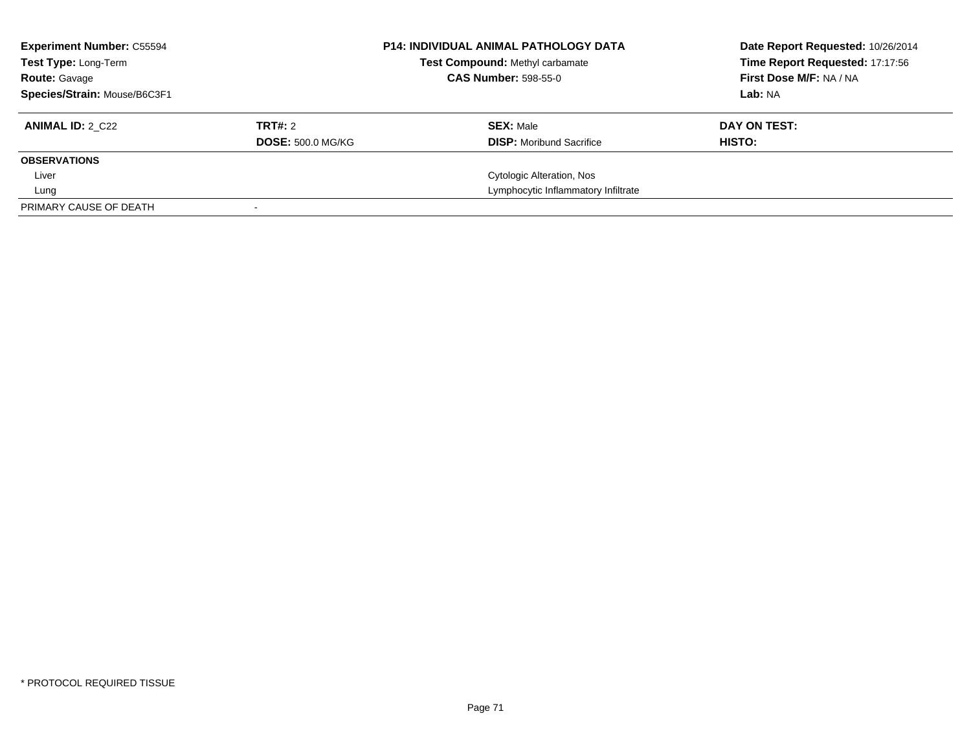| <b>Experiment Number: C55594</b><br><b>Test Type: Long-Term</b><br><b>Route: Gavage</b> |                          | <b>P14: INDIVIDUAL ANIMAL PATHOLOGY DATA</b><br>Test Compound: Methyl carbamate<br><b>CAS Number: 598-55-0</b> | Date Report Requested: 10/26/2014<br>Time Report Requested: 17:17:56<br>First Dose M/F: NA / NA |
|-----------------------------------------------------------------------------------------|--------------------------|----------------------------------------------------------------------------------------------------------------|-------------------------------------------------------------------------------------------------|
| Species/Strain: Mouse/B6C3F1                                                            |                          |                                                                                                                | Lab: NA                                                                                         |
| <b>ANIMAL ID: 2 C22</b>                                                                 | TRT#: 2                  | <b>SEX: Male</b>                                                                                               | DAY ON TEST:                                                                                    |
|                                                                                         | <b>DOSE: 500.0 MG/KG</b> | <b>DISP:</b> Moribund Sacrifice                                                                                | HISTO:                                                                                          |
| <b>OBSERVATIONS</b>                                                                     |                          |                                                                                                                |                                                                                                 |
| Liver                                                                                   |                          | Cytologic Alteration, Nos                                                                                      |                                                                                                 |
| Lung                                                                                    |                          | Lymphocytic Inflammatory Infiltrate                                                                            |                                                                                                 |
| PRIMARY CAUSE OF DEATH                                                                  |                          |                                                                                                                |                                                                                                 |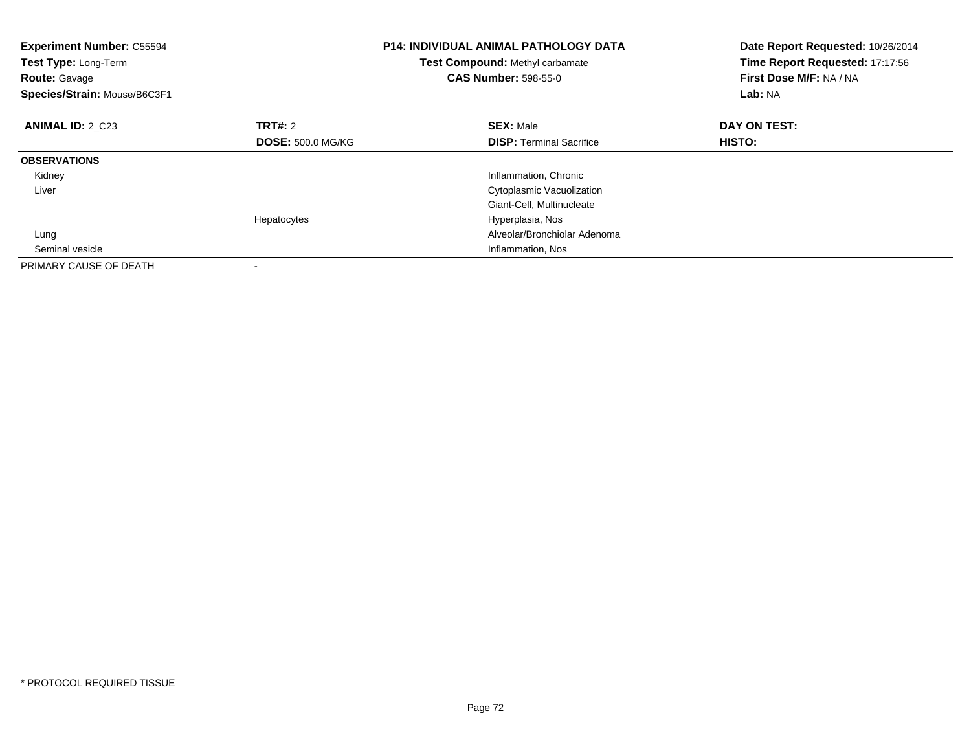| <b>Experiment Number: C55594</b><br>Test Type: Long-Term<br><b>Route: Gavage</b><br>Species/Strain: Mouse/B6C3F1 |                          | <b>P14: INDIVIDUAL ANIMAL PATHOLOGY DATA</b><br>Test Compound: Methyl carbamate<br><b>CAS Number: 598-55-0</b> | Date Report Requested: 10/26/2014<br>Time Report Requested: 17:17:56<br>First Dose M/F: NA / NA<br>Lab: NA |
|------------------------------------------------------------------------------------------------------------------|--------------------------|----------------------------------------------------------------------------------------------------------------|------------------------------------------------------------------------------------------------------------|
| <b>ANIMAL ID: 2 C23</b>                                                                                          | TRT#: 2                  | <b>SEX: Male</b>                                                                                               | DAY ON TEST:                                                                                               |
|                                                                                                                  | <b>DOSE: 500.0 MG/KG</b> | <b>DISP:</b> Terminal Sacrifice                                                                                | <b>HISTO:</b>                                                                                              |
| <b>OBSERVATIONS</b>                                                                                              |                          |                                                                                                                |                                                                                                            |
| Kidney                                                                                                           |                          | Inflammation, Chronic                                                                                          |                                                                                                            |
| Liver                                                                                                            |                          | Cytoplasmic Vacuolization                                                                                      |                                                                                                            |
|                                                                                                                  |                          | Giant-Cell, Multinucleate                                                                                      |                                                                                                            |
|                                                                                                                  | Hepatocytes              | Hyperplasia, Nos                                                                                               |                                                                                                            |
| Lung                                                                                                             |                          | Alveolar/Bronchiolar Adenoma                                                                                   |                                                                                                            |
| Seminal vesicle                                                                                                  |                          | Inflammation, Nos                                                                                              |                                                                                                            |
| PRIMARY CAUSE OF DEATH                                                                                           |                          |                                                                                                                |                                                                                                            |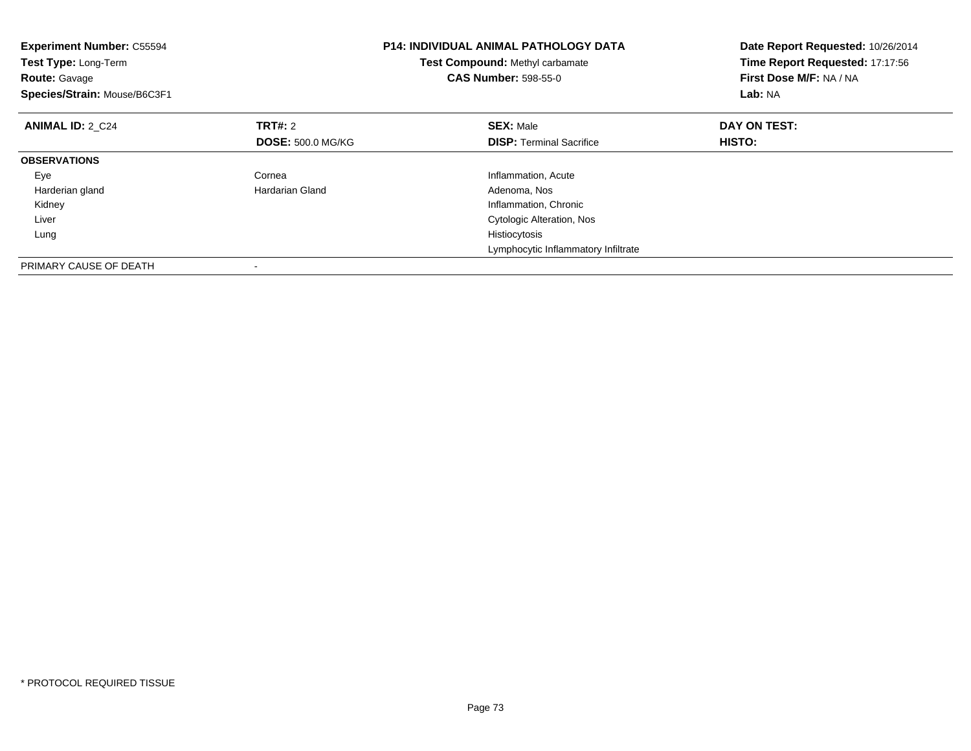| <b>Experiment Number: C55594</b><br>Test Type: Long-Term<br><b>Route: Gavage</b><br>Species/Strain: Mouse/B6C3F1 |                          | <b>P14: INDIVIDUAL ANIMAL PATHOLOGY DATA</b><br><b>Test Compound: Methyl carbamate</b><br><b>CAS Number: 598-55-0</b> | Date Report Requested: 10/26/2014<br>Time Report Requested: 17:17:56<br>First Dose M/F: NA / NA<br>Lab: NA |
|------------------------------------------------------------------------------------------------------------------|--------------------------|-----------------------------------------------------------------------------------------------------------------------|------------------------------------------------------------------------------------------------------------|
| <b>ANIMAL ID: 2 C24</b>                                                                                          | <b>TRT#: 2</b>           | <b>SEX: Male</b>                                                                                                      | DAY ON TEST:                                                                                               |
|                                                                                                                  | <b>DOSE: 500.0 MG/KG</b> | <b>DISP:</b> Terminal Sacrifice                                                                                       | <b>HISTO:</b>                                                                                              |
| <b>OBSERVATIONS</b>                                                                                              |                          |                                                                                                                       |                                                                                                            |
| Eye                                                                                                              | Cornea                   | Inflammation, Acute                                                                                                   |                                                                                                            |
| Harderian gland                                                                                                  | Hardarian Gland          | Adenoma, Nos                                                                                                          |                                                                                                            |
| Kidney                                                                                                           |                          | Inflammation, Chronic                                                                                                 |                                                                                                            |
| Liver                                                                                                            |                          | Cytologic Alteration, Nos                                                                                             |                                                                                                            |
| Lung                                                                                                             |                          | Histiocytosis                                                                                                         |                                                                                                            |
|                                                                                                                  |                          | Lymphocytic Inflammatory Infiltrate                                                                                   |                                                                                                            |
| PRIMARY CAUSE OF DEATH                                                                                           |                          |                                                                                                                       |                                                                                                            |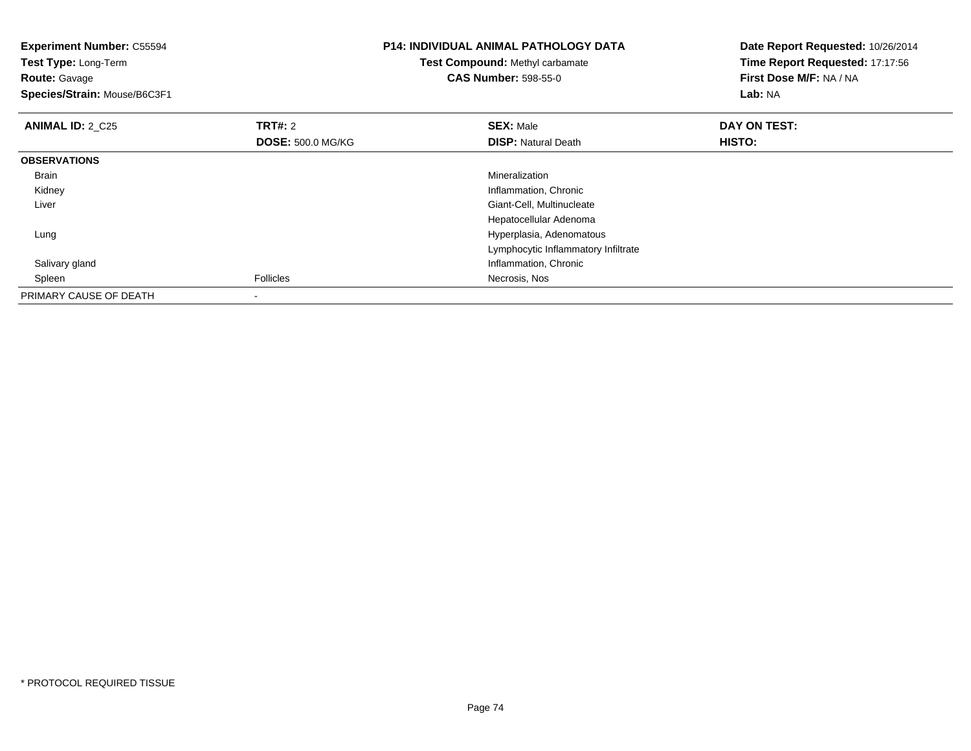| <b>Experiment Number: C55594</b><br>Test Type: Long-Term<br><b>Route: Gavage</b><br>Species/Strain: Mouse/B6C3F1 |                                            | <b>P14: INDIVIDUAL ANIMAL PATHOLOGY DATA</b><br><b>Test Compound: Methyl carbamate</b><br><b>CAS Number: 598-55-0</b> | Date Report Requested: 10/26/2014<br>Time Report Requested: 17:17:56<br>First Dose M/F: NA / NA<br>Lab: NA |
|------------------------------------------------------------------------------------------------------------------|--------------------------------------------|-----------------------------------------------------------------------------------------------------------------------|------------------------------------------------------------------------------------------------------------|
| <b>ANIMAL ID: 2_C25</b>                                                                                          | <b>TRT#: 2</b><br><b>DOSE: 500.0 MG/KG</b> | <b>SEX: Male</b><br><b>DISP: Natural Death</b>                                                                        | DAY ON TEST:<br><b>HISTO:</b>                                                                              |
| <b>OBSERVATIONS</b>                                                                                              |                                            |                                                                                                                       |                                                                                                            |
| Brain                                                                                                            |                                            | Mineralization                                                                                                        |                                                                                                            |
| Kidney                                                                                                           |                                            | Inflammation, Chronic                                                                                                 |                                                                                                            |
| Liver                                                                                                            |                                            | Giant-Cell, Multinucleate                                                                                             |                                                                                                            |
|                                                                                                                  |                                            | Hepatocellular Adenoma                                                                                                |                                                                                                            |
| Lung                                                                                                             |                                            | Hyperplasia, Adenomatous                                                                                              |                                                                                                            |
|                                                                                                                  |                                            | Lymphocytic Inflammatory Infiltrate                                                                                   |                                                                                                            |
| Salivary gland                                                                                                   |                                            | Inflammation, Chronic                                                                                                 |                                                                                                            |
| Spleen                                                                                                           | <b>Follicles</b>                           | Necrosis, Nos                                                                                                         |                                                                                                            |
| PRIMARY CAUSE OF DEATH                                                                                           | $\,$                                       |                                                                                                                       |                                                                                                            |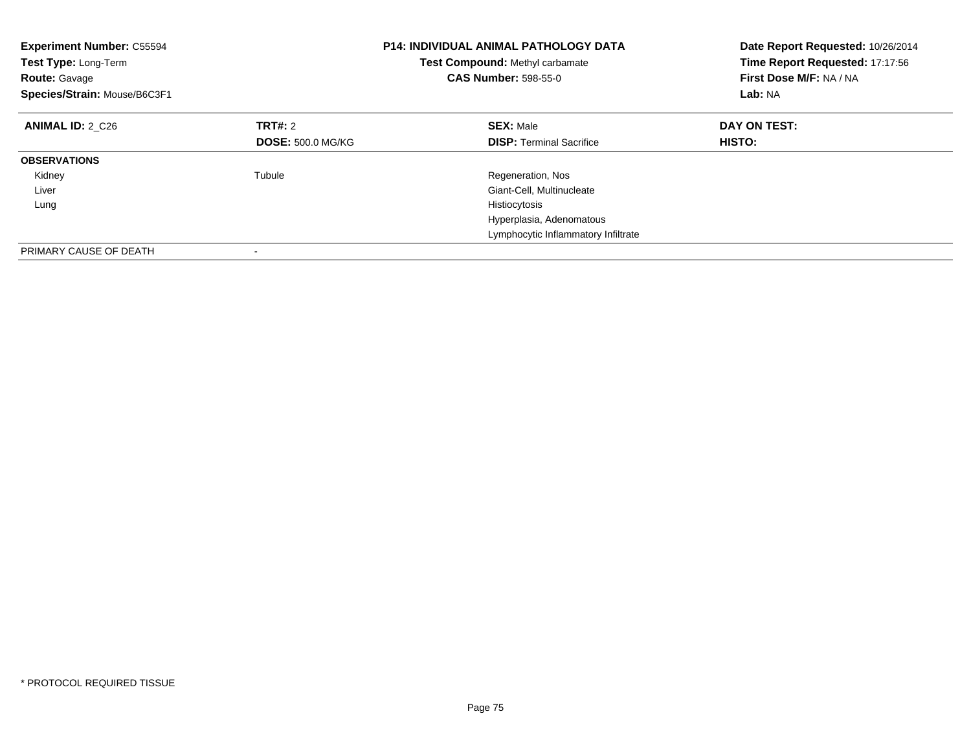| <b>Experiment Number: C55594</b><br>Test Type: Long-Term<br><b>Route: Gavage</b><br>Species/Strain: Mouse/B6C3F1 |                          | <b>P14: INDIVIDUAL ANIMAL PATHOLOGY DATA</b><br>Test Compound: Methyl carbamate<br><b>CAS Number: 598-55-0</b> | Date Report Requested: 10/26/2014<br>Time Report Requested: 17:17:56<br>First Dose M/F: NA / NA<br>Lab: NA |
|------------------------------------------------------------------------------------------------------------------|--------------------------|----------------------------------------------------------------------------------------------------------------|------------------------------------------------------------------------------------------------------------|
| <b>ANIMAL ID: 2 C26</b>                                                                                          | TRT#: 2                  | <b>SEX: Male</b>                                                                                               | DAY ON TEST:                                                                                               |
|                                                                                                                  | <b>DOSE: 500.0 MG/KG</b> | <b>DISP:</b> Terminal Sacrifice                                                                                | <b>HISTO:</b>                                                                                              |
| <b>OBSERVATIONS</b>                                                                                              |                          |                                                                                                                |                                                                                                            |
| Kidney                                                                                                           | Tubule                   | Regeneration, Nos                                                                                              |                                                                                                            |
| Liver                                                                                                            |                          | Giant-Cell, Multinucleate                                                                                      |                                                                                                            |
| Lung                                                                                                             |                          | Histiocytosis                                                                                                  |                                                                                                            |
|                                                                                                                  |                          | Hyperplasia, Adenomatous                                                                                       |                                                                                                            |
|                                                                                                                  |                          | Lymphocytic Inflammatory Infiltrate                                                                            |                                                                                                            |
| PRIMARY CAUSE OF DEATH                                                                                           |                          |                                                                                                                |                                                                                                            |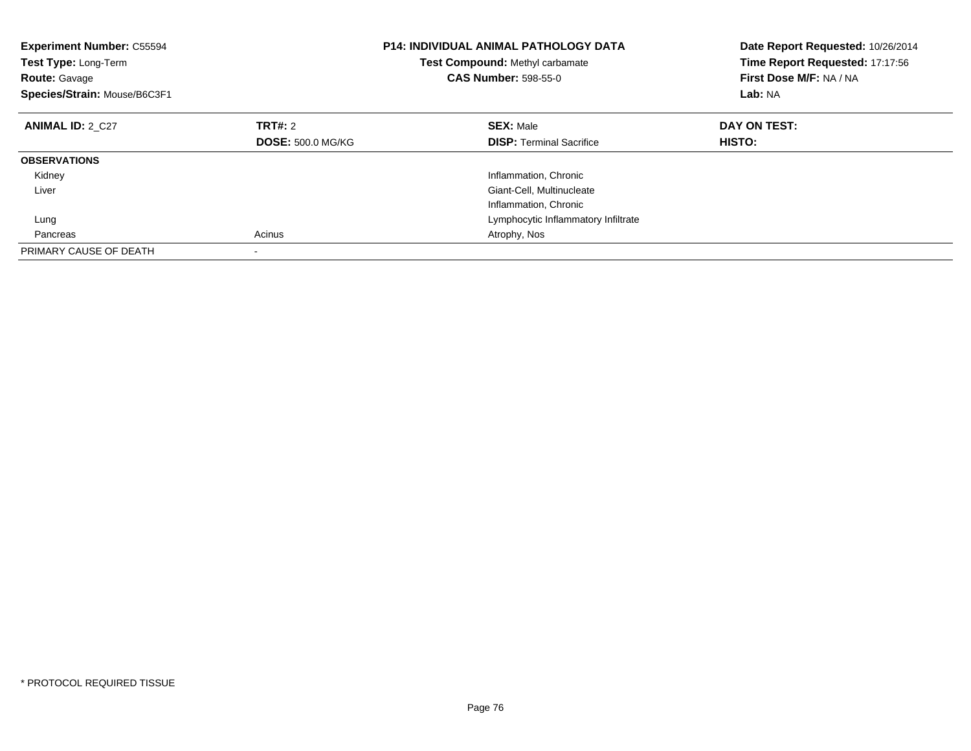| <b>Experiment Number: C55594</b><br>Test Type: Long-Term<br><b>Route: Gavage</b><br>Species/Strain: Mouse/B6C3F1 |                          | <b>P14: INDIVIDUAL ANIMAL PATHOLOGY DATA</b><br>Test Compound: Methyl carbamate<br><b>CAS Number: 598-55-0</b> | Date Report Requested: 10/26/2014<br>Time Report Requested: 17:17:56<br>First Dose M/F: NA / NA<br>Lab: NA |
|------------------------------------------------------------------------------------------------------------------|--------------------------|----------------------------------------------------------------------------------------------------------------|------------------------------------------------------------------------------------------------------------|
| <b>ANIMAL ID: 2 C27</b>                                                                                          | TRT#: 2                  | <b>SEX: Male</b>                                                                                               | DAY ON TEST:                                                                                               |
|                                                                                                                  | <b>DOSE: 500.0 MG/KG</b> | <b>DISP:</b> Terminal Sacrifice                                                                                | <b>HISTO:</b>                                                                                              |
| <b>OBSERVATIONS</b>                                                                                              |                          |                                                                                                                |                                                                                                            |
| Kidney                                                                                                           |                          | Inflammation, Chronic                                                                                          |                                                                                                            |
| Liver                                                                                                            |                          | Giant-Cell, Multinucleate                                                                                      |                                                                                                            |
|                                                                                                                  |                          | Inflammation, Chronic                                                                                          |                                                                                                            |
| Lung                                                                                                             |                          | Lymphocytic Inflammatory Infiltrate                                                                            |                                                                                                            |
| Pancreas                                                                                                         | Acinus                   | Atrophy, Nos                                                                                                   |                                                                                                            |
| PRIMARY CAUSE OF DEATH                                                                                           |                          |                                                                                                                |                                                                                                            |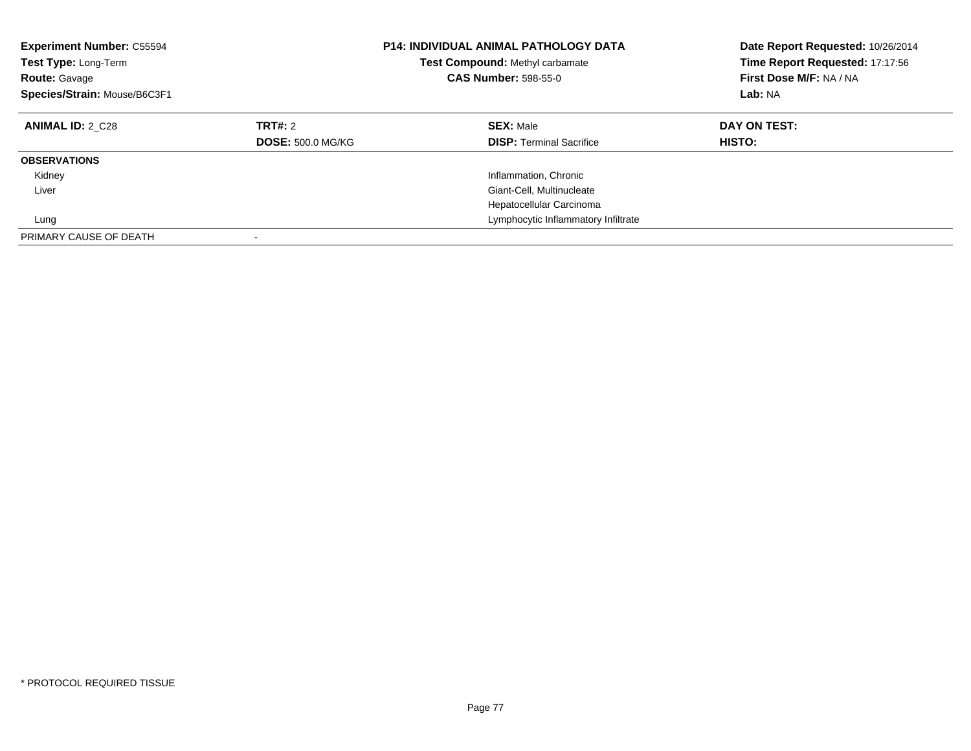| <b>Experiment Number: C55594</b><br>Test Type: Long-Term<br><b>Route: Gavage</b><br>Species/Strain: Mouse/B6C3F1 |                                            | <b>P14: INDIVIDUAL ANIMAL PATHOLOGY DATA</b><br>Test Compound: Methyl carbamate<br><b>CAS Number: 598-55-0</b> | Date Report Requested: 10/26/2014<br>Time Report Requested: 17:17:56<br>First Dose M/F: NA / NA<br>Lab: NA |
|------------------------------------------------------------------------------------------------------------------|--------------------------------------------|----------------------------------------------------------------------------------------------------------------|------------------------------------------------------------------------------------------------------------|
| <b>ANIMAL ID: 2 C28</b>                                                                                          | <b>TRT#: 2</b><br><b>DOSE: 500.0 MG/KG</b> | <b>SEX: Male</b><br><b>DISP:</b> Terminal Sacrifice                                                            | DAY ON TEST:<br><b>HISTO:</b>                                                                              |
| <b>OBSERVATIONS</b>                                                                                              |                                            |                                                                                                                |                                                                                                            |
| Kidney                                                                                                           |                                            | Inflammation, Chronic                                                                                          |                                                                                                            |
| Liver                                                                                                            |                                            | Giant-Cell, Multinucleate                                                                                      |                                                                                                            |
|                                                                                                                  |                                            | Hepatocellular Carcinoma                                                                                       |                                                                                                            |
| Lung                                                                                                             |                                            | Lymphocytic Inflammatory Infiltrate                                                                            |                                                                                                            |
| PRIMARY CAUSE OF DEATH                                                                                           |                                            |                                                                                                                |                                                                                                            |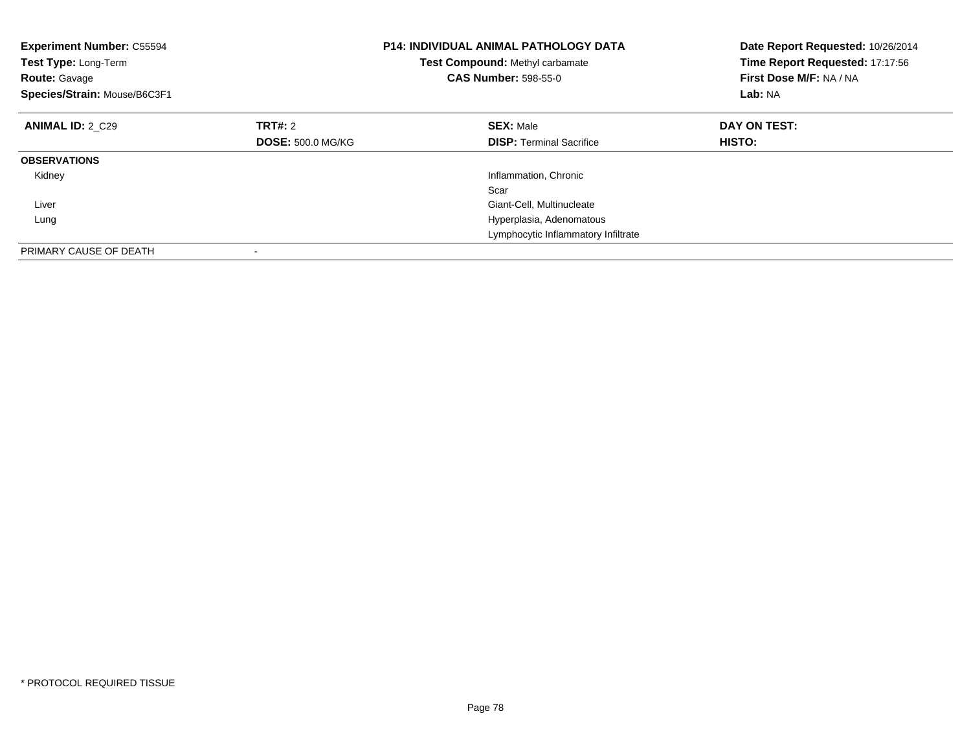| <b>Experiment Number: C55594</b><br>Test Type: Long-Term<br><b>Route: Gavage</b><br>Species/Strain: Mouse/B6C3F1 |                          | <b>P14: INDIVIDUAL ANIMAL PATHOLOGY DATA</b><br>Test Compound: Methyl carbamate<br><b>CAS Number: 598-55-0</b> | Date Report Requested: 10/26/2014<br>Time Report Requested: 17:17:56<br>First Dose M/F: NA / NA<br>Lab: NA |
|------------------------------------------------------------------------------------------------------------------|--------------------------|----------------------------------------------------------------------------------------------------------------|------------------------------------------------------------------------------------------------------------|
| <b>ANIMAL ID: 2 C29</b>                                                                                          | TRT#: 2                  | <b>SEX: Male</b>                                                                                               | DAY ON TEST:                                                                                               |
|                                                                                                                  | <b>DOSE: 500.0 MG/KG</b> | <b>DISP:</b> Terminal Sacrifice                                                                                | <b>HISTO:</b>                                                                                              |
| <b>OBSERVATIONS</b>                                                                                              |                          |                                                                                                                |                                                                                                            |
| Kidney                                                                                                           |                          | Inflammation, Chronic                                                                                          |                                                                                                            |
|                                                                                                                  |                          | Scar                                                                                                           |                                                                                                            |
| Liver                                                                                                            |                          | Giant-Cell, Multinucleate                                                                                      |                                                                                                            |
| Lung                                                                                                             |                          | Hyperplasia, Adenomatous                                                                                       |                                                                                                            |
|                                                                                                                  |                          | Lymphocytic Inflammatory Infiltrate                                                                            |                                                                                                            |
| PRIMARY CAUSE OF DEATH                                                                                           |                          |                                                                                                                |                                                                                                            |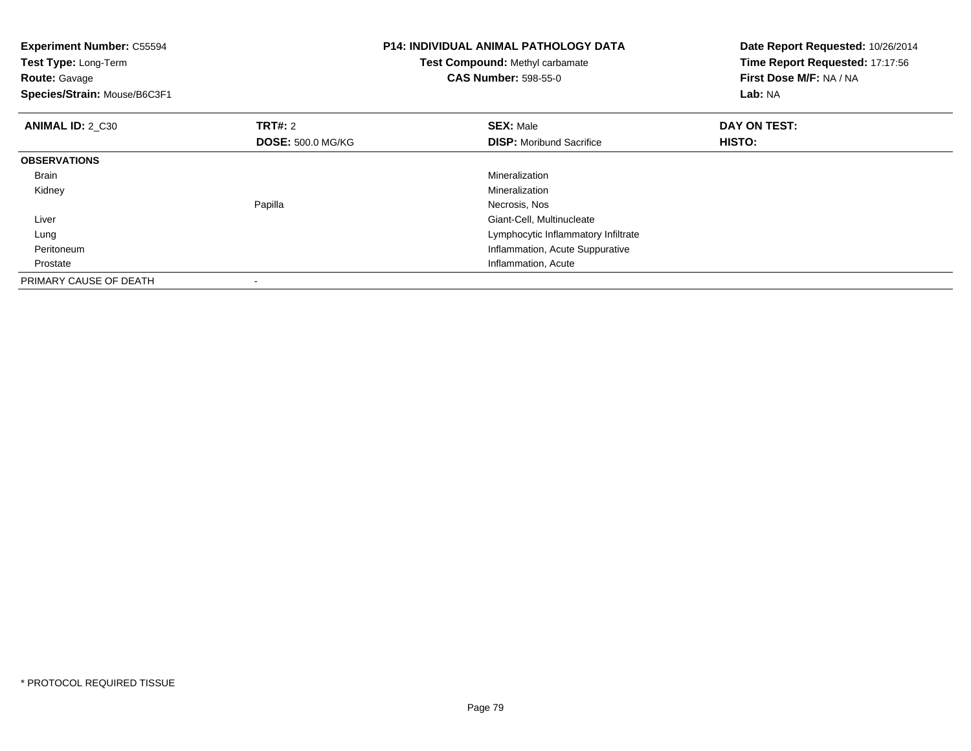| <b>Experiment Number: C55594</b><br>Test Type: Long-Term<br><b>Route: Gavage</b><br>Species/Strain: Mouse/B6C3F1 |                          | <b>P14: INDIVIDUAL ANIMAL PATHOLOGY DATA</b><br>Test Compound: Methyl carbamate<br><b>CAS Number: 598-55-0</b> | Date Report Requested: 10/26/2014<br>Time Report Requested: 17:17:56<br>First Dose M/F: NA / NA<br>Lab: NA |
|------------------------------------------------------------------------------------------------------------------|--------------------------|----------------------------------------------------------------------------------------------------------------|------------------------------------------------------------------------------------------------------------|
| ANIMAL ID: 2 C30                                                                                                 | <b>TRT#:</b> 2           | <b>SEX: Male</b>                                                                                               | DAY ON TEST:                                                                                               |
|                                                                                                                  | <b>DOSE: 500.0 MG/KG</b> | <b>DISP:</b> Moribund Sacrifice                                                                                | HISTO:                                                                                                     |
| <b>OBSERVATIONS</b>                                                                                              |                          |                                                                                                                |                                                                                                            |
| Brain                                                                                                            |                          | Mineralization                                                                                                 |                                                                                                            |
| Kidney                                                                                                           |                          | Mineralization                                                                                                 |                                                                                                            |
|                                                                                                                  | Papilla                  | Necrosis, Nos                                                                                                  |                                                                                                            |
| Liver                                                                                                            |                          | Giant-Cell, Multinucleate                                                                                      |                                                                                                            |
| Lung                                                                                                             |                          | Lymphocytic Inflammatory Infiltrate                                                                            |                                                                                                            |
| Peritoneum                                                                                                       |                          | Inflammation, Acute Suppurative                                                                                |                                                                                                            |
| Prostate                                                                                                         |                          | Inflammation, Acute                                                                                            |                                                                                                            |
| PRIMARY CAUSE OF DEATH                                                                                           |                          |                                                                                                                |                                                                                                            |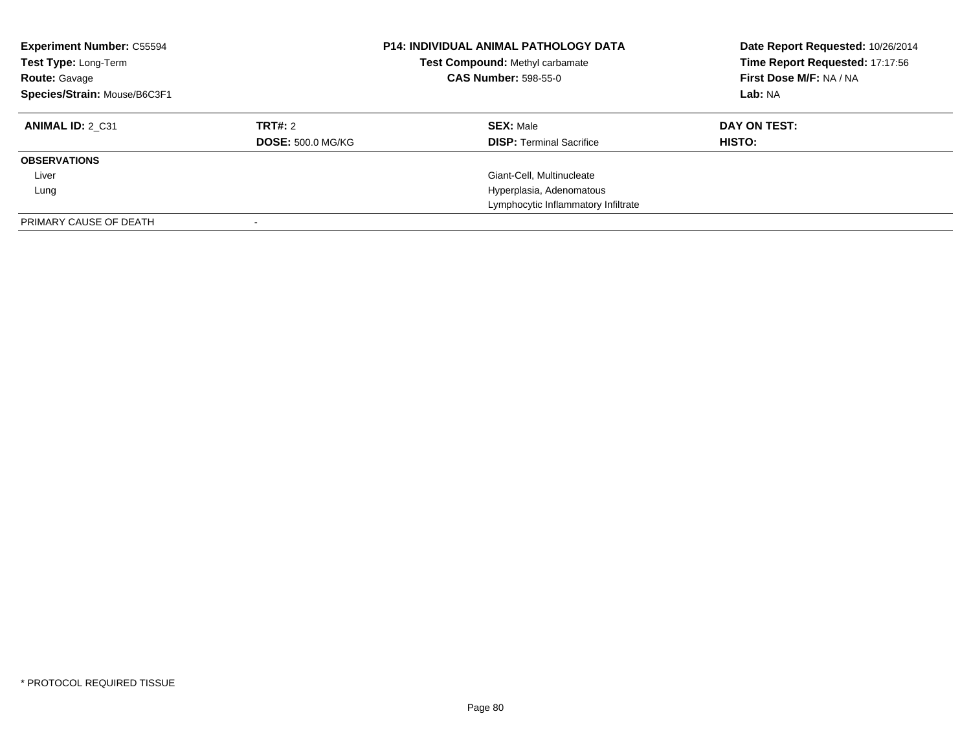| <b>Experiment Number: C55594</b><br>Test Type: Long-Term<br><b>Route: Gavage</b><br>Species/Strain: Mouse/B6C3F1 |                          | <b>P14: INDIVIDUAL ANIMAL PATHOLOGY DATA</b><br>Test Compound: Methyl carbamate<br><b>CAS Number: 598-55-0</b> | Date Report Requested: 10/26/2014<br>Time Report Requested: 17:17:56<br>First Dose M/F: NA / NA<br>Lab: NA |
|------------------------------------------------------------------------------------------------------------------|--------------------------|----------------------------------------------------------------------------------------------------------------|------------------------------------------------------------------------------------------------------------|
| ANIMAL ID: 2 C31                                                                                                 | <b>TRT#:</b> 2           | <b>SEX: Male</b>                                                                                               | DAY ON TEST:                                                                                               |
|                                                                                                                  | <b>DOSE: 500.0 MG/KG</b> | <b>DISP:</b> Terminal Sacrifice                                                                                | HISTO:                                                                                                     |
| <b>OBSERVATIONS</b>                                                                                              |                          |                                                                                                                |                                                                                                            |
| Liver                                                                                                            |                          | Giant-Cell, Multinucleate                                                                                      |                                                                                                            |
| Lung                                                                                                             |                          | Hyperplasia, Adenomatous                                                                                       |                                                                                                            |
|                                                                                                                  |                          | Lymphocytic Inflammatory Infiltrate                                                                            |                                                                                                            |
| PRIMARY CAUSE OF DEATH                                                                                           |                          |                                                                                                                |                                                                                                            |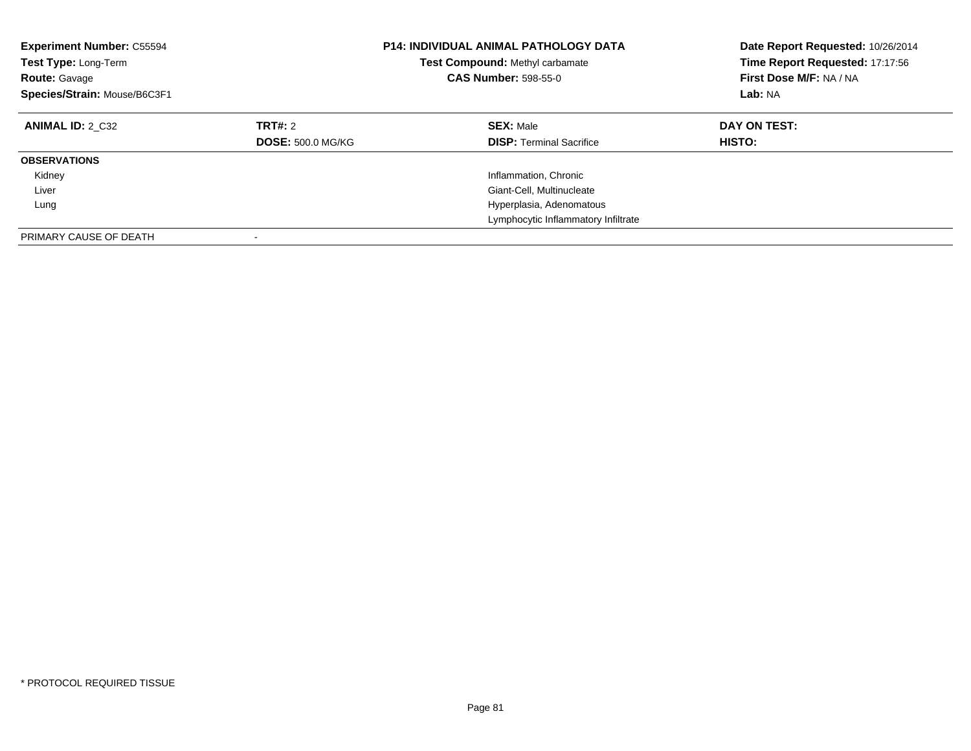| <b>Experiment Number: C55594</b><br>Test Type: Long-Term<br><b>Route: Gavage</b><br>Species/Strain: Mouse/B6C3F1 |                                     | <b>P14: INDIVIDUAL ANIMAL PATHOLOGY DATA</b><br><b>Test Compound: Methyl carbamate</b><br><b>CAS Number: 598-55-0</b> | Date Report Requested: 10/26/2014<br>Time Report Requested: 17:17:56<br>First Dose M/F: NA / NA<br>Lab: NA |
|------------------------------------------------------------------------------------------------------------------|-------------------------------------|-----------------------------------------------------------------------------------------------------------------------|------------------------------------------------------------------------------------------------------------|
| <b>ANIMAL ID: 2 C32</b>                                                                                          | TRT#: 2<br><b>DOSE: 500.0 MG/KG</b> | <b>SEX: Male</b><br><b>DISP:</b> Terminal Sacrifice                                                                   | DAY ON TEST:<br><b>HISTO:</b>                                                                              |
| <b>OBSERVATIONS</b>                                                                                              |                                     |                                                                                                                       |                                                                                                            |
| Kidney                                                                                                           |                                     | Inflammation, Chronic                                                                                                 |                                                                                                            |
| Liver                                                                                                            |                                     | Giant-Cell, Multinucleate                                                                                             |                                                                                                            |
| Lung                                                                                                             |                                     | Hyperplasia, Adenomatous                                                                                              |                                                                                                            |
|                                                                                                                  |                                     | Lymphocytic Inflammatory Infiltrate                                                                                   |                                                                                                            |
| PRIMARY CAUSE OF DEATH                                                                                           |                                     |                                                                                                                       |                                                                                                            |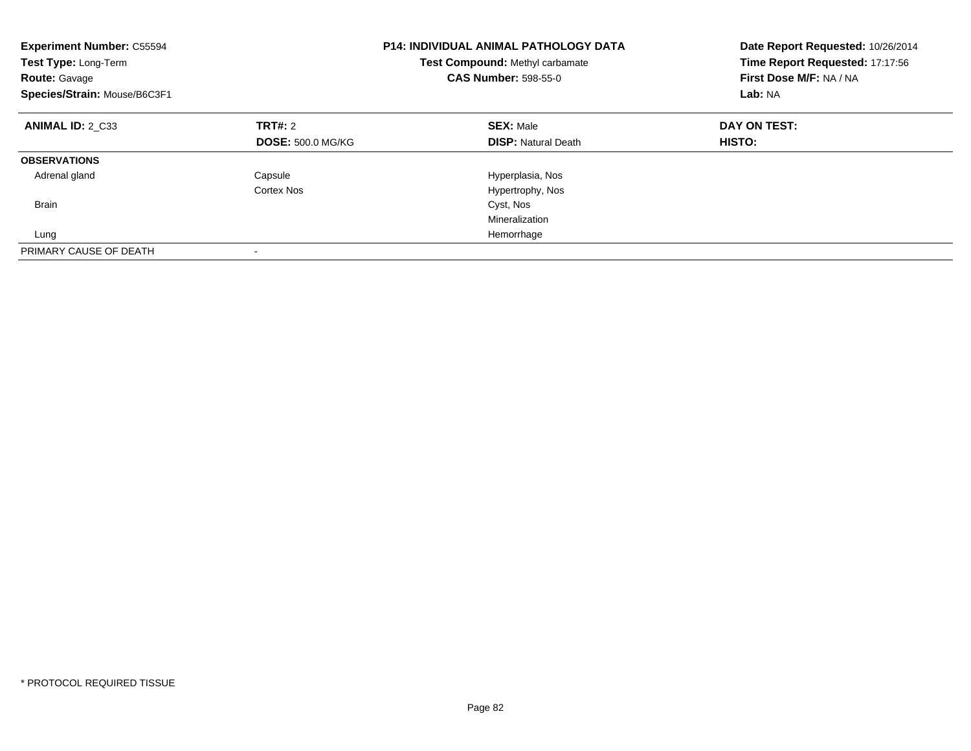| <b>Experiment Number: C55594</b><br>Test Type: Long-Term<br><b>Route: Gavage</b><br>Species/Strain: Mouse/B6C3F1 |                          | <b>P14: INDIVIDUAL ANIMAL PATHOLOGY DATA</b><br>Test Compound: Methyl carbamate<br><b>CAS Number: 598-55-0</b> | Date Report Requested: 10/26/2014<br>Time Report Requested: 17:17:56<br>First Dose M/F: NA / NA<br>Lab: NA |
|------------------------------------------------------------------------------------------------------------------|--------------------------|----------------------------------------------------------------------------------------------------------------|------------------------------------------------------------------------------------------------------------|
| <b>ANIMAL ID: 2 C33</b>                                                                                          | TRT#: 2                  | <b>SEX: Male</b>                                                                                               | DAY ON TEST:                                                                                               |
|                                                                                                                  | <b>DOSE: 500.0 MG/KG</b> | <b>DISP:</b> Natural Death                                                                                     | <b>HISTO:</b>                                                                                              |
| <b>OBSERVATIONS</b>                                                                                              |                          |                                                                                                                |                                                                                                            |
| Adrenal gland                                                                                                    | Capsule                  | Hyperplasia, Nos                                                                                               |                                                                                                            |
|                                                                                                                  | Cortex Nos               | Hypertrophy, Nos                                                                                               |                                                                                                            |
| <b>Brain</b>                                                                                                     |                          | Cyst, Nos                                                                                                      |                                                                                                            |
|                                                                                                                  |                          | Mineralization                                                                                                 |                                                                                                            |
| Lung                                                                                                             |                          | Hemorrhage                                                                                                     |                                                                                                            |
| PRIMARY CAUSE OF DEATH                                                                                           |                          |                                                                                                                |                                                                                                            |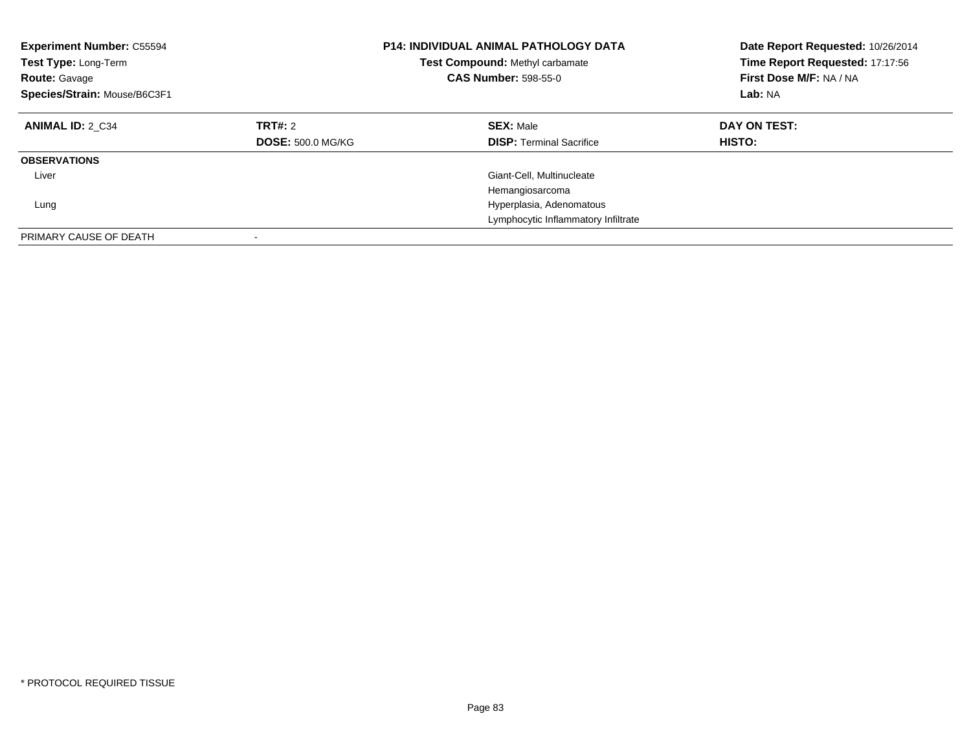| <b>Experiment Number: C55594</b><br>Test Type: Long-Term<br><b>Route: Gavage</b><br>Species/Strain: Mouse/B6C3F1 |                                     | <b>P14: INDIVIDUAL ANIMAL PATHOLOGY DATA</b><br>Test Compound: Methyl carbamate<br><b>CAS Number: 598-55-0</b> | Date Report Requested: 10/26/2014<br>Time Report Requested: 17:17:56<br>First Dose M/F: NA / NA<br>Lab: NA |
|------------------------------------------------------------------------------------------------------------------|-------------------------------------|----------------------------------------------------------------------------------------------------------------|------------------------------------------------------------------------------------------------------------|
| <b>ANIMAL ID: 2 C34</b>                                                                                          | TRT#: 2<br><b>DOSE: 500.0 MG/KG</b> | <b>SEX: Male</b><br><b>DISP: Terminal Sacrifice</b>                                                            | DAY ON TEST:<br><b>HISTO:</b>                                                                              |
| <b>OBSERVATIONS</b>                                                                                              |                                     |                                                                                                                |                                                                                                            |
| Liver<br>Lung                                                                                                    |                                     | Giant-Cell, Multinucleate<br>Hemangiosarcoma<br>Hyperplasia, Adenomatous                                       |                                                                                                            |
| PRIMARY CAUSE OF DEATH                                                                                           |                                     | Lymphocytic Inflammatory Infiltrate                                                                            |                                                                                                            |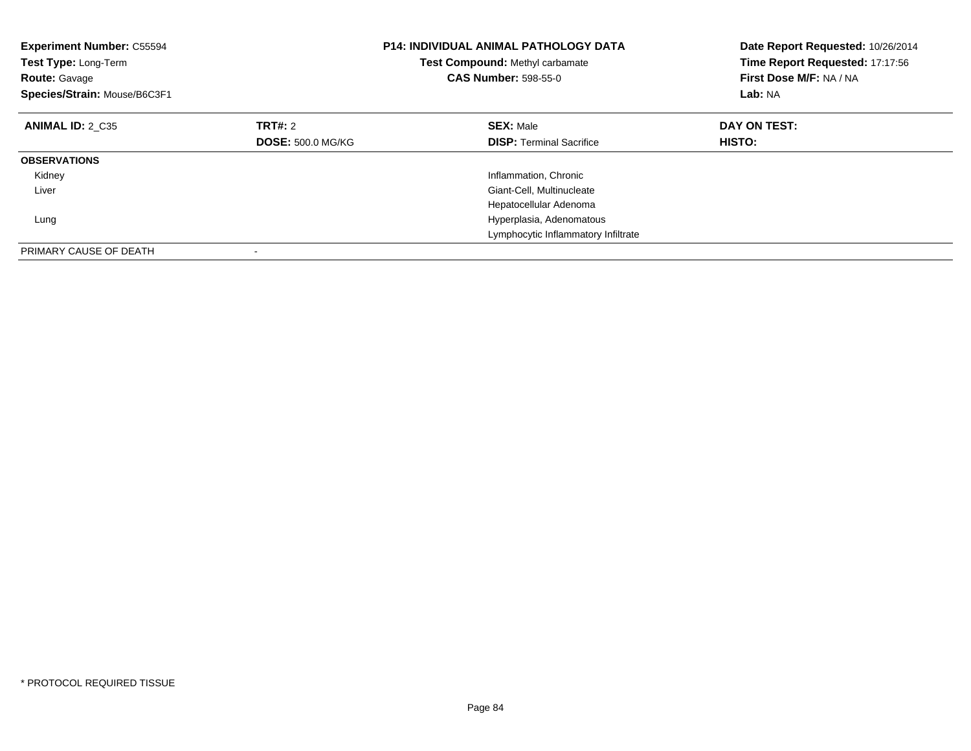| <b>Experiment Number: C55594</b><br>Test Type: Long-Term<br><b>Route: Gavage</b><br>Species/Strain: Mouse/B6C3F1 |                          | <b>P14: INDIVIDUAL ANIMAL PATHOLOGY DATA</b><br>Test Compound: Methyl carbamate<br><b>CAS Number: 598-55-0</b> | Date Report Requested: 10/26/2014<br>Time Report Requested: 17:17:56<br>First Dose M/F: NA / NA<br>Lab: NA |
|------------------------------------------------------------------------------------------------------------------|--------------------------|----------------------------------------------------------------------------------------------------------------|------------------------------------------------------------------------------------------------------------|
| <b>ANIMAL ID: 2 C35</b>                                                                                          | TRT#: 2                  | <b>SEX: Male</b>                                                                                               | DAY ON TEST:                                                                                               |
|                                                                                                                  | <b>DOSE: 500.0 MG/KG</b> | <b>DISP:</b> Terminal Sacrifice                                                                                | HISTO:                                                                                                     |
| <b>OBSERVATIONS</b>                                                                                              |                          |                                                                                                                |                                                                                                            |
| Kidney                                                                                                           |                          | Inflammation, Chronic                                                                                          |                                                                                                            |
| Liver                                                                                                            |                          | Giant-Cell, Multinucleate                                                                                      |                                                                                                            |
|                                                                                                                  |                          | Hepatocellular Adenoma                                                                                         |                                                                                                            |
| Lung                                                                                                             |                          | Hyperplasia, Adenomatous                                                                                       |                                                                                                            |
|                                                                                                                  |                          | Lymphocytic Inflammatory Infiltrate                                                                            |                                                                                                            |
| PRIMARY CAUSE OF DEATH                                                                                           |                          |                                                                                                                |                                                                                                            |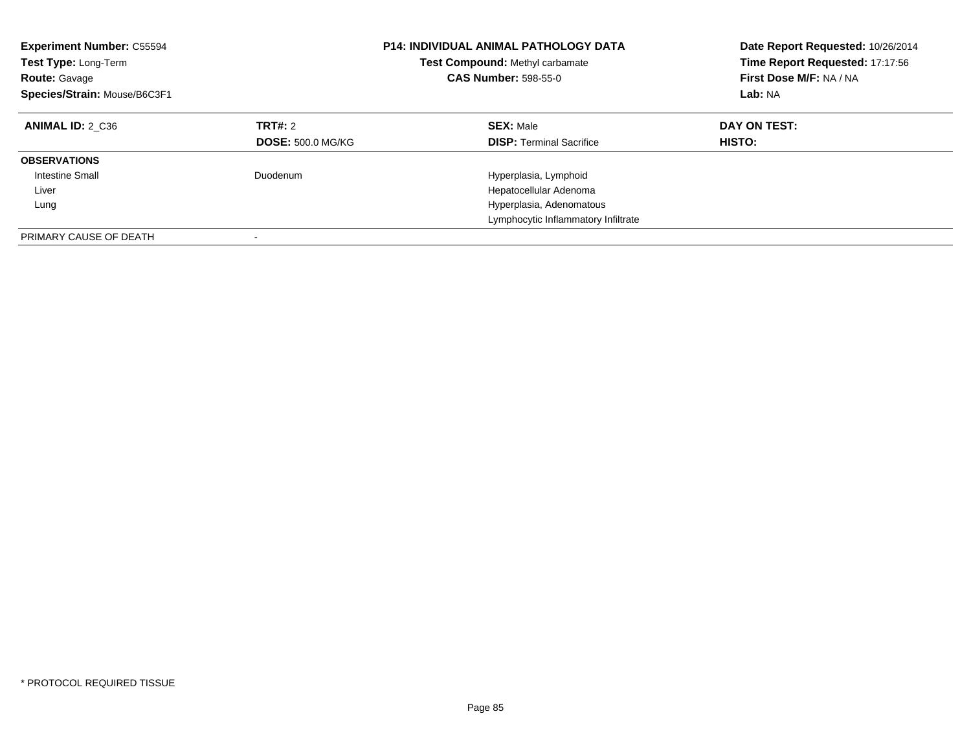| <b>Experiment Number: C55594</b><br><b>Test Type: Long-Term</b><br><b>Route: Gavage</b><br>Species/Strain: Mouse/B6C3F1 |                                     | <b>P14: INDIVIDUAL ANIMAL PATHOLOGY DATA</b><br>Test Compound: Methyl carbamate<br><b>CAS Number: 598-55-0</b> | Date Report Requested: 10/26/2014<br>Time Report Requested: 17:17:56<br>First Dose M/F: NA / NA<br>Lab: NA |
|-------------------------------------------------------------------------------------------------------------------------|-------------------------------------|----------------------------------------------------------------------------------------------------------------|------------------------------------------------------------------------------------------------------------|
| ANIMAL ID: 2 C36                                                                                                        | TRT#: 2<br><b>DOSE: 500.0 MG/KG</b> | <b>SEX: Male</b><br><b>DISP:</b> Terminal Sacrifice                                                            | DAY ON TEST:<br><b>HISTO:</b>                                                                              |
| <b>OBSERVATIONS</b>                                                                                                     |                                     |                                                                                                                |                                                                                                            |
| Intestine Small                                                                                                         | Duodenum                            | Hyperplasia, Lymphoid                                                                                          |                                                                                                            |
| Liver                                                                                                                   |                                     | Hepatocellular Adenoma                                                                                         |                                                                                                            |
| Lung                                                                                                                    |                                     | Hyperplasia, Adenomatous                                                                                       |                                                                                                            |
|                                                                                                                         |                                     | Lymphocytic Inflammatory Infiltrate                                                                            |                                                                                                            |
| PRIMARY CAUSE OF DEATH                                                                                                  |                                     |                                                                                                                |                                                                                                            |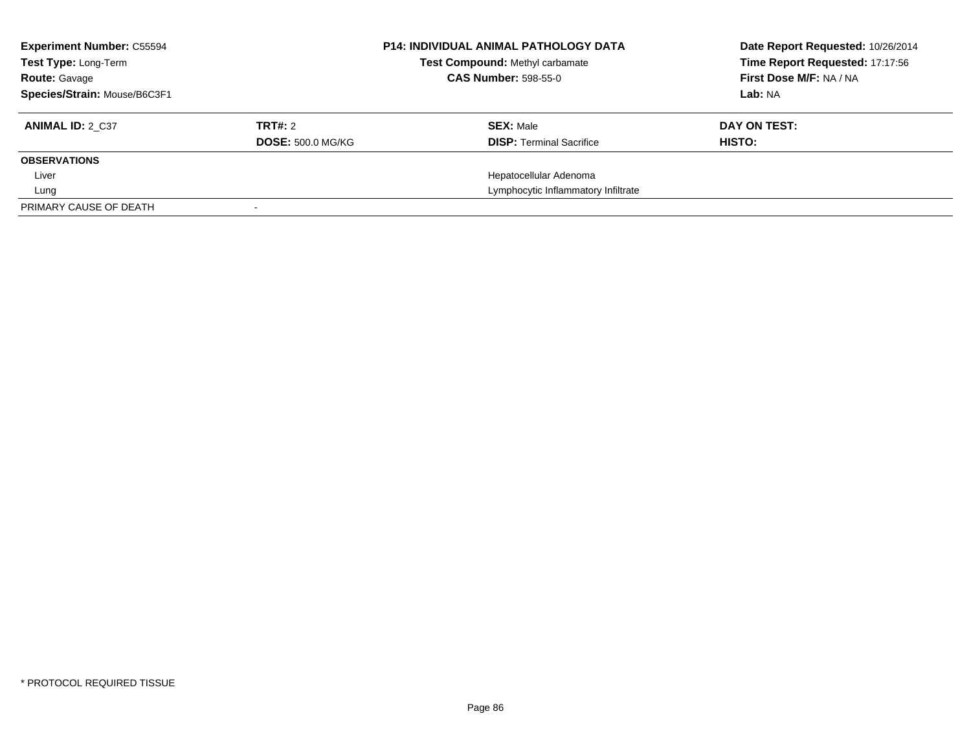| <b>Experiment Number: C55594</b><br>Test Type: Long-Term<br><b>Route: Gavage</b> |                          | <b>P14: INDIVIDUAL ANIMAL PATHOLOGY DATA</b><br>Test Compound: Methyl carbamate<br><b>CAS Number: 598-55-0</b> |                                     | Date Report Requested: 10/26/2014<br>Time Report Requested: 17:17:56<br>First Dose M/F: NA / NA |
|----------------------------------------------------------------------------------|--------------------------|----------------------------------------------------------------------------------------------------------------|-------------------------------------|-------------------------------------------------------------------------------------------------|
| Species/Strain: Mouse/B6C3F1                                                     |                          |                                                                                                                |                                     | Lab: NA                                                                                         |
| <b>ANIMAL ID: 2 C37</b>                                                          | TRT#: 2                  |                                                                                                                | <b>SEX: Male</b>                    | DAY ON TEST:                                                                                    |
|                                                                                  | <b>DOSE: 500.0 MG/KG</b> |                                                                                                                | <b>DISP: Terminal Sacrifice</b>     | HISTO:                                                                                          |
| <b>OBSERVATIONS</b>                                                              |                          |                                                                                                                |                                     |                                                                                                 |
| Liver                                                                            |                          |                                                                                                                | Hepatocellular Adenoma              |                                                                                                 |
| Lung                                                                             |                          |                                                                                                                | Lymphocytic Inflammatory Infiltrate |                                                                                                 |
| PRIMARY CAUSE OF DEATH                                                           |                          |                                                                                                                |                                     |                                                                                                 |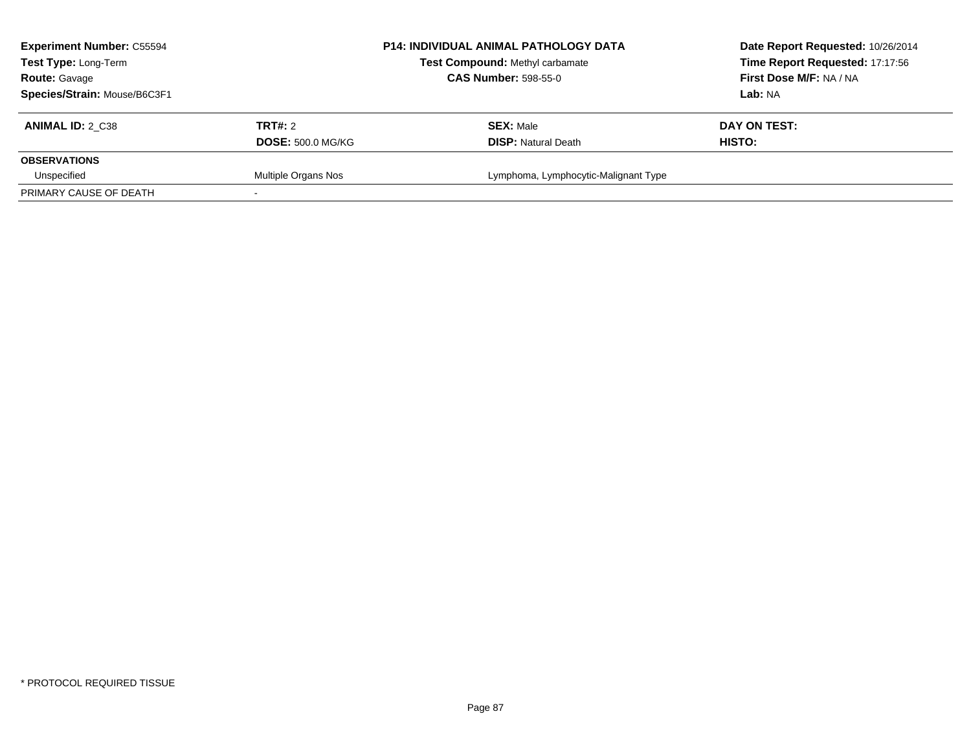| <b>Experiment Number: C55594</b><br>Test Type: Long-Term<br><b>Route: Gavage</b> |                          | <b>P14: INDIVIDUAL ANIMAL PATHOLOGY DATA</b><br>Test Compound: Methyl carbamate<br><b>CAS Number: 598-55-0</b> | Date Report Requested: 10/26/2014<br>Time Report Requested: 17:17:56<br>First Dose M/F: NA / NA |
|----------------------------------------------------------------------------------|--------------------------|----------------------------------------------------------------------------------------------------------------|-------------------------------------------------------------------------------------------------|
| Species/Strain: Mouse/B6C3F1                                                     |                          |                                                                                                                | Lab: NA                                                                                         |
| ANIMAL ID: 2 C38                                                                 | <b>TRT#:</b> 2           | <b>SEX: Male</b>                                                                                               | DAY ON TEST:                                                                                    |
|                                                                                  | <b>DOSE: 500.0 MG/KG</b> | <b>DISP:</b> Natural Death                                                                                     | <b>HISTO:</b>                                                                                   |
| <b>OBSERVATIONS</b>                                                              |                          |                                                                                                                |                                                                                                 |
| Unspecified                                                                      | Multiple Organs Nos      | Lymphoma, Lymphocytic-Malignant Type                                                                           |                                                                                                 |
| PRIMARY CAUSE OF DEATH                                                           |                          |                                                                                                                |                                                                                                 |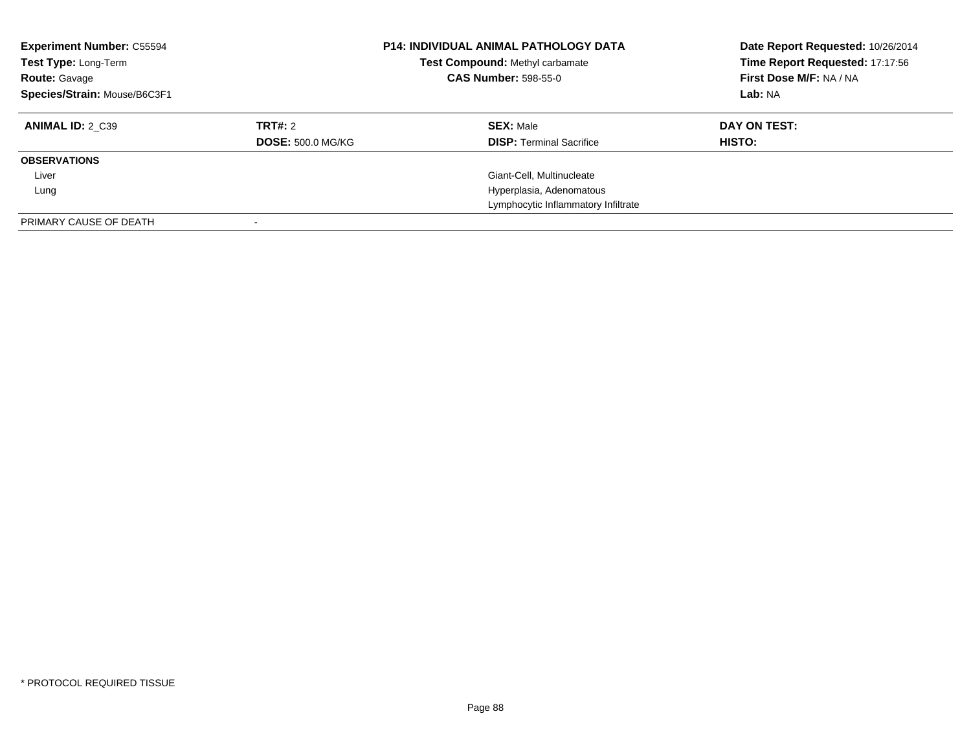| <b>Experiment Number: C55594</b><br>Test Type: Long-Term<br><b>Route: Gavage</b><br>Species/Strain: Mouse/B6C3F1 |                          | <b>P14: INDIVIDUAL ANIMAL PATHOLOGY DATA</b><br>Test Compound: Methyl carbamate<br><b>CAS Number: 598-55-0</b> | Date Report Requested: 10/26/2014<br>Time Report Requested: 17:17:56<br>First Dose M/F: NA / NA<br>Lab: NA |  |
|------------------------------------------------------------------------------------------------------------------|--------------------------|----------------------------------------------------------------------------------------------------------------|------------------------------------------------------------------------------------------------------------|--|
| <b>ANIMAL ID: 2 C39</b>                                                                                          | <b>TRT#:</b> 2           | <b>SEX: Male</b>                                                                                               | DAY ON TEST:                                                                                               |  |
|                                                                                                                  | <b>DOSE: 500.0 MG/KG</b> | <b>DISP:</b> Terminal Sacrifice                                                                                | HISTO:                                                                                                     |  |
| <b>OBSERVATIONS</b>                                                                                              |                          |                                                                                                                |                                                                                                            |  |
| Liver                                                                                                            |                          | Giant-Cell, Multinucleate                                                                                      |                                                                                                            |  |
| Lung                                                                                                             |                          | Hyperplasia, Adenomatous                                                                                       |                                                                                                            |  |
|                                                                                                                  |                          | Lymphocytic Inflammatory Infiltrate                                                                            |                                                                                                            |  |
| PRIMARY CAUSE OF DEATH                                                                                           |                          |                                                                                                                |                                                                                                            |  |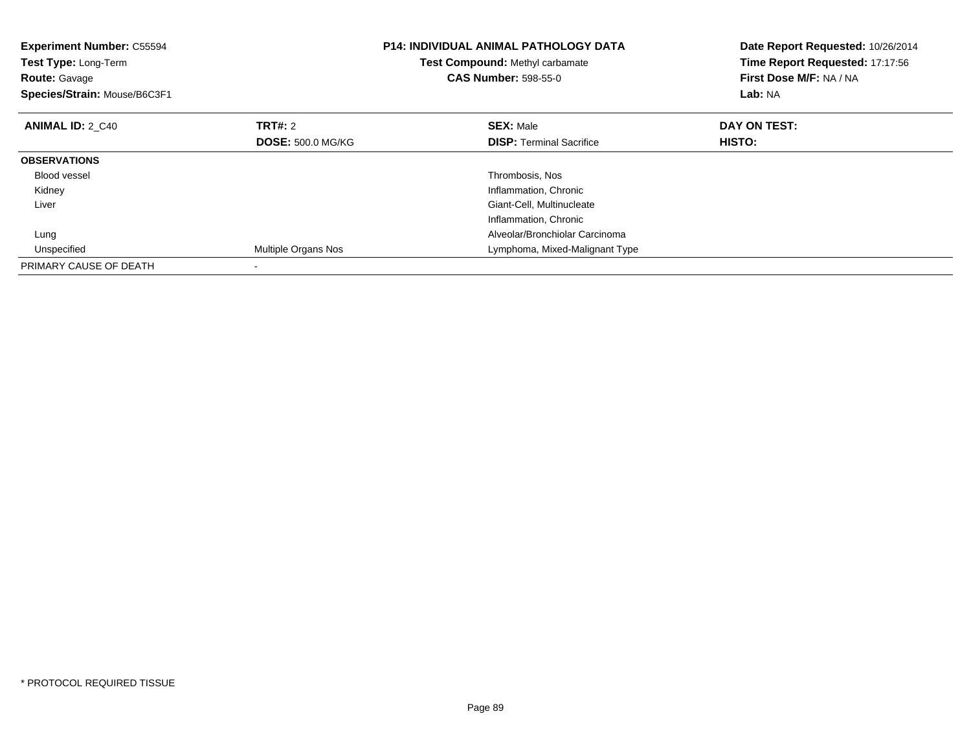| <b>Experiment Number: C55594</b><br>Test Type: Long-Term<br><b>Route: Gavage</b><br>Species/Strain: Mouse/B6C3F1 |                          | <b>P14: INDIVIDUAL ANIMAL PATHOLOGY DATA</b><br>Date Report Requested: 10/26/2014<br>Time Report Requested: 17:17:56<br>Test Compound: Methyl carbamate<br>First Dose M/F: NA / NA<br><b>CAS Number: 598-55-0</b><br>Lab: NA |               |
|------------------------------------------------------------------------------------------------------------------|--------------------------|------------------------------------------------------------------------------------------------------------------------------------------------------------------------------------------------------------------------------|---------------|
| <b>ANIMAL ID: 2 C40</b>                                                                                          | TRT#: 2                  | <b>SEX: Male</b>                                                                                                                                                                                                             | DAY ON TEST:  |
|                                                                                                                  | <b>DOSE: 500.0 MG/KG</b> | <b>DISP:</b> Terminal Sacrifice                                                                                                                                                                                              | <b>HISTO:</b> |
| <b>OBSERVATIONS</b>                                                                                              |                          |                                                                                                                                                                                                                              |               |
| <b>Blood vessel</b>                                                                                              |                          | Thrombosis, Nos                                                                                                                                                                                                              |               |
| Kidney                                                                                                           |                          | Inflammation, Chronic                                                                                                                                                                                                        |               |
| Liver                                                                                                            |                          | Giant-Cell, Multinucleate                                                                                                                                                                                                    |               |
|                                                                                                                  |                          | Inflammation, Chronic                                                                                                                                                                                                        |               |
| Lung                                                                                                             |                          | Alveolar/Bronchiolar Carcinoma                                                                                                                                                                                               |               |
| Unspecified                                                                                                      | Multiple Organs Nos      | Lymphoma, Mixed-Malignant Type                                                                                                                                                                                               |               |
| PRIMARY CAUSE OF DEATH                                                                                           |                          |                                                                                                                                                                                                                              |               |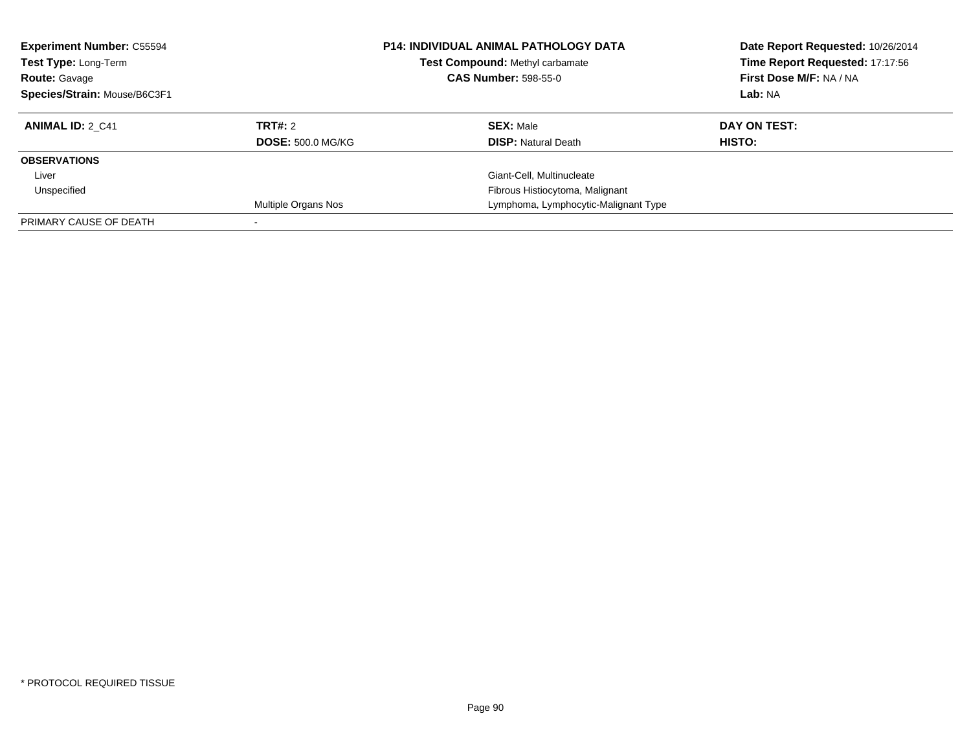| <b>Experiment Number: C55594</b><br>Test Type: Long-Term<br><b>Route: Gavage</b><br>Species/Strain: Mouse/B6C3F1 |                            | <b>P14: INDIVIDUAL ANIMAL PATHOLOGY DATA</b><br>Test Compound: Methyl carbamate<br><b>CAS Number: 598-55-0</b> | Date Report Requested: 10/26/2014<br>Time Report Requested: 17:17:56<br>First Dose M/F: NA / NA<br>Lab: NA |  |
|------------------------------------------------------------------------------------------------------------------|----------------------------|----------------------------------------------------------------------------------------------------------------|------------------------------------------------------------------------------------------------------------|--|
| <b>ANIMAL ID: 2 C41</b>                                                                                          | TRT#: 2                    | <b>SEX: Male</b>                                                                                               | DAY ON TEST:                                                                                               |  |
|                                                                                                                  | <b>DOSE: 500.0 MG/KG</b>   | <b>DISP:</b> Natural Death                                                                                     | <b>HISTO:</b>                                                                                              |  |
| <b>OBSERVATIONS</b>                                                                                              |                            |                                                                                                                |                                                                                                            |  |
| Liver                                                                                                            |                            | Giant-Cell, Multinucleate                                                                                      |                                                                                                            |  |
| Unspecified                                                                                                      |                            | Fibrous Histiocytoma, Malignant                                                                                |                                                                                                            |  |
|                                                                                                                  | <b>Multiple Organs Nos</b> | Lymphoma, Lymphocytic-Malignant Type                                                                           |                                                                                                            |  |
| PRIMARY CAUSE OF DEATH                                                                                           |                            |                                                                                                                |                                                                                                            |  |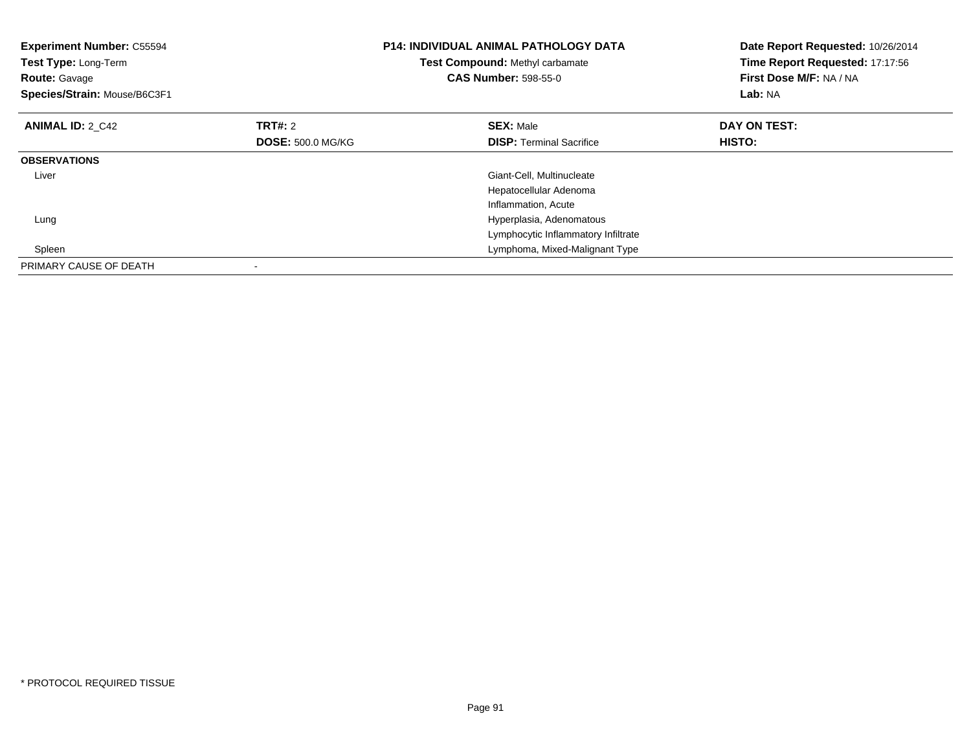| <b>Experiment Number: C55594</b><br>Test Type: Long-Term<br><b>Route: Gavage</b><br>Species/Strain: Mouse/B6C3F1 |                          | <b>P14: INDIVIDUAL ANIMAL PATHOLOGY DATA</b><br>Test Compound: Methyl carbamate<br><b>CAS Number: 598-55-0</b> | Date Report Requested: 10/26/2014<br>Time Report Requested: 17:17:56<br>First Dose M/F: NA / NA<br><b>Lab: NA</b> |  |
|------------------------------------------------------------------------------------------------------------------|--------------------------|----------------------------------------------------------------------------------------------------------------|-------------------------------------------------------------------------------------------------------------------|--|
| <b>ANIMAL ID: 2 C42</b>                                                                                          | TRT#: 2                  | <b>SEX: Male</b>                                                                                               | DAY ON TEST:                                                                                                      |  |
|                                                                                                                  | <b>DOSE: 500.0 MG/KG</b> | <b>DISP:</b> Terminal Sacrifice                                                                                | <b>HISTO:</b>                                                                                                     |  |
| <b>OBSERVATIONS</b>                                                                                              |                          |                                                                                                                |                                                                                                                   |  |
| Liver                                                                                                            |                          | Giant-Cell, Multinucleate                                                                                      |                                                                                                                   |  |
|                                                                                                                  |                          | Hepatocellular Adenoma                                                                                         |                                                                                                                   |  |
|                                                                                                                  |                          | Inflammation, Acute                                                                                            |                                                                                                                   |  |
| Lung                                                                                                             |                          | Hyperplasia, Adenomatous                                                                                       |                                                                                                                   |  |
|                                                                                                                  |                          | Lymphocytic Inflammatory Infiltrate                                                                            |                                                                                                                   |  |
| Spleen                                                                                                           |                          | Lymphoma, Mixed-Malignant Type                                                                                 |                                                                                                                   |  |
| PRIMARY CAUSE OF DEATH                                                                                           |                          |                                                                                                                |                                                                                                                   |  |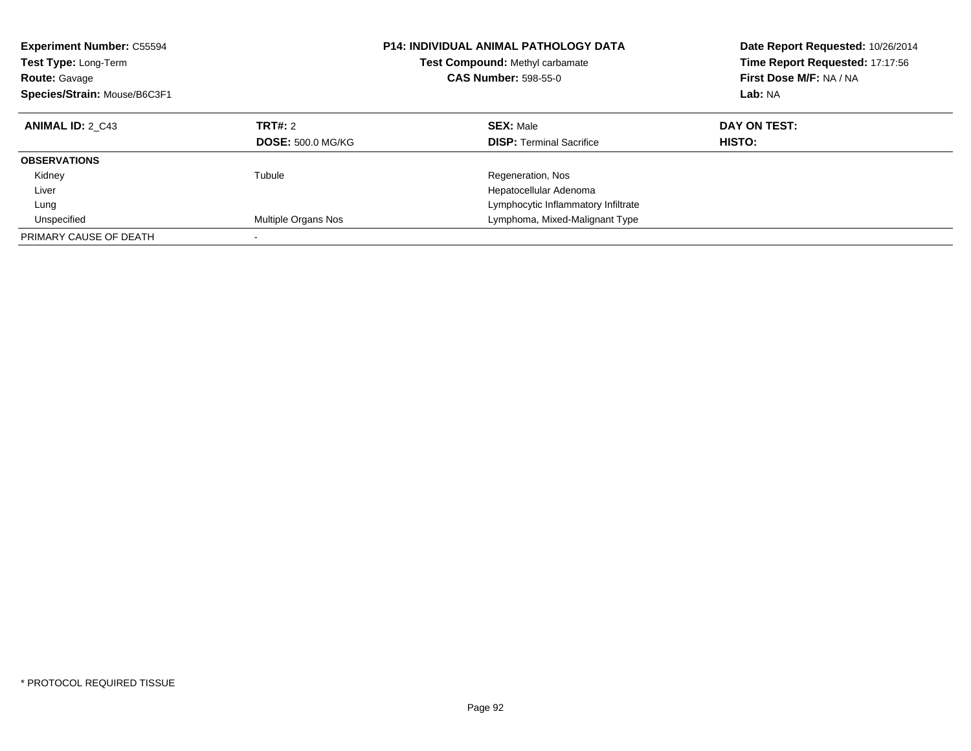| <b>Experiment Number: C55594</b><br>Test Type: Long-Term<br><b>Route: Gavage</b><br>Species/Strain: Mouse/B6C3F1 |                          | <b>P14: INDIVIDUAL ANIMAL PATHOLOGY DATA</b><br><b>Test Compound: Methyl carbamate</b><br><b>CAS Number: 598-55-0</b> | Date Report Requested: 10/26/2014<br>Time Report Requested: 17:17:56<br>First Dose M/F: NA / NA<br>Lab: NA |
|------------------------------------------------------------------------------------------------------------------|--------------------------|-----------------------------------------------------------------------------------------------------------------------|------------------------------------------------------------------------------------------------------------|
| <b>ANIMAL ID: 2 C43</b>                                                                                          | TRT#: 2                  | <b>SEX: Male</b>                                                                                                      | DAY ON TEST:                                                                                               |
|                                                                                                                  | <b>DOSE: 500.0 MG/KG</b> | <b>DISP:</b> Terminal Sacrifice                                                                                       | <b>HISTO:</b>                                                                                              |
| <b>OBSERVATIONS</b>                                                                                              |                          |                                                                                                                       |                                                                                                            |
| Kidney                                                                                                           | Tubule                   | Regeneration, Nos                                                                                                     |                                                                                                            |
| Liver                                                                                                            |                          | Hepatocellular Adenoma                                                                                                |                                                                                                            |
| Lung                                                                                                             |                          | Lymphocytic Inflammatory Infiltrate                                                                                   |                                                                                                            |
| Unspecified                                                                                                      | Multiple Organs Nos      | Lymphoma, Mixed-Malignant Type                                                                                        |                                                                                                            |
| PRIMARY CAUSE OF DEATH                                                                                           |                          |                                                                                                                       |                                                                                                            |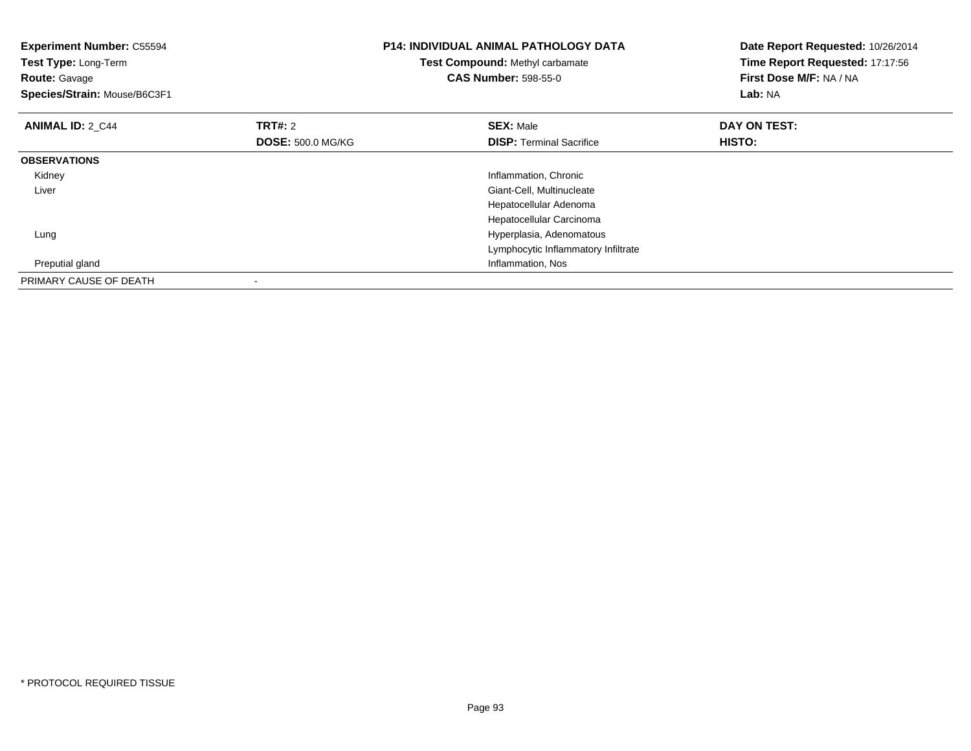| <b>Experiment Number: C55594</b><br>Test Type: Long-Term<br><b>Route: Gavage</b><br>Species/Strain: Mouse/B6C3F1 |                          | <b>P14: INDIVIDUAL ANIMAL PATHOLOGY DATA</b><br>Test Compound: Methyl carbamate<br><b>CAS Number: 598-55-0</b> | Date Report Requested: 10/26/2014<br>Time Report Requested: 17:17:56<br>First Dose M/F: NA / NA<br>Lab: NA |  |
|------------------------------------------------------------------------------------------------------------------|--------------------------|----------------------------------------------------------------------------------------------------------------|------------------------------------------------------------------------------------------------------------|--|
| <b>ANIMAL ID: 2 C44</b>                                                                                          | <b>TRT#: 2</b>           | <b>SEX: Male</b>                                                                                               | DAY ON TEST:                                                                                               |  |
|                                                                                                                  | <b>DOSE: 500.0 MG/KG</b> | <b>DISP:</b> Terminal Sacrifice                                                                                | HISTO:                                                                                                     |  |
| <b>OBSERVATIONS</b>                                                                                              |                          |                                                                                                                |                                                                                                            |  |
| Kidney                                                                                                           |                          | Inflammation, Chronic                                                                                          |                                                                                                            |  |
| Liver                                                                                                            |                          | Giant-Cell, Multinucleate                                                                                      |                                                                                                            |  |
|                                                                                                                  |                          | Hepatocellular Adenoma                                                                                         |                                                                                                            |  |
|                                                                                                                  |                          | Hepatocellular Carcinoma                                                                                       |                                                                                                            |  |
| Lung                                                                                                             |                          | Hyperplasia, Adenomatous                                                                                       |                                                                                                            |  |
|                                                                                                                  |                          | Lymphocytic Inflammatory Infiltrate                                                                            |                                                                                                            |  |
| Preputial gland                                                                                                  |                          | Inflammation, Nos                                                                                              |                                                                                                            |  |
| PRIMARY CAUSE OF DEATH                                                                                           |                          |                                                                                                                |                                                                                                            |  |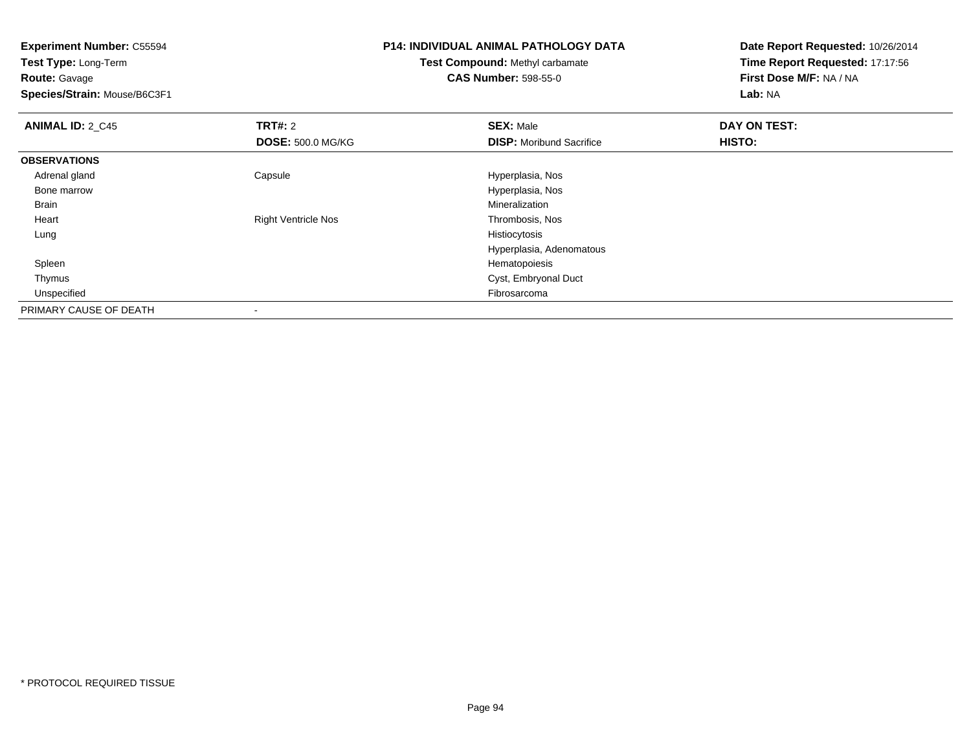**Experiment Number:** C55594**Test Type:** Long-Term**Route:** Gavage **Species/Strain:** Mouse/B6C3F1**P14: INDIVIDUAL ANIMAL PATHOLOGY DATATest Compound:** Methyl carbamate**CAS Number:** 598-55-0**Date Report Requested:** 10/26/2014**Time Report Requested:** 17:17:56**First Dose M/F:** NA / NA**Lab:** NA**ANIMAL ID: 2 C45 TRT#:** <sup>2</sup> **SEX:** Male **DAY ON TEST: DOSE:** 500.0 MG/KG**DISP:** Moribund Sacrifice **HISTO: OBSERVATIONS** Adrenal glandCapsule **Capsule Hyperplasia**, Nos Bone marrow Hyperplasia, Nos Brainn and the control of the control of the control of the control of the control of the control of the control of the control of the control of the control of the control of the control of the control of the control of the co Heart Right Ventricle Nos Thrombosis, Nos Lungg and the state of the state of the state of the state of the state of the state of the state of the state of the state of the state of the state of the state of the state of the state of the state of the state of the stat Hyperplasia, Adenomatous Spleenn and the state of the state of the state of the state of the state of the state of the state of the state of the state of the state of the state of the state of the state of the state of the state of the state of the stat Thymus Cyst, Embryonal Duct Unspecifiedd **Expedition Control** of the Control of the Control of the Control of the Control of The Control of the Control of the Control of the Control of the Control of the Control of the Control of the Control of the Control of t

PRIMARY CAUSE OF DEATH-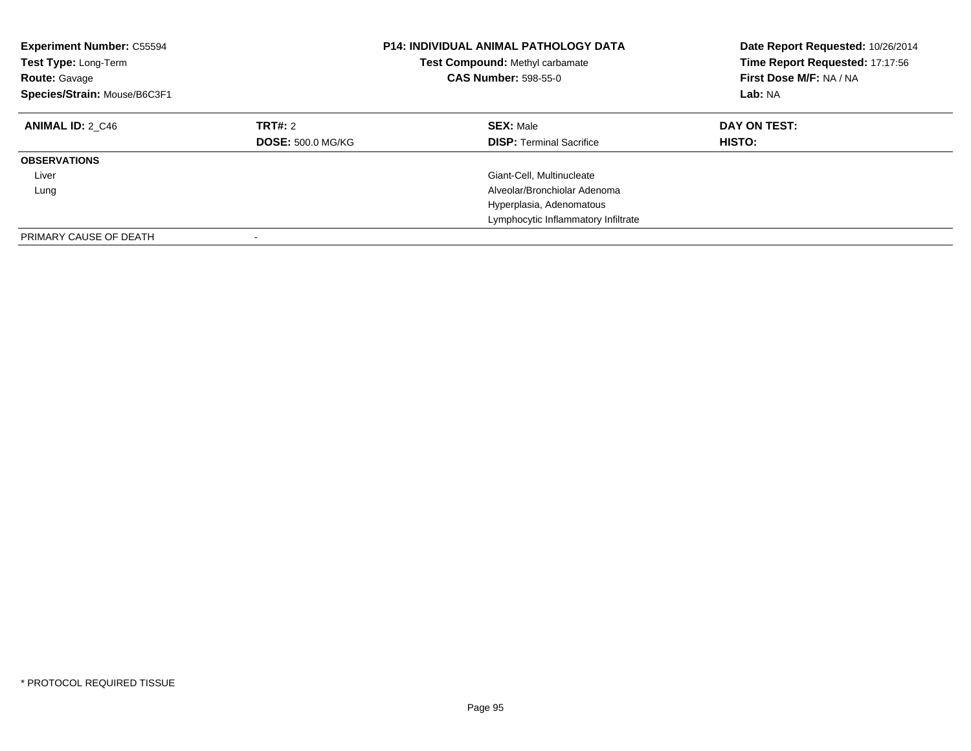| <b>Experiment Number: C55594</b><br>Test Type: Long-Term<br><b>Route: Gavage</b><br>Species/Strain: Mouse/B6C3F1 |                                     | <b>P14: INDIVIDUAL ANIMAL PATHOLOGY DATA</b><br>Test Compound: Methyl carbamate<br><b>CAS Number: 598-55-0</b> | Date Report Requested: 10/26/2014<br>Time Report Requested: 17:17:56<br>First Dose M/F: NA / NA<br>Lab: NA |  |
|------------------------------------------------------------------------------------------------------------------|-------------------------------------|----------------------------------------------------------------------------------------------------------------|------------------------------------------------------------------------------------------------------------|--|
| <b>ANIMAL ID: 2 C46</b>                                                                                          | TRT#: 2<br><b>DOSE: 500.0 MG/KG</b> | <b>SEX: Male</b><br><b>DISP:</b> Terminal Sacrifice                                                            | DAY ON TEST:<br><b>HISTO:</b>                                                                              |  |
| <b>OBSERVATIONS</b>                                                                                              |                                     |                                                                                                                |                                                                                                            |  |
| Liver                                                                                                            |                                     | Giant-Cell, Multinucleate                                                                                      |                                                                                                            |  |
| Lung                                                                                                             |                                     | Alveolar/Bronchiolar Adenoma                                                                                   |                                                                                                            |  |
|                                                                                                                  |                                     | Hyperplasia, Adenomatous                                                                                       |                                                                                                            |  |
|                                                                                                                  |                                     | Lymphocytic Inflammatory Infiltrate                                                                            |                                                                                                            |  |
| PRIMARY CAUSE OF DEATH                                                                                           |                                     |                                                                                                                |                                                                                                            |  |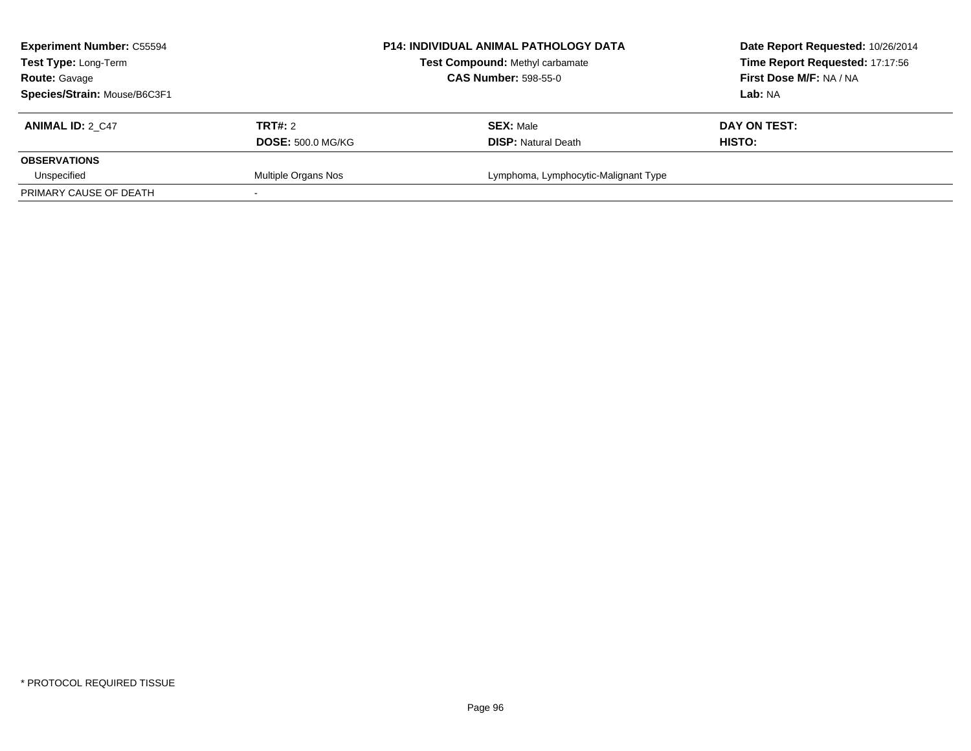| <b>Experiment Number: C55594</b><br>Test Type: Long-Term<br><b>Route: Gavage</b> |                          | <b>P14: INDIVIDUAL ANIMAL PATHOLOGY DATA</b><br>Test Compound: Methyl carbamate<br><b>CAS Number: 598-55-0</b> | Date Report Requested: 10/26/2014<br>Time Report Requested: 17:17:56<br>First Dose M/F: NA / NA |
|----------------------------------------------------------------------------------|--------------------------|----------------------------------------------------------------------------------------------------------------|-------------------------------------------------------------------------------------------------|
| Species/Strain: Mouse/B6C3F1                                                     |                          |                                                                                                                | <b>Lab:</b> NA                                                                                  |
| <b>ANIMAL ID: 2 C47</b>                                                          | <b>TRT#: 2</b>           | <b>SEX: Male</b>                                                                                               | DAY ON TEST:                                                                                    |
|                                                                                  | <b>DOSE: 500.0 MG/KG</b> | <b>DISP: Natural Death</b>                                                                                     | HISTO:                                                                                          |
| <b>OBSERVATIONS</b>                                                              |                          |                                                                                                                |                                                                                                 |
| Unspecified                                                                      | Multiple Organs Nos      | Lymphoma, Lymphocytic-Malignant Type                                                                           |                                                                                                 |
| PRIMARY CAUSE OF DEATH                                                           |                          |                                                                                                                |                                                                                                 |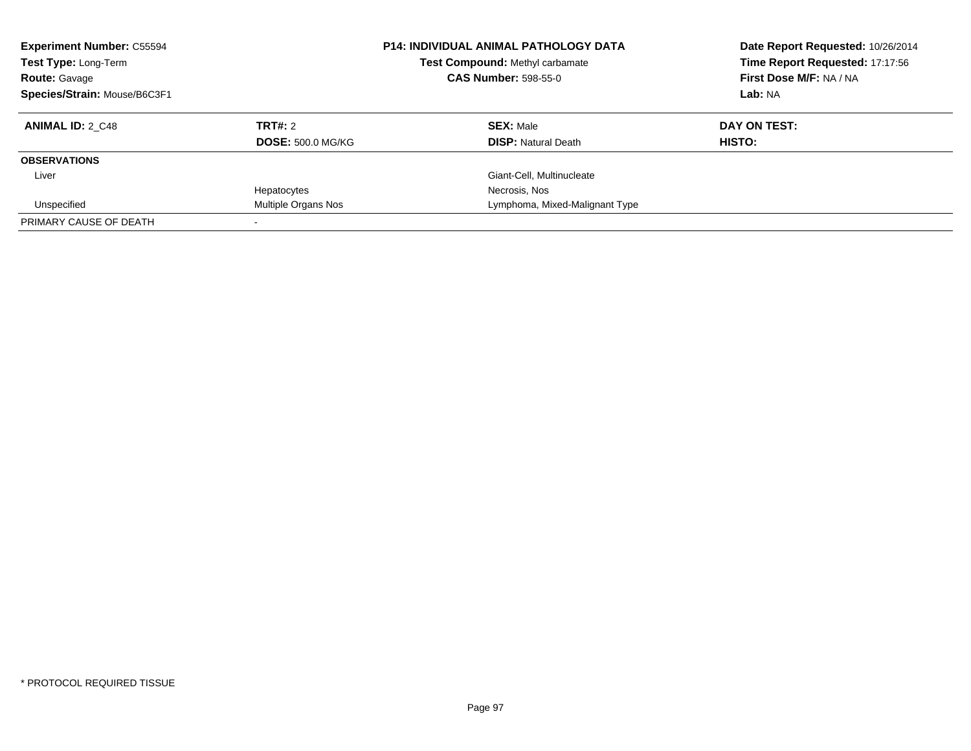| <b>Experiment Number: C55594</b><br>Test Type: Long-Term<br><b>Route: Gavage</b><br>Species/Strain: Mouse/B6C3F1 |                          | <b>P14: INDIVIDUAL ANIMAL PATHOLOGY DATA</b><br><b>Test Compound: Methyl carbamate</b><br><b>CAS Number: 598-55-0</b> |                                | Date Report Requested: 10/26/2014<br>Time Report Requested: 17:17:56<br>First Dose M/F: NA / NA<br>Lab: NA |
|------------------------------------------------------------------------------------------------------------------|--------------------------|-----------------------------------------------------------------------------------------------------------------------|--------------------------------|------------------------------------------------------------------------------------------------------------|
| <b>ANIMAL ID: 2 C48</b>                                                                                          | TRT#: 2                  |                                                                                                                       | <b>SEX: Male</b>               | DAY ON TEST:                                                                                               |
|                                                                                                                  | <b>DOSE: 500.0 MG/KG</b> |                                                                                                                       | <b>DISP: Natural Death</b>     | HISTO:                                                                                                     |
| <b>OBSERVATIONS</b>                                                                                              |                          |                                                                                                                       |                                |                                                                                                            |
| Liver                                                                                                            |                          |                                                                                                                       | Giant-Cell, Multinucleate      |                                                                                                            |
|                                                                                                                  | Hepatocytes              |                                                                                                                       | Necrosis, Nos                  |                                                                                                            |
| Unspecified                                                                                                      | Multiple Organs Nos      |                                                                                                                       | Lymphoma, Mixed-Malignant Type |                                                                                                            |
| PRIMARY CAUSE OF DEATH                                                                                           |                          |                                                                                                                       |                                |                                                                                                            |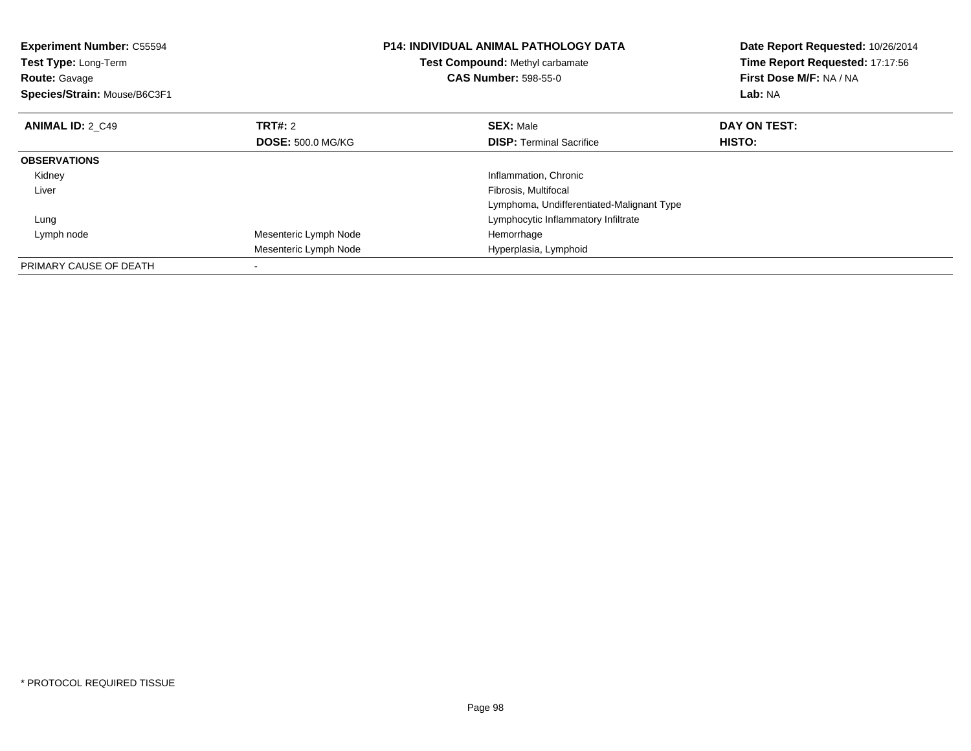| <b>Experiment Number: C55594</b><br><b>Test Type: Long-Term</b><br><b>Route: Gavage</b><br>Species/Strain: Mouse/B6C3F1 |                          | <b>P14: INDIVIDUAL ANIMAL PATHOLOGY DATA</b><br>Test Compound: Methyl carbamate<br><b>CAS Number: 598-55-0</b> | Date Report Requested: 10/26/2014<br>Time Report Requested: 17:17:56<br>First Dose M/F: NA / NA<br>Lab: NA |  |
|-------------------------------------------------------------------------------------------------------------------------|--------------------------|----------------------------------------------------------------------------------------------------------------|------------------------------------------------------------------------------------------------------------|--|
| <b>ANIMAL ID: 2 C49</b>                                                                                                 | TRT#: 2                  | <b>SEX: Male</b>                                                                                               | DAY ON TEST:                                                                                               |  |
|                                                                                                                         | <b>DOSE: 500.0 MG/KG</b> | <b>DISP:</b> Terminal Sacrifice                                                                                | <b>HISTO:</b>                                                                                              |  |
| <b>OBSERVATIONS</b>                                                                                                     |                          |                                                                                                                |                                                                                                            |  |
| Kidney                                                                                                                  |                          | Inflammation, Chronic                                                                                          |                                                                                                            |  |
| Liver                                                                                                                   |                          | Fibrosis, Multifocal                                                                                           |                                                                                                            |  |
|                                                                                                                         |                          | Lymphoma, Undifferentiated-Malignant Type                                                                      |                                                                                                            |  |
| Lung                                                                                                                    |                          | Lymphocytic Inflammatory Infiltrate                                                                            |                                                                                                            |  |
| Lymph node                                                                                                              | Mesenteric Lymph Node    | Hemorrhage                                                                                                     |                                                                                                            |  |
|                                                                                                                         | Mesenteric Lymph Node    | Hyperplasia, Lymphoid                                                                                          |                                                                                                            |  |
| PRIMARY CAUSE OF DEATH                                                                                                  |                          |                                                                                                                |                                                                                                            |  |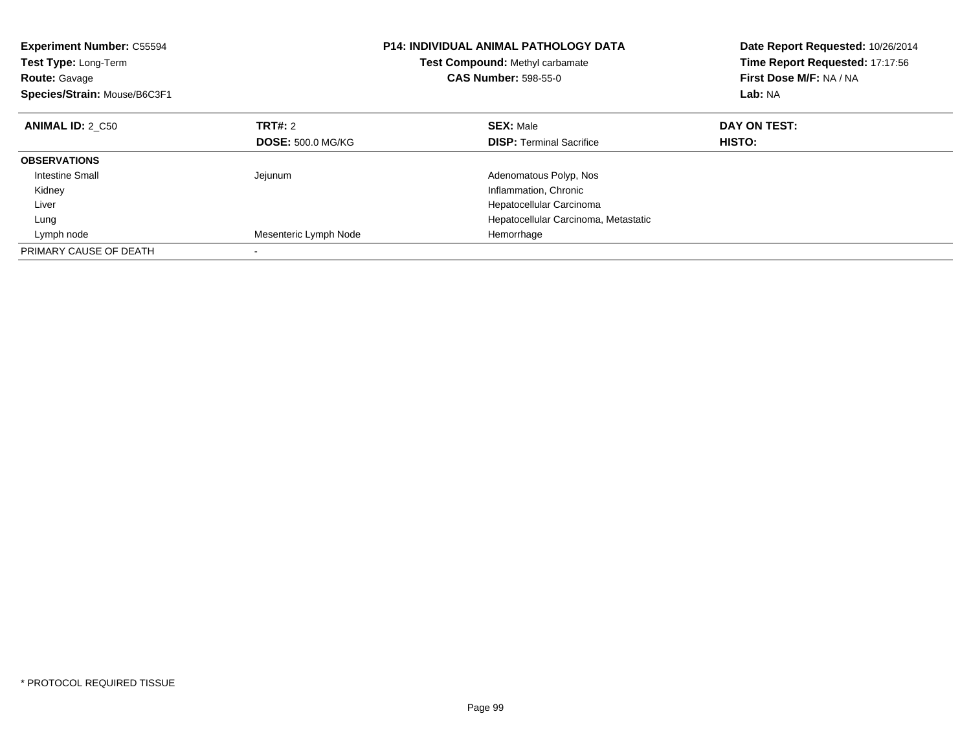| <b>Experiment Number: C55594</b><br>Test Type: Long-Term<br><b>Route: Gavage</b><br>Species/Strain: Mouse/B6C3F1 |                          | <b>P14: INDIVIDUAL ANIMAL PATHOLOGY DATA</b><br>Test Compound: Methyl carbamate<br><b>CAS Number: 598-55-0</b> | Date Report Requested: 10/26/2014<br>Time Report Requested: 17:17:56<br>First Dose M/F: NA / NA<br>Lab: NA |
|------------------------------------------------------------------------------------------------------------------|--------------------------|----------------------------------------------------------------------------------------------------------------|------------------------------------------------------------------------------------------------------------|
| <b>ANIMAL ID: 2 C50</b>                                                                                          | TRT#: 2                  | <b>SEX: Male</b>                                                                                               | DAY ON TEST:                                                                                               |
|                                                                                                                  | <b>DOSE: 500.0 MG/KG</b> | <b>DISP:</b> Terminal Sacrifice                                                                                | <b>HISTO:</b>                                                                                              |
| <b>OBSERVATIONS</b>                                                                                              |                          |                                                                                                                |                                                                                                            |
| <b>Intestine Small</b>                                                                                           | Jejunum                  | Adenomatous Polyp, Nos                                                                                         |                                                                                                            |
| Kidney                                                                                                           |                          | Inflammation, Chronic                                                                                          |                                                                                                            |
| Liver                                                                                                            |                          | Hepatocellular Carcinoma                                                                                       |                                                                                                            |
| Lung                                                                                                             |                          | Hepatocellular Carcinoma, Metastatic                                                                           |                                                                                                            |
| Lymph node                                                                                                       | Mesenteric Lymph Node    | Hemorrhage                                                                                                     |                                                                                                            |
| PRIMARY CAUSE OF DEATH                                                                                           |                          |                                                                                                                |                                                                                                            |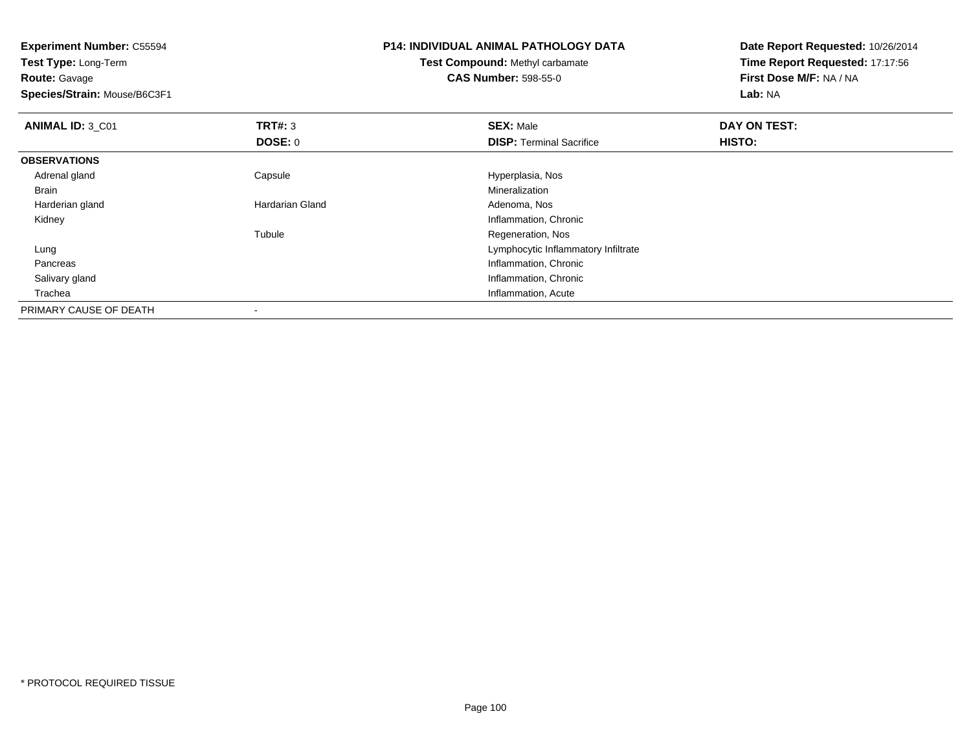**Experiment Number:** C55594**Test Type:** Long-Term**Route:** Gavage **Species/Strain:** Mouse/B6C3F1**P14: INDIVIDUAL ANIMAL PATHOLOGY DATATest Compound:** Methyl carbamate**CAS Number:** 598-55-0**Date Report Requested:** 10/26/2014**Time Report Requested:** 17:17:56**First Dose M/F:** NA / NA**Lab:** NA**ANIMAL ID:** 3\_C01**TRT#:** 3 **SEX:** Male **DAY ON TEST: DOSE:** 0**DISP:** Terminal Sacrifice **HISTO: OBSERVATIONS** Adrenal glandCapsule **Capsule Capsule Capsule Capsule** Hyperplasia, Nos<br>
Mineralization Brainn and the control of the control of the control of the control of the control of the control of the control of the control of the control of the control of the control of the control of the control of the control of the co Harderian glandHardarian Gland **Adenoma, Nos** Adenoma, Nos Kidney Inflammation, Chronic Tubule Regeneration, Nos Lung Lymphocytic Inflammatory Infiltrate Pancreas Inflammation, Chronic Salivary gland Inflammation, Chronic Trachea Inflammation, Acute PRIMARY CAUSE OF DEATH-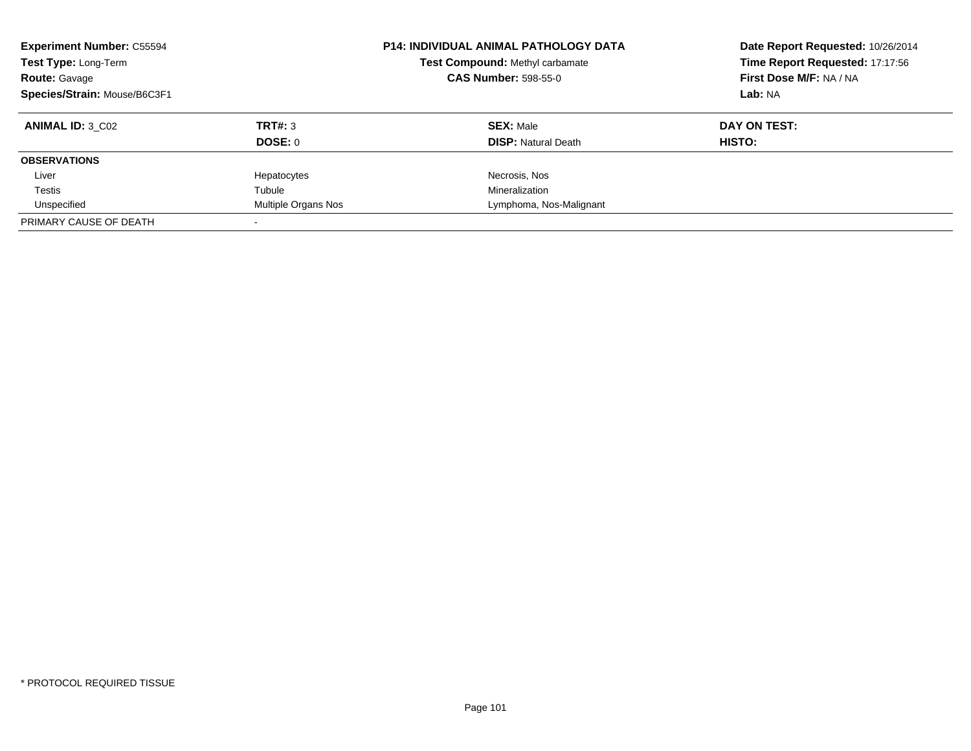| <b>Experiment Number: C55594</b><br>Test Type: Long-Term<br><b>Route: Gavage</b><br>Species/Strain: Mouse/B6C3F1 | <b>P14: INDIVIDUAL ANIMAL PATHOLOGY DATA</b><br>Test Compound: Methyl carbamate<br><b>CAS Number: 598-55-0</b> |                                                | Date Report Requested: 10/26/2014<br>Time Report Requested: 17:17:56<br>First Dose M/F: NA / NA<br>Lab: NA |
|------------------------------------------------------------------------------------------------------------------|----------------------------------------------------------------------------------------------------------------|------------------------------------------------|------------------------------------------------------------------------------------------------------------|
| <b>ANIMAL ID: 3 C02</b>                                                                                          | TRT#: 3<br><b>DOSE: 0</b>                                                                                      | <b>SEX: Male</b><br><b>DISP: Natural Death</b> | DAY ON TEST:<br><b>HISTO:</b>                                                                              |
| <b>OBSERVATIONS</b>                                                                                              |                                                                                                                |                                                |                                                                                                            |
|                                                                                                                  |                                                                                                                |                                                |                                                                                                            |
| Liver                                                                                                            | Hepatocytes                                                                                                    | Necrosis, Nos                                  |                                                                                                            |
| Testis                                                                                                           | Tubule                                                                                                         | Mineralization                                 |                                                                                                            |
| Unspecified                                                                                                      | Multiple Organs Nos                                                                                            | Lymphoma, Nos-Malignant                        |                                                                                                            |
| PRIMARY CAUSE OF DEATH                                                                                           |                                                                                                                |                                                |                                                                                                            |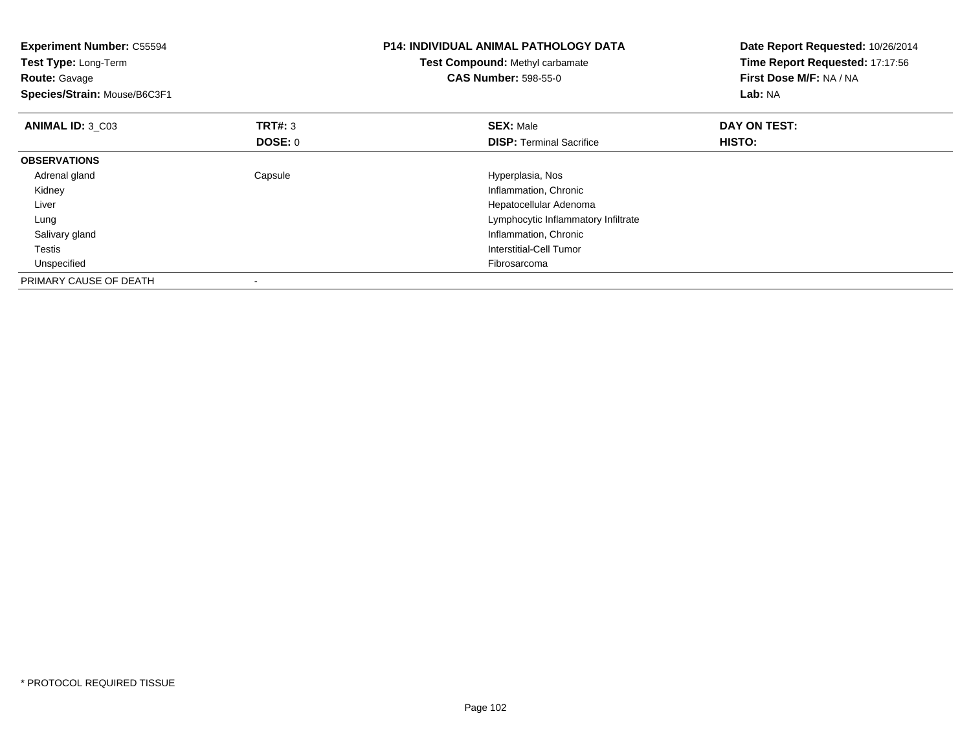| <b>Experiment Number: C55594</b><br>Test Type: Long-Term<br><b>Route: Gavage</b><br>Species/Strain: Mouse/B6C3F1 |                           | <b>P14: INDIVIDUAL ANIMAL PATHOLOGY DATA</b><br>Test Compound: Methyl carbamate<br><b>CAS Number: 598-55-0</b>                                                                 | Date Report Requested: 10/26/2014<br>Time Report Requested: 17:17:56<br>First Dose M/F: NA / NA<br>Lab: NA |
|------------------------------------------------------------------------------------------------------------------|---------------------------|--------------------------------------------------------------------------------------------------------------------------------------------------------------------------------|------------------------------------------------------------------------------------------------------------|
| ANIMAL ID: 3 C03                                                                                                 | TRT#: 3<br><b>DOSE: 0</b> | <b>SEX: Male</b><br><b>DISP:</b> Terminal Sacrifice                                                                                                                            | DAY ON TEST:<br>HISTO:                                                                                     |
| <b>OBSERVATIONS</b>                                                                                              |                           |                                                                                                                                                                                |                                                                                                            |
| Adrenal gland<br>Kidney<br>Liver<br>Lung<br>Salivary gland<br>Testis<br>Unspecified                              | Capsule                   | Hyperplasia, Nos<br>Inflammation, Chronic<br>Hepatocellular Adenoma<br>Lymphocytic Inflammatory Infiltrate<br>Inflammation, Chronic<br>Interstitial-Cell Tumor<br>Fibrosarcoma |                                                                                                            |
| PRIMARY CAUSE OF DEATH                                                                                           |                           |                                                                                                                                                                                |                                                                                                            |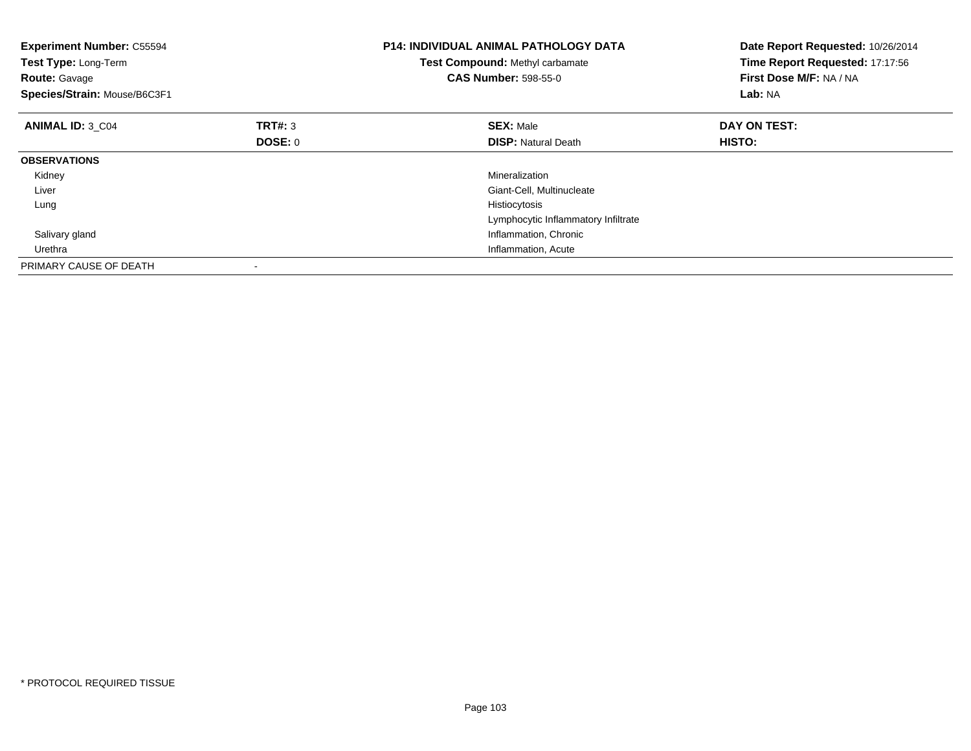| <b>Experiment Number: C55594</b><br>Test Type: Long-Term<br><b>Route: Gavage</b><br>Species/Strain: Mouse/B6C3F1 |         | P14: INDIVIDUAL ANIMAL PATHOLOGY DATA<br>Test Compound: Methyl carbamate<br><b>CAS Number: 598-55-0</b> | Date Report Requested: 10/26/2014<br>Time Report Requested: 17:17:56<br>First Dose M/F: NA / NA<br>Lab: NA |
|------------------------------------------------------------------------------------------------------------------|---------|---------------------------------------------------------------------------------------------------------|------------------------------------------------------------------------------------------------------------|
| <b>ANIMAL ID: 3 C04</b>                                                                                          | TRT#: 3 | <b>SEX: Male</b>                                                                                        | DAY ON TEST:                                                                                               |
|                                                                                                                  | DOSE: 0 | <b>DISP:</b> Natural Death                                                                              | HISTO:                                                                                                     |
| <b>OBSERVATIONS</b>                                                                                              |         |                                                                                                         |                                                                                                            |
| Kidney                                                                                                           |         | Mineralization                                                                                          |                                                                                                            |
| Liver                                                                                                            |         | Giant-Cell, Multinucleate                                                                               |                                                                                                            |
| Lung                                                                                                             |         | Histiocytosis                                                                                           |                                                                                                            |
|                                                                                                                  |         | Lymphocytic Inflammatory Infiltrate                                                                     |                                                                                                            |
| Salivary gland                                                                                                   |         | Inflammation, Chronic                                                                                   |                                                                                                            |
| Urethra                                                                                                          |         | Inflammation, Acute                                                                                     |                                                                                                            |
| PRIMARY CAUSE OF DEATH                                                                                           |         |                                                                                                         |                                                                                                            |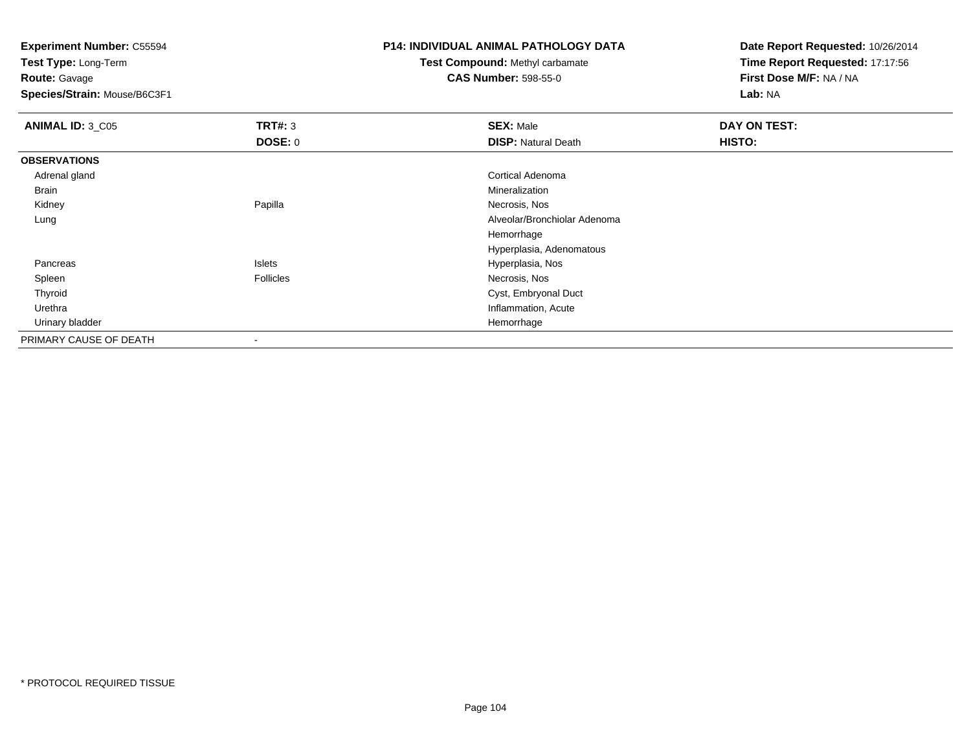**Experiment Number:** C55594

**Test Type:** Long-Term**Route:** Gavage

**Species/Strain:** Mouse/B6C3F1

## **P14: INDIVIDUAL ANIMAL PATHOLOGY DATA**

## **Test Compound:** Methyl carbamate**CAS Number:** 598-55-0

**Date Report Requested:** 10/26/2014**Time Report Requested:** 17:17:56**First Dose M/F:** NA / NA**Lab:** NA

| <b>ANIMAL ID: 3_C05</b> | TRT#: 3        | <b>SEX: Male</b>             | DAY ON TEST: |
|-------------------------|----------------|------------------------------|--------------|
|                         | <b>DOSE: 0</b> | <b>DISP: Natural Death</b>   | HISTO:       |
| <b>OBSERVATIONS</b>     |                |                              |              |
| Adrenal gland           |                | Cortical Adenoma             |              |
| Brain                   |                | Mineralization               |              |
| Kidney                  | Papilla        | Necrosis, Nos                |              |
| Lung                    |                | Alveolar/Bronchiolar Adenoma |              |
|                         |                | Hemorrhage                   |              |
|                         |                | Hyperplasia, Adenomatous     |              |
| Pancreas                | Islets         | Hyperplasia, Nos             |              |
| Spleen                  | Follicles      | Necrosis, Nos                |              |
| Thyroid                 |                | Cyst, Embryonal Duct         |              |
| Urethra                 |                | Inflammation, Acute          |              |
| Urinary bladder         |                | Hemorrhage                   |              |
| PRIMARY CAUSE OF DEATH  | $\sim$         |                              |              |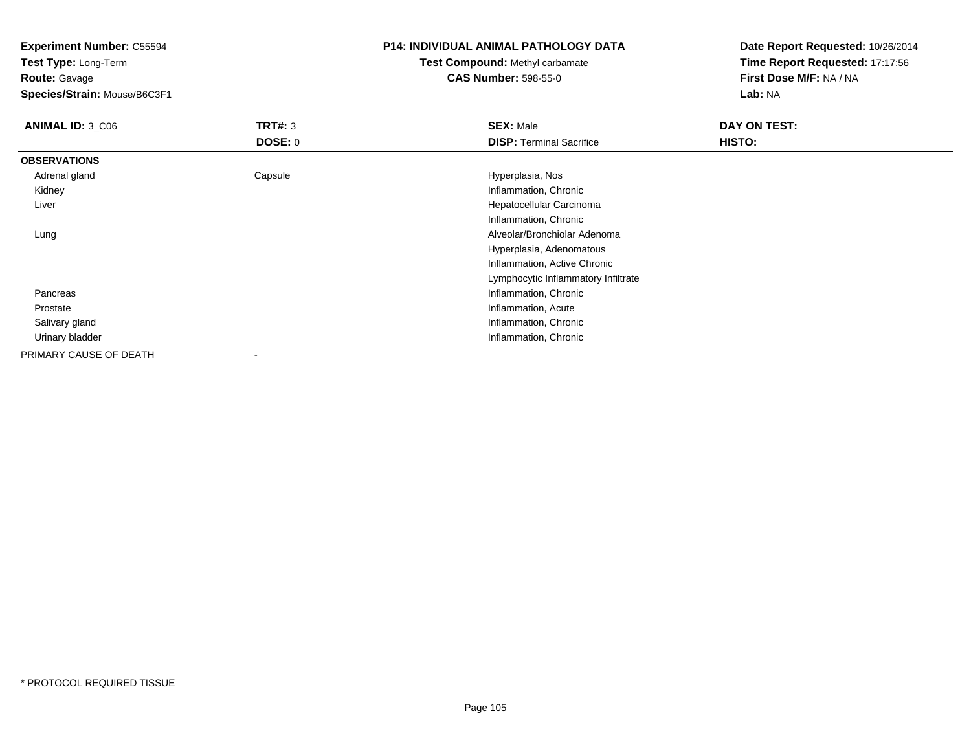**Experiment Number:** C55594

**Test Type:** Long-Term**Route:** Gavage

**Species/Strain:** Mouse/B6C3F1

## **P14: INDIVIDUAL ANIMAL PATHOLOGY DATA**

## **Test Compound:** Methyl carbamate**CAS Number:** 598-55-0

**Date Report Requested:** 10/26/2014**Time Report Requested:** 17:17:56**First Dose M/F:** NA / NA**Lab:** NA

| ANIMAL ID: 3 C06       | TRT#: 3<br><b>DOSE: 0</b> | <b>SEX: Male</b><br><b>DISP: Terminal Sacrifice</b> | DAY ON TEST:<br>HISTO: |
|------------------------|---------------------------|-----------------------------------------------------|------------------------|
| <b>OBSERVATIONS</b>    |                           |                                                     |                        |
|                        |                           |                                                     |                        |
| Adrenal gland          | Capsule                   | Hyperplasia, Nos                                    |                        |
| Kidney                 |                           | Inflammation, Chronic                               |                        |
| Liver                  |                           | Hepatocellular Carcinoma                            |                        |
|                        |                           | Inflammation, Chronic                               |                        |
| Lung                   |                           | Alveolar/Bronchiolar Adenoma                        |                        |
|                        |                           | Hyperplasia, Adenomatous                            |                        |
|                        |                           | Inflammation, Active Chronic                        |                        |
|                        |                           | Lymphocytic Inflammatory Infiltrate                 |                        |
| Pancreas               |                           | Inflammation, Chronic                               |                        |
| Prostate               |                           | Inflammation, Acute                                 |                        |
| Salivary gland         |                           | Inflammation, Chronic                               |                        |
| Urinary bladder        |                           | Inflammation, Chronic                               |                        |
| PRIMARY CAUSE OF DEATH |                           |                                                     |                        |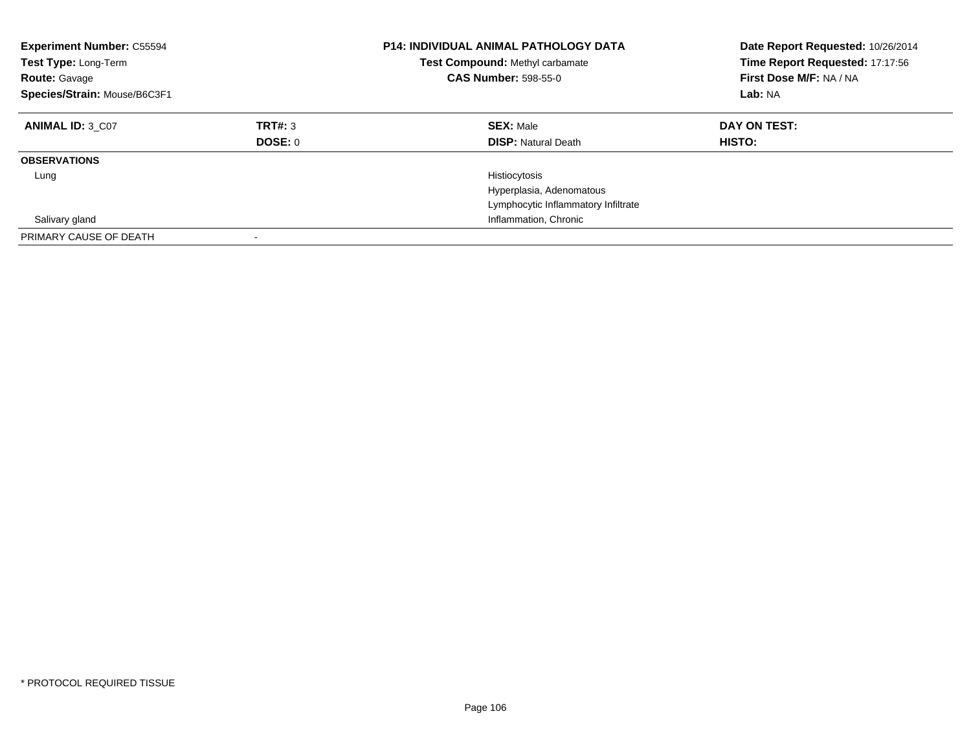| <b>Experiment Number: C55594</b><br>Test Type: Long-Term<br><b>Route: Gavage</b><br>Species/Strain: Mouse/B6C3F1 |                    | <b>P14: INDIVIDUAL ANIMAL PATHOLOGY DATA</b><br>Test Compound: Methyl carbamate<br><b>CAS Number: 598-55-0</b> | Date Report Requested: 10/26/2014<br>Time Report Requested: 17:17:56<br>First Dose M/F: NA / NA<br>Lab: NA |
|------------------------------------------------------------------------------------------------------------------|--------------------|----------------------------------------------------------------------------------------------------------------|------------------------------------------------------------------------------------------------------------|
| <b>ANIMAL ID: 3 C07</b>                                                                                          | TRT#: 3<br>DOSE: 0 | <b>SEX: Male</b><br><b>DISP: Natural Death</b>                                                                 | DAY ON TEST:<br>HISTO:                                                                                     |
| <b>OBSERVATIONS</b>                                                                                              |                    |                                                                                                                |                                                                                                            |
| Lung                                                                                                             |                    | Histiocytosis<br>Hyperplasia, Adenomatous<br>Lymphocytic Inflammatory Infiltrate                               |                                                                                                            |
| Salivary gland                                                                                                   |                    | Inflammation, Chronic                                                                                          |                                                                                                            |
| PRIMARY CAUSE OF DEATH                                                                                           |                    |                                                                                                                |                                                                                                            |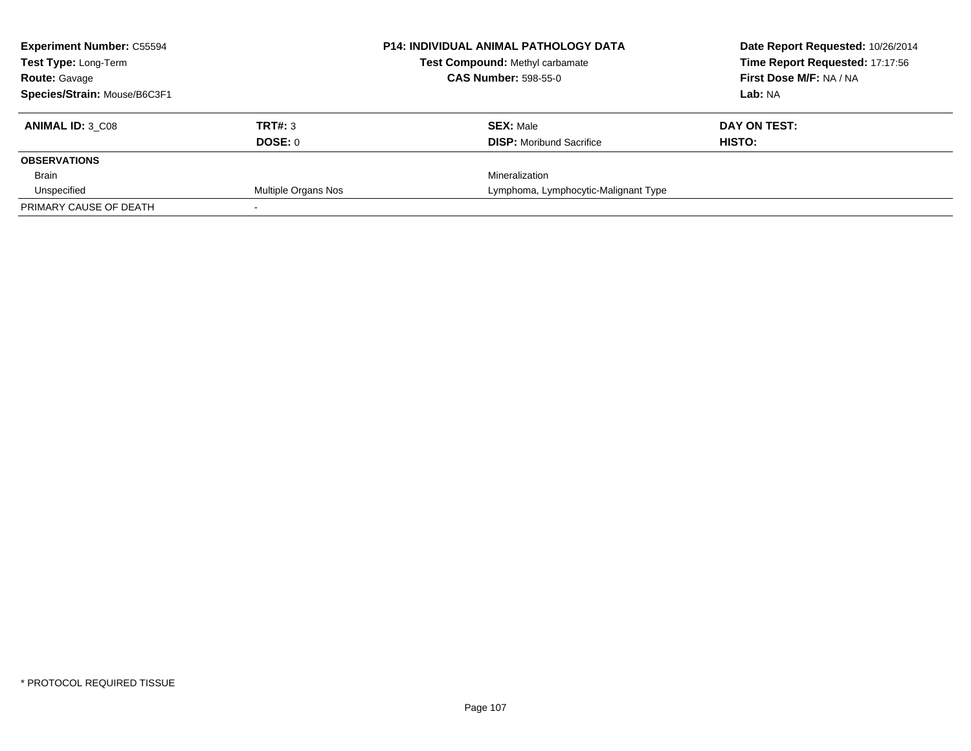| <b>Experiment Number: C55594</b><br>Test Type: Long-Term |                     | <b>P14: INDIVIDUAL ANIMAL PATHOLOGY DATA</b> | Date Report Requested: 10/26/2014 |
|----------------------------------------------------------|---------------------|----------------------------------------------|-----------------------------------|
|                                                          |                     | <b>Test Compound: Methyl carbamate</b>       | Time Report Requested: 17:17:56   |
| <b>Route: Gavage</b>                                     |                     | <b>CAS Number: 598-55-0</b>                  | <b>First Dose M/F: NA / NA</b>    |
| Species/Strain: Mouse/B6C3F1                             |                     |                                              | Lab: NA                           |
| <b>ANIMAL ID: 3 C08</b>                                  | TRT#: 3             | <b>SEX: Male</b>                             | DAY ON TEST:                      |
|                                                          | DOSE: 0             | <b>DISP:</b> Moribund Sacrifice              | HISTO:                            |
| <b>OBSERVATIONS</b>                                      |                     |                                              |                                   |
| Brain                                                    |                     | Mineralization                               |                                   |
| Unspecified                                              | Multiple Organs Nos | Lymphoma, Lymphocytic-Malignant Type         |                                   |
| PRIMARY CAUSE OF DEATH                                   |                     |                                              |                                   |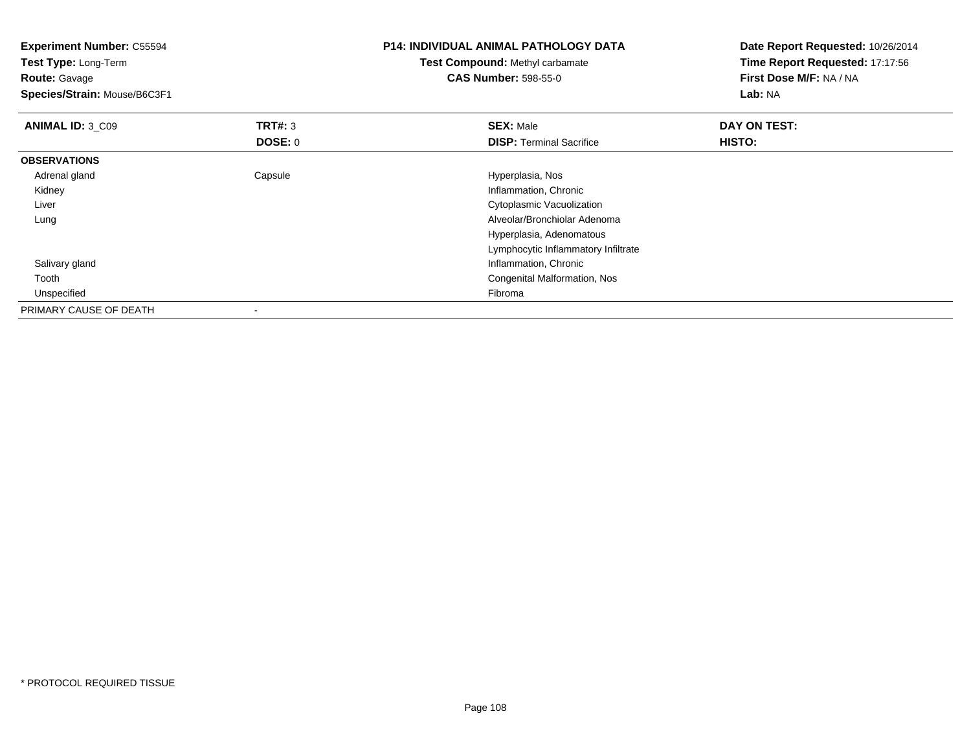| <b>Experiment Number: C55594</b><br>Test Type: Long-Term |                | <b>P14: INDIVIDUAL ANIMAL PATHOLOGY DATA</b> | Date Report Requested: 10/26/2014<br>Time Report Requested: 17:17:56 |  |
|----------------------------------------------------------|----------------|----------------------------------------------|----------------------------------------------------------------------|--|
|                                                          |                | <b>Test Compound: Methyl carbamate</b>       |                                                                      |  |
| <b>Route: Gavage</b>                                     |                | <b>CAS Number: 598-55-0</b>                  | First Dose M/F: NA / NA                                              |  |
| Species/Strain: Mouse/B6C3F1                             |                |                                              | Lab: NA                                                              |  |
| <b>ANIMAL ID: 3 C09</b>                                  | <b>TRT#: 3</b> | <b>SEX: Male</b>                             | DAY ON TEST:                                                         |  |
|                                                          | <b>DOSE: 0</b> | <b>DISP: Terminal Sacrifice</b>              | HISTO:                                                               |  |
| <b>OBSERVATIONS</b>                                      |                |                                              |                                                                      |  |
| Adrenal gland                                            | Capsule        | Hyperplasia, Nos                             |                                                                      |  |
| Kidney                                                   |                | Inflammation, Chronic                        |                                                                      |  |
| Liver                                                    |                | Cytoplasmic Vacuolization                    |                                                                      |  |
| Lung                                                     |                | Alveolar/Bronchiolar Adenoma                 |                                                                      |  |
|                                                          |                | Hyperplasia, Adenomatous                     |                                                                      |  |
|                                                          |                | Lymphocytic Inflammatory Infiltrate          |                                                                      |  |
| Salivary gland                                           |                | Inflammation, Chronic                        |                                                                      |  |
| Tooth                                                    |                | Congenital Malformation, Nos                 |                                                                      |  |
| Unspecified                                              |                | Fibroma                                      |                                                                      |  |
| PRIMARY CAUSE OF DEATH                                   |                |                                              |                                                                      |  |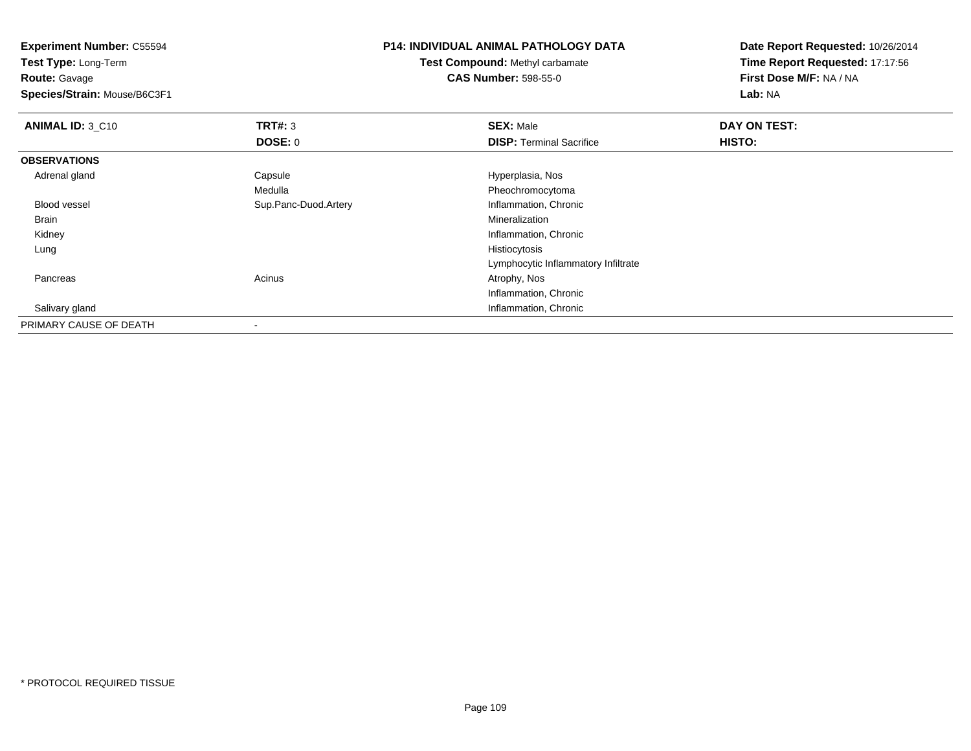**Experiment Number:** C55594**Test Type:** Long-Term**Route:** Gavage **Species/Strain:** Mouse/B6C3F1**P14: INDIVIDUAL ANIMAL PATHOLOGY DATATest Compound:** Methyl carbamate**CAS Number:** 598-55-0**Date Report Requested:** 10/26/2014**Time Report Requested:** 17:17:56**First Dose M/F:** NA / NA**Lab:** NA**ANIMAL ID: 3 C10 C TRT#:** 3 **SEX:** Male **DAY ON TEST: DOSE:** 0**DISP:** Terminal Sacrifice **HISTO: OBSERVATIONS** Adrenal glandCapsule **Capsule Hyperplasia**, Nos Medulla Pheochromocytoma Blood vessel Sup.Panc-Duod.Artery Inflammation, Chronic Brainn and the control of the control of the control of the control of the control of the control of the control of the control of the control of the control of the control of the control of the control of the control of the co Kidney Inflammation, Chronic Lungg and the state of the state of the state of the state of the state of the state of the state of the state of the state of the state of the state of the state of the state of the state of the state of the state of the stat Lymphocytic Inflammatory Infiltrate PancreasAcinus **Acinus** Atrophy, Nos Inflammation, Chronic**Inflammation, Chronic**  Salivary glandPRIMARY CAUSE OF DEATH-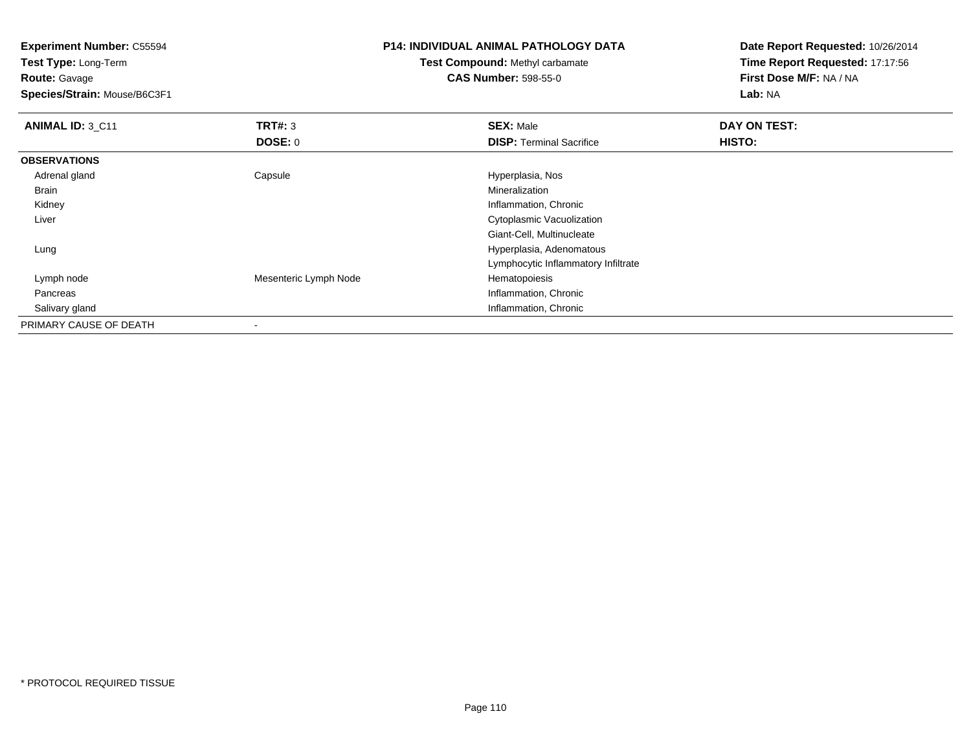**Test Type:** Long-Term**Route:** Gavage

**Species/Strain:** Mouse/B6C3F1

# **P14: INDIVIDUAL ANIMAL PATHOLOGY DATA**

**Test Compound:** Methyl carbamate**CAS Number:** 598-55-0

| <b>ANIMAL ID: 3 C11</b> | TRT#: 3               | <b>SEX: Male</b>                    | DAY ON TEST: |  |
|-------------------------|-----------------------|-------------------------------------|--------------|--|
|                         | DOSE: 0               | <b>DISP: Terminal Sacrifice</b>     | HISTO:       |  |
| <b>OBSERVATIONS</b>     |                       |                                     |              |  |
| Adrenal gland           | Capsule               | Hyperplasia, Nos                    |              |  |
| Brain                   |                       | Mineralization                      |              |  |
| Kidney                  |                       | Inflammation, Chronic               |              |  |
| Liver                   |                       | Cytoplasmic Vacuolization           |              |  |
|                         |                       | Giant-Cell, Multinucleate           |              |  |
| Lung                    |                       | Hyperplasia, Adenomatous            |              |  |
|                         |                       | Lymphocytic Inflammatory Infiltrate |              |  |
| Lymph node              | Mesenteric Lymph Node | Hematopoiesis                       |              |  |
| Pancreas                |                       | Inflammation, Chronic               |              |  |
| Salivary gland          |                       | Inflammation, Chronic               |              |  |
| PRIMARY CAUSE OF DEATH  |                       |                                     |              |  |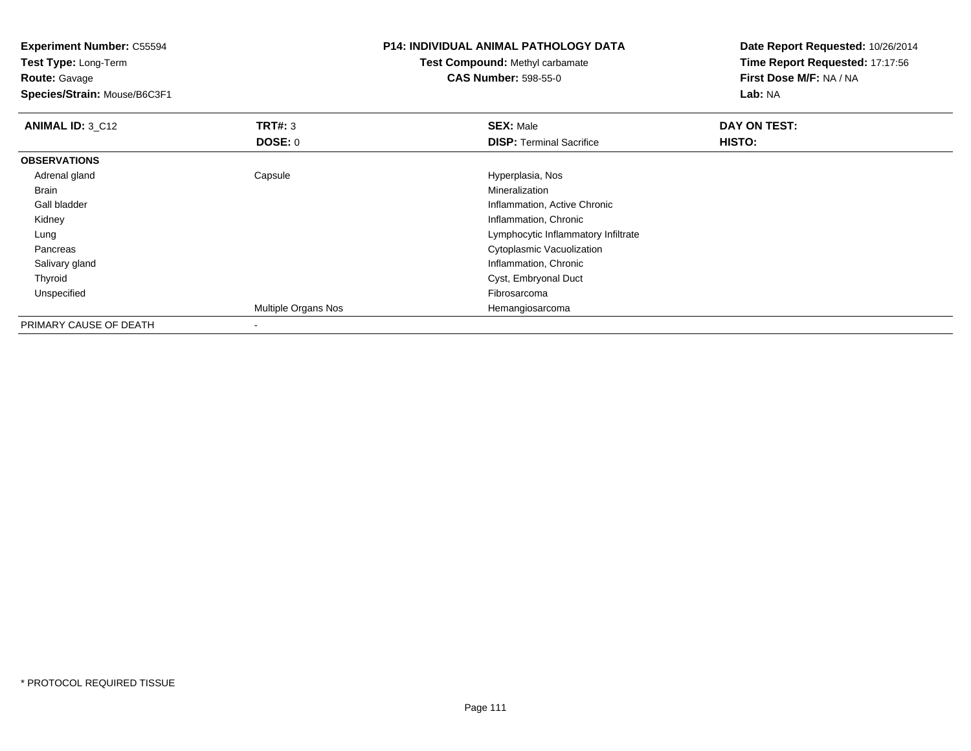**Experiment Number:** C55594**Test Type:** Long-Term**Route:** Gavage **Species/Strain:** Mouse/B6C3F1**P14: INDIVIDUAL ANIMAL PATHOLOGY DATATest Compound:** Methyl carbamate**CAS Number:** 598-55-0**Date Report Requested:** 10/26/2014**Time Report Requested:** 17:17:56**First Dose M/F:** NA / NA**Lab:** NA**ANIMAL ID: 3 C12 TRT#:** <sup>3</sup> **SEX:** Male **DAY ON TEST: DOSE:** 0**DISP:** Terminal Sacrifice **HISTO: OBSERVATIONS** Adrenal glandCapsule **Capsule Capsule Capsule Capsule** Hyperplasia, Nos<br>
Mineralization Brainn and the control of the control of the control of the control of the control of the control of the control of the control of the control of the control of the control of the control of the control of the control of the co Gall bladder Inflammation, Active Chronic Kidney Inflammation, Chronic Lung Lymphocytic Inflammatory Infiltrate Pancreas Cytoplasmic Vacuolization Salivary gland Inflammation, Chronic Thyroid Cyst, Embryonal Duct Unspecifiedd **Example 2018** and the control of the control of the control of the control of the control of the control of the control of the control of the control of the control of the control of the control of the control of the co Multiple Organs Nos HemangiosarcomaPRIMARY CAUSE OF DEATH-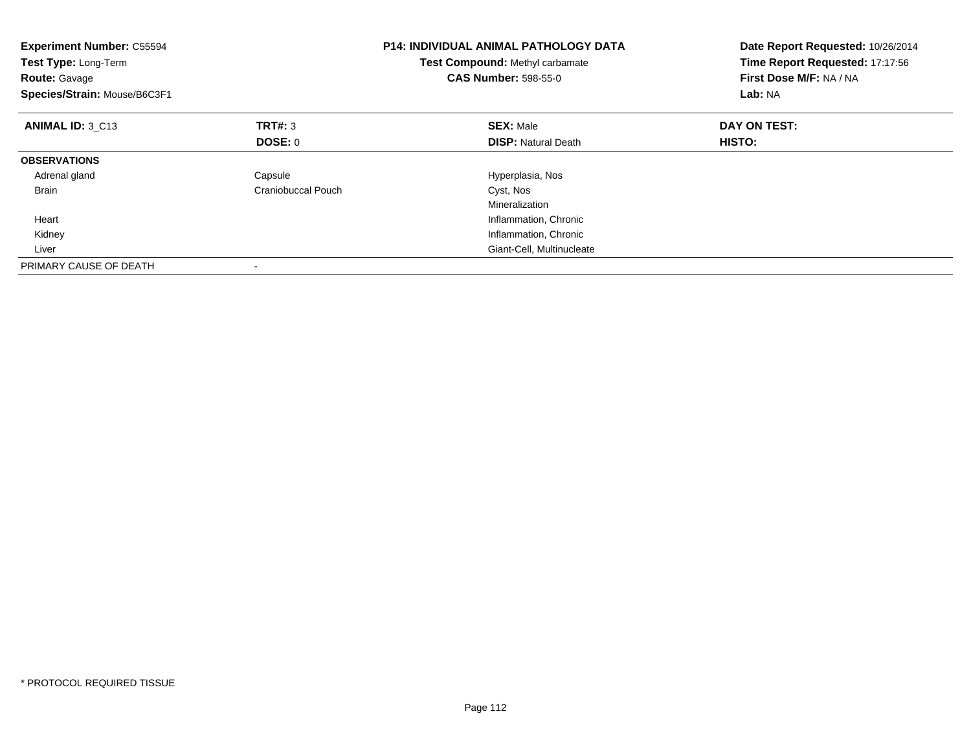| <b>Experiment Number: C55594</b><br>Test Type: Long-Term<br><b>Route: Gavage</b><br>Species/Strain: Mouse/B6C3F1 |                    | <b>P14: INDIVIDUAL ANIMAL PATHOLOGY DATA</b><br>Test Compound: Methyl carbamate<br><b>CAS Number: 598-55-0</b> | Date Report Requested: 10/26/2014<br>Time Report Requested: 17:17:56<br>First Dose M/F: NA / NA<br>Lab: NA |
|------------------------------------------------------------------------------------------------------------------|--------------------|----------------------------------------------------------------------------------------------------------------|------------------------------------------------------------------------------------------------------------|
| ANIMAL ID: 3 C13                                                                                                 | TRT#: 3            | <b>SEX: Male</b>                                                                                               | DAY ON TEST:                                                                                               |
|                                                                                                                  | <b>DOSE: 0</b>     | <b>DISP:</b> Natural Death                                                                                     | HISTO:                                                                                                     |
| <b>OBSERVATIONS</b>                                                                                              |                    |                                                                                                                |                                                                                                            |
| Adrenal gland                                                                                                    | Capsule            | Hyperplasia, Nos                                                                                               |                                                                                                            |
| <b>Brain</b>                                                                                                     | Craniobuccal Pouch | Cyst, Nos                                                                                                      |                                                                                                            |
|                                                                                                                  |                    | Mineralization                                                                                                 |                                                                                                            |
| Heart                                                                                                            |                    | Inflammation, Chronic                                                                                          |                                                                                                            |
| Kidney                                                                                                           |                    | Inflammation, Chronic                                                                                          |                                                                                                            |
| Liver                                                                                                            |                    | Giant-Cell, Multinucleate                                                                                      |                                                                                                            |
| PRIMARY CAUSE OF DEATH                                                                                           |                    |                                                                                                                |                                                                                                            |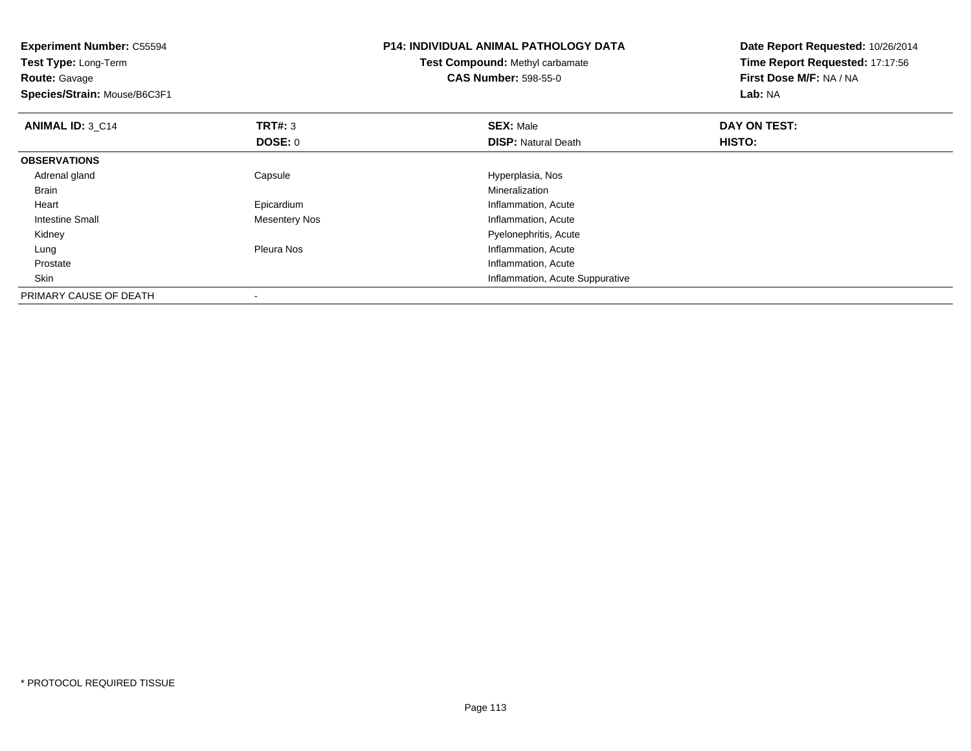| <b>Experiment Number: C55594</b><br>Test Type: Long-Term<br><b>Route:</b> Gavage<br>Species/Strain: Mouse/B6C3F1 |                      | <b>P14: INDIVIDUAL ANIMAL PATHOLOGY DATA</b><br><b>Test Compound: Methyl carbamate</b><br><b>CAS Number: 598-55-0</b> | Date Report Requested: 10/26/2014<br>Time Report Requested: 17:17:56<br>First Dose M/F: NA / NA<br>Lab: NA |
|------------------------------------------------------------------------------------------------------------------|----------------------|-----------------------------------------------------------------------------------------------------------------------|------------------------------------------------------------------------------------------------------------|
| <b>ANIMAL ID: 3 C14</b>                                                                                          | <b>TRT#: 3</b>       | <b>SEX: Male</b>                                                                                                      | DAY ON TEST:                                                                                               |
|                                                                                                                  | DOSE: 0              | <b>DISP:</b> Natural Death                                                                                            | HISTO:                                                                                                     |
| <b>OBSERVATIONS</b>                                                                                              |                      |                                                                                                                       |                                                                                                            |
| Adrenal gland                                                                                                    | Capsule              | Hyperplasia, Nos                                                                                                      |                                                                                                            |
| Brain                                                                                                            |                      | Mineralization                                                                                                        |                                                                                                            |
| Heart                                                                                                            | Epicardium           | Inflammation, Acute                                                                                                   |                                                                                                            |
| Intestine Small                                                                                                  | <b>Mesentery Nos</b> | Inflammation, Acute                                                                                                   |                                                                                                            |
| Kidney                                                                                                           |                      | Pyelonephritis, Acute                                                                                                 |                                                                                                            |
| Lung                                                                                                             | Pleura Nos           | Inflammation, Acute                                                                                                   |                                                                                                            |
| Prostate                                                                                                         |                      | Inflammation, Acute                                                                                                   |                                                                                                            |
| Skin                                                                                                             |                      | Inflammation, Acute Suppurative                                                                                       |                                                                                                            |
| PRIMARY CAUSE OF DEATH                                                                                           |                      |                                                                                                                       |                                                                                                            |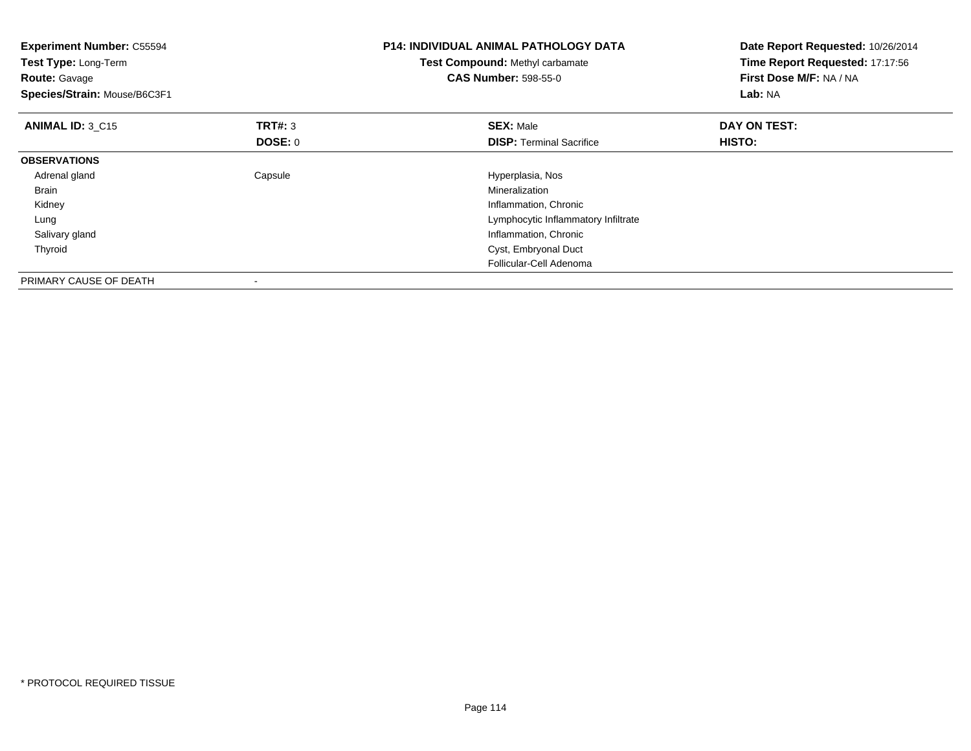| <b>Experiment Number: C55594</b><br>Test Type: Long-Term<br><b>Route: Gavage</b><br>Species/Strain: Mouse/B6C3F1 |                           | <b>P14: INDIVIDUAL ANIMAL PATHOLOGY DATA</b><br>Test Compound: Methyl carbamate<br><b>CAS Number: 598-55-0</b> | Date Report Requested: 10/26/2014<br>Time Report Requested: 17:17:56<br>First Dose M/F: NA / NA<br>Lab: NA |  |
|------------------------------------------------------------------------------------------------------------------|---------------------------|----------------------------------------------------------------------------------------------------------------|------------------------------------------------------------------------------------------------------------|--|
| <b>ANIMAL ID: 3 C15</b>                                                                                          | TRT#: 3<br><b>DOSE: 0</b> | <b>SEX: Male</b><br><b>DISP:</b> Terminal Sacrifice                                                            | DAY ON TEST:<br>HISTO:                                                                                     |  |
| <b>OBSERVATIONS</b>                                                                                              |                           |                                                                                                                |                                                                                                            |  |
| Adrenal gland                                                                                                    | Capsule                   | Hyperplasia, Nos                                                                                               |                                                                                                            |  |
| Brain                                                                                                            |                           | Mineralization                                                                                                 |                                                                                                            |  |
| Kidney                                                                                                           |                           | Inflammation, Chronic                                                                                          |                                                                                                            |  |
| Lung                                                                                                             |                           | Lymphocytic Inflammatory Infiltrate                                                                            |                                                                                                            |  |
| Salivary gland                                                                                                   |                           | Inflammation, Chronic                                                                                          |                                                                                                            |  |
| Thyroid                                                                                                          |                           | Cyst, Embryonal Duct                                                                                           |                                                                                                            |  |
|                                                                                                                  |                           | Follicular-Cell Adenoma                                                                                        |                                                                                                            |  |
| PRIMARY CAUSE OF DEATH                                                                                           |                           |                                                                                                                |                                                                                                            |  |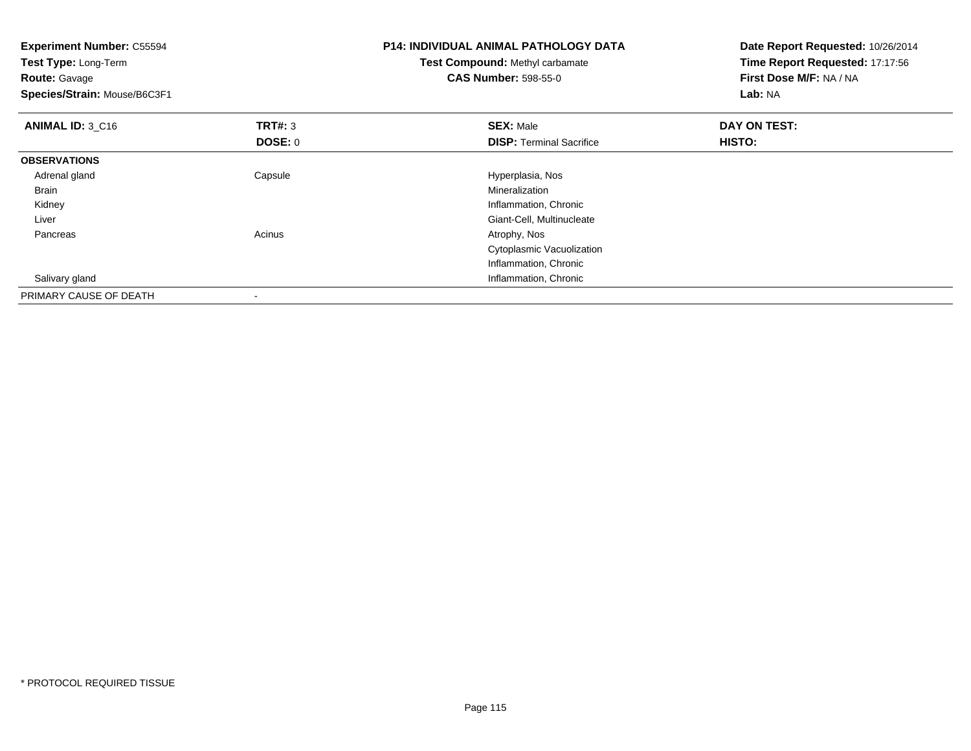| Experiment Number: C55594<br>Test Type: Long-Term<br><b>Route: Gavage</b><br>Species/Strain: Mouse/B6C3F1 |                | <b>P14: INDIVIDUAL ANIMAL PATHOLOGY DATA</b><br>Test Compound: Methyl carbamate<br><b>CAS Number: 598-55-0</b> | Date Report Requested: 10/26/2014<br>Time Report Requested: 17:17:56<br>First Dose M/F: NA / NA<br>Lab: NA |  |
|-----------------------------------------------------------------------------------------------------------|----------------|----------------------------------------------------------------------------------------------------------------|------------------------------------------------------------------------------------------------------------|--|
| ANIMAL ID: 3 C16                                                                                          | TRT#: 3        | <b>SEX: Male</b>                                                                                               | DAY ON TEST:                                                                                               |  |
|                                                                                                           | <b>DOSE: 0</b> | <b>DISP:</b> Terminal Sacrifice                                                                                | HISTO:                                                                                                     |  |
| <b>OBSERVATIONS</b>                                                                                       |                |                                                                                                                |                                                                                                            |  |
| Adrenal gland                                                                                             | Capsule        | Hyperplasia, Nos                                                                                               |                                                                                                            |  |
| Brain                                                                                                     |                | Mineralization                                                                                                 |                                                                                                            |  |
| Kidney                                                                                                    |                | Inflammation, Chronic                                                                                          |                                                                                                            |  |
| Liver                                                                                                     |                | Giant-Cell, Multinucleate                                                                                      |                                                                                                            |  |
| Pancreas                                                                                                  | Acinus         | Atrophy, Nos                                                                                                   |                                                                                                            |  |
|                                                                                                           |                | Cytoplasmic Vacuolization                                                                                      |                                                                                                            |  |
|                                                                                                           |                | Inflammation, Chronic                                                                                          |                                                                                                            |  |
| Salivary gland                                                                                            |                | Inflammation, Chronic                                                                                          |                                                                                                            |  |
| PRIMARY CAUSE OF DEATH                                                                                    |                |                                                                                                                |                                                                                                            |  |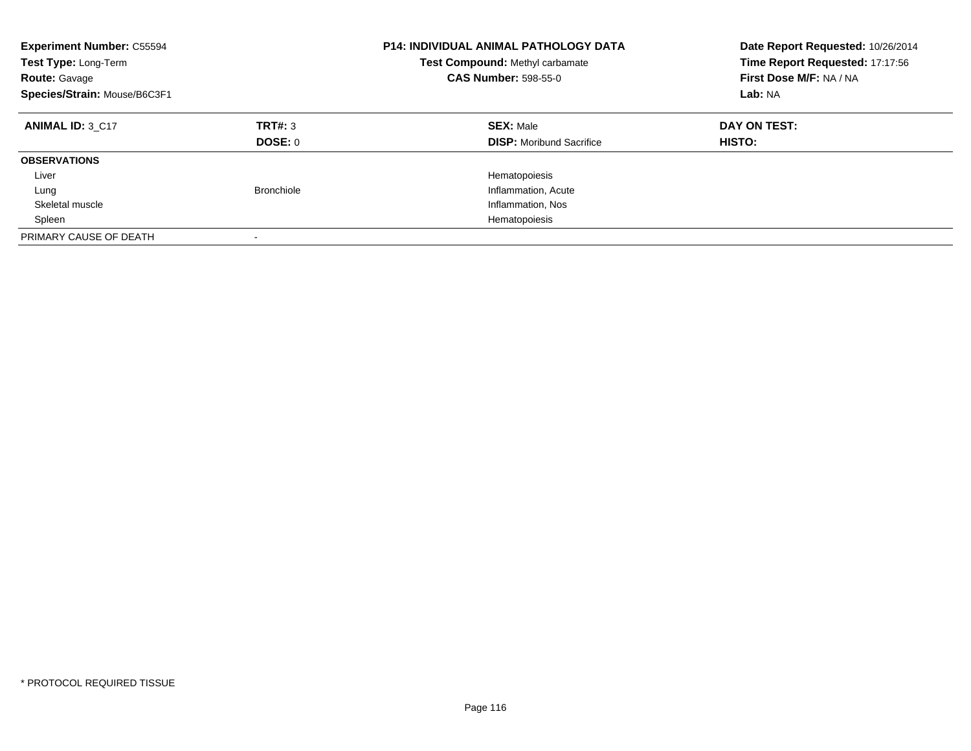| <b>Experiment Number: C55594</b><br>Test Type: Long-Term<br><b>Route: Gavage</b><br>Species/Strain: Mouse/B6C3F1 |                    | <b>P14: INDIVIDUAL ANIMAL PATHOLOGY DATA</b><br>Test Compound: Methyl carbamate<br><b>CAS Number: 598-55-0</b> | Date Report Requested: 10/26/2014<br>Time Report Requested: 17:17:56<br>First Dose M/F: NA / NA<br>Lab: NA |
|------------------------------------------------------------------------------------------------------------------|--------------------|----------------------------------------------------------------------------------------------------------------|------------------------------------------------------------------------------------------------------------|
| <b>ANIMAL ID: 3 C17</b>                                                                                          | TRT#: 3<br>DOSE: 0 | <b>SEX: Male</b><br><b>DISP:</b> Moribund Sacrifice                                                            | DAY ON TEST:<br><b>HISTO:</b>                                                                              |
| <b>OBSERVATIONS</b>                                                                                              |                    |                                                                                                                |                                                                                                            |
| Liver                                                                                                            |                    | Hematopoiesis                                                                                                  |                                                                                                            |
| Lung                                                                                                             | <b>Bronchiole</b>  | Inflammation, Acute                                                                                            |                                                                                                            |
| Skeletal muscle                                                                                                  |                    | Inflammation, Nos                                                                                              |                                                                                                            |
| Spleen                                                                                                           |                    | Hematopoiesis                                                                                                  |                                                                                                            |
| PRIMARY CAUSE OF DEATH                                                                                           |                    |                                                                                                                |                                                                                                            |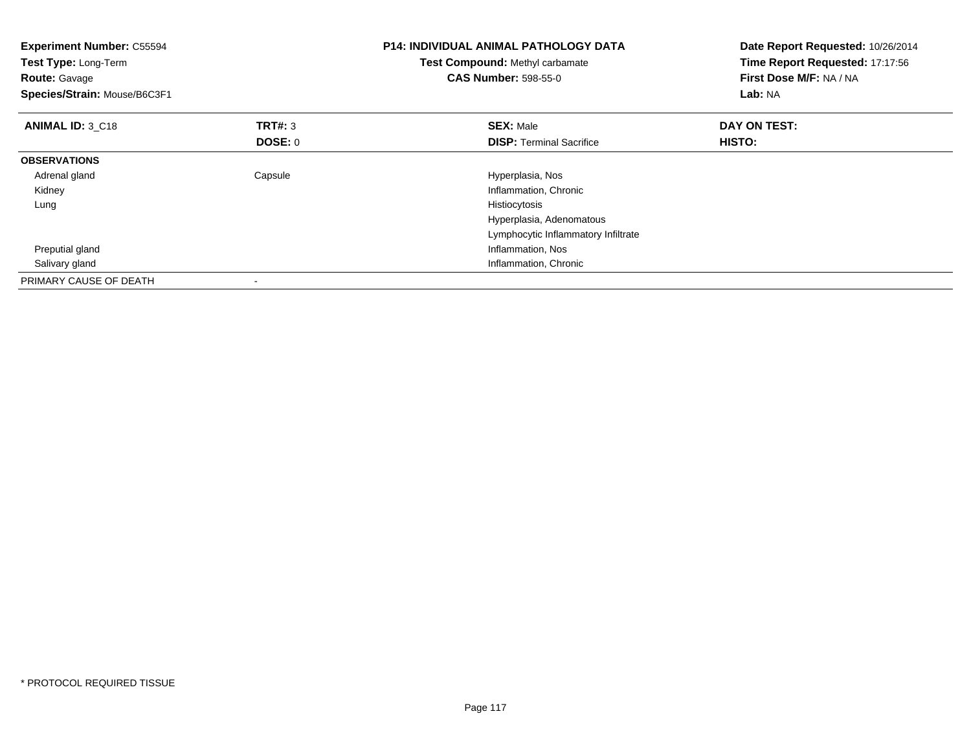| <b>Experiment Number: C55594</b><br>Test Type: Long-Term<br><b>Route: Gavage</b><br>Species/Strain: Mouse/B6C3F1 |                           | <b>P14: INDIVIDUAL ANIMAL PATHOLOGY DATA</b><br>Test Compound: Methyl carbamate<br><b>CAS Number: 598-55-0</b> | Date Report Requested: 10/26/2014<br>Time Report Requested: 17:17:56<br>First Dose M/F: NA / NA<br>Lab: NA |  |
|------------------------------------------------------------------------------------------------------------------|---------------------------|----------------------------------------------------------------------------------------------------------------|------------------------------------------------------------------------------------------------------------|--|
| ANIMAL ID: 3 C18                                                                                                 | <b>TRT#: 3</b><br>DOSE: 0 | <b>SEX: Male</b><br><b>DISP:</b> Terminal Sacrifice                                                            | DAY ON TEST:<br>HISTO:                                                                                     |  |
| <b>OBSERVATIONS</b>                                                                                              |                           |                                                                                                                |                                                                                                            |  |
| Adrenal gland<br>Kidney                                                                                          | Capsule                   | Hyperplasia, Nos<br>Inflammation, Chronic                                                                      |                                                                                                            |  |
| Lung                                                                                                             |                           | Histiocytosis<br>Hyperplasia, Adenomatous<br>Lymphocytic Inflammatory Infiltrate                               |                                                                                                            |  |
| Preputial gland<br>Salivary gland                                                                                |                           | Inflammation, Nos<br>Inflammation, Chronic                                                                     |                                                                                                            |  |
| PRIMARY CAUSE OF DEATH                                                                                           |                           |                                                                                                                |                                                                                                            |  |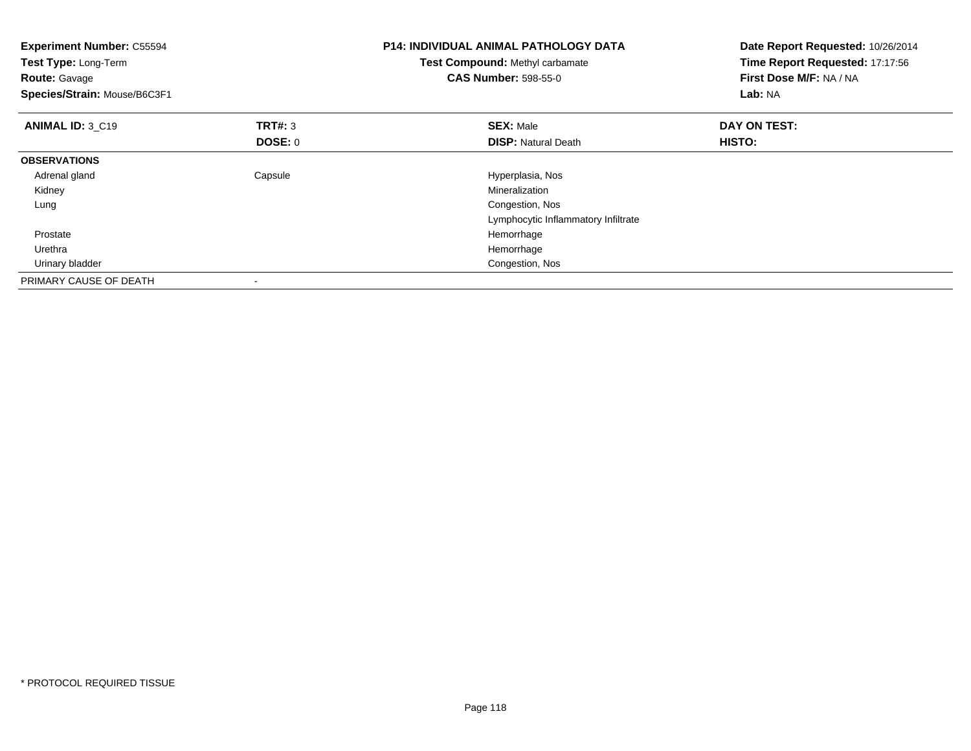| <b>Experiment Number: C55594</b><br>Test Type: Long-Term<br><b>Route: Gavage</b><br>Species/Strain: Mouse/B6C3F1 |                                  | <b>P14: INDIVIDUAL ANIMAL PATHOLOGY DATA</b><br>Test Compound: Methyl carbamate<br><b>CAS Number: 598-55-0</b> | Date Report Requested: 10/26/2014<br>Time Report Requested: 17:17:56<br>First Dose M/F: NA / NA<br>Lab: NA |
|------------------------------------------------------------------------------------------------------------------|----------------------------------|----------------------------------------------------------------------------------------------------------------|------------------------------------------------------------------------------------------------------------|
| ANIMAL ID: 3 C19                                                                                                 | <b>TRT#: 3</b><br><b>DOSE: 0</b> | <b>SEX: Male</b><br><b>DISP:</b> Natural Death                                                                 | DAY ON TEST:<br>HISTO:                                                                                     |
| <b>OBSERVATIONS</b>                                                                                              |                                  |                                                                                                                |                                                                                                            |
| Adrenal gland                                                                                                    | Capsule                          | Hyperplasia, Nos                                                                                               |                                                                                                            |
| Kidney                                                                                                           |                                  | Mineralization                                                                                                 |                                                                                                            |
| Lung                                                                                                             |                                  | Congestion, Nos                                                                                                |                                                                                                            |
|                                                                                                                  |                                  | Lymphocytic Inflammatory Infiltrate                                                                            |                                                                                                            |
| Prostate                                                                                                         |                                  | Hemorrhage                                                                                                     |                                                                                                            |
| Urethra                                                                                                          |                                  | Hemorrhage                                                                                                     |                                                                                                            |
| Urinary bladder                                                                                                  |                                  | Congestion, Nos                                                                                                |                                                                                                            |
| PRIMARY CAUSE OF DEATH                                                                                           |                                  |                                                                                                                |                                                                                                            |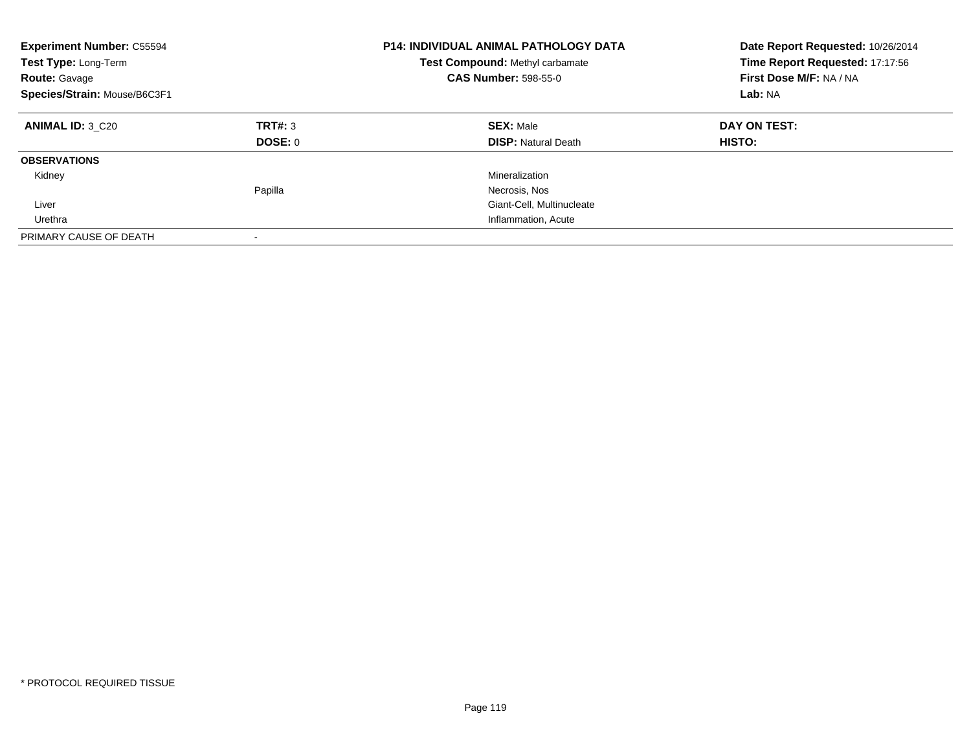| <b>Experiment Number: C55594</b><br>Test Type: Long-Term<br><b>Route: Gavage</b><br>Species/Strain: Mouse/B6C3F1 |                    | <b>P14: INDIVIDUAL ANIMAL PATHOLOGY DATA</b><br>Test Compound: Methyl carbamate<br><b>CAS Number: 598-55-0</b> | Date Report Requested: 10/26/2014<br>Time Report Requested: 17:17:56<br>First Dose M/F: NA / NA<br>Lab: NA |
|------------------------------------------------------------------------------------------------------------------|--------------------|----------------------------------------------------------------------------------------------------------------|------------------------------------------------------------------------------------------------------------|
| <b>ANIMAL ID: 3 C20</b>                                                                                          | TRT#: 3<br>DOSE: 0 | <b>SEX: Male</b><br><b>DISP: Natural Death</b>                                                                 | DAY ON TEST:<br><b>HISTO:</b>                                                                              |
| <b>OBSERVATIONS</b>                                                                                              |                    |                                                                                                                |                                                                                                            |
| Kidney                                                                                                           |                    | Mineralization                                                                                                 |                                                                                                            |
|                                                                                                                  | Papilla            | Necrosis, Nos                                                                                                  |                                                                                                            |
| Liver                                                                                                            |                    | Giant-Cell, Multinucleate                                                                                      |                                                                                                            |
| Urethra                                                                                                          |                    | Inflammation, Acute                                                                                            |                                                                                                            |
| PRIMARY CAUSE OF DEATH                                                                                           |                    |                                                                                                                |                                                                                                            |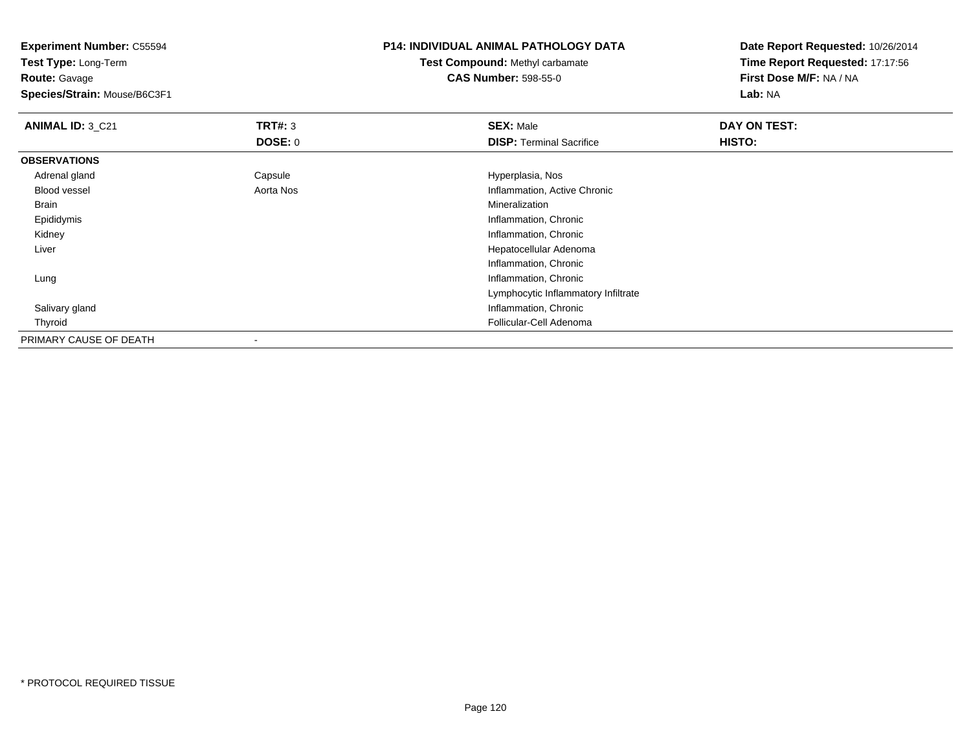**Experiment Number:** C55594**Test Type:** Long-Term**Route:** Gavage **Species/Strain:** Mouse/B6C3F1**P14: INDIVIDUAL ANIMAL PATHOLOGY DATATest Compound:** Methyl carbamate**CAS Number:** 598-55-0**Date Report Requested:** 10/26/2014**Time Report Requested:** 17:17:56**First Dose M/F:** NA / NA**Lab:** NA**ANIMAL ID:** 3\_C21**TRT#:** 3 **SEX:** Male **DAY ON TEST: DOSE:** 0**DISP:** Terminal Sacrifice **HISTO: OBSERVATIONS** Adrenal glandCapsule **Capsule Hyperplasia**, Nos Blood vessel Aorta Nos Inflammation, Active Chronic Brainn and the control of the control of the control of the control of the control of the control of the control of the control of the control of the control of the control of the control of the control of the control of the co Epididymis Inflammation, Chronic Kidney Inflammation, Chronic Liver Hepatocellular AdenomaInflammation, Chronic**Inflammation, Chronic**  LungLymphocytic Inflammatory Infiltrate Salivary gland Inflammation, Chronic Thyroid Follicular-Cell Adenoma PRIMARY CAUSE OF DEATH-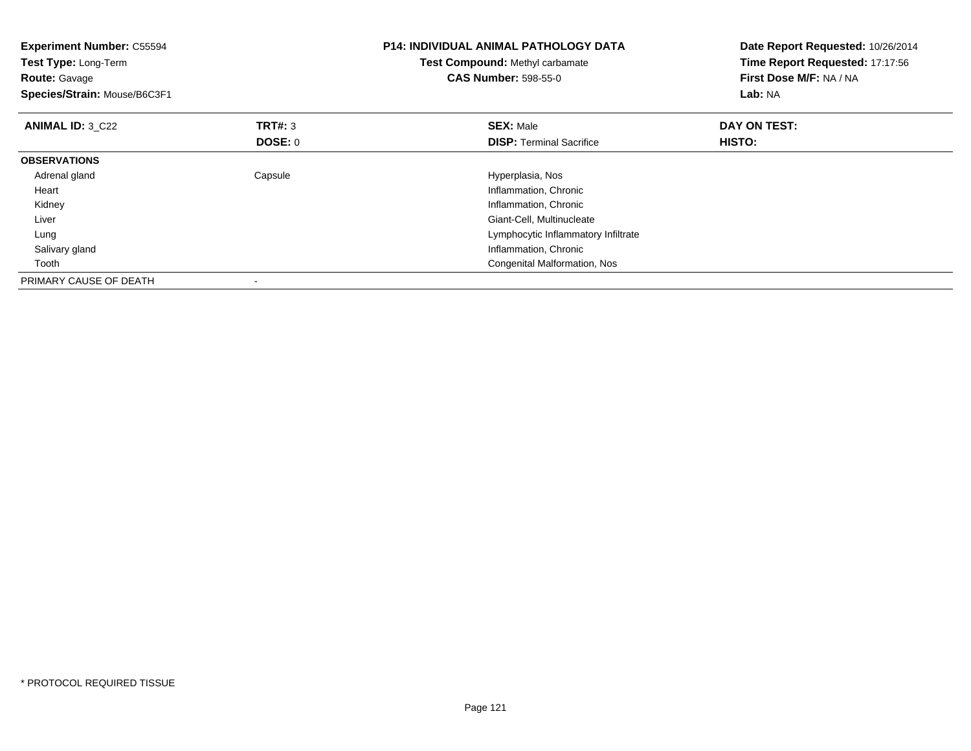| <b>Experiment Number: C55594</b><br><b>Test Type: Long-Term</b><br><b>Route: Gavage</b><br>Species/Strain: Mouse/B6C3F1 |                           | <b>P14: INDIVIDUAL ANIMAL PATHOLOGY DATA</b><br>Test Compound: Methyl carbamate<br><b>CAS Number: 598-55-0</b>                                                                                  | Date Report Requested: 10/26/2014<br>Time Report Requested: 17:17:56<br>First Dose M/F: NA / NA<br>Lab: NA |
|-------------------------------------------------------------------------------------------------------------------------|---------------------------|-------------------------------------------------------------------------------------------------------------------------------------------------------------------------------------------------|------------------------------------------------------------------------------------------------------------|
| <b>ANIMAL ID: 3 C22</b>                                                                                                 | <b>TRT#: 3</b><br>DOSE: 0 | <b>SEX: Male</b><br><b>DISP:</b> Terminal Sacrifice                                                                                                                                             | DAY ON TEST:<br>HISTO:                                                                                     |
| <b>OBSERVATIONS</b>                                                                                                     |                           |                                                                                                                                                                                                 |                                                                                                            |
| Adrenal gland<br>Heart<br>Kidney<br>Liver<br>Lung<br>Salivary gland<br>Tooth                                            | Capsule                   | Hyperplasia, Nos<br>Inflammation, Chronic<br>Inflammation, Chronic<br>Giant-Cell, Multinucleate<br>Lymphocytic Inflammatory Infiltrate<br>Inflammation, Chronic<br>Congenital Malformation, Nos |                                                                                                            |
| PRIMARY CAUSE OF DEATH                                                                                                  |                           |                                                                                                                                                                                                 |                                                                                                            |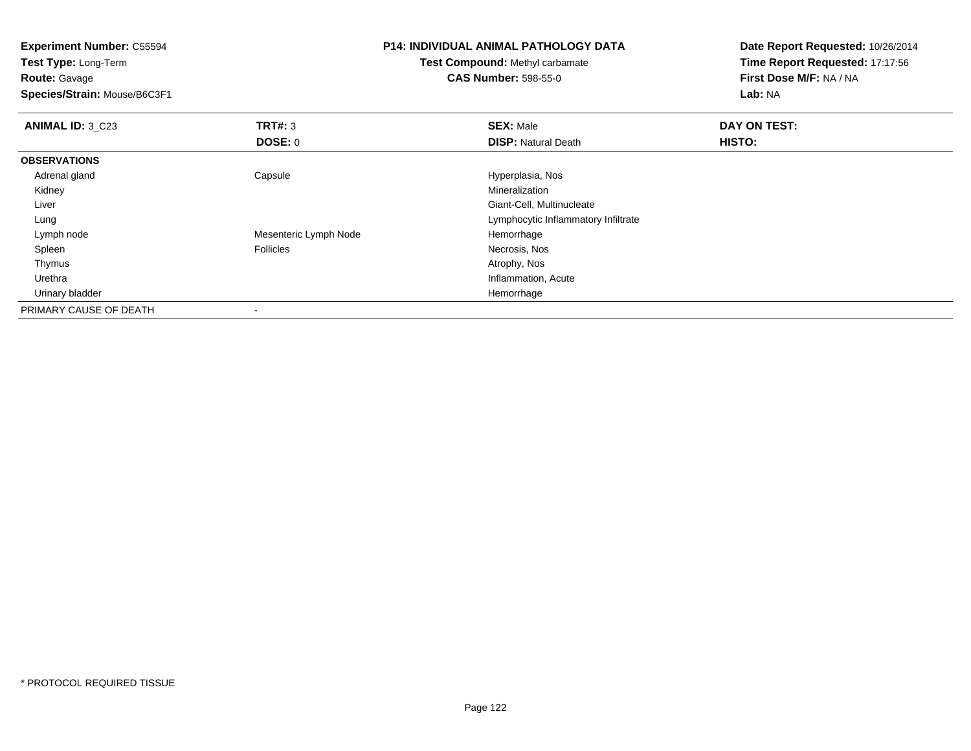**Test Type:** Long-Term**Route:** Gavage

**Species/Strain:** Mouse/B6C3F1

### **P14: INDIVIDUAL ANIMAL PATHOLOGY DATA**

**Test Compound:** Methyl carbamate**CAS Number:** 598-55-0

| <b>ANIMAL ID: 3 C23</b> | TRT#: 3               | <b>SEX: Male</b>                    | DAY ON TEST: |  |
|-------------------------|-----------------------|-------------------------------------|--------------|--|
|                         | <b>DOSE: 0</b>        | <b>DISP: Natural Death</b>          | HISTO:       |  |
| <b>OBSERVATIONS</b>     |                       |                                     |              |  |
| Adrenal gland           | Capsule               | Hyperplasia, Nos                    |              |  |
| Kidney                  |                       | Mineralization                      |              |  |
| Liver                   |                       | Giant-Cell, Multinucleate           |              |  |
| Lung                    |                       | Lymphocytic Inflammatory Infiltrate |              |  |
| Lymph node              | Mesenteric Lymph Node | Hemorrhage                          |              |  |
| Spleen                  | <b>Follicles</b>      | Necrosis, Nos                       |              |  |
| Thymus                  |                       | Atrophy, Nos                        |              |  |
| Urethra                 |                       | Inflammation, Acute                 |              |  |
| Urinary bladder         |                       | Hemorrhage                          |              |  |
| PRIMARY CAUSE OF DEATH  |                       |                                     |              |  |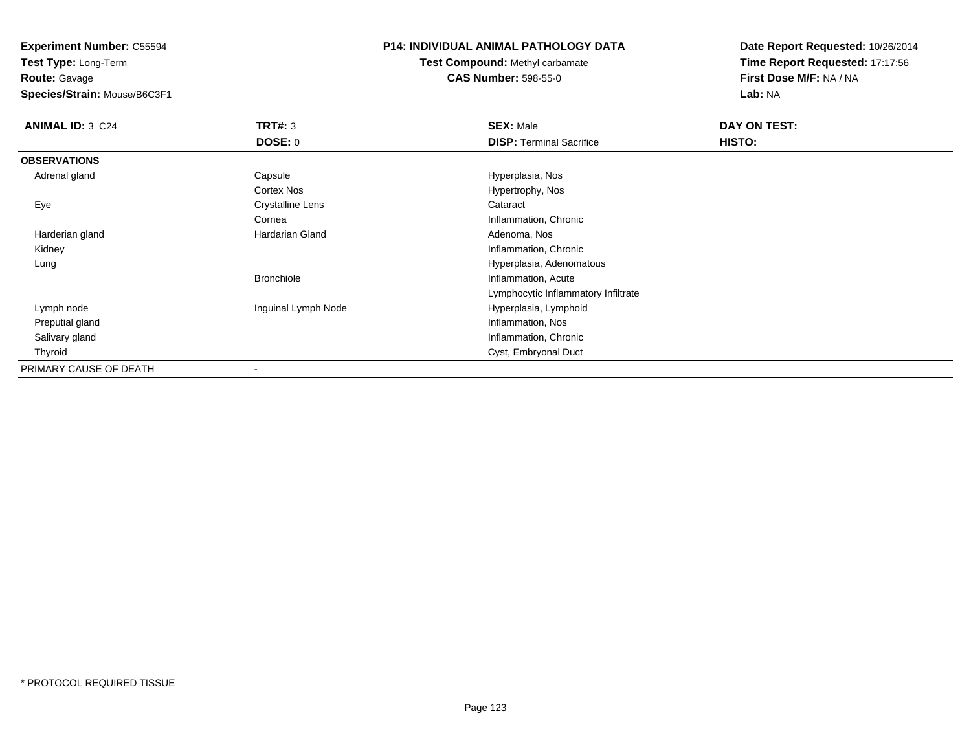**Test Type:** Long-Term**Route:** Gavage

**Species/Strain:** Mouse/B6C3F1

### **P14: INDIVIDUAL ANIMAL PATHOLOGY DATA**

**Test Compound:** Methyl carbamate**CAS Number:** 598-55-0

| <b>ANIMAL ID: 3_C24</b> | TRT#: 3                 | <b>SEX: Male</b>                    | DAY ON TEST:  |  |
|-------------------------|-------------------------|-------------------------------------|---------------|--|
|                         | <b>DOSE: 0</b>          | <b>DISP: Terminal Sacrifice</b>     | <b>HISTO:</b> |  |
| <b>OBSERVATIONS</b>     |                         |                                     |               |  |
| Adrenal gland           | Capsule                 | Hyperplasia, Nos                    |               |  |
|                         | <b>Cortex Nos</b>       | Hypertrophy, Nos                    |               |  |
| Eye                     | <b>Crystalline Lens</b> | Cataract                            |               |  |
|                         | Cornea                  | Inflammation, Chronic               |               |  |
| Harderian gland         | Hardarian Gland         | Adenoma, Nos                        |               |  |
| Kidney                  |                         | Inflammation, Chronic               |               |  |
| Lung                    |                         | Hyperplasia, Adenomatous            |               |  |
|                         | <b>Bronchiole</b>       | Inflammation, Acute                 |               |  |
|                         |                         | Lymphocytic Inflammatory Infiltrate |               |  |
| Lymph node              | Inguinal Lymph Node     | Hyperplasia, Lymphoid               |               |  |
| Preputial gland         |                         | Inflammation, Nos                   |               |  |
| Salivary gland          |                         | Inflammation, Chronic               |               |  |
| Thyroid                 |                         | Cyst, Embryonal Duct                |               |  |
| PRIMARY CAUSE OF DEATH  |                         |                                     |               |  |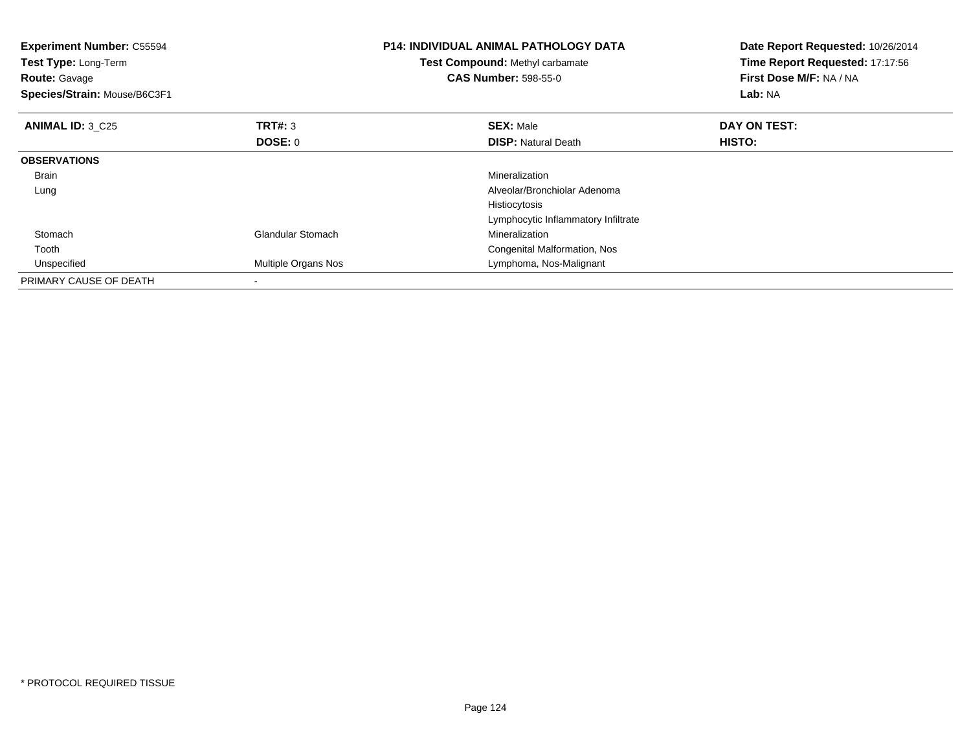| <b>Experiment Number: C55594</b><br><b>Test Type: Long-Term</b><br><b>Route: Gavage</b><br>Species/Strain: Mouse/B6C3F1 |                           | <b>P14: INDIVIDUAL ANIMAL PATHOLOGY DATA</b><br>Test Compound: Methyl carbamate<br><b>CAS Number: 598-55-0</b> | Date Report Requested: 10/26/2014<br>Time Report Requested: 17:17:56<br>First Dose M/F: NA / NA<br>Lab: NA |
|-------------------------------------------------------------------------------------------------------------------------|---------------------------|----------------------------------------------------------------------------------------------------------------|------------------------------------------------------------------------------------------------------------|
| <b>ANIMAL ID: 3 C25</b>                                                                                                 | <b>TRT#: 3</b><br>DOSE: 0 | <b>SEX: Male</b><br><b>DISP:</b> Natural Death                                                                 | DAY ON TEST:<br>HISTO:                                                                                     |
| <b>OBSERVATIONS</b>                                                                                                     |                           |                                                                                                                |                                                                                                            |
| <b>Brain</b>                                                                                                            |                           | Mineralization                                                                                                 |                                                                                                            |
| Lung                                                                                                                    |                           | Alveolar/Bronchiolar Adenoma                                                                                   |                                                                                                            |
|                                                                                                                         |                           | Histiocytosis                                                                                                  |                                                                                                            |
|                                                                                                                         |                           | Lymphocytic Inflammatory Infiltrate                                                                            |                                                                                                            |
| Stomach                                                                                                                 | <b>Glandular Stomach</b>  | Mineralization                                                                                                 |                                                                                                            |
| Tooth                                                                                                                   |                           | Congenital Malformation, Nos                                                                                   |                                                                                                            |
| Unspecified                                                                                                             | Multiple Organs Nos       | Lymphoma, Nos-Malignant                                                                                        |                                                                                                            |
| PRIMARY CAUSE OF DEATH                                                                                                  | $\overline{\phantom{a}}$  |                                                                                                                |                                                                                                            |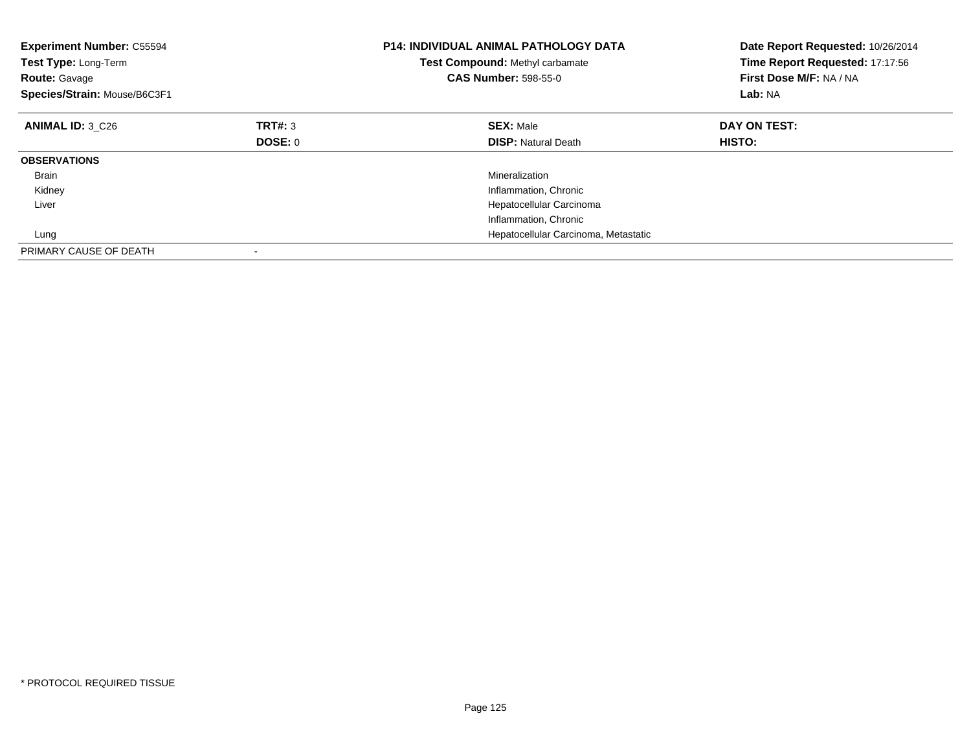| <b>Experiment Number: C55594</b><br>Test Type: Long-Term<br><b>Route: Gavage</b><br>Species/Strain: Mouse/B6C3F1 |                | <b>P14: INDIVIDUAL ANIMAL PATHOLOGY DATA</b><br><b>Test Compound: Methyl carbamate</b><br><b>CAS Number: 598-55-0</b> | Date Report Requested: 10/26/2014<br>Time Report Requested: 17:17:56<br>First Dose M/F: NA / NA<br>Lab: NA |
|------------------------------------------------------------------------------------------------------------------|----------------|-----------------------------------------------------------------------------------------------------------------------|------------------------------------------------------------------------------------------------------------|
| <b>ANIMAL ID: 3 C26</b>                                                                                          | TRT#: 3        | <b>SEX: Male</b>                                                                                                      | DAY ON TEST:                                                                                               |
|                                                                                                                  | <b>DOSE: 0</b> | <b>DISP: Natural Death</b>                                                                                            | <b>HISTO:</b>                                                                                              |
| <b>OBSERVATIONS</b>                                                                                              |                |                                                                                                                       |                                                                                                            |
| Brain                                                                                                            |                | Mineralization                                                                                                        |                                                                                                            |
| Kidney                                                                                                           |                | Inflammation, Chronic                                                                                                 |                                                                                                            |
| Liver                                                                                                            |                | Hepatocellular Carcinoma                                                                                              |                                                                                                            |
|                                                                                                                  |                | Inflammation, Chronic                                                                                                 |                                                                                                            |
| Lung                                                                                                             |                | Hepatocellular Carcinoma, Metastatic                                                                                  |                                                                                                            |
| PRIMARY CAUSE OF DEATH                                                                                           |                |                                                                                                                       |                                                                                                            |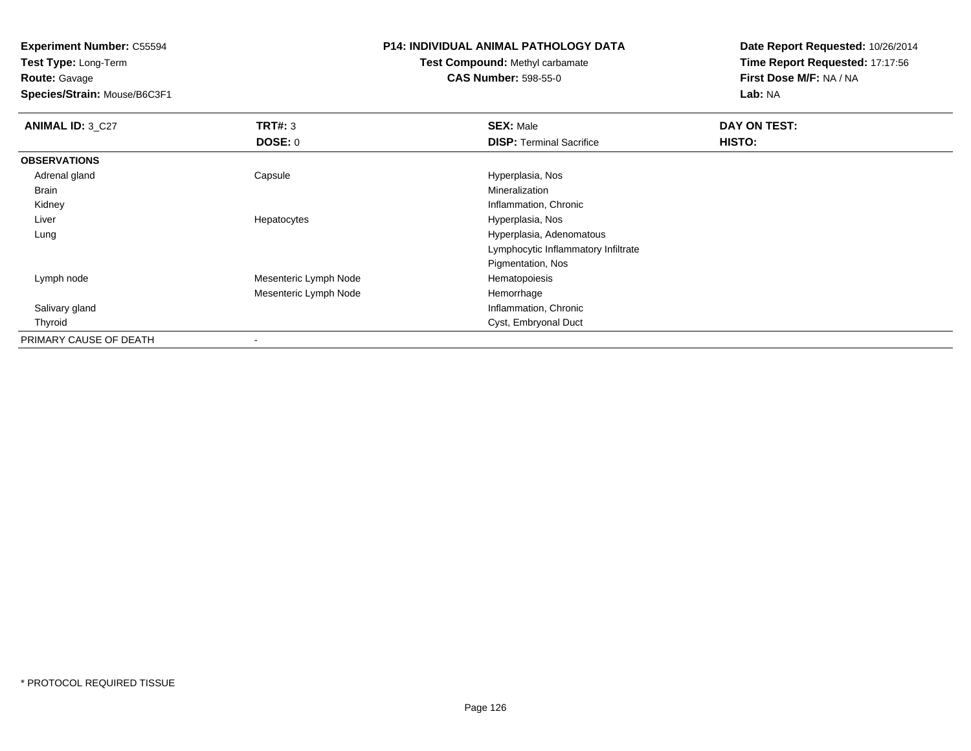**Test Type:** Long-Term**Route:** Gavage

**Species/Strain:** Mouse/B6C3F1

#### **P14: INDIVIDUAL ANIMAL PATHOLOGY DATA**

# **Test Compound:** Methyl carbamate**CAS Number:** 598-55-0

| ANIMAL ID: 3_C27       | TRT#: 3               | <b>SEX: Male</b>                    | DAY ON TEST: |  |
|------------------------|-----------------------|-------------------------------------|--------------|--|
|                        | <b>DOSE: 0</b>        | <b>DISP: Terminal Sacrifice</b>     | HISTO:       |  |
| <b>OBSERVATIONS</b>    |                       |                                     |              |  |
| Adrenal gland          | Capsule               | Hyperplasia, Nos                    |              |  |
| Brain                  |                       | Mineralization                      |              |  |
| Kidney                 |                       | Inflammation, Chronic               |              |  |
| Liver                  | Hepatocytes           | Hyperplasia, Nos                    |              |  |
| Lung                   |                       | Hyperplasia, Adenomatous            |              |  |
|                        |                       | Lymphocytic Inflammatory Infiltrate |              |  |
|                        |                       | Pigmentation, Nos                   |              |  |
| Lymph node             | Mesenteric Lymph Node | Hematopoiesis                       |              |  |
|                        | Mesenteric Lymph Node | Hemorrhage                          |              |  |
| Salivary gland         |                       | Inflammation, Chronic               |              |  |
| Thyroid                |                       | Cyst, Embryonal Duct                |              |  |
| PRIMARY CAUSE OF DEATH |                       |                                     |              |  |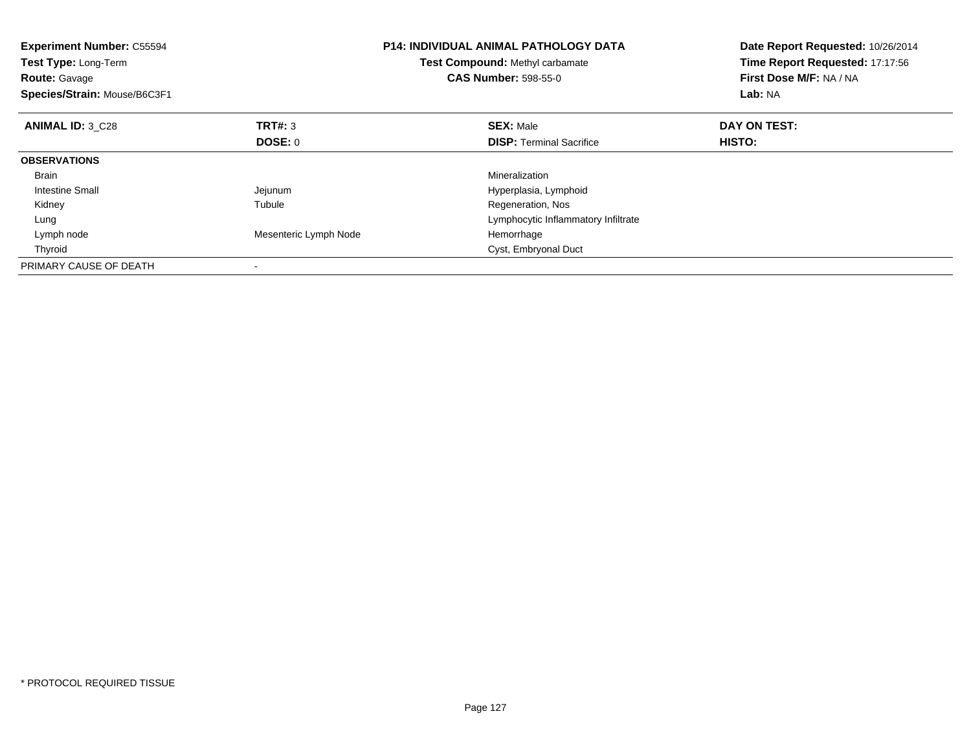| <b>Experiment Number: C55594</b><br>Test Type: Long-Term<br><b>Route: Gavage</b><br>Species/Strain: Mouse/B6C3F1 |                       | <b>P14: INDIVIDUAL ANIMAL PATHOLOGY DATA</b><br>Test Compound: Methyl carbamate<br><b>CAS Number: 598-55-0</b> | Date Report Requested: 10/26/2014<br>Time Report Requested: 17:17:56<br>First Dose M/F: NA / NA<br>Lab: NA |
|------------------------------------------------------------------------------------------------------------------|-----------------------|----------------------------------------------------------------------------------------------------------------|------------------------------------------------------------------------------------------------------------|
| <b>ANIMAL ID: 3 C28</b>                                                                                          | TRT#: 3               | <b>SEX: Male</b>                                                                                               | DAY ON TEST:                                                                                               |
|                                                                                                                  | <b>DOSE: 0</b>        | <b>DISP:</b> Terminal Sacrifice                                                                                | HISTO:                                                                                                     |
| <b>OBSERVATIONS</b>                                                                                              |                       |                                                                                                                |                                                                                                            |
| <b>Brain</b>                                                                                                     |                       | Mineralization                                                                                                 |                                                                                                            |
| Intestine Small                                                                                                  | Jejunum               | Hyperplasia, Lymphoid                                                                                          |                                                                                                            |
| Kidney                                                                                                           | Tubule                | Regeneration, Nos                                                                                              |                                                                                                            |
| Lung                                                                                                             |                       | Lymphocytic Inflammatory Infiltrate                                                                            |                                                                                                            |
| Lymph node                                                                                                       | Mesenteric Lymph Node | Hemorrhage                                                                                                     |                                                                                                            |
| Thyroid                                                                                                          |                       | Cyst, Embryonal Duct                                                                                           |                                                                                                            |
| PRIMARY CAUSE OF DEATH                                                                                           |                       |                                                                                                                |                                                                                                            |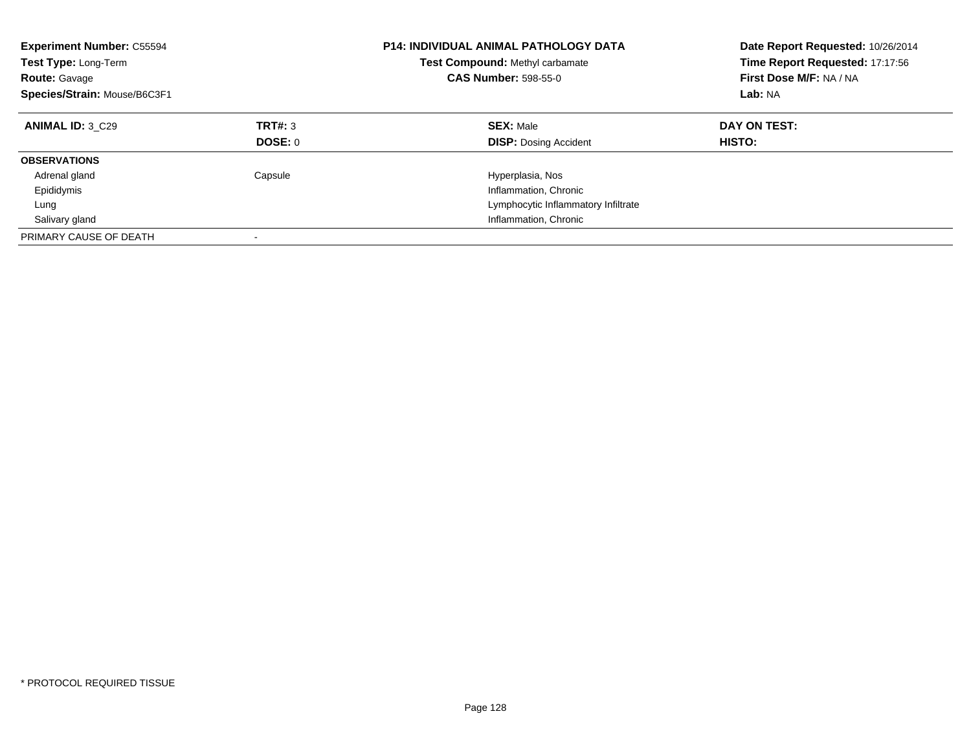| <b>Experiment Number: C55594</b><br><b>Test Type: Long-Term</b><br><b>Route: Gavage</b><br>Species/Strain: Mouse/B6C3F1 |                           | <b>P14: INDIVIDUAL ANIMAL PATHOLOGY DATA</b><br><b>Test Compound: Methyl carbamate</b><br><b>CAS Number: 598-55-0</b> | Date Report Requested: 10/26/2014<br>Time Report Requested: 17:17:56<br>First Dose M/F: NA / NA<br>Lab: NA |
|-------------------------------------------------------------------------------------------------------------------------|---------------------------|-----------------------------------------------------------------------------------------------------------------------|------------------------------------------------------------------------------------------------------------|
| ANIMAL ID: 3 C29                                                                                                        | TRT#: 3<br><b>DOSE: 0</b> | <b>SEX: Male</b><br><b>DISP:</b> Dosing Accident                                                                      | DAY ON TEST:<br><b>HISTO:</b>                                                                              |
| <b>OBSERVATIONS</b>                                                                                                     |                           |                                                                                                                       |                                                                                                            |
| Adrenal gland                                                                                                           | Capsule                   | Hyperplasia, Nos                                                                                                      |                                                                                                            |
| Epididymis                                                                                                              |                           | Inflammation, Chronic                                                                                                 |                                                                                                            |
| Lung                                                                                                                    |                           | Lymphocytic Inflammatory Infiltrate                                                                                   |                                                                                                            |
| Salivary gland                                                                                                          |                           | Inflammation, Chronic                                                                                                 |                                                                                                            |
| PRIMARY CAUSE OF DEATH                                                                                                  |                           |                                                                                                                       |                                                                                                            |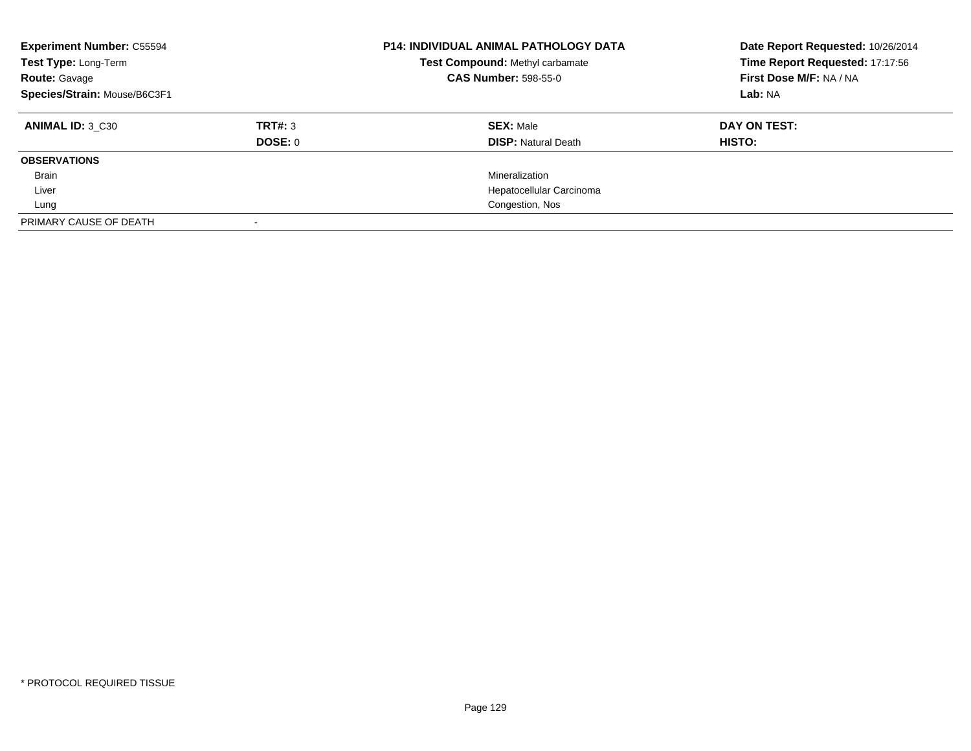| <b>Experiment Number: C55594</b><br>Test Type: Long-Term<br><b>Route: Gavage</b><br>Species/Strain: Mouse/B6C3F1 |                    | P14: INDIVIDUAL ANIMAL PATHOLOGY DATA<br>Test Compound: Methyl carbamate<br><b>CAS Number: 598-55-0</b> | Date Report Requested: 10/26/2014<br>Time Report Requested: 17:17:56<br>First Dose M/F: NA / NA<br>Lab: NA |
|------------------------------------------------------------------------------------------------------------------|--------------------|---------------------------------------------------------------------------------------------------------|------------------------------------------------------------------------------------------------------------|
| ANIMAL ID: 3 C30                                                                                                 | TRT#: 3<br>DOSE: 0 | <b>SEX: Male</b><br><b>DISP: Natural Death</b>                                                          | DAY ON TEST:<br>HISTO:                                                                                     |
| <b>OBSERVATIONS</b>                                                                                              |                    |                                                                                                         |                                                                                                            |
| Brain                                                                                                            |                    | Mineralization                                                                                          |                                                                                                            |
| Liver                                                                                                            |                    | Hepatocellular Carcinoma                                                                                |                                                                                                            |
| Lung                                                                                                             |                    | Congestion, Nos                                                                                         |                                                                                                            |
| PRIMARY CAUSE OF DEATH                                                                                           |                    |                                                                                                         |                                                                                                            |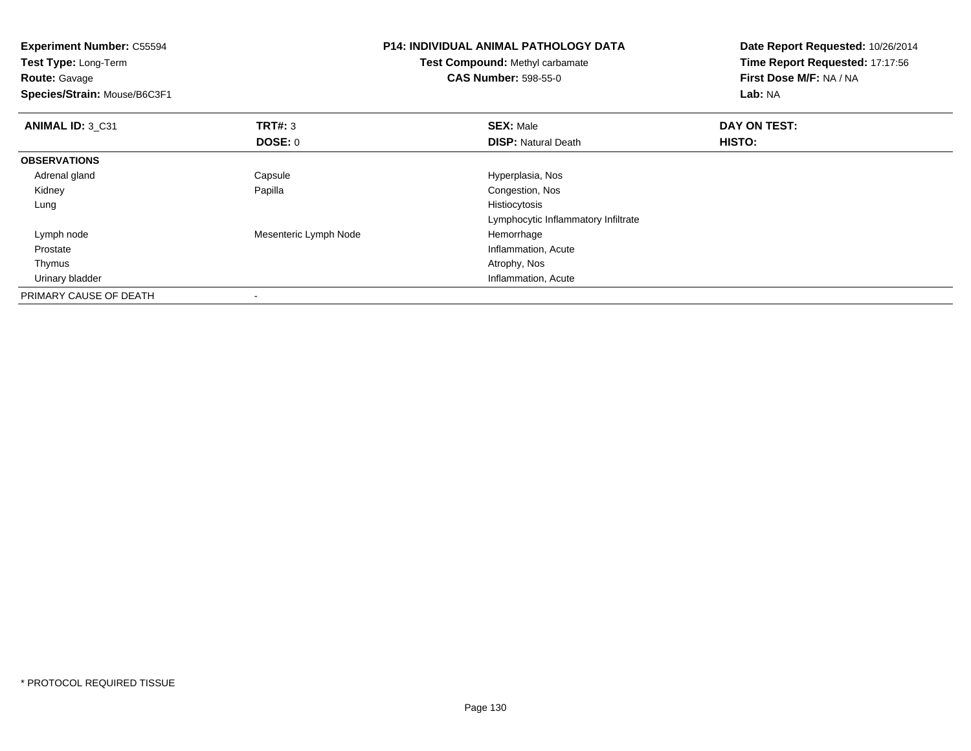**Experiment Number:** C55594**Test Type:** Long-Term**Route:** Gavage **Species/Strain:** Mouse/B6C3F1**P14: INDIVIDUAL ANIMAL PATHOLOGY DATATest Compound:** Methyl carbamate**CAS Number:** 598-55-0**Date Report Requested:** 10/26/2014**Time Report Requested:** 17:17:56**First Dose M/F:** NA / NA**Lab:** NA**ANIMAL ID:** 3\_C31**TRT#:** 3 **SEX:** Male **DAY ON TEST: DOSE:** 0**DISP:** Natural Death **HISTO: OBSERVATIONS** Adrenal glandCapsule **Capsule Hyperplasia**, Nos Kidney Papilla Congestion, Nos Lungg and the state of the state of the state of the state of the state of the state of the state of the state of the state of the state of the state of the state of the state of the state of the state of the state of the stat Lymphocytic Inflammatory Infiltrate Lymph nodeMesenteric Lymph Node Hemorrhage Prostate Inflammation, Acute Thymus Atrophy, Nos Urinary bladder Inflammation, AcutePRIMARY CAUSE OF DEATH-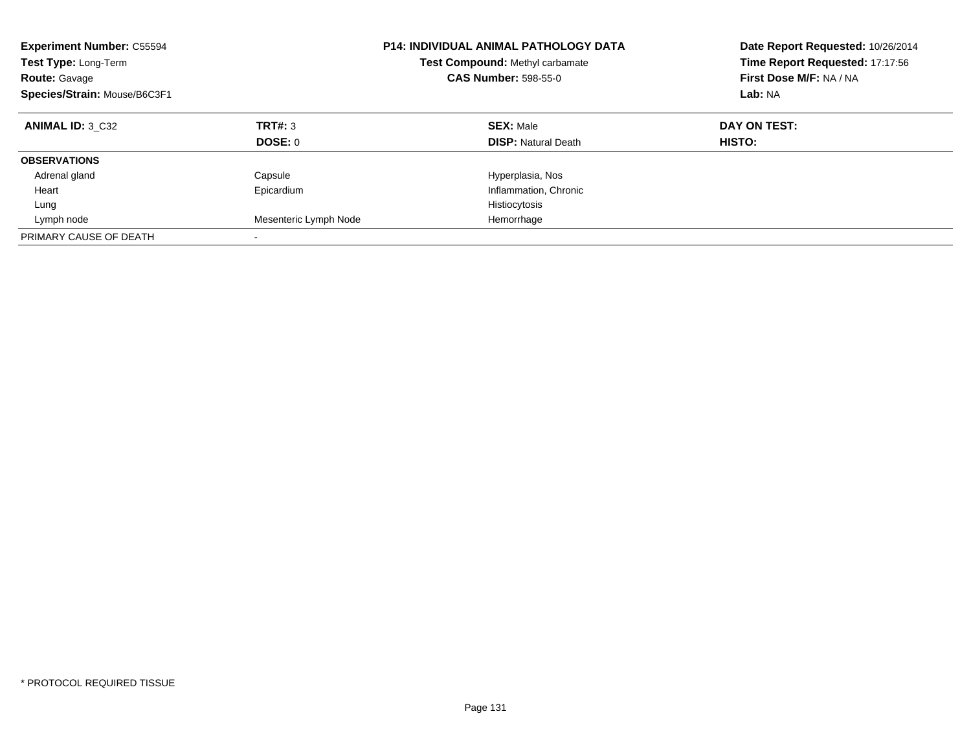| <b>Experiment Number: C55594</b><br>Test Type: Long-Term<br><b>Route: Gavage</b><br>Species/Strain: Mouse/B6C3F1 | <b>P14: INDIVIDUAL ANIMAL PATHOLOGY DATA</b><br><b>Test Compound: Methyl carbamate</b><br><b>CAS Number: 598-55-0</b> |                                                | Date Report Requested: 10/26/2014<br>Time Report Requested: 17:17:56<br>First Dose M/F: NA / NA<br>Lab: NA |
|------------------------------------------------------------------------------------------------------------------|-----------------------------------------------------------------------------------------------------------------------|------------------------------------------------|------------------------------------------------------------------------------------------------------------|
| <b>ANIMAL ID: 3 C32</b>                                                                                          | TRT#: 3<br>DOSE: 0                                                                                                    | <b>SEX: Male</b><br><b>DISP:</b> Natural Death | DAY ON TEST:<br>HISTO:                                                                                     |
|                                                                                                                  |                                                                                                                       |                                                |                                                                                                            |
| <b>OBSERVATIONS</b>                                                                                              |                                                                                                                       |                                                |                                                                                                            |
| Adrenal gland                                                                                                    | Capsule                                                                                                               | Hyperplasia, Nos                               |                                                                                                            |
| Heart                                                                                                            | Epicardium                                                                                                            | Inflammation, Chronic                          |                                                                                                            |
| Lung                                                                                                             |                                                                                                                       | Histiocytosis                                  |                                                                                                            |
| Lymph node                                                                                                       | Mesenteric Lymph Node                                                                                                 | Hemorrhage                                     |                                                                                                            |
| PRIMARY CAUSE OF DEATH                                                                                           | $\overline{\phantom{a}}$                                                                                              |                                                |                                                                                                            |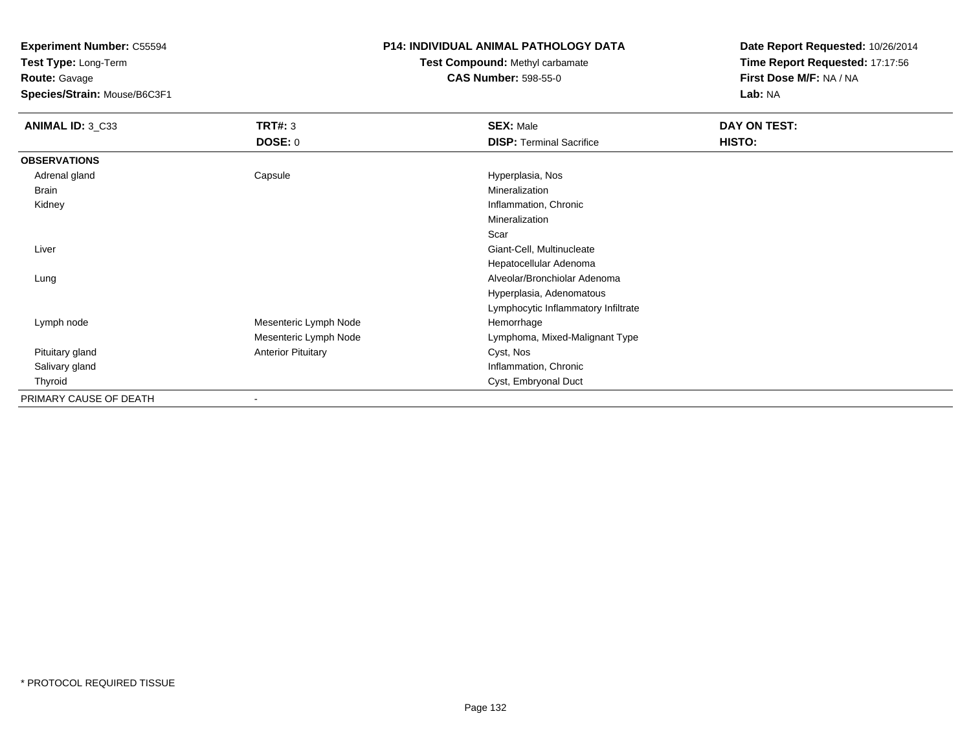**Test Type:** Long-Term**Route:** Gavage

**Species/Strain:** Mouse/B6C3F1

### **P14: INDIVIDUAL ANIMAL PATHOLOGY DATA**

# **Test Compound:** Methyl carbamate**CAS Number:** 598-55-0

| ANIMAL ID: 3_C33       | TRT#: 3                   | <b>SEX: Male</b>                    | DAY ON TEST: |  |
|------------------------|---------------------------|-------------------------------------|--------------|--|
|                        | <b>DOSE: 0</b>            | <b>DISP: Terminal Sacrifice</b>     | HISTO:       |  |
| <b>OBSERVATIONS</b>    |                           |                                     |              |  |
| Adrenal gland          | Capsule                   | Hyperplasia, Nos                    |              |  |
| Brain                  |                           | Mineralization                      |              |  |
| Kidney                 |                           | Inflammation, Chronic               |              |  |
|                        |                           | Mineralization                      |              |  |
|                        |                           | Scar                                |              |  |
| Liver                  |                           | Giant-Cell, Multinucleate           |              |  |
|                        |                           | Hepatocellular Adenoma              |              |  |
| Lung                   |                           | Alveolar/Bronchiolar Adenoma        |              |  |
|                        |                           | Hyperplasia, Adenomatous            |              |  |
|                        |                           | Lymphocytic Inflammatory Infiltrate |              |  |
| Lymph node             | Mesenteric Lymph Node     | Hemorrhage                          |              |  |
|                        | Mesenteric Lymph Node     | Lymphoma, Mixed-Malignant Type      |              |  |
| Pituitary gland        | <b>Anterior Pituitary</b> | Cyst, Nos                           |              |  |
| Salivary gland         |                           | Inflammation, Chronic               |              |  |
| Thyroid                |                           | Cyst, Embryonal Duct                |              |  |
| PRIMARY CAUSE OF DEATH |                           |                                     |              |  |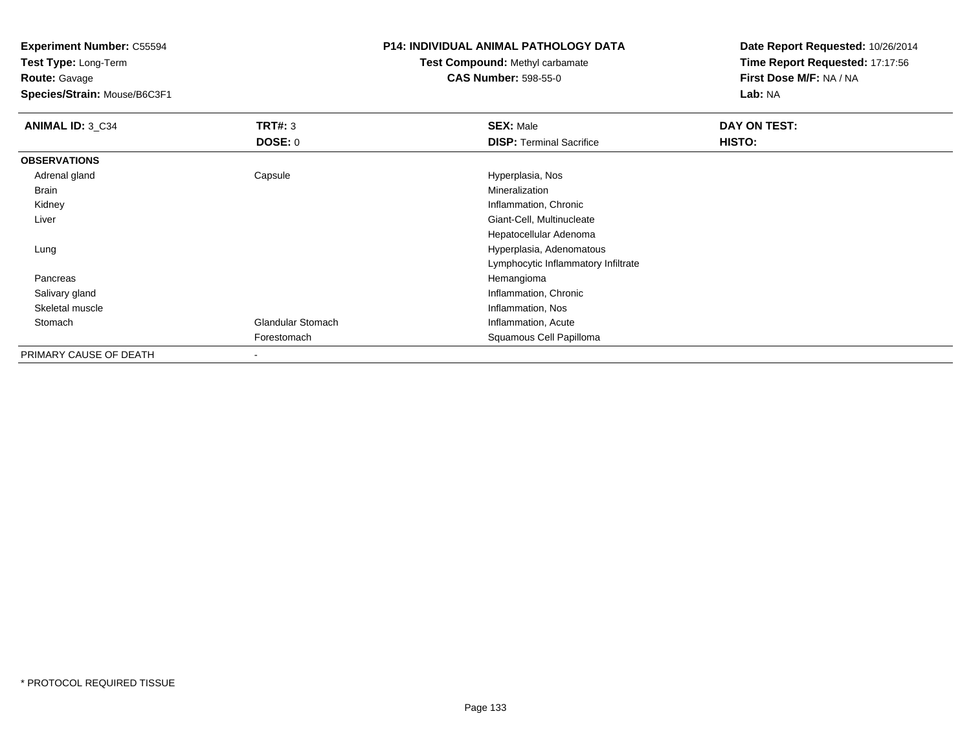**Test Type:** Long-Term**Route:** Gavage

**Species/Strain:** Mouse/B6C3F1

### **P14: INDIVIDUAL ANIMAL PATHOLOGY DATA**

### **Test Compound:** Methyl carbamate**CAS Number:** 598-55-0

| ANIMAL ID: 3 C34       | TRT#: 3<br><b>DOSE: 0</b> | <b>SEX: Male</b><br><b>DISP: Terminal Sacrifice</b> | DAY ON TEST:<br>HISTO: |
|------------------------|---------------------------|-----------------------------------------------------|------------------------|
| <b>OBSERVATIONS</b>    |                           |                                                     |                        |
| Adrenal gland          | Capsule                   | Hyperplasia, Nos                                    |                        |
| Brain                  |                           | Mineralization                                      |                        |
| Kidney                 |                           | Inflammation, Chronic                               |                        |
| Liver                  |                           | Giant-Cell, Multinucleate                           |                        |
|                        |                           | Hepatocellular Adenoma                              |                        |
| Lung                   |                           | Hyperplasia, Adenomatous                            |                        |
|                        |                           | Lymphocytic Inflammatory Infiltrate                 |                        |
| Pancreas               |                           | Hemangioma                                          |                        |
| Salivary gland         |                           | Inflammation, Chronic                               |                        |
| Skeletal muscle        |                           | Inflammation, Nos                                   |                        |
| Stomach                | <b>Glandular Stomach</b>  | Inflammation, Acute                                 |                        |
|                        | Forestomach               | Squamous Cell Papilloma                             |                        |
| PRIMARY CAUSE OF DEATH |                           |                                                     |                        |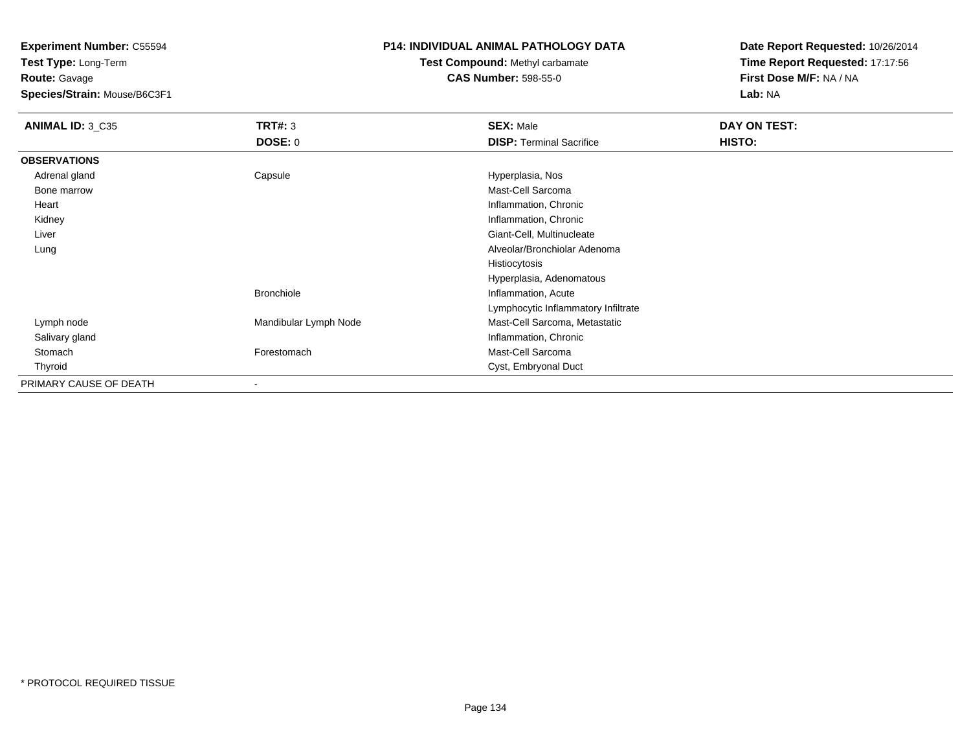**Test Type:** Long-Term**Route:** Gavage

**Species/Strain:** Mouse/B6C3F1

#### **P14: INDIVIDUAL ANIMAL PATHOLOGY DATA**

# **Test Compound:** Methyl carbamate**CAS Number:** 598-55-0

| ANIMAL ID: 3_C35       | <b>TRT#: 3</b>           | <b>SEX: Male</b>                    | DAY ON TEST: |  |
|------------------------|--------------------------|-------------------------------------|--------------|--|
|                        | <b>DOSE: 0</b>           | <b>DISP: Terminal Sacrifice</b>     | HISTO:       |  |
| <b>OBSERVATIONS</b>    |                          |                                     |              |  |
| Adrenal gland          | Capsule                  | Hyperplasia, Nos                    |              |  |
| Bone marrow            |                          | Mast-Cell Sarcoma                   |              |  |
| Heart                  |                          | Inflammation, Chronic               |              |  |
| Kidney                 |                          | Inflammation, Chronic               |              |  |
| Liver                  |                          | Giant-Cell, Multinucleate           |              |  |
| Lung                   |                          | Alveolar/Bronchiolar Adenoma        |              |  |
|                        |                          | Histiocytosis                       |              |  |
|                        |                          | Hyperplasia, Adenomatous            |              |  |
|                        | <b>Bronchiole</b>        | Inflammation, Acute                 |              |  |
|                        |                          | Lymphocytic Inflammatory Infiltrate |              |  |
| Lymph node             | Mandibular Lymph Node    | Mast-Cell Sarcoma, Metastatic       |              |  |
| Salivary gland         |                          | Inflammation, Chronic               |              |  |
| Stomach                | Forestomach              | Mast-Cell Sarcoma                   |              |  |
| Thyroid                |                          | Cyst, Embryonal Duct                |              |  |
| PRIMARY CAUSE OF DEATH | $\overline{\phantom{a}}$ |                                     |              |  |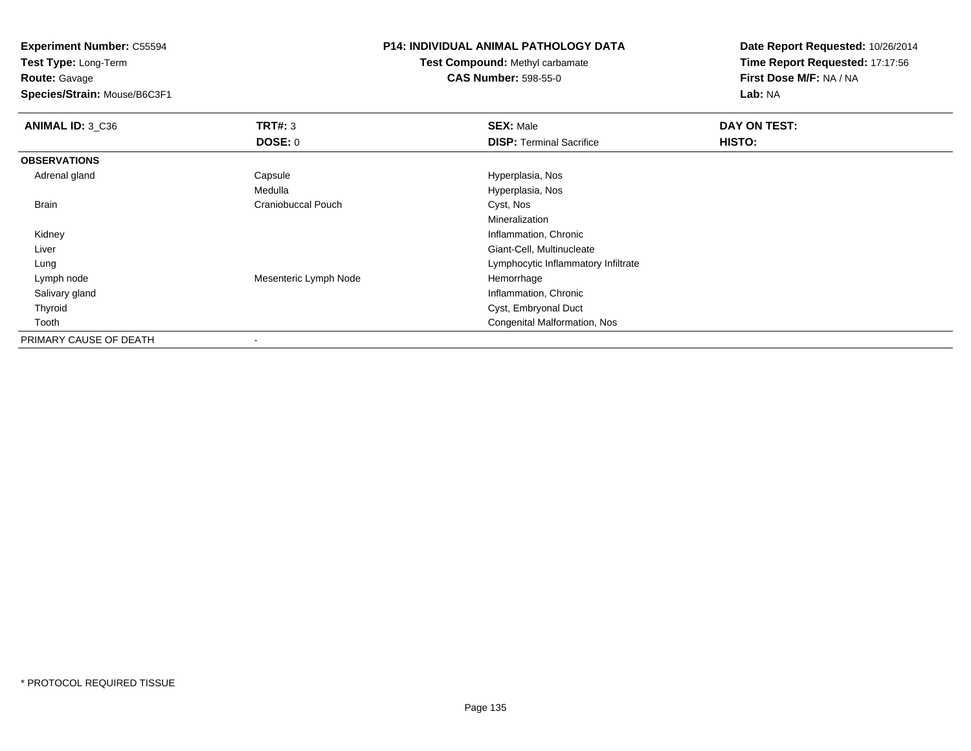**Test Type:** Long-Term

**Route:** Gavage

**Species/Strain:** Mouse/B6C3F1

### **P14: INDIVIDUAL ANIMAL PATHOLOGY DATA**

**Test Compound:** Methyl carbamate**CAS Number:** 598-55-0

| <b>ANIMAL ID: 3_C36</b> | TRT#: 3                   | <b>SEX: Male</b>                    | DAY ON TEST: |  |
|-------------------------|---------------------------|-------------------------------------|--------------|--|
|                         | <b>DOSE: 0</b>            | <b>DISP: Terminal Sacrifice</b>     | HISTO:       |  |
| <b>OBSERVATIONS</b>     |                           |                                     |              |  |
| Adrenal gland           | Capsule                   | Hyperplasia, Nos                    |              |  |
|                         | Medulla                   | Hyperplasia, Nos                    |              |  |
| <b>Brain</b>            | <b>Craniobuccal Pouch</b> | Cyst, Nos                           |              |  |
|                         |                           | Mineralization                      |              |  |
| Kidney                  |                           | Inflammation, Chronic               |              |  |
| Liver                   |                           | Giant-Cell, Multinucleate           |              |  |
| Lung                    |                           | Lymphocytic Inflammatory Infiltrate |              |  |
| Lymph node              | Mesenteric Lymph Node     | Hemorrhage                          |              |  |
| Salivary gland          |                           | Inflammation, Chronic               |              |  |
| Thyroid                 |                           | Cyst, Embryonal Duct                |              |  |
| Tooth                   |                           | Congenital Malformation, Nos        |              |  |
| PRIMARY CAUSE OF DEATH  |                           |                                     |              |  |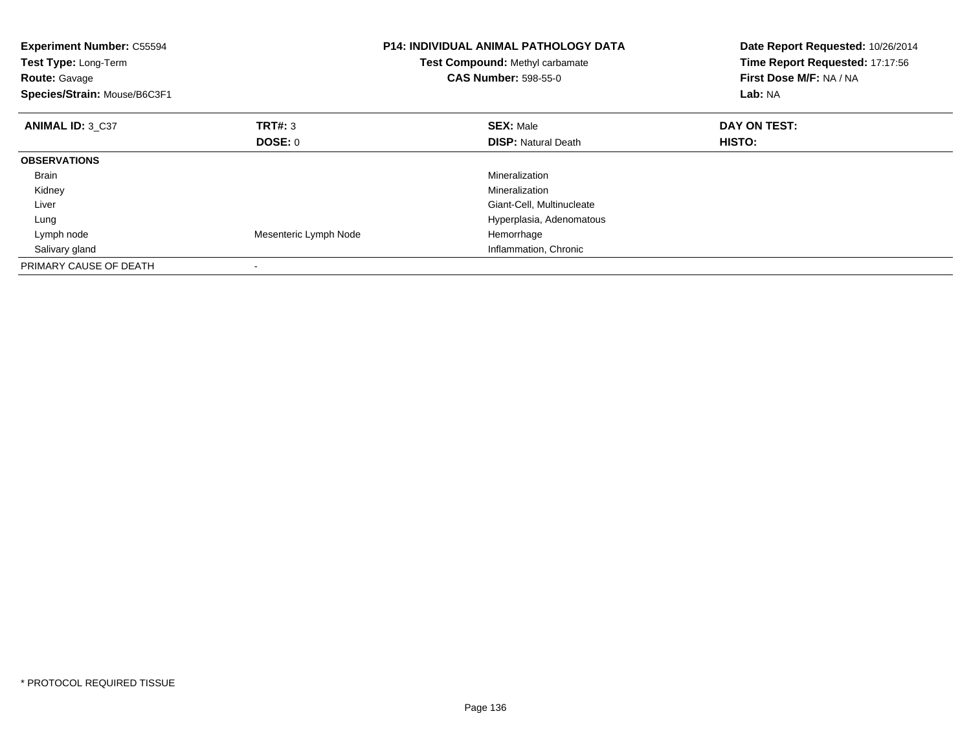| <b>Experiment Number: C55594</b><br>Test Type: Long-Term<br><b>Route: Gavage</b><br>Species/Strain: Mouse/B6C3F1 |                       | <b>P14: INDIVIDUAL ANIMAL PATHOLOGY DATA</b><br>Test Compound: Methyl carbamate<br><b>CAS Number: 598-55-0</b> | Date Report Requested: 10/26/2014<br>Time Report Requested: 17:17:56<br>First Dose M/F: NA / NA<br>Lab: NA |
|------------------------------------------------------------------------------------------------------------------|-----------------------|----------------------------------------------------------------------------------------------------------------|------------------------------------------------------------------------------------------------------------|
| ANIMAL ID: 3 C37                                                                                                 | TRT#: 3               | <b>SEX: Male</b>                                                                                               | DAY ON TEST:                                                                                               |
|                                                                                                                  | <b>DOSE: 0</b>        | <b>DISP:</b> Natural Death                                                                                     | HISTO:                                                                                                     |
| <b>OBSERVATIONS</b>                                                                                              |                       |                                                                                                                |                                                                                                            |
| <b>Brain</b>                                                                                                     |                       | Mineralization                                                                                                 |                                                                                                            |
| Kidney                                                                                                           |                       | Mineralization                                                                                                 |                                                                                                            |
| Liver                                                                                                            |                       | Giant-Cell, Multinucleate                                                                                      |                                                                                                            |
| Lung                                                                                                             |                       | Hyperplasia, Adenomatous                                                                                       |                                                                                                            |
| Lymph node                                                                                                       | Mesenteric Lymph Node | Hemorrhage                                                                                                     |                                                                                                            |
| Salivary gland                                                                                                   |                       | Inflammation, Chronic                                                                                          |                                                                                                            |
| PRIMARY CAUSE OF DEATH                                                                                           |                       |                                                                                                                |                                                                                                            |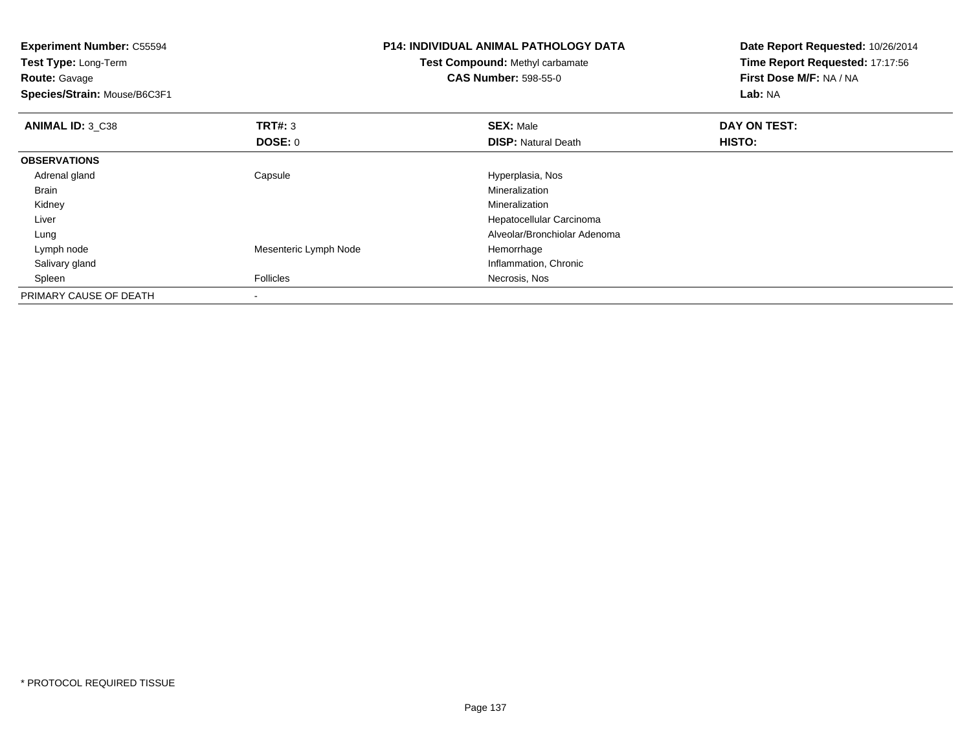| <b>Experiment Number: C55594</b> |                       | <b>P14: INDIVIDUAL ANIMAL PATHOLOGY DATA</b> | Date Report Requested: 10/26/2014<br>Time Report Requested: 17:17:56 |  |
|----------------------------------|-----------------------|----------------------------------------------|----------------------------------------------------------------------|--|
| Test Type: Long-Term             |                       | Test Compound: Methyl carbamate              |                                                                      |  |
| <b>Route: Gavage</b>             |                       | <b>CAS Number: 598-55-0</b>                  | First Dose M/F: NA / NA                                              |  |
| Species/Strain: Mouse/B6C3F1     |                       |                                              | Lab: NA                                                              |  |
| ANIMAL ID: 3 C38                 | <b>TRT#: 3</b>        | <b>SEX: Male</b>                             | DAY ON TEST:                                                         |  |
|                                  | <b>DOSE: 0</b>        | <b>DISP: Natural Death</b>                   | <b>HISTO:</b>                                                        |  |
| <b>OBSERVATIONS</b>              |                       |                                              |                                                                      |  |
| Adrenal gland                    | Capsule               | Hyperplasia, Nos                             |                                                                      |  |
| Brain                            |                       | Mineralization                               |                                                                      |  |
| Kidney                           |                       | Mineralization                               |                                                                      |  |
| Liver                            |                       | Hepatocellular Carcinoma                     |                                                                      |  |
| Lung                             |                       | Alveolar/Bronchiolar Adenoma                 |                                                                      |  |
| Lymph node                       | Mesenteric Lymph Node | Hemorrhage                                   |                                                                      |  |
| Salivary gland                   |                       | Inflammation, Chronic                        |                                                                      |  |
| Spleen                           | <b>Follicles</b>      | Necrosis, Nos                                |                                                                      |  |
| PRIMARY CAUSE OF DEATH           |                       |                                              |                                                                      |  |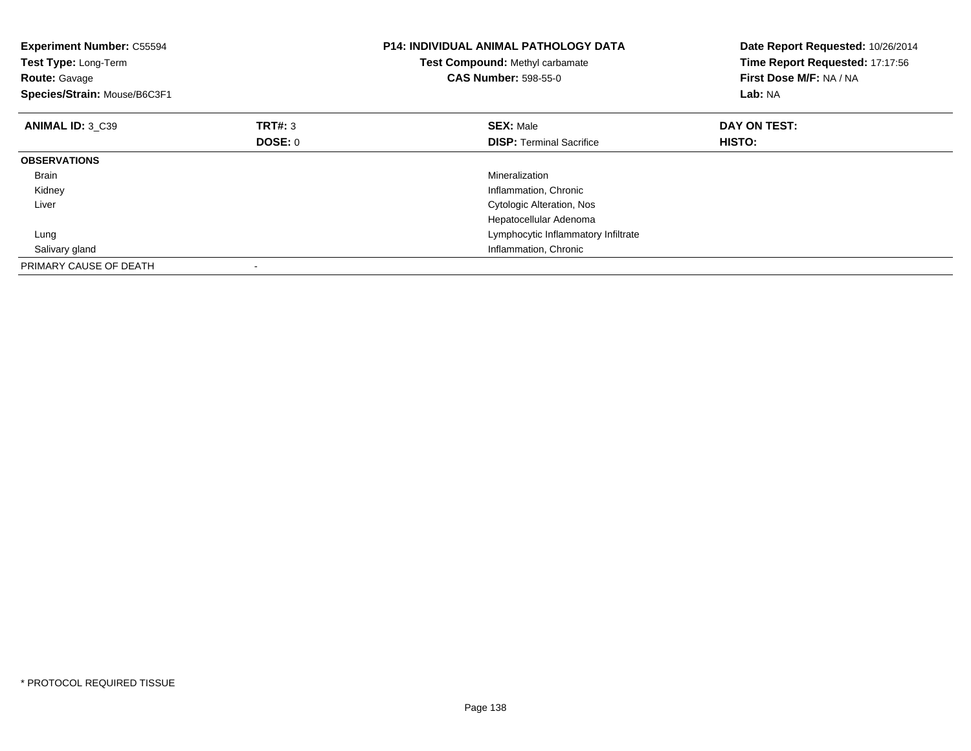| <b>Experiment Number: C55594</b><br>Test Type: Long-Term<br><b>Route: Gavage</b><br>Species/Strain: Mouse/B6C3F1 |                | <b>P14: INDIVIDUAL ANIMAL PATHOLOGY DATA</b><br>Test Compound: Methyl carbamate<br><b>CAS Number: 598-55-0</b> | Date Report Requested: 10/26/2014<br>Time Report Requested: 17:17:56<br>First Dose M/F: NA / NA<br>Lab: NA |
|------------------------------------------------------------------------------------------------------------------|----------------|----------------------------------------------------------------------------------------------------------------|------------------------------------------------------------------------------------------------------------|
| ANIMAL ID: 3 C39                                                                                                 | TRT#: 3        | <b>SEX: Male</b>                                                                                               | DAY ON TEST:                                                                                               |
|                                                                                                                  | <b>DOSE: 0</b> | <b>DISP:</b> Terminal Sacrifice                                                                                | <b>HISTO:</b>                                                                                              |
| <b>OBSERVATIONS</b>                                                                                              |                |                                                                                                                |                                                                                                            |
| <b>Brain</b>                                                                                                     |                | Mineralization                                                                                                 |                                                                                                            |
| Kidney                                                                                                           |                | Inflammation, Chronic                                                                                          |                                                                                                            |
| Liver                                                                                                            |                | Cytologic Alteration, Nos                                                                                      |                                                                                                            |
|                                                                                                                  |                | Hepatocellular Adenoma                                                                                         |                                                                                                            |
| Lung                                                                                                             |                | Lymphocytic Inflammatory Infiltrate                                                                            |                                                                                                            |
| Salivary gland                                                                                                   |                | Inflammation, Chronic                                                                                          |                                                                                                            |
| PRIMARY CAUSE OF DEATH                                                                                           |                |                                                                                                                |                                                                                                            |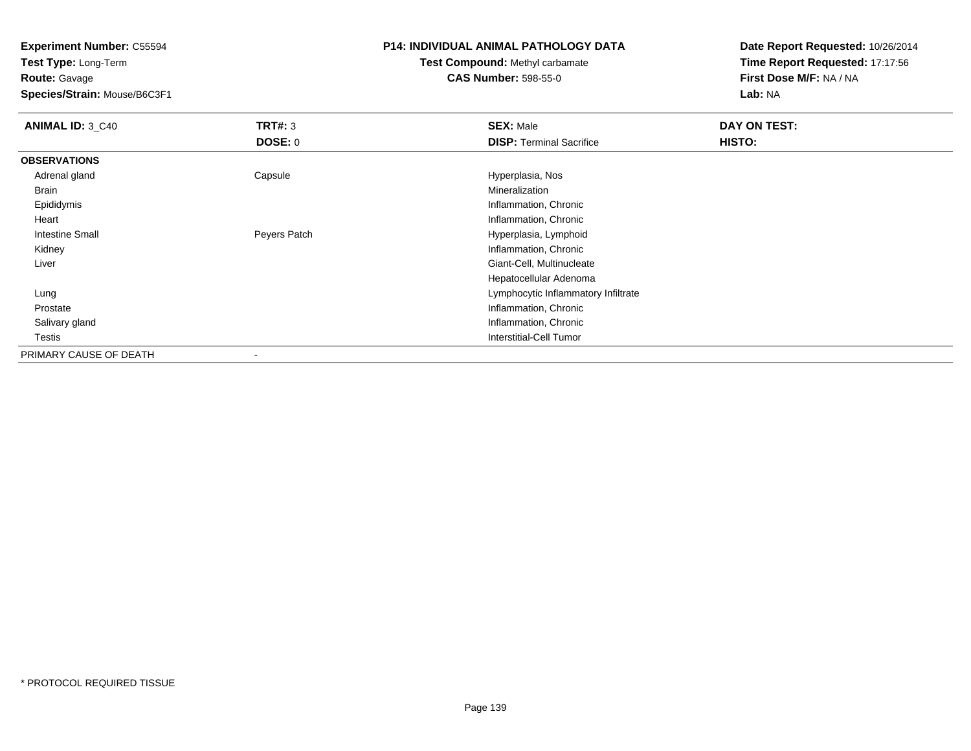**Test Type:** Long-Term**Route:** Gavage

**Species/Strain:** Mouse/B6C3F1

### **P14: INDIVIDUAL ANIMAL PATHOLOGY DATA**

# **Test Compound:** Methyl carbamate**CAS Number:** 598-55-0

| <b>ANIMAL ID: 3_C40</b> | TRT#: 3        | <b>SEX: Male</b>                    | DAY ON TEST: |  |
|-------------------------|----------------|-------------------------------------|--------------|--|
|                         | <b>DOSE: 0</b> | <b>DISP: Terminal Sacrifice</b>     | HISTO:       |  |
| <b>OBSERVATIONS</b>     |                |                                     |              |  |
| Adrenal gland           | Capsule        | Hyperplasia, Nos                    |              |  |
| Brain                   |                | Mineralization                      |              |  |
| Epididymis              |                | Inflammation, Chronic               |              |  |
| Heart                   |                | Inflammation, Chronic               |              |  |
| Intestine Small         | Peyers Patch   | Hyperplasia, Lymphoid               |              |  |
| Kidney                  |                | Inflammation, Chronic               |              |  |
| Liver                   |                | Giant-Cell, Multinucleate           |              |  |
|                         |                | Hepatocellular Adenoma              |              |  |
| Lung                    |                | Lymphocytic Inflammatory Infiltrate |              |  |
| Prostate                |                | Inflammation, Chronic               |              |  |
| Salivary gland          |                | Inflammation, Chronic               |              |  |
| Testis                  |                | Interstitial-Cell Tumor             |              |  |
| PRIMARY CAUSE OF DEATH  |                |                                     |              |  |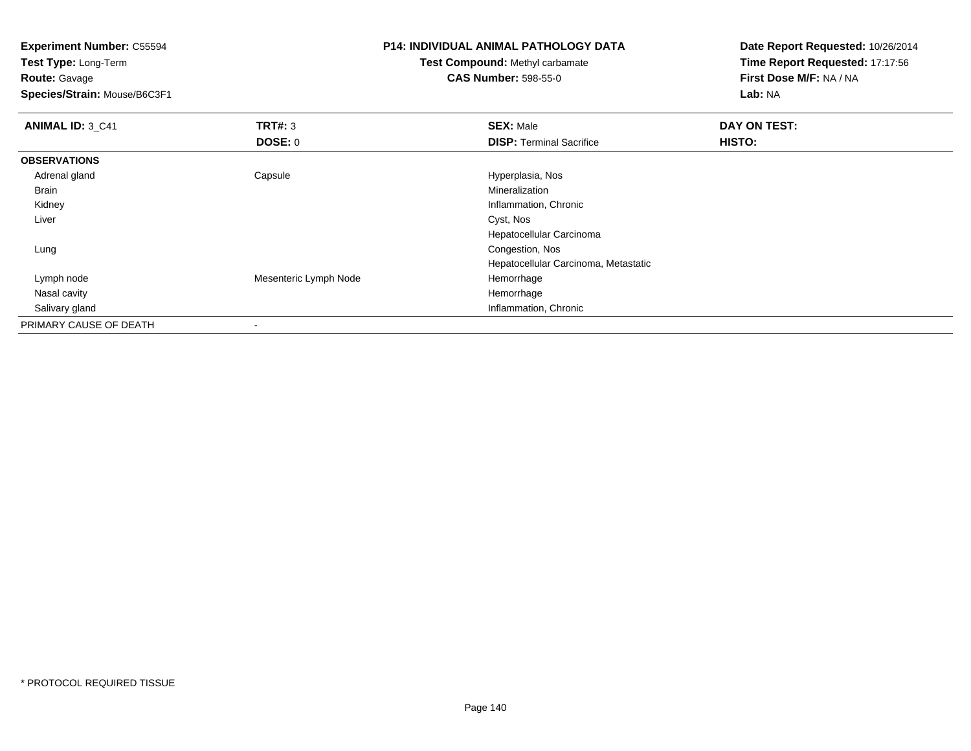**Experiment Number:** C55594**Test Type:** Long-Term**Route:** Gavage **Species/Strain:** Mouse/B6C3F1**P14: INDIVIDUAL ANIMAL PATHOLOGY DATATest Compound:** Methyl carbamate**CAS Number:** 598-55-0**Date Report Requested:** 10/26/2014**Time Report Requested:** 17:17:56**First Dose M/F:** NA / NA**Lab:** NA**ANIMAL ID:** 3\_C41**TRT#:** 3 **SEX:** Male **DAY ON TEST: DOSE:** 0**DISP:** Terminal Sacrifice **HISTO: OBSERVATIONS** Adrenal glandCapsule **Capsule Capsule Capsule Capsule** Hyperplasia, Nos<br>
Mineralization Brainn and the control of the control of the control of the control of the control of the control of the control of the control of the control of the control of the control of the control of the control of the control of the co Kidney Inflammation, Chronic Liver Cyst, Nos Hepatocellular Carcinoma Lungg and the congestion, Nos and the congestion, Nos and the congestion, Nos and the congestion, Nos and the congestion, Nos and the congestion, Nos and the congestion, Nos and the congestion of  $\alpha$ Hepatocellular Carcinoma, Metastatic Lymph nodeMesenteric Lymph Node Hemorrhage Nasal cavityy the control of the control of the control of the control of the control of the control of the control of the control of the control of the control of the control of the control of the control of the control of the contro

**Inflammation, Chronic** 

Salivary gland

PRIMARY CAUSE OF DEATH

-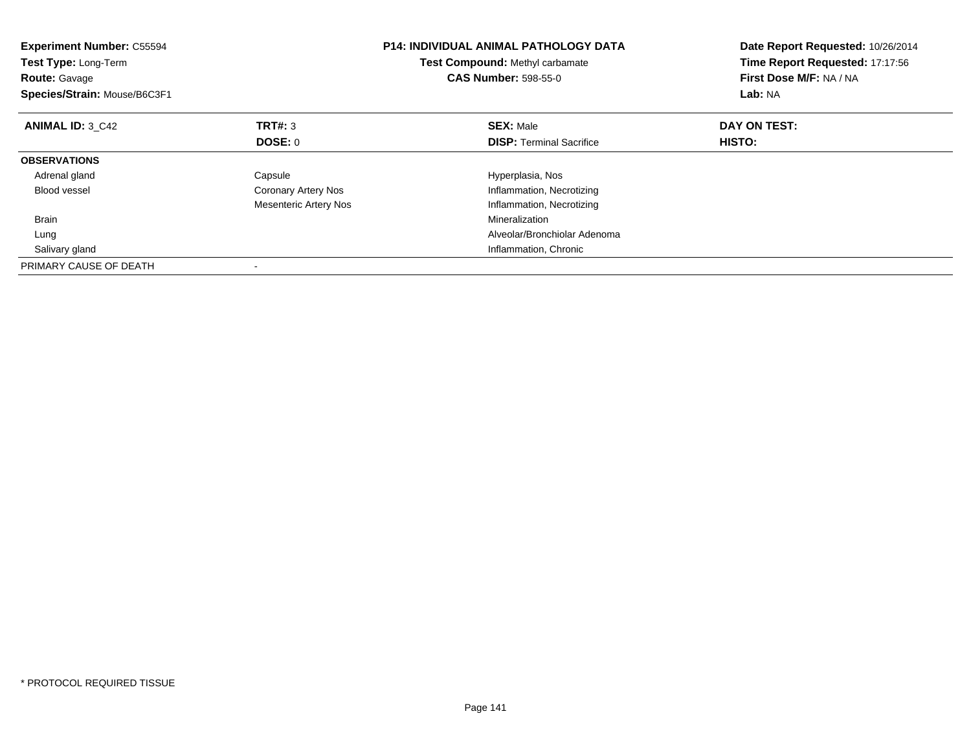| <b>Experiment Number: C55594</b><br>Test Type: Long-Term<br><b>Route: Gavage</b><br>Species/Strain: Mouse/B6C3F1 |                              | <b>P14: INDIVIDUAL ANIMAL PATHOLOGY DATA</b><br><b>Test Compound: Methyl carbamate</b><br><b>CAS Number: 598-55-0</b> | Date Report Requested: 10/26/2014<br>Time Report Requested: 17:17:56<br>First Dose M/F: NA / NA<br>Lab: NA |
|------------------------------------------------------------------------------------------------------------------|------------------------------|-----------------------------------------------------------------------------------------------------------------------|------------------------------------------------------------------------------------------------------------|
| <b>ANIMAL ID: 3 C42</b>                                                                                          | <b>TRT#: 3</b>               | <b>SEX: Male</b>                                                                                                      | DAY ON TEST:                                                                                               |
|                                                                                                                  | DOSE: 0                      | <b>DISP:</b> Terminal Sacrifice                                                                                       | <b>HISTO:</b>                                                                                              |
| <b>OBSERVATIONS</b>                                                                                              |                              |                                                                                                                       |                                                                                                            |
| Adrenal gland                                                                                                    | Capsule                      | Hyperplasia, Nos                                                                                                      |                                                                                                            |
| <b>Blood vessel</b>                                                                                              | Coronary Artery Nos          | Inflammation, Necrotizing                                                                                             |                                                                                                            |
|                                                                                                                  | <b>Mesenteric Artery Nos</b> | Inflammation, Necrotizing                                                                                             |                                                                                                            |
| <b>Brain</b>                                                                                                     |                              | Mineralization                                                                                                        |                                                                                                            |
| Lung                                                                                                             |                              | Alveolar/Bronchiolar Adenoma                                                                                          |                                                                                                            |
| Salivary gland                                                                                                   |                              | Inflammation, Chronic                                                                                                 |                                                                                                            |
| PRIMARY CAUSE OF DEATH                                                                                           |                              |                                                                                                                       |                                                                                                            |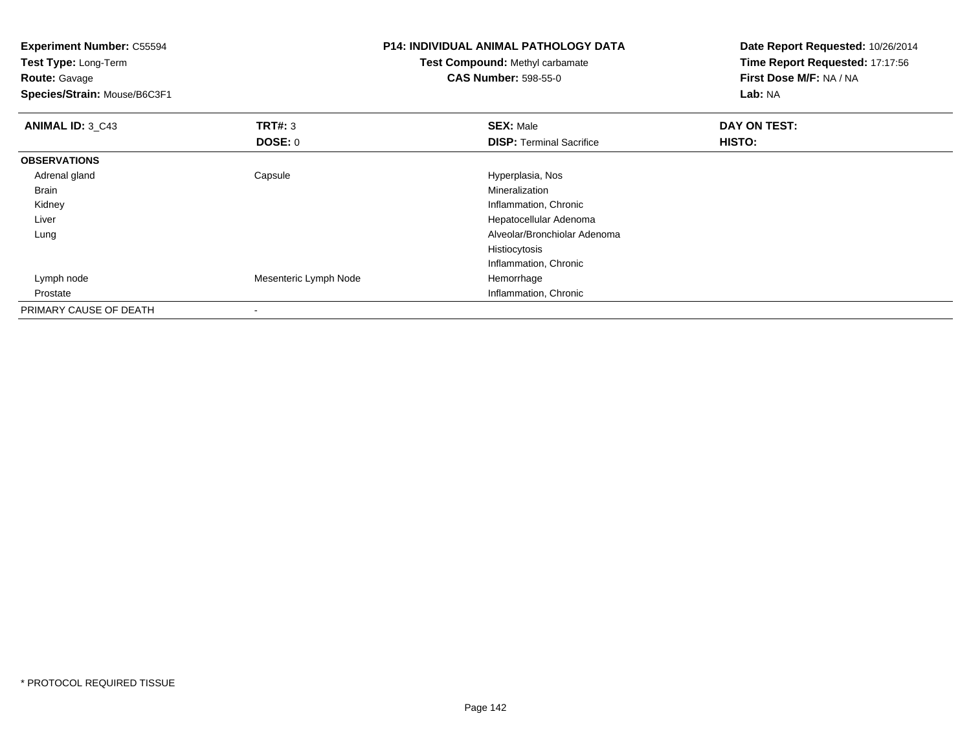| <b>Experiment Number: C55594</b> |                       | <b>P14: INDIVIDUAL ANIMAL PATHOLOGY DATA</b> | Date Report Requested: 10/26/2014 |  |
|----------------------------------|-----------------------|----------------------------------------------|-----------------------------------|--|
| Test Type: Long-Term             |                       | <b>Test Compound: Methyl carbamate</b>       | Time Report Requested: 17:17:56   |  |
| <b>Route: Gavage</b>             |                       | <b>CAS Number: 598-55-0</b>                  | First Dose M/F: NA / NA           |  |
| Species/Strain: Mouse/B6C3F1     |                       |                                              | Lab: NA                           |  |
| <b>ANIMAL ID: 3_C43</b>          | TRT#: 3               | <b>SEX: Male</b>                             | DAY ON TEST:                      |  |
|                                  | <b>DOSE: 0</b>        | <b>DISP: Terminal Sacrifice</b>              | HISTO:                            |  |
| <b>OBSERVATIONS</b>              |                       |                                              |                                   |  |
| Adrenal gland                    | Capsule               | Hyperplasia, Nos                             |                                   |  |
| Brain                            |                       | Mineralization                               |                                   |  |
| Kidney                           |                       | Inflammation, Chronic                        |                                   |  |
| Liver                            |                       | Hepatocellular Adenoma                       |                                   |  |
| Lung                             |                       | Alveolar/Bronchiolar Adenoma                 |                                   |  |
|                                  |                       | Histiocytosis                                |                                   |  |
|                                  |                       | Inflammation, Chronic                        |                                   |  |
| Lymph node                       | Mesenteric Lymph Node | Hemorrhage                                   |                                   |  |
| Prostate                         |                       | Inflammation, Chronic                        |                                   |  |
| PRIMARY CAUSE OF DEATH           | $\,$                  |                                              |                                   |  |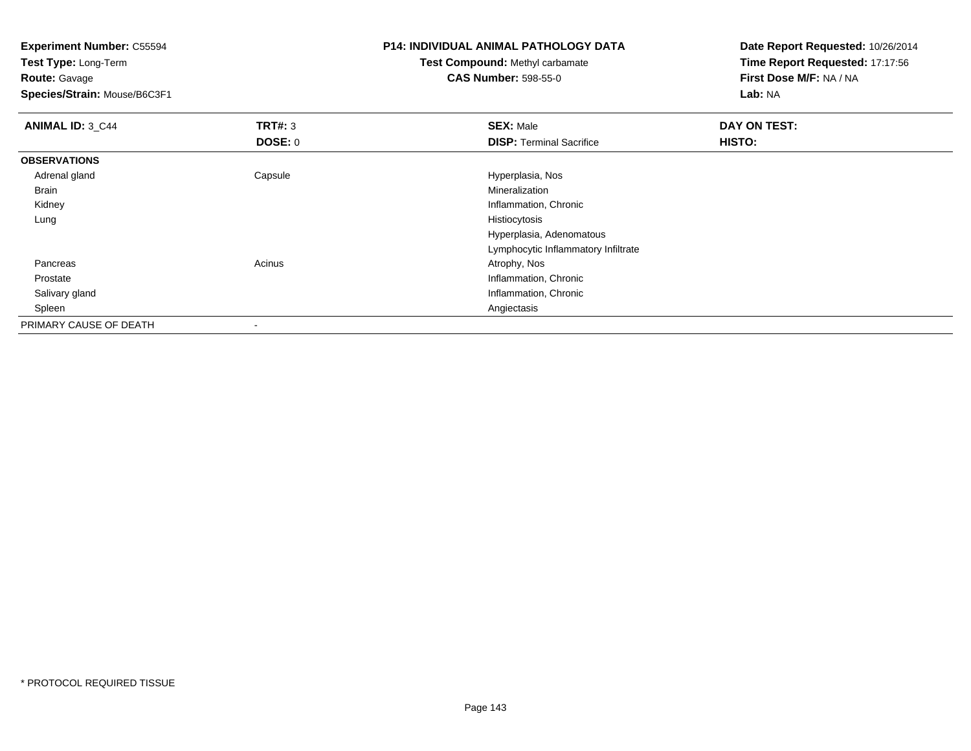**Experiment Number:** C55594**Test Type:** Long-Term**Route:** Gavage **Species/Strain:** Mouse/B6C3F1**P14: INDIVIDUAL ANIMAL PATHOLOGY DATATest Compound:** Methyl carbamate**CAS Number:** 598-55-0**Date Report Requested:** 10/26/2014**Time Report Requested:** 17:17:56**First Dose M/F:** NA / NA**Lab:** NA**ANIMAL ID: 3 C44 TRT#:** 3 **SEX:** Male **DAY ON TEST: DOSE:** 0**DISP:** Terminal Sacrifice **HISTO: OBSERVATIONS** Adrenal glandCapsule **Capsule Capsule Capsule Capsule** Hyperplasia, Nos<br>
Mineralization Brainn and the control of the control of the control of the control of the control of the control of the control of the control of the control of the control of the control of the control of the control of the control of the co Kidney Inflammation, Chronic Lungg and the state of the state of the state of the state of the state of the state of the state of the state of the state of the state of the state of the state of the state of the state of the state of the state of the stat Hyperplasia, Adenomatous Lymphocytic Inflammatory Infiltrate Pancreass and the contract of the contract of the contract of the contract of the contract  $\mathsf{A}$  at  $\mathsf{A}$  and  $\mathsf{A}$  and  $\mathsf{A}$  and  $\mathsf{A}$  and  $\mathsf{A}$  are contract of  $\mathsf{A}$  and  $\mathsf{A}$  and  $\mathsf{A}$  are contract of Prostate Inflammation, Chronic Salivary gland Inflammation, Chronic Spleenn and the control of the control of the control of the control of the control of the control of the control of the control of the control of the control of the control of the control of the control of the control of the co PRIMARY CAUSE OF DEATH

-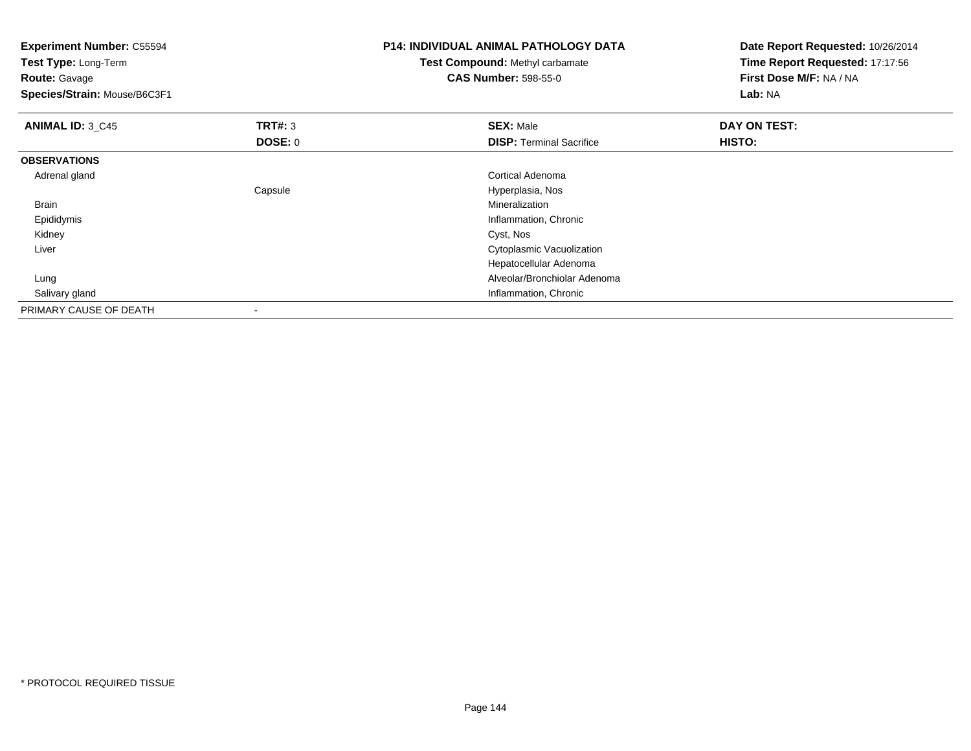| <b>Experiment Number: C55594</b><br>Test Type: Long-Term<br><b>Route: Gavage</b><br>Species/Strain: Mouse/B6C3F1 |                          | <b>P14: INDIVIDUAL ANIMAL PATHOLOGY DATA</b><br><b>Test Compound: Methyl carbamate</b><br><b>CAS Number: 598-55-0</b> | Date Report Requested: 10/26/2014<br>Time Report Requested: 17:17:56<br>First Dose M/F: NA / NA<br>Lab: NA |
|------------------------------------------------------------------------------------------------------------------|--------------------------|-----------------------------------------------------------------------------------------------------------------------|------------------------------------------------------------------------------------------------------------|
| <b>ANIMAL ID: 3_C45</b>                                                                                          | <b>TRT#: 3</b>           | <b>SEX: Male</b>                                                                                                      | DAY ON TEST:                                                                                               |
|                                                                                                                  | <b>DOSE: 0</b>           | <b>DISP: Terminal Sacrifice</b>                                                                                       | HISTO:                                                                                                     |
| <b>OBSERVATIONS</b>                                                                                              |                          |                                                                                                                       |                                                                                                            |
| Adrenal gland                                                                                                    |                          | <b>Cortical Adenoma</b>                                                                                               |                                                                                                            |
|                                                                                                                  | Capsule                  | Hyperplasia, Nos                                                                                                      |                                                                                                            |
| <b>Brain</b>                                                                                                     |                          | Mineralization                                                                                                        |                                                                                                            |
| Epididymis                                                                                                       |                          | Inflammation, Chronic                                                                                                 |                                                                                                            |
| Kidney                                                                                                           |                          | Cyst, Nos                                                                                                             |                                                                                                            |
| Liver                                                                                                            |                          | Cytoplasmic Vacuolization                                                                                             |                                                                                                            |
|                                                                                                                  |                          | Hepatocellular Adenoma                                                                                                |                                                                                                            |
| Lung                                                                                                             |                          | Alveolar/Bronchiolar Adenoma                                                                                          |                                                                                                            |
| Salivary gland                                                                                                   |                          | Inflammation, Chronic                                                                                                 |                                                                                                            |
| PRIMARY CAUSE OF DEATH                                                                                           | $\overline{\phantom{a}}$ |                                                                                                                       |                                                                                                            |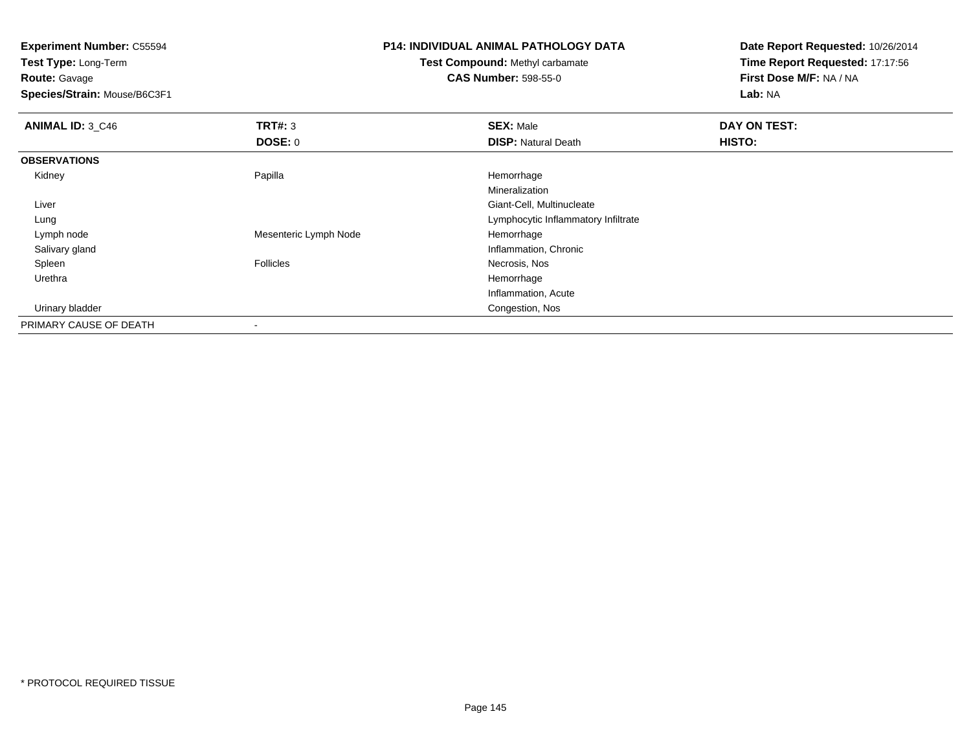**Test Type:** Long-Term**Route:** Gavage

**Species/Strain:** Mouse/B6C3F1

## **P14: INDIVIDUAL ANIMAL PATHOLOGY DATA**

**Test Compound:** Methyl carbamate**CAS Number:** 598-55-0

**Date Report Requested:** 10/26/2014**Time Report Requested:** 17:17:56**First Dose M/F:** NA / NA**Lab:** NA

| <b>ANIMAL ID: 3_C46</b> | TRT#: 3               | <b>SEX: Male</b>                    | DAY ON TEST: |  |
|-------------------------|-----------------------|-------------------------------------|--------------|--|
|                         | <b>DOSE: 0</b>        | <b>DISP: Natural Death</b>          | HISTO:       |  |
| <b>OBSERVATIONS</b>     |                       |                                     |              |  |
| Kidney                  | Papilla               | Hemorrhage                          |              |  |
|                         |                       | Mineralization                      |              |  |
| Liver                   |                       | Giant-Cell, Multinucleate           |              |  |
| Lung                    |                       | Lymphocytic Inflammatory Infiltrate |              |  |
| Lymph node              | Mesenteric Lymph Node | Hemorrhage                          |              |  |
| Salivary gland          |                       | Inflammation, Chronic               |              |  |
| Spleen                  | Follicles             | Necrosis, Nos                       |              |  |
| Urethra                 |                       | Hemorrhage                          |              |  |
|                         |                       | Inflammation, Acute                 |              |  |
| Urinary bladder         |                       | Congestion, Nos                     |              |  |
| PRIMARY CAUSE OF DEATH  |                       |                                     |              |  |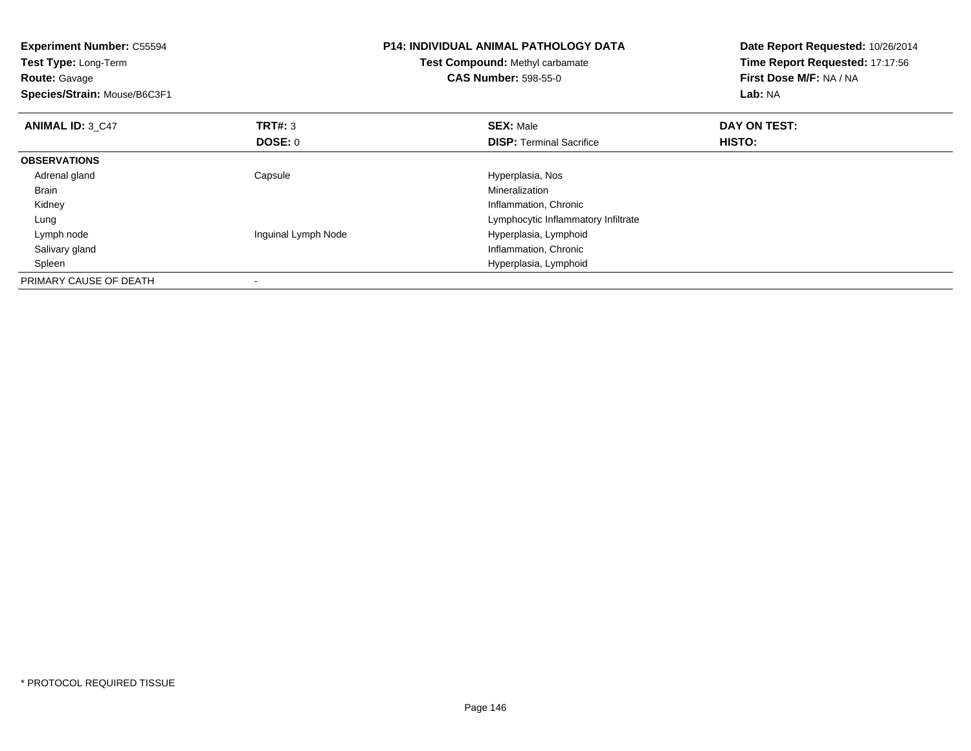| <b>Experiment Number: C55594</b><br><b>Test Type: Long-Term</b><br><b>Route: Gavage</b><br>Species/Strain: Mouse/B6C3F1 |                     | <b>P14: INDIVIDUAL ANIMAL PATHOLOGY DATA</b><br>Test Compound: Methyl carbamate<br><b>CAS Number: 598-55-0</b> | Date Report Requested: 10/26/2014<br>Time Report Requested: 17:17:56<br>First Dose M/F: NA / NA<br><b>Lab: NA</b> |  |
|-------------------------------------------------------------------------------------------------------------------------|---------------------|----------------------------------------------------------------------------------------------------------------|-------------------------------------------------------------------------------------------------------------------|--|
| <b>ANIMAL ID: 3 C47</b>                                                                                                 | TRT#: 3             | <b>SEX: Male</b>                                                                                               | DAY ON TEST:                                                                                                      |  |
|                                                                                                                         | <b>DOSE: 0</b>      | <b>DISP:</b> Terminal Sacrifice                                                                                | HISTO:                                                                                                            |  |
| <b>OBSERVATIONS</b>                                                                                                     |                     |                                                                                                                |                                                                                                                   |  |
| Adrenal gland                                                                                                           | Capsule             | Hyperplasia, Nos                                                                                               |                                                                                                                   |  |
| Brain                                                                                                                   |                     | Mineralization                                                                                                 |                                                                                                                   |  |
| Kidney                                                                                                                  |                     | Inflammation, Chronic                                                                                          |                                                                                                                   |  |
| Lung                                                                                                                    |                     | Lymphocytic Inflammatory Infiltrate                                                                            |                                                                                                                   |  |
| Lymph node                                                                                                              | Inguinal Lymph Node | Hyperplasia, Lymphoid                                                                                          |                                                                                                                   |  |
| Salivary gland                                                                                                          |                     | Inflammation, Chronic                                                                                          |                                                                                                                   |  |
| Spleen                                                                                                                  |                     | Hyperplasia, Lymphoid                                                                                          |                                                                                                                   |  |
| PRIMARY CAUSE OF DEATH                                                                                                  |                     |                                                                                                                |                                                                                                                   |  |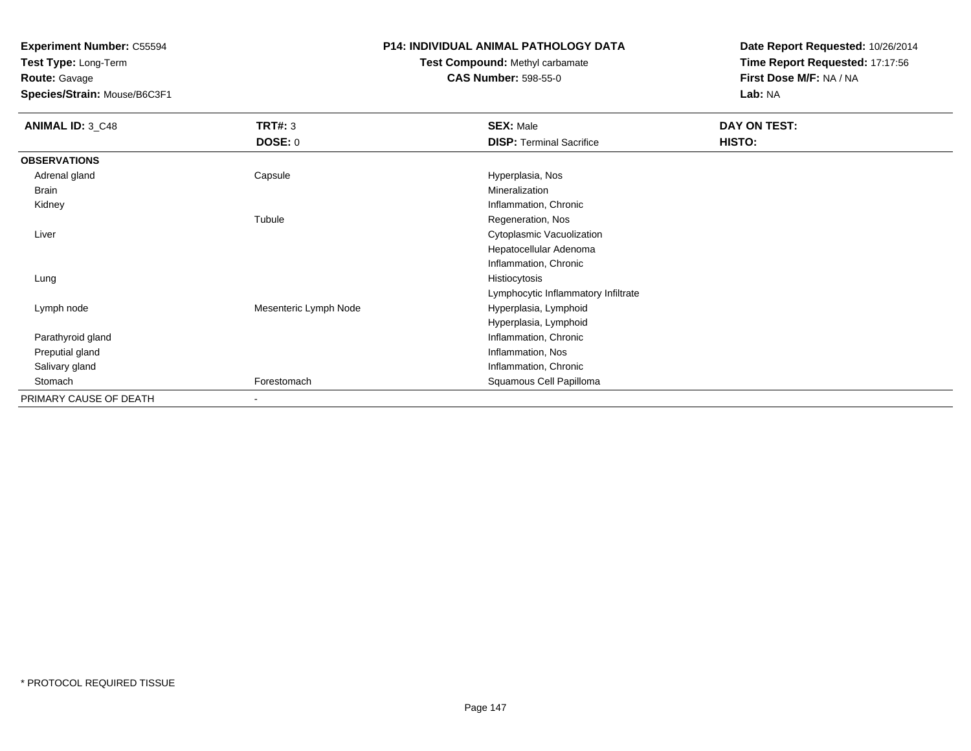**Test Type:** Long-Term**Route:** Gavage

**Species/Strain:** Mouse/B6C3F1

### **P14: INDIVIDUAL ANIMAL PATHOLOGY DATA**

# **Test Compound:** Methyl carbamate**CAS Number:** 598-55-0

**Date Report Requested:** 10/26/2014**Time Report Requested:** 17:17:56**First Dose M/F:** NA / NA**Lab:** NA

| <b>ANIMAL ID: 3_C48</b> | <b>TRT#: 3</b>        | <b>SEX: Male</b>                    | DAY ON TEST: |  |
|-------------------------|-----------------------|-------------------------------------|--------------|--|
|                         | <b>DOSE: 0</b>        | <b>DISP: Terminal Sacrifice</b>     | HISTO:       |  |
| <b>OBSERVATIONS</b>     |                       |                                     |              |  |
| Adrenal gland           | Capsule               | Hyperplasia, Nos                    |              |  |
| Brain                   |                       | Mineralization                      |              |  |
| Kidney                  |                       | Inflammation, Chronic               |              |  |
|                         | Tubule                | Regeneration, Nos                   |              |  |
| Liver                   |                       | Cytoplasmic Vacuolization           |              |  |
|                         |                       | Hepatocellular Adenoma              |              |  |
|                         |                       | Inflammation, Chronic               |              |  |
| Lung                    |                       | Histiocytosis                       |              |  |
|                         |                       | Lymphocytic Inflammatory Infiltrate |              |  |
| Lymph node              | Mesenteric Lymph Node | Hyperplasia, Lymphoid               |              |  |
|                         |                       | Hyperplasia, Lymphoid               |              |  |
| Parathyroid gland       |                       | Inflammation, Chronic               |              |  |
| Preputial gland         |                       | Inflammation, Nos                   |              |  |
| Salivary gland          |                       | Inflammation, Chronic               |              |  |
| Stomach                 | Forestomach           | Squamous Cell Papilloma             |              |  |
| PRIMARY CAUSE OF DEATH  |                       |                                     |              |  |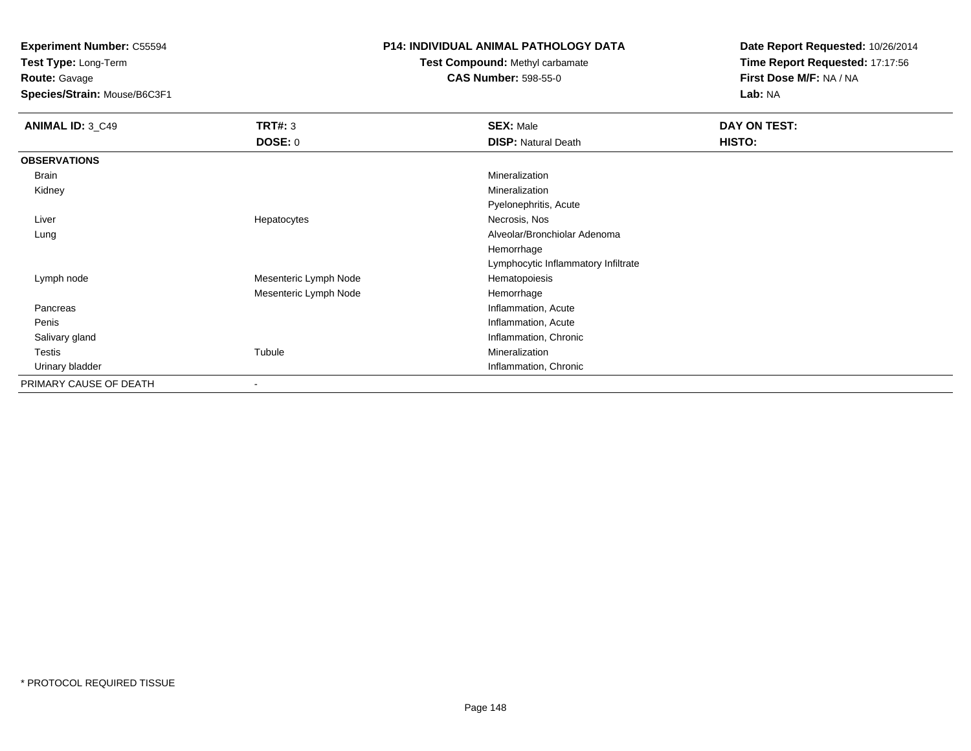**Test Type:** Long-Term**Route:** Gavage

**Species/Strain:** Mouse/B6C3F1

### **P14: INDIVIDUAL ANIMAL PATHOLOGY DATA**

**Test Compound:** Methyl carbamate**CAS Number:** 598-55-0

**Date Report Requested:** 10/26/2014**Time Report Requested:** 17:17:56**First Dose M/F:** NA / NA**Lab:** NA

| <b>ANIMAL ID: 3_C49</b> | <b>TRT#: 3</b>           | <b>SEX: Male</b>                    | DAY ON TEST: |  |
|-------------------------|--------------------------|-------------------------------------|--------------|--|
|                         | <b>DOSE: 0</b>           | <b>DISP: Natural Death</b>          | HISTO:       |  |
| <b>OBSERVATIONS</b>     |                          |                                     |              |  |
| Brain                   |                          | Mineralization                      |              |  |
| Kidney                  |                          | Mineralization                      |              |  |
|                         |                          | Pyelonephritis, Acute               |              |  |
| Liver                   | Hepatocytes              | Necrosis, Nos                       |              |  |
| Lung                    |                          | Alveolar/Bronchiolar Adenoma        |              |  |
|                         |                          | Hemorrhage                          |              |  |
|                         |                          | Lymphocytic Inflammatory Infiltrate |              |  |
| Lymph node              | Mesenteric Lymph Node    | Hematopoiesis                       |              |  |
|                         | Mesenteric Lymph Node    | Hemorrhage                          |              |  |
| Pancreas                |                          | Inflammation, Acute                 |              |  |
| Penis                   |                          | Inflammation, Acute                 |              |  |
| Salivary gland          |                          | Inflammation, Chronic               |              |  |
| Testis                  | Tubule                   | Mineralization                      |              |  |
| Urinary bladder         |                          | Inflammation, Chronic               |              |  |
| PRIMARY CAUSE OF DEATH  | $\overline{\phantom{a}}$ |                                     |              |  |